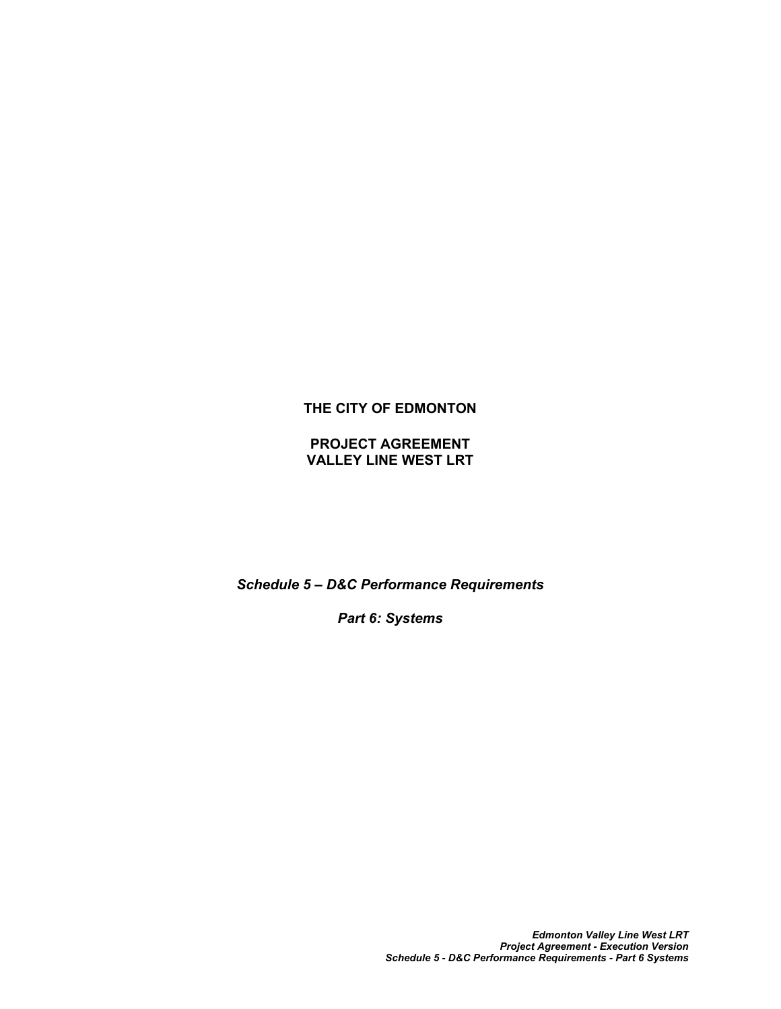# **THE CITY OF EDMONTON**

# **PROJECT AGREEMENT VALLEY LINE WEST LRT**

*Schedule 5 – D&C Performance Requirements*

*Part 6: Systems*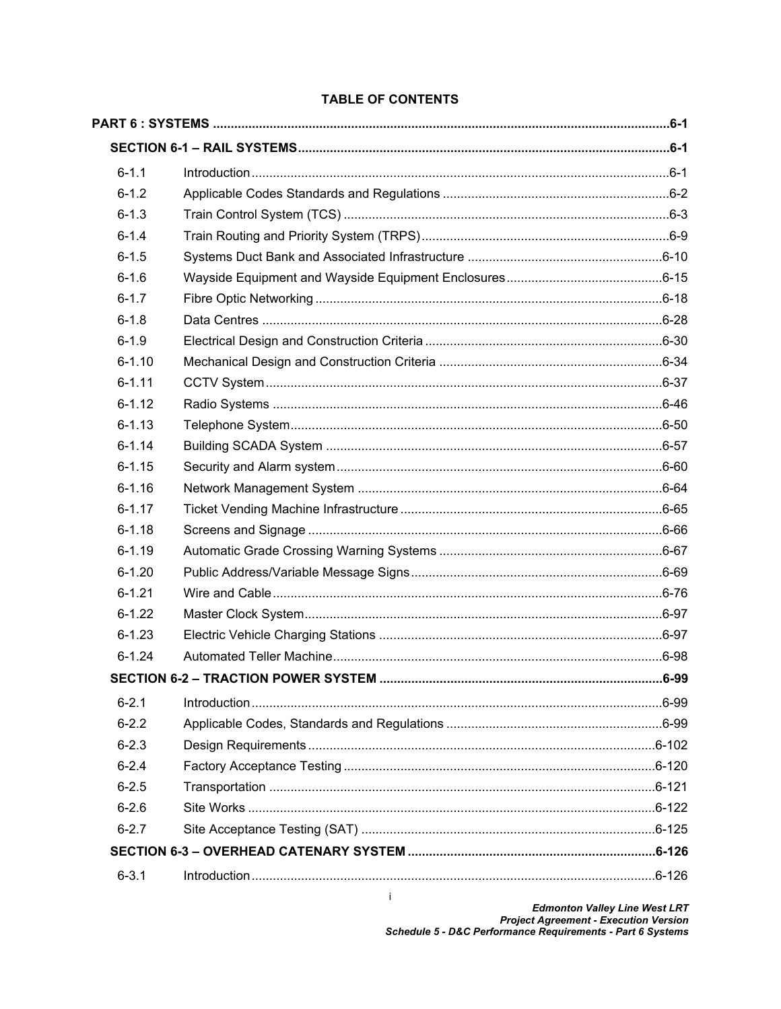# **TABLE OF CONTENTS**

| $6 - 1.1$  |  |  |  |
|------------|--|--|--|
| $6 - 1.2$  |  |  |  |
| $6 - 1.3$  |  |  |  |
| $6 - 1.4$  |  |  |  |
| $6 - 1.5$  |  |  |  |
| $6 - 1.6$  |  |  |  |
| $6 - 1.7$  |  |  |  |
| $6 - 1.8$  |  |  |  |
| $6 - 1.9$  |  |  |  |
| $6 - 1.10$ |  |  |  |
| $6 - 1.11$ |  |  |  |
| $6 - 1.12$ |  |  |  |
| $6 - 1.13$ |  |  |  |
| $6 - 1.14$ |  |  |  |
| $6 - 1.15$ |  |  |  |
| $6 - 1.16$ |  |  |  |
| $6 - 1.17$ |  |  |  |
| $6 - 1.18$ |  |  |  |
| $6 - 1.19$ |  |  |  |
| $6 - 1.20$ |  |  |  |
| $6 - 1.21$ |  |  |  |
| $6 - 1.22$ |  |  |  |
| $6 - 1.23$ |  |  |  |
| $6 - 1.24$ |  |  |  |
|            |  |  |  |
| $6 - 2.1$  |  |  |  |
| $6 - 2.2$  |  |  |  |
| $6 - 2.3$  |  |  |  |
| $6 - 2.4$  |  |  |  |
| $6 - 2.5$  |  |  |  |
| $6 - 2.6$  |  |  |  |
| $6 - 2.7$  |  |  |  |
|            |  |  |  |
| $6 - 3.1$  |  |  |  |

 $\mathbf i$ Edmonton Valley Line West LRT<br>Project Agreement - Execution Version<br>Schedule 5 - D&C Performance Requirements - Part 6 Systems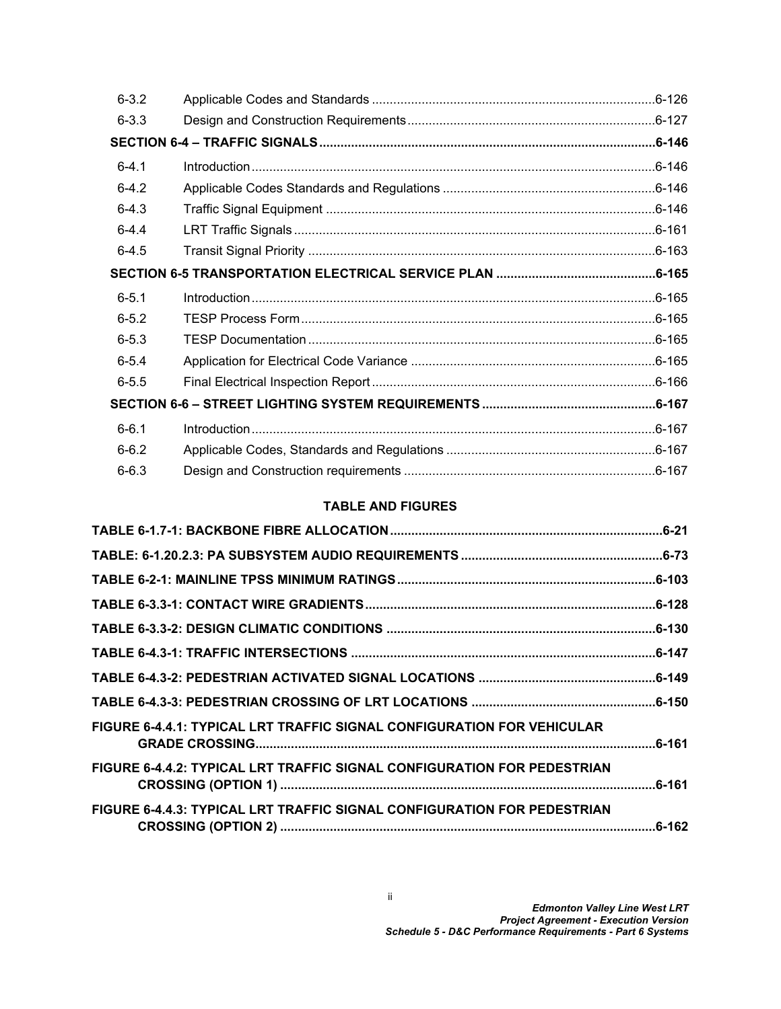| $6 - 3.2$ |  |
|-----------|--|
| $6 - 3.3$ |  |
|           |  |
| $6 - 4.1$ |  |
| $6 - 4.2$ |  |
| $6 - 4.3$ |  |
| $6 - 4.4$ |  |
| $6 - 4.5$ |  |
|           |  |
| $6 - 5.1$ |  |
| $6 - 5.2$ |  |
| $6 - 5.3$ |  |
| $6 - 5.4$ |  |
| $6 - 5.5$ |  |
|           |  |
| $6 - 6.1$ |  |
| $6 - 6.2$ |  |
| $6 - 6.3$ |  |

# **TABLE AND FIGURES**

| FIGURE 6-4.4.1: TYPICAL LRT TRAFFIC SIGNAL CONFIGURATION FOR VEHICULAR  |  |
|-------------------------------------------------------------------------|--|
| FIGURE 6-4.4.2: TYPICAL LRT TRAFFIC SIGNAL CONFIGURATION FOR PEDESTRIAN |  |
| FIGURE 6-4.4.3: TYPICAL LRT TRAFFIC SIGNAL CONFIGURATION FOR PEDESTRIAN |  |

ii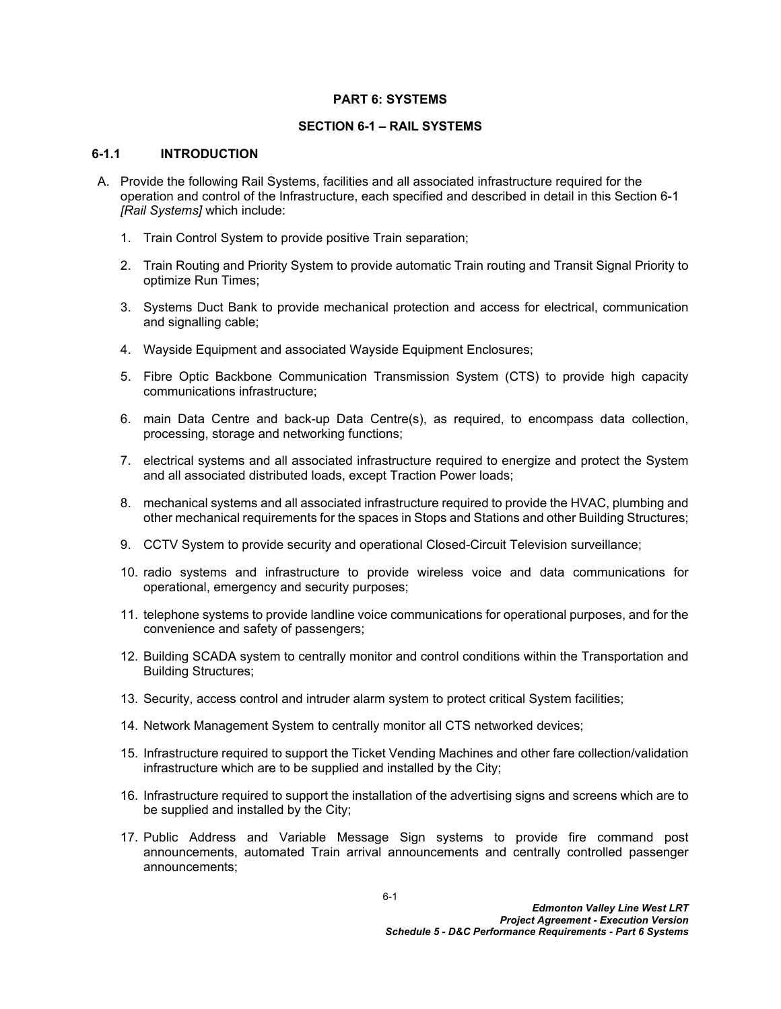#### <span id="page-3-1"></span><span id="page-3-0"></span>**PART 6: SYSTEMS**

### **SECTION 6-1 – RAIL SYSTEMS**

#### <span id="page-3-2"></span>**6-1.1 INTRODUCTION**

- A. Provide the following Rail Systems, facilities and all associated infrastructure required for the operation and control of the Infrastructure, each specified and described in detail in this [Section 6-1](#page-3-1)  *[Rail Systems]* which include:
	- 1. Train Control System to provide positive Train separation;
	- 2. Train Routing and Priority System to provide automatic Train routing and Transit Signal Priority to optimize Run Times;
	- 3. Systems Duct Bank to provide mechanical protection and access for electrical, communication and signalling cable;
	- 4. Wayside Equipment and associated Wayside Equipment Enclosures;
	- 5. Fibre Optic Backbone Communication Transmission System (CTS) to provide high capacity communications infrastructure;
	- 6. main Data Centre and back-up Data Centre(s), as required, to encompass data collection, processing, storage and networking functions;
	- 7. electrical systems and all associated infrastructure required to energize and protect the System and all associated distributed loads, except Traction Power loads;
	- 8. mechanical systems and all associated infrastructure required to provide the HVAC, plumbing and other mechanical requirements for the spaces in Stops and Stations and other Building Structures;
	- 9. CCTV System to provide security and operational Closed-Circuit Television surveillance;
	- 10. radio systems and infrastructure to provide wireless voice and data communications for operational, emergency and security purposes;
	- 11. telephone systems to provide landline voice communications for operational purposes, and for the convenience and safety of passengers;
	- 12. Building SCADA system to centrally monitor and control conditions within the Transportation and Building Structures;
	- 13. Security, access control and intruder alarm system to protect critical System facilities;
	- 14. Network Management System to centrally monitor all CTS networked devices;
	- 15. Infrastructure required to support the Ticket Vending Machines and other fare collection/validation infrastructure which are to be supplied and installed by the City;
	- 16. Infrastructure required to support the installation of the advertising signs and screens which are to be supplied and installed by the City;
	- 17. Public Address and Variable Message Sign systems to provide fire command post announcements, automated Train arrival announcements and centrally controlled passenger announcements;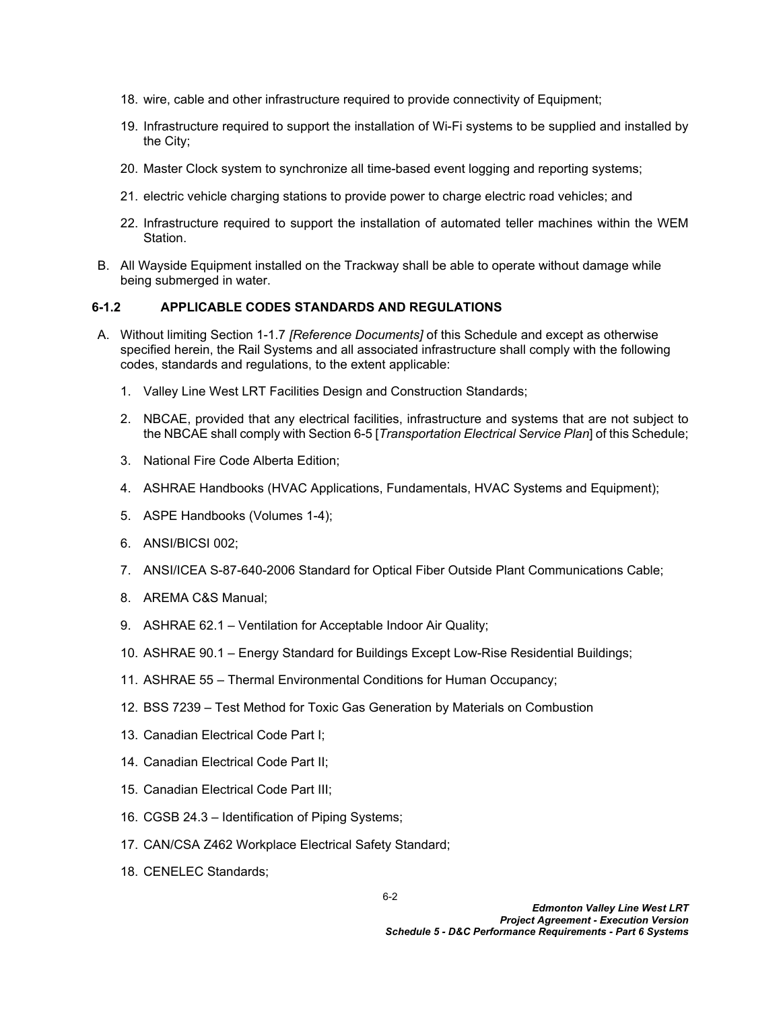- 18. wire, cable and other infrastructure required to provide connectivity of Equipment;
- 19. Infrastructure required to support the installation of Wi-Fi systems to be supplied and installed by the City;
- 20. Master Clock system to synchronize all time-based event logging and reporting systems;
- 21. electric vehicle charging stations to provide power to charge electric road vehicles; and
- 22. Infrastructure required to support the installation of automated teller machines within the WEM Station.
- B. All Wayside Equipment installed on the Trackway shall be able to operate without damage while being submerged in water.

#### <span id="page-4-0"></span>**6-1.2 APPLICABLE CODES STANDARDS AND REGULATIONS**

- A. Without limiting Section 1-1.7 *[Reference Documents]* of this Schedule and except as otherwise specified herein, the Rail Systems and all associated infrastructure shall comply with the following codes, standards and regulations, to the extent applicable:
	- 1. Valley Line West LRT Facilities Design and Construction Standards;
	- 2. NBCAE, provided that any electrical facilities, infrastructure and systems that are not subject to the NBCAE shall comply with [Section 6-5](#page-168-0) [*Transportation Electrical Service Plan*] of this Schedule;
	- 3. National Fire Code Alberta Edition;
	- 4. ASHRAE Handbooks (HVAC Applications, Fundamentals, HVAC Systems and Equipment);
	- 5. ASPE Handbooks (Volumes 1-4);
	- 6. ANSI/BICSI 002;
	- 7. ANSI/ICEA S-87-640-2006 Standard for Optical Fiber Outside Plant Communications Cable;
	- 8. AREMA C&S Manual;
	- 9. ASHRAE 62.1 Ventilation for Acceptable Indoor Air Quality;
	- 10. ASHRAE 90.1 Energy Standard for Buildings Except Low-Rise Residential Buildings;
	- 11. ASHRAE 55 Thermal Environmental Conditions for Human Occupancy;
	- 12. BSS 7239 Test Method for Toxic Gas Generation by Materials on Combustion
	- 13. Canadian Electrical Code Part I;
	- 14. Canadian Electrical Code Part II;
	- 15. Canadian Electrical Code Part III;
	- 16. CGSB 24.3 Identification of Piping Systems;
	- 17. CAN/CSA Z462 Workplace Electrical Safety Standard;
	- 18. CENELEC Standards;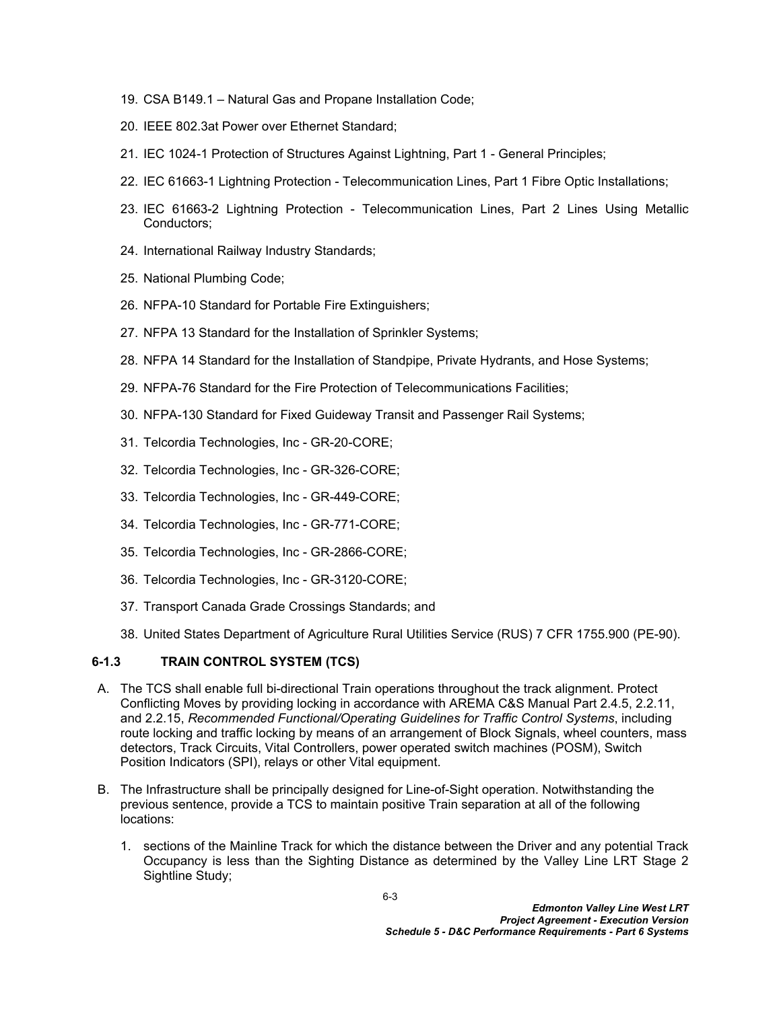- 19. CSA B149.1 Natural Gas and Propane Installation Code;
- 20. IEEE 802.3at Power over Ethernet Standard;
- 21. IEC 1024-1 Protection of Structures Against Lightning, Part 1 General Principles;
- 22. IEC 61663-1 Lightning Protection Telecommunication Lines, Part 1 Fibre Optic Installations;
- 23. IEC 61663-2 Lightning Protection Telecommunication Lines, Part 2 Lines Using Metallic Conductors;
- 24. International Railway Industry Standards;
- 25. National Plumbing Code;
- 26. NFPA-10 Standard for Portable Fire Extinguishers;
- 27. NFPA 13 Standard for the Installation of Sprinkler Systems;
- 28. NFPA 14 Standard for the Installation of Standpipe, Private Hydrants, and Hose Systems;
- 29. NFPA-76 Standard for the Fire Protection of Telecommunications Facilities;
- 30. NFPA-130 Standard for Fixed Guideway Transit and Passenger Rail Systems;
- 31. Telcordia Technologies, Inc GR-20-CORE;
- 32. Telcordia Technologies, Inc GR-326-CORE;
- 33. Telcordia Technologies, Inc GR-449-CORE;
- 34. Telcordia Technologies, Inc GR-771-CORE;
- 35. Telcordia Technologies, Inc GR-2866-CORE;
- 36. Telcordia Technologies, Inc GR-3120-CORE;
- 37. Transport Canada Grade Crossings Standards; and
- 38. United States Department of Agriculture Rural Utilities Service (RUS) 7 CFR 1755.900 (PE-90).

### <span id="page-5-0"></span>**6-1.3 TRAIN CONTROL SYSTEM (TCS)**

- A. The TCS shall enable full bi-directional Train operations throughout the track alignment. Protect Conflicting Moves by providing locking in accordance with AREMA C&S Manual Part 2.4.5, 2.2.11, and 2.2.15, *Recommended Functional/Operating Guidelines for Traffic Control Systems*, including route locking and traffic locking by means of an arrangement of Block Signals, wheel counters, mass detectors, Track Circuits, Vital Controllers, power operated switch machines (POSM), Switch Position Indicators (SPI), relays or other Vital equipment.
- B. The Infrastructure shall be principally designed for Line-of-Sight operation. Notwithstanding the previous sentence, provide a TCS to maintain positive Train separation at all of the following locations:
	- 1. sections of the Mainline Track for which the distance between the Driver and any potential Track Occupancy is less than the Sighting Distance as determined by the Valley Line LRT Stage 2 Sightline Study;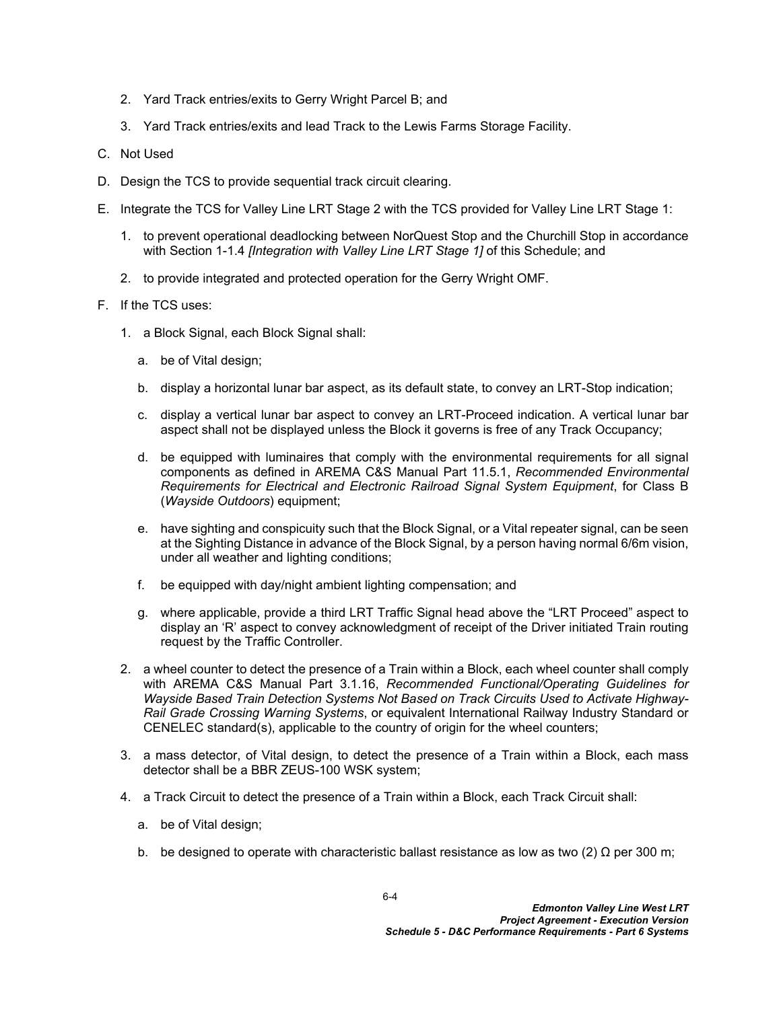- 2. Yard Track entries/exits to Gerry Wright Parcel B; and
- 3. Yard Track entries/exits and lead Track to the Lewis Farms Storage Facility.
- C. Not Used
- D. Design the TCS to provide sequential track circuit clearing.
- E. Integrate the TCS for Valley Line LRT Stage 2 with the TCS provided for Valley Line LRT Stage 1:
	- 1. to prevent operational deadlocking between NorQuest Stop and the Churchill Stop in accordance with Section 1-1.4 *[Integration with Valley Line LRT Stage 1]* of this Schedule; and
	- 2. to provide integrated and protected operation for the Gerry Wright OMF.
- <span id="page-6-0"></span>F. If the TCS uses:
	- 1. a Block Signal, each Block Signal shall:
		- a. be of Vital design;
		- b. display a horizontal lunar bar aspect, as its default state, to convey an LRT-Stop indication;
		- c. display a vertical lunar bar aspect to convey an LRT-Proceed indication. A vertical lunar bar aspect shall not be displayed unless the Block it governs is free of any Track Occupancy;
		- d. be equipped with luminaires that comply with the environmental requirements for all signal components as defined in AREMA C&S Manual Part 11.5.1, *Recommended Environmental Requirements for Electrical and Electronic Railroad Signal System Equipment*, for Class B (*Wayside Outdoors*) equipment;
		- e. have sighting and conspicuity such that the Block Signal, or a Vital repeater signal, can be seen at the Sighting Distance in advance of the Block Signal, by a person having normal 6/6m vision, under all weather and lighting conditions;
		- f. be equipped with day/night ambient lighting compensation; and
		- g. where applicable, provide a third LRT Traffic Signal head above the "LRT Proceed" aspect to display an 'R' aspect to convey acknowledgment of receipt of the Driver initiated Train routing request by the Traffic Controller.
	- 2. a wheel counter to detect the presence of a Train within a Block, each wheel counter shall comply with AREMA C&S Manual Part 3.1.16, *Recommended Functional/Operating Guidelines for Wayside Based Train Detection Systems Not Based on Track Circuits Used to Activate Highway-Rail Grade Crossing Warning Systems*, or equivalent International Railway Industry Standard or CENELEC standard(s), applicable to the country of origin for the wheel counters;
	- 3. a mass detector, of Vital design, to detect the presence of a Train within a Block, each mass detector shall be a BBR ZEUS-100 WSK system;
	- 4. a Track Circuit to detect the presence of a Train within a Block, each Track Circuit shall:
		- a. be of Vital design;
		- b. be designed to operate with characteristic ballast resistance as low as two (2)  $\Omega$  per 300 m;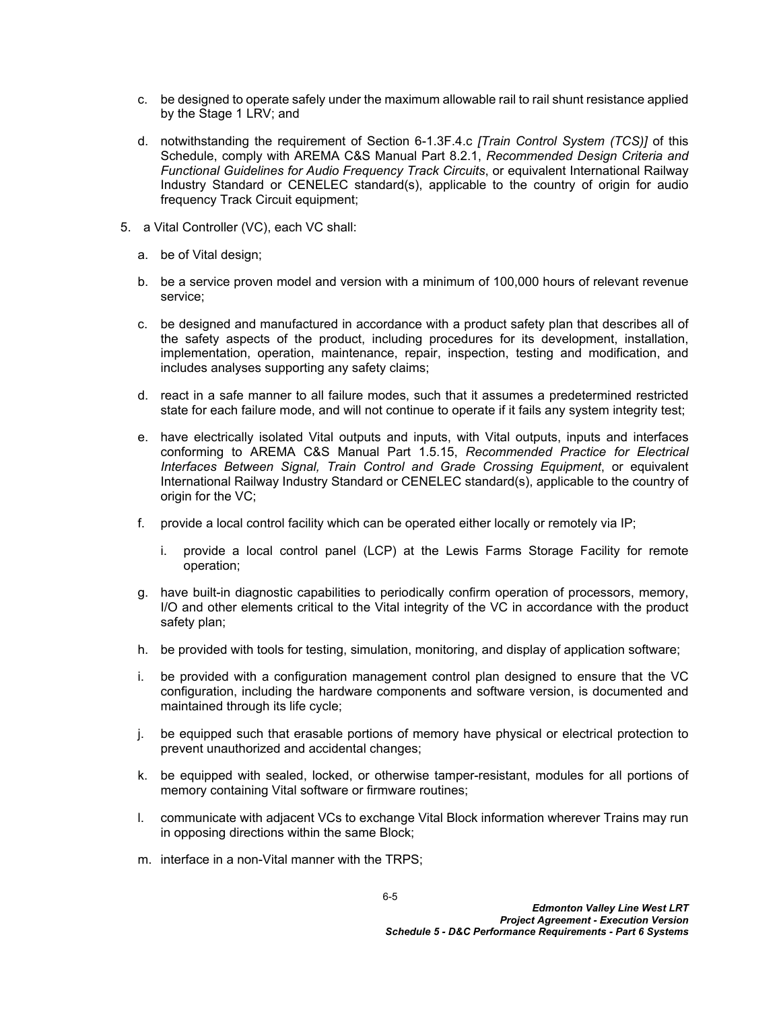- <span id="page-7-0"></span>c. be designed to operate safely under the maximum allowable rail to rail shunt resistance applied by the Stage 1 LRV; and
- d. notwithstanding the requirement of Section [6-1.3F.4.c](#page-7-0) *[Train Control System (TCS)]* of this Schedule, comply with AREMA C&S Manual Part 8.2.1, *Recommended Design Criteria and Functional Guidelines for Audio Frequency Track Circuits*, or equivalent International Railway Industry Standard or CENELEC standard(s), applicable to the country of origin for audio frequency Track Circuit equipment;
- 5. a Vital Controller (VC), each VC shall:
	- a. be of Vital design;
	- b. be a service proven model and version with a minimum of 100,000 hours of relevant revenue service;
	- c. be designed and manufactured in accordance with a product safety plan that describes all of the safety aspects of the product, including procedures for its development, installation, implementation, operation, maintenance, repair, inspection, testing and modification, and includes analyses supporting any safety claims;
	- d. react in a safe manner to all failure modes, such that it assumes a predetermined restricted state for each failure mode, and will not continue to operate if it fails any system integrity test;
	- e. have electrically isolated Vital outputs and inputs, with Vital outputs, inputs and interfaces conforming to AREMA C&S Manual Part 1.5.15, *Recommended Practice for Electrical Interfaces Between Signal, Train Control and Grade Crossing Equipment*, or equivalent International Railway Industry Standard or CENELEC standard(s), applicable to the country of origin for the VC;
	- f. provide a local control facility which can be operated either locally or remotely via IP;
		- i. provide a local control panel (LCP) at the Lewis Farms Storage Facility for remote operation;
	- g. have built-in diagnostic capabilities to periodically confirm operation of processors, memory, I/O and other elements critical to the Vital integrity of the VC in accordance with the product safety plan;
	- h. be provided with tools for testing, simulation, monitoring, and display of application software;
	- i. be provided with a configuration management control plan designed to ensure that the VC configuration, including the hardware components and software version, is documented and maintained through its life cycle;
	- j. be equipped such that erasable portions of memory have physical or electrical protection to prevent unauthorized and accidental changes;
	- k. be equipped with sealed, locked, or otherwise tamper-resistant, modules for all portions of memory containing Vital software or firmware routines;
	- l. communicate with adjacent VCs to exchange Vital Block information wherever Trains may run in opposing directions within the same Block;
	- m. interface in a non-Vital manner with the TRPS;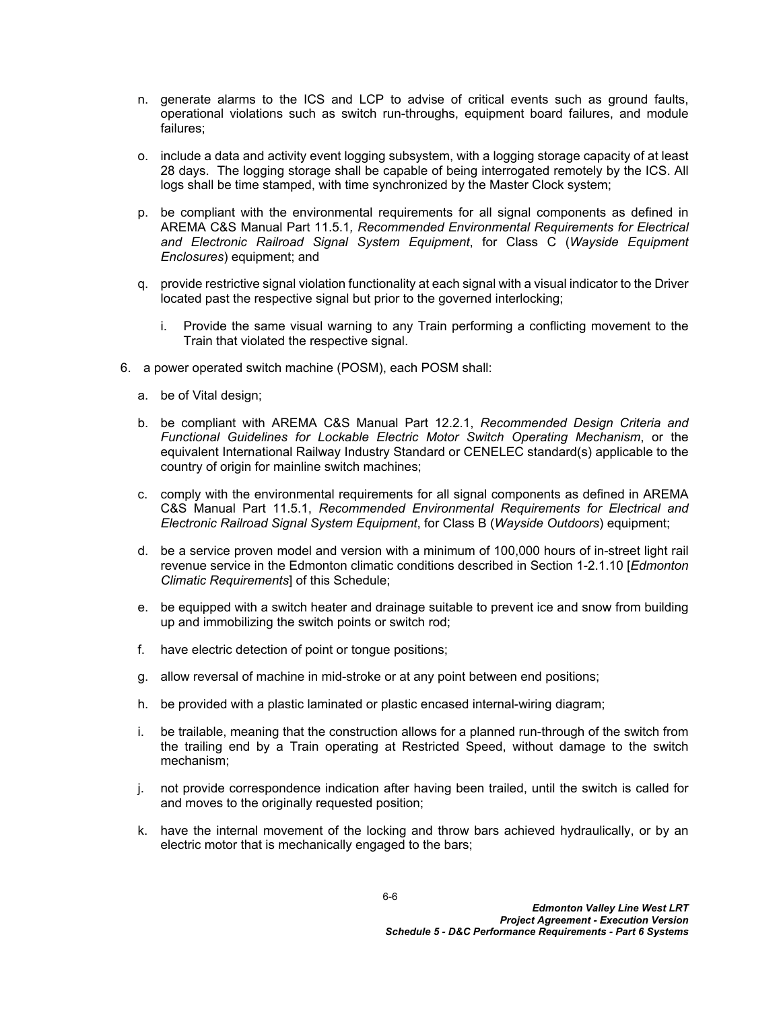- n. generate alarms to the ICS and LCP to advise of critical events such as ground faults, operational violations such as switch run-throughs, equipment board failures, and module failures;
- o. include a data and activity event logging subsystem, with a logging storage capacity of at least 28 days. The logging storage shall be capable of being interrogated remotely by the ICS. All logs shall be time stamped, with time synchronized by the Master Clock system;
- p. be compliant with the environmental requirements for all signal components as defined in AREMA C&S Manual Part 11.5.1*, Recommended Environmental Requirements for Electrical and Electronic Railroad Signal System Equipment*, for Class C (*Wayside Equipment Enclosures*) equipment; and
- q. provide restrictive signal violation functionality at each signal with a visual indicator to the Driver located past the respective signal but prior to the governed interlocking;
	- i. Provide the same visual warning to any Train performing a conflicting movement to the Train that violated the respective signal.
- 6. a power operated switch machine (POSM), each POSM shall:
	- a. be of Vital design;
	- b. be compliant with AREMA C&S Manual Part 12.2.1, *Recommended Design Criteria and Functional Guidelines for Lockable Electric Motor Switch Operating Mechanism*, or the equivalent International Railway Industry Standard or CENELEC standard(s) applicable to the country of origin for mainline switch machines;
	- c. comply with the environmental requirements for all signal components as defined in AREMA C&S Manual Part 11.5.1, *Recommended Environmental Requirements for Electrical and Electronic Railroad Signal System Equipment*, for Class B (*Wayside Outdoors*) equipment;
	- d. be a service proven model and version with a minimum of 100,000 hours of in-street light rail revenue service in the Edmonton climatic conditions described in Section 1-2.1.10 [*Edmonton Climatic Requirements*] of this Schedule;
	- e. be equipped with a switch heater and drainage suitable to prevent ice and snow from building up and immobilizing the switch points or switch rod;
	- f. have electric detection of point or tongue positions;
	- g. allow reversal of machine in mid-stroke or at any point between end positions;
	- h. be provided with a plastic laminated or plastic encased internal-wiring diagram;
	- i. be trailable, meaning that the construction allows for a planned run-through of the switch from the trailing end by a Train operating at Restricted Speed, without damage to the switch mechanism;
	- j. not provide correspondence indication after having been trailed, until the switch is called for and moves to the originally requested position;
	- k. have the internal movement of the locking and throw bars achieved hydraulically, or by an electric motor that is mechanically engaged to the bars;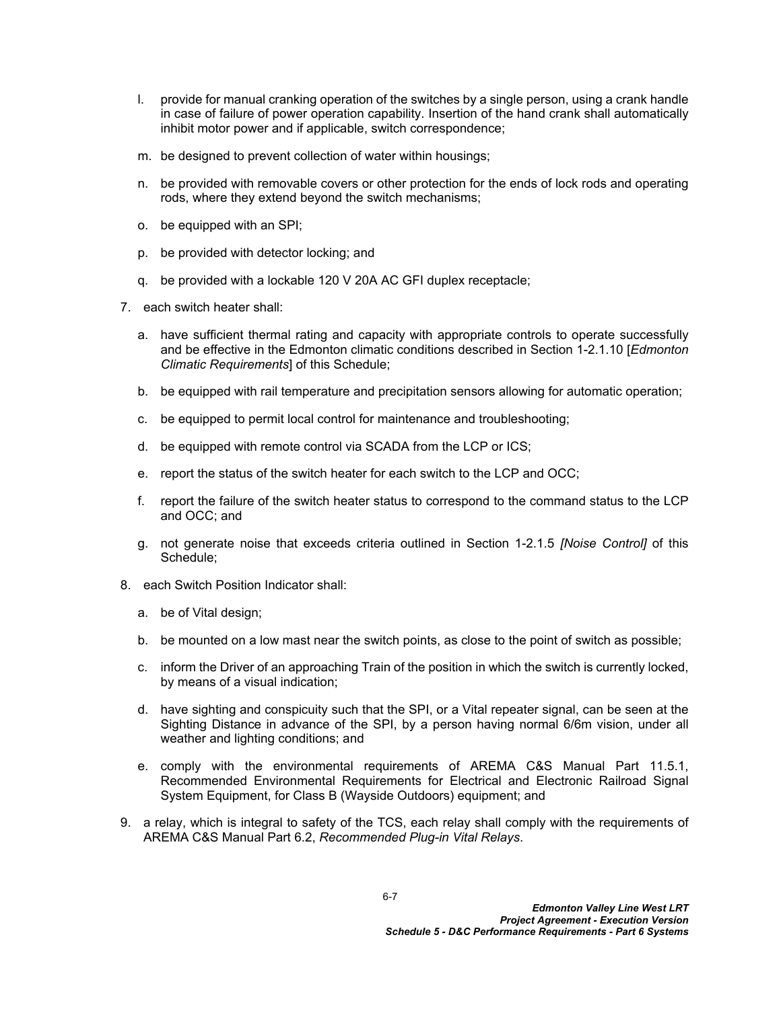- l. provide for manual cranking operation of the switches by a single person, using a crank handle in case of failure of power operation capability. Insertion of the hand crank shall automatically inhibit motor power and if applicable, switch correspondence;
- m. be designed to prevent collection of water within housings;
- n. be provided with removable covers or other protection for the ends of lock rods and operating rods, where they extend beyond the switch mechanisms;
- o. be equipped with an SPI;
- p. be provided with detector locking; and
- q. be provided with a lockable 120 V 20A AC GFI duplex receptacle;
- 7. each switch heater shall:
	- a. have sufficient thermal rating and capacity with appropriate controls to operate successfully and be effective in the Edmonton climatic conditions described in Section 1-2.1.10 [*Edmonton Climatic Requirements*] of this Schedule;
	- b. be equipped with rail temperature and precipitation sensors allowing for automatic operation;
	- c. be equipped to permit local control for maintenance and troubleshooting;
	- d. be equipped with remote control via SCADA from the LCP or ICS;
	- e. report the status of the switch heater for each switch to the LCP and OCC;
	- f. report the failure of the switch heater status to correspond to the command status to the LCP and OCC; and
	- g. not generate noise that exceeds criteria outlined in Section 1-2.1.5 *[Noise Control]* of this Schedule;
- 8. each Switch Position Indicator shall:
	- a. be of Vital design;
	- b. be mounted on a low mast near the switch points, as close to the point of switch as possible;
	- c. inform the Driver of an approaching Train of the position in which the switch is currently locked, by means of a visual indication;
	- d. have sighting and conspicuity such that the SPI, or a Vital repeater signal, can be seen at the Sighting Distance in advance of the SPI, by a person having normal 6/6m vision, under all weather and lighting conditions; and
	- e. comply with the environmental requirements of AREMA C&S Manual Part 11.5.1, Recommended Environmental Requirements for Electrical and Electronic Railroad Signal System Equipment, for Class B (Wayside Outdoors) equipment; and
- 9. a relay, which is integral to safety of the TCS, each relay shall comply with the requirements of AREMA C&S Manual Part 6.2, *Recommended Plug-in Vital Relays*.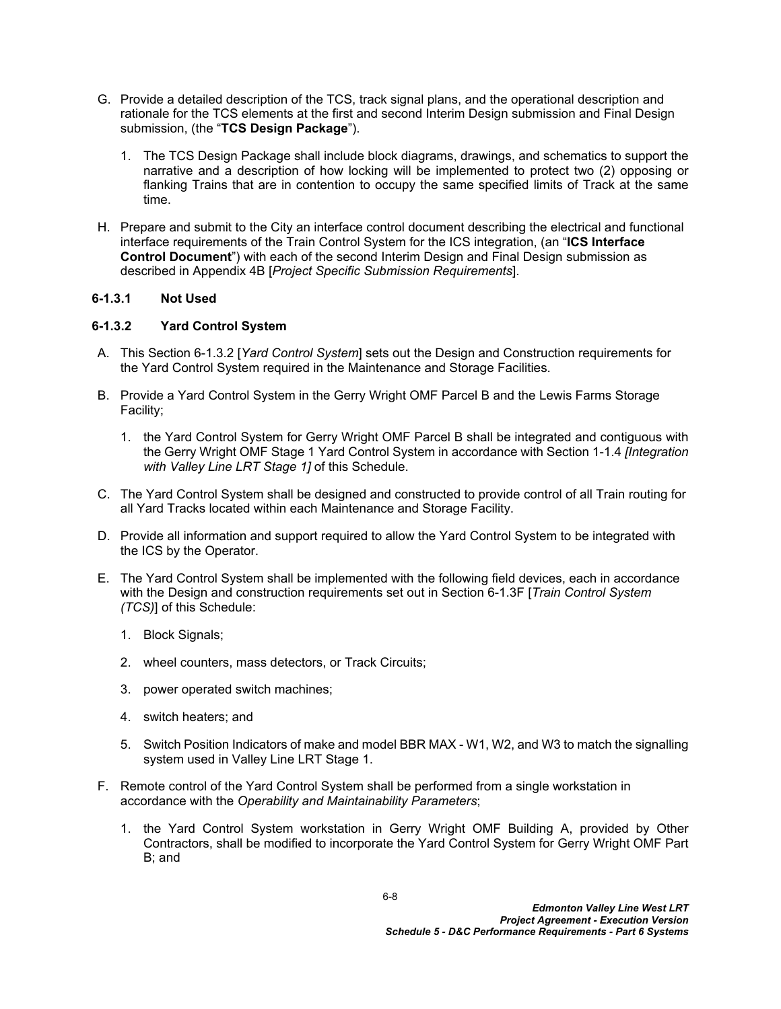- G. Provide a detailed description of the TCS, track signal plans, and the operational description and rationale for the TCS elements at the first and second Interim Design submission and Final Design submission, (the "**TCS Design Package**").
	- 1. The TCS Design Package shall include block diagrams, drawings, and schematics to support the narrative and a description of how locking will be implemented to protect two (2) opposing or flanking Trains that are in contention to occupy the same specified limits of Track at the same time.
- H. Prepare and submit to the City an interface control document describing the electrical and functional interface requirements of the Train Control System for the ICS integration, (an "**ICS Interface Control Document**") with each of the second Interim Design and Final Design submission as described in Appendix 4B [*Project Specific Submission Requirements*].

## **6-1.3.1 Not Used**

### <span id="page-10-0"></span>**6-1.3.2 Yard Control System**

- A. This Section [6-1.3.2](#page-10-0) [*Yard Control System*] sets out the Design and Construction requirements for the Yard Control System required in the Maintenance and Storage Facilities.
- B. Provide a Yard Control System in the Gerry Wright OMF Parcel B and the Lewis Farms Storage Facility;
	- 1. the Yard Control System for Gerry Wright OMF Parcel B shall be integrated and contiguous with the Gerry Wright OMF Stage 1 Yard Control System in accordance with Section 1-1.4 *[Integration with Valley Line LRT Stage 1]* of this Schedule.
- C. The Yard Control System shall be designed and constructed to provide control of all Train routing for all Yard Tracks located within each Maintenance and Storage Facility.
- D. Provide all information and support required to allow the Yard Control System to be integrated with the ICS by the Operator.
- E. The Yard Control System shall be implemented with the following field devices, each in accordance with the Design and construction requirements set out in Section [6-1.3F](#page-6-0) [*Train Control System (TCS)*] of this Schedule:
	- 1. Block Signals;
	- 2. wheel counters, mass detectors, or Track Circuits;
	- 3. power operated switch machines;
	- 4. switch heaters; and
	- 5. Switch Position Indicators of make and model BBR MAX W1, W2, and W3 to match the signalling system used in Valley Line LRT Stage 1.
- F. Remote control of the Yard Control System shall be performed from a single workstation in accordance with the *Operability and Maintainability Parameters*;
	- 1. the Yard Control System workstation in Gerry Wright OMF Building A, provided by Other Contractors, shall be modified to incorporate the Yard Control System for Gerry Wright OMF Part B; and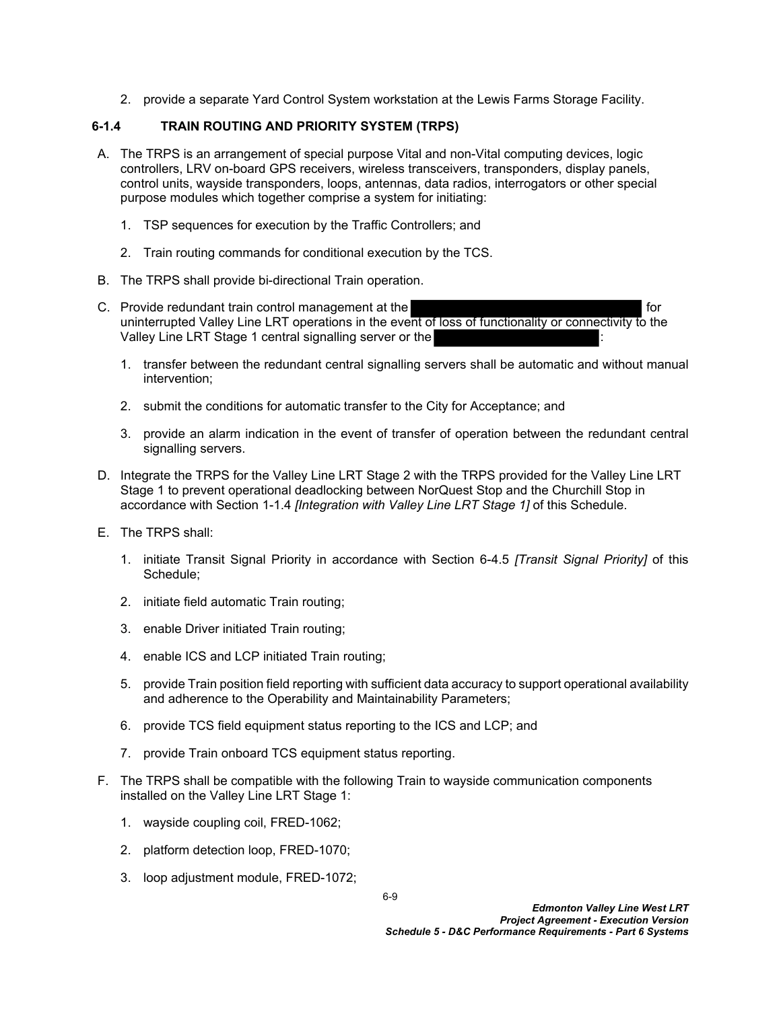2. provide a separate Yard Control System workstation at the Lewis Farms Storage Facility.

## <span id="page-11-0"></span>**6-1.4 TRAIN ROUTING AND PRIORITY SYSTEM (TRPS)**

- A. The TRPS is an arrangement of special purpose Vital and non-Vital computing devices, logic controllers, LRV on-board GPS receivers, wireless transceivers, transponders, display panels, control units, wayside transponders, loops, antennas, data radios, interrogators or other special purpose modules which together comprise a system for initiating:
	- 1. TSP sequences for execution by the Traffic Controllers; and
	- 2. Train routing commands for conditional execution by the TCS.
- B. The TRPS shall provide bi-directional Train operation.
- C. Provide redundant train control management at the formulation of the formulation of the formulation of the formulation of the formulation of the formulation of the formulation of the formulation of the formulation of th uninterrupted Valley Line LRT operations in the event of loss of functionality or connectivity to the Valley Line LRT Stage 1 central signalling server or the
	- 1. transfer between the redundant central signalling servers shall be automatic and without manual intervention;
	- 2. submit the conditions for automatic transfer to the City for Acceptance; and
	- 3. provide an alarm indication in the event of transfer of operation between the redundant central signalling servers.
- D. Integrate the TRPS for the Valley Line LRT Stage 2 with the TRPS provided for the Valley Line LRT Stage 1 to prevent operational deadlocking between NorQuest Stop and the Churchill Stop in accordance with Section 1-1.4 *[Integration with Valley Line LRT Stage 1]* of this Schedule.
- E. The TRPS shall:
	- 1. initiate Transit Signal Priority in accordance with Section [6-4.5](#page-166-0) *[Transit Signal Priority]* of this Schedule;
	- 2. initiate field automatic Train routing;
	- 3. enable Driver initiated Train routing;
	- 4. enable ICS and LCP initiated Train routing;
	- 5. provide Train position field reporting with sufficient data accuracy to support operational availability and adherence to the Operability and Maintainability Parameters;
	- 6. provide TCS field equipment status reporting to the ICS and LCP; and
	- 7. provide Train onboard TCS equipment status reporting.
- F. The TRPS shall be compatible with the following Train to wayside communication components installed on the Valley Line LRT Stage 1:
	- 1. wayside coupling coil, FRED-1062;
	- 2. platform detection loop, FRED-1070;
	- 3. loop adjustment module, FRED-1072;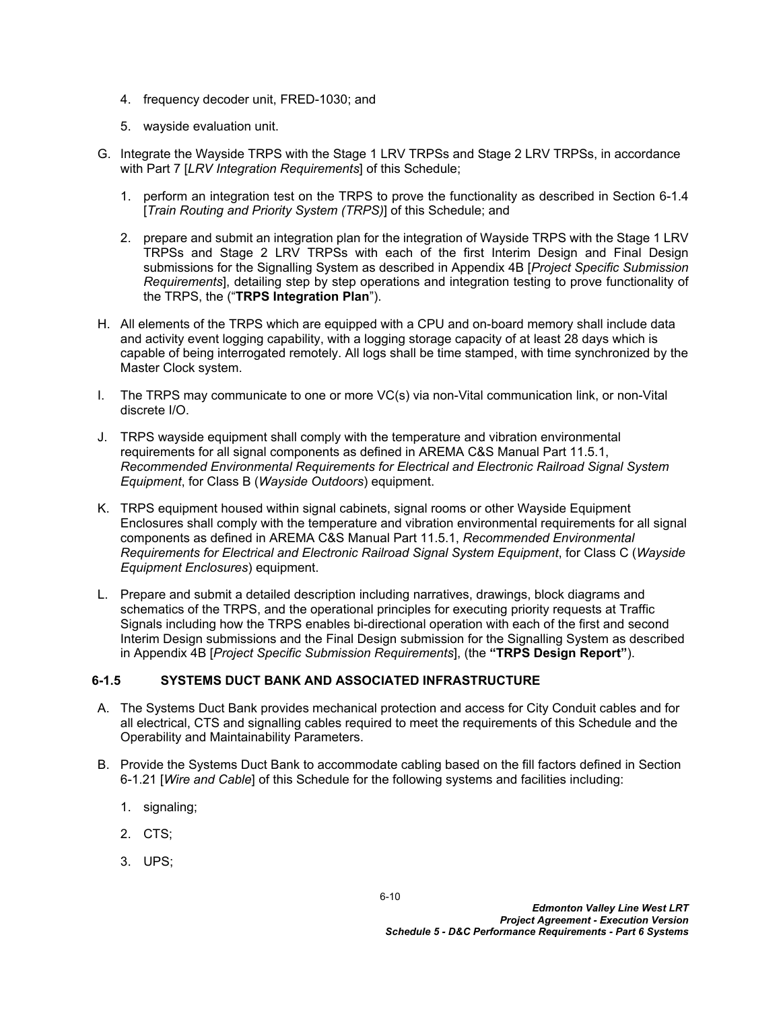- 4. frequency decoder unit, FRED-1030; and
- 5. wayside evaluation unit.
- G. Integrate the Wayside TRPS with the Stage 1 LRV TRPSs and Stage 2 LRV TRPSs, in accordance with Part 7 [*LRV Integration Requirements*] of this Schedule;
	- 1. perform an integration test on the TRPS to prove the functionality as described in Section 6-1.4 [*Train Routing and Priority System (TRPS)*] of this Schedule; and
	- 2. prepare and submit an integration plan for the integration of Wayside TRPS with the Stage 1 LRV TRPSs and Stage 2 LRV TRPSs with each of the first Interim Design and Final Design submissions for the Signalling System as described in Appendix 4B [*Project Specific Submission Requirements*], detailing step by step operations and integration testing to prove functionality of the TRPS, the ("**TRPS Integration Plan**").
- H. All elements of the TRPS which are equipped with a CPU and on-board memory shall include data and activity event logging capability, with a logging storage capacity of at least 28 days which is capable of being interrogated remotely. All logs shall be time stamped, with time synchronized by the Master Clock system.
- I. The TRPS may communicate to one or more VC(s) via non-Vital communication link, or non-Vital discrete I/O.
- J. TRPS wayside equipment shall comply with the temperature and vibration environmental requirements for all signal components as defined in AREMA C&S Manual Part 11.5.1, *Recommended Environmental Requirements for Electrical and Electronic Railroad Signal System Equipment*, for Class B (*Wayside Outdoors*) equipment.
- K. TRPS equipment housed within signal cabinets, signal rooms or other Wayside Equipment Enclosures shall comply with the temperature and vibration environmental requirements for all signal components as defined in AREMA C&S Manual Part 11.5.1, *Recommended Environmental Requirements for Electrical and Electronic Railroad Signal System Equipment*, for Class C (*Wayside Equipment Enclosures*) equipment.
- L. Prepare and submit a detailed description including narratives, drawings, block diagrams and schematics of the TRPS, and the operational principles for executing priority requests at Traffic Signals including how the TRPS enables bi-directional operation with each of the first and second Interim Design submissions and the Final Design submission for the Signalling System as described in Appendix 4B [*Project Specific Submission Requirements*], (the **"TRPS Design Report"**).

## <span id="page-12-0"></span>**6-1.5 SYSTEMS DUCT BANK AND ASSOCIATED INFRASTRUCTURE**

- A. The Systems Duct Bank provides mechanical protection and access for City Conduit cables and for all electrical, CTS and signalling cables required to meet the requirements of this Schedule and the Operability and Maintainability Parameters.
- B. Provide the Systems Duct Bank to accommodate cabling based on the fill factors defined in Section 6-1.21 [*Wire and Cable*] of this Schedule for the following systems and facilities including:
	- 1. signaling;
	- 2. CTS;
	- 3. UPS;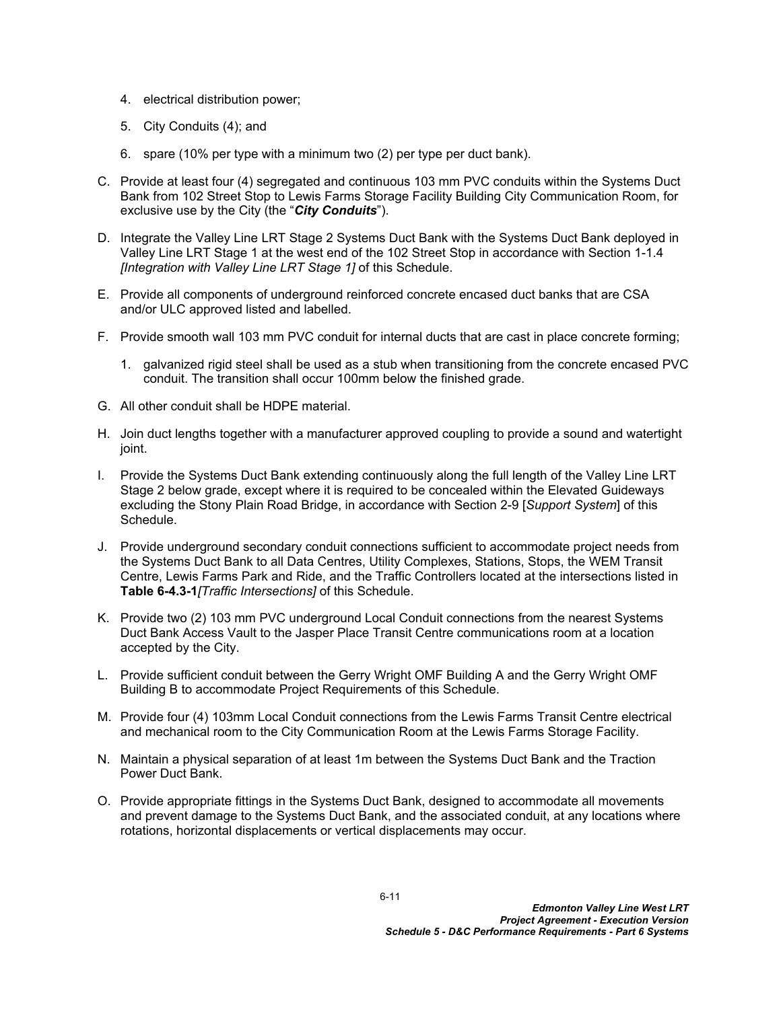- 4. electrical distribution power;
- 5. City Conduits (4); and
- 6. spare (10% per type with a minimum two (2) per type per duct bank).
- C. Provide at least four (4) segregated and continuous 103 mm PVC conduits within the Systems Duct Bank from 102 Street Stop to Lewis Farms Storage Facility Building City Communication Room, for exclusive use by the City (the "*City Conduits*").
- D. Integrate the Valley Line LRT Stage 2 Systems Duct Bank with the Systems Duct Bank deployed in Valley Line LRT Stage 1 at the west end of the 102 Street Stop in accordance with Section 1-1.4 *[Integration with Valley Line LRT Stage 1]* of this Schedule.
- E. Provide all components of underground reinforced concrete encased duct banks that are CSA and/or ULC approved listed and labelled.
- F. Provide smooth wall 103 mm PVC conduit for internal ducts that are cast in place concrete forming;
	- 1. galvanized rigid steel shall be used as a stub when transitioning from the concrete encased PVC conduit. The transition shall occur 100mm below the finished grade.
- G. All other conduit shall be HDPE material.
- H. Join duct lengths together with a manufacturer approved coupling to provide a sound and watertight joint.
- I. Provide the Systems Duct Bank extending continuously along the full length of the Valley Line LRT Stage 2 below grade, except where it is required to be concealed within the Elevated Guideways excluding the Stony Plain Road Bridge, in accordance with Section 2-9 [*Support System*] of this Schedule.
- J. Provide underground secondary conduit connections sufficient to accommodate project needs from the Systems Duct Bank to all Data Centres, Utility Complexes, Stations, Stops, the WEM Transit Centre, Lewis Farms Park and Ride, and the Traffic Controllers located at the intersections listed in **[Table 6-4.3-1](#page-150-0)***[Traffic Intersections]* of this Schedule.
- K. Provide two (2) 103 mm PVC underground Local Conduit connections from the nearest Systems Duct Bank Access Vault to the Jasper Place Transit Centre communications room at a location accepted by the City.
- L. Provide sufficient conduit between the Gerry Wright OMF Building A and the Gerry Wright OMF Building B to accommodate Project Requirements of this Schedule.
- M. Provide four (4) 103mm Local Conduit connections from the Lewis Farms Transit Centre electrical and mechanical room to the City Communication Room at the Lewis Farms Storage Facility.
- N. Maintain a physical separation of at least 1m between the Systems Duct Bank and the Traction Power Duct Bank.
- O. Provide appropriate fittings in the Systems Duct Bank, designed to accommodate all movements and prevent damage to the Systems Duct Bank, and the associated conduit, at any locations where rotations, horizontal displacements or vertical displacements may occur.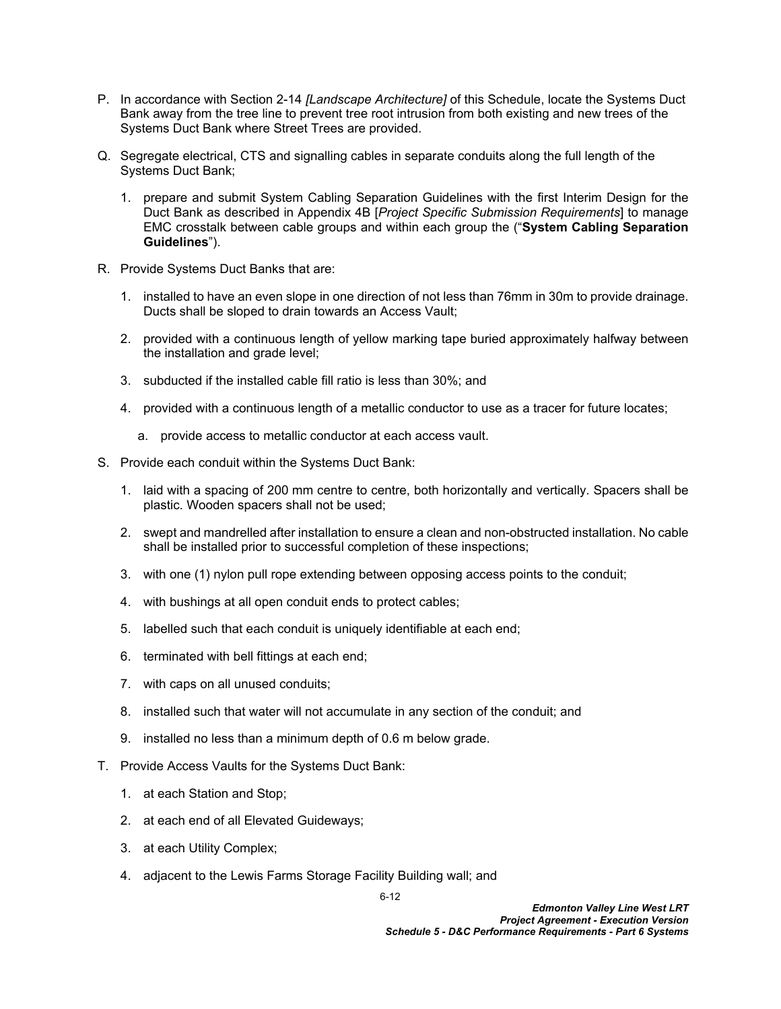- P. In accordance with Section 2-14 *[Landscape Architecture]* of this Schedule, locate the Systems Duct Bank away from the tree line to prevent tree root intrusion from both existing and new trees of the Systems Duct Bank where Street Trees are provided.
- Q. Segregate electrical, CTS and signalling cables in separate conduits along the full length of the Systems Duct Bank;
	- 1. prepare and submit System Cabling Separation Guidelines with the first Interim Design for the Duct Bank as described in Appendix 4B [*Project Specific Submission Requirements*] to manage EMC crosstalk between cable groups and within each group the ("**System Cabling Separation Guidelines**").
- R. Provide Systems Duct Banks that are:
	- 1. installed to have an even slope in one direction of not less than 76mm in 30m to provide drainage. Ducts shall be sloped to drain towards an Access Vault;
	- 2. provided with a continuous length of yellow marking tape buried approximately halfway between the installation and grade level;
	- 3. subducted if the installed cable fill ratio is less than 30%; and
	- 4. provided with a continuous length of a metallic conductor to use as a tracer for future locates;
		- a. provide access to metallic conductor at each access vault.
- S. Provide each conduit within the Systems Duct Bank:
	- 1. laid with a spacing of 200 mm centre to centre, both horizontally and vertically. Spacers shall be plastic. Wooden spacers shall not be used;
	- 2. swept and mandrelled after installation to ensure a clean and non-obstructed installation. No cable shall be installed prior to successful completion of these inspections;
	- 3. with one (1) nylon pull rope extending between opposing access points to the conduit;
	- 4. with bushings at all open conduit ends to protect cables;
	- 5. labelled such that each conduit is uniquely identifiable at each end;
	- 6. terminated with bell fittings at each end;
	- 7. with caps on all unused conduits;
	- 8. installed such that water will not accumulate in any section of the conduit; and
	- 9. installed no less than a minimum depth of 0.6 m below grade.
- <span id="page-14-0"></span>T. Provide Access Vaults for the Systems Duct Bank:
	- 1. at each Station and Stop;
	- 2. at each end of all Elevated Guideways;
	- 3. at each Utility Complex;
	- 4. adjacent to the Lewis Farms Storage Facility Building wall; and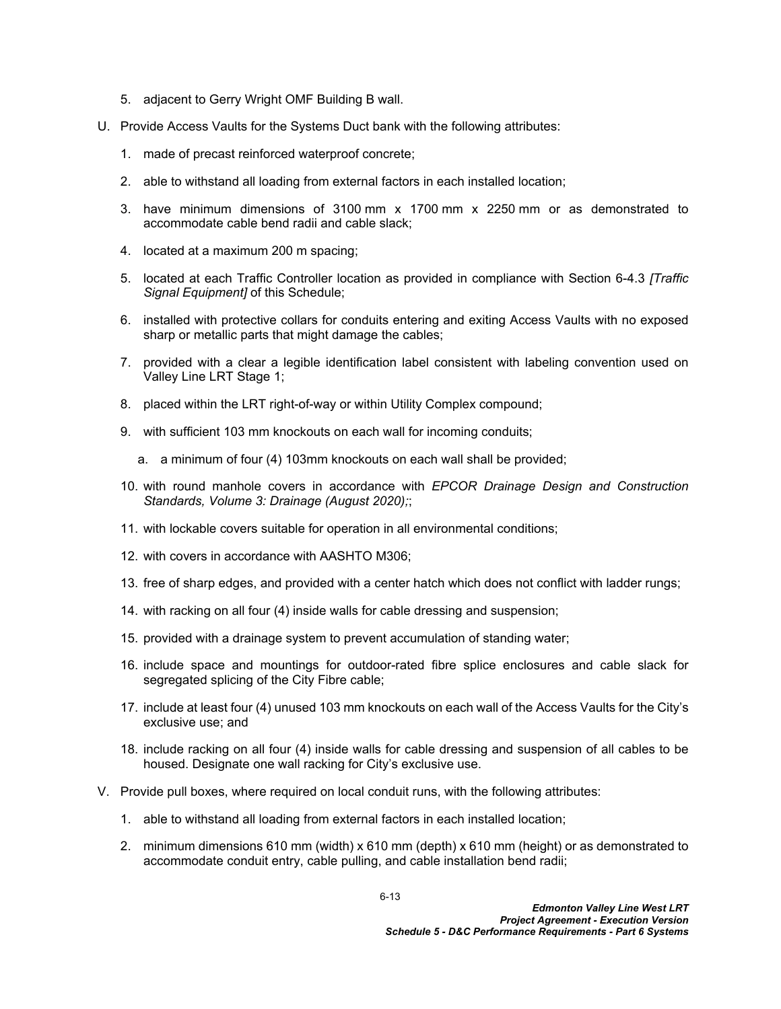- 5. adjacent to Gerry Wright OMF Building B wall.
- U. Provide Access Vaults for the Systems Duct bank with the following attributes:
	- 1. made of precast reinforced waterproof concrete;
	- 2. able to withstand all loading from external factors in each installed location;
	- 3. have minimum dimensions of 3100 mm x 1700 mm x 2250 mm or as demonstrated to accommodate cable bend radii and cable slack;
	- 4. located at a maximum 200 m spacing;
	- 5. located at each Traffic Controller location as provided in compliance with Section [6-4.3](#page-149-3) *[Traffic Signal Equipment]* of this Schedule;
	- 6. installed with protective collars for conduits entering and exiting Access Vaults with no exposed sharp or metallic parts that might damage the cables;
	- 7. provided with a clear a legible identification label consistent with labeling convention used on Valley Line LRT Stage 1;
	- 8. placed within the LRT right-of-way or within Utility Complex compound;
	- 9. with sufficient 103 mm knockouts on each wall for incoming conduits;
		- a. a minimum of four (4) 103mm knockouts on each wall shall be provided;
	- 10. with round manhole covers in accordance with *EPCOR Drainage Design and Construction Standards, Volume 3: Drainage (August 2020);*;
	- 11. with lockable covers suitable for operation in all environmental conditions;
	- 12. with covers in accordance with AASHTO M306;
	- 13. free of sharp edges, and provided with a center hatch which does not conflict with ladder rungs;
	- 14. with racking on all four (4) inside walls for cable dressing and suspension;
	- 15. provided with a drainage system to prevent accumulation of standing water;
	- 16. include space and mountings for outdoor-rated fibre splice enclosures and cable slack for segregated splicing of the City Fibre cable;
	- 17. include at least four (4) unused 103 mm knockouts on each wall of the Access Vaults for the City's exclusive use; and
	- 18. include racking on all four (4) inside walls for cable dressing and suspension of all cables to be housed. Designate one wall racking for City's exclusive use.
- V. Provide pull boxes, where required on local conduit runs, with the following attributes:
	- 1. able to withstand all loading from external factors in each installed location;
	- 2. minimum dimensions 610 mm (width) x 610 mm (depth) x 610 mm (height) or as demonstrated to accommodate conduit entry, cable pulling, and cable installation bend radii;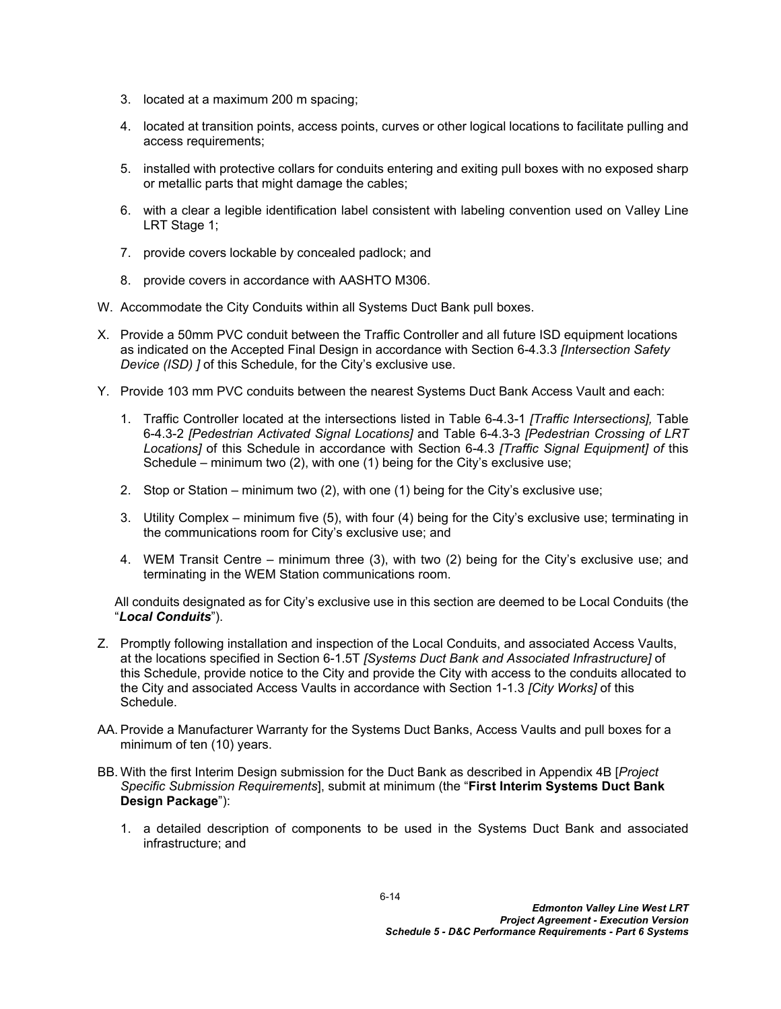- 3. located at a maximum 200 m spacing;
- 4. located at transition points, access points, curves or other logical locations to facilitate pulling and access requirements;
- 5. installed with protective collars for conduits entering and exiting pull boxes with no exposed sharp or metallic parts that might damage the cables;
- 6. with a clear a legible identification label consistent with labeling convention used on Valley Line LRT Stage 1;
- 7. provide covers lockable by concealed padlock; and
- 8. provide covers in accordance with AASHTO M306.
- W. Accommodate the City Conduits within all Systems Duct Bank pull boxes.
- X. Provide a 50mm PVC conduit between the Traffic Controller and all future ISD equipment locations as indicated on the Accepted Final Design in accordance with Section 6-4.3.3 *[Intersection Safety Device (ISD) ]* of this Schedule, for the City's exclusive use.
- Y. Provide 103 mm PVC conduits between the nearest Systems Duct Bank Access Vault and each:
	- 1. Traffic Controller located at the intersections listed in Table 6-4.3-1 *[Traffic Intersections],* Table 6-4.3-2 *[Pedestrian Activated Signal Locations]* and Table 6-4.3-3 *[Pedestrian Crossing of LRT Locations]* of this Schedule in accordance with Section 6-4.3 *[Traffic Signal Equipment] of* this Schedule – minimum two (2), with one (1) being for the City's exclusive use;
	- 2. Stop or Station minimum two (2), with one (1) being for the City's exclusive use;
	- 3. Utility Complex minimum five (5), with four (4) being for the City's exclusive use; terminating in the communications room for City's exclusive use; and
	- 4. WEM Transit Centre minimum three (3), with two (2) being for the City's exclusive use; and terminating in the WEM Station communications room.

All conduits designated as for City's exclusive use in this section are deemed to be Local Conduits (the "*Local Conduits*").

- Z. Promptly following installation and inspection of the Local Conduits, and associated Access Vaults, at the locations specified in Section [6-1.5T](#page-14-0) *[Systems Duct Bank and Associated Infrastructure]* of this Schedule, provide notice to the City and provide the City with access to the conduits allocated to the City and associated Access Vaults in accordance with Section 1-1.3 *[City Works]* of this Schedule.
- AA. Provide a Manufacturer Warranty for the Systems Duct Banks, Access Vaults and pull boxes for a minimum of ten (10) years.
- BB. With the first Interim Design submission for the Duct Bank as described in Appendix 4B [*Project Specific Submission Requirements*], submit at minimum (the "**First Interim Systems Duct Bank Design Package**"):
	- 1. a detailed description of components to be used in the Systems Duct Bank and associated infrastructure; and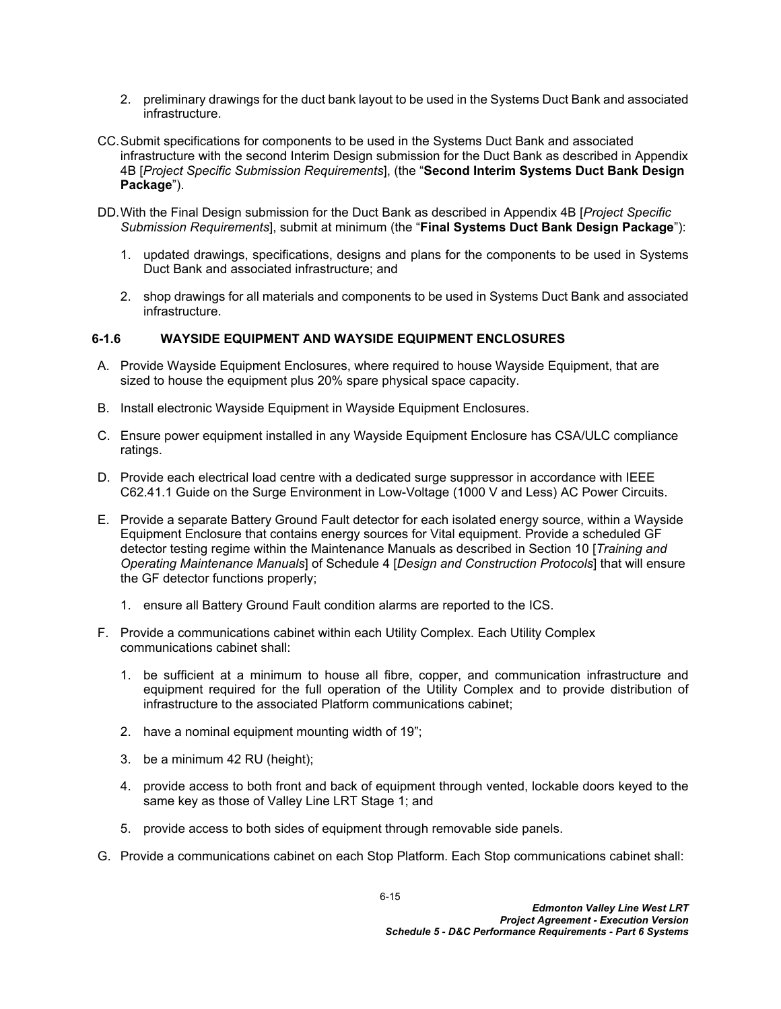- 2. preliminary drawings for the duct bank layout to be used in the Systems Duct Bank and associated infrastructure.
- CC.Submit specifications for components to be used in the Systems Duct Bank and associated infrastructure with the second Interim Design submission for the Duct Bank as described in Appendix 4B [*Project Specific Submission Requirements*], (the "**Second Interim Systems Duct Bank Design Package**").
- DD.With the Final Design submission for the Duct Bank as described in Appendix 4B [*Project Specific Submission Requirements*], submit at minimum (the "**Final Systems Duct Bank Design Package**"):
	- 1. updated drawings, specifications, designs and plans for the components to be used in Systems Duct Bank and associated infrastructure; and
	- 2. shop drawings for all materials and components to be used in Systems Duct Bank and associated infrastructure.

#### <span id="page-17-0"></span>**6-1.6 WAYSIDE EQUIPMENT AND WAYSIDE EQUIPMENT ENCLOSURES**

- A. Provide Wayside Equipment Enclosures, where required to house Wayside Equipment, that are sized to house the equipment plus 20% spare physical space capacity.
- B. Install electronic Wayside Equipment in Wayside Equipment Enclosures.
- C. Ensure power equipment installed in any Wayside Equipment Enclosure has CSA/ULC compliance ratings.
- D. Provide each electrical load centre with a dedicated surge suppressor in accordance with IEEE C62.41.1 Guide on the Surge Environment in Low-Voltage (1000 V and Less) AC Power Circuits.
- E. Provide a separate Battery Ground Fault detector for each isolated energy source, within a Wayside Equipment Enclosure that contains energy sources for Vital equipment. Provide a scheduled GF detector testing regime within the Maintenance Manuals as described in Section 10 [*Training and Operating Maintenance Manuals*] of Schedule 4 [*Design and Construction Protocols*] that will ensure the GF detector functions properly;
	- 1. ensure all Battery Ground Fault condition alarms are reported to the ICS.
- F. Provide a communications cabinet within each Utility Complex. Each Utility Complex communications cabinet shall:
	- 1. be sufficient at a minimum to house all fibre, copper, and communication infrastructure and equipment required for the full operation of the Utility Complex and to provide distribution of infrastructure to the associated Platform communications cabinet;
	- 2. have a nominal equipment mounting width of 19";
	- 3. be a minimum 42 RU (height);
	- 4. provide access to both front and back of equipment through vented, lockable doors keyed to the same key as those of Valley Line LRT Stage 1; and
	- 5. provide access to both sides of equipment through removable side panels.
- G. Provide a communications cabinet on each Stop Platform. Each Stop communications cabinet shall: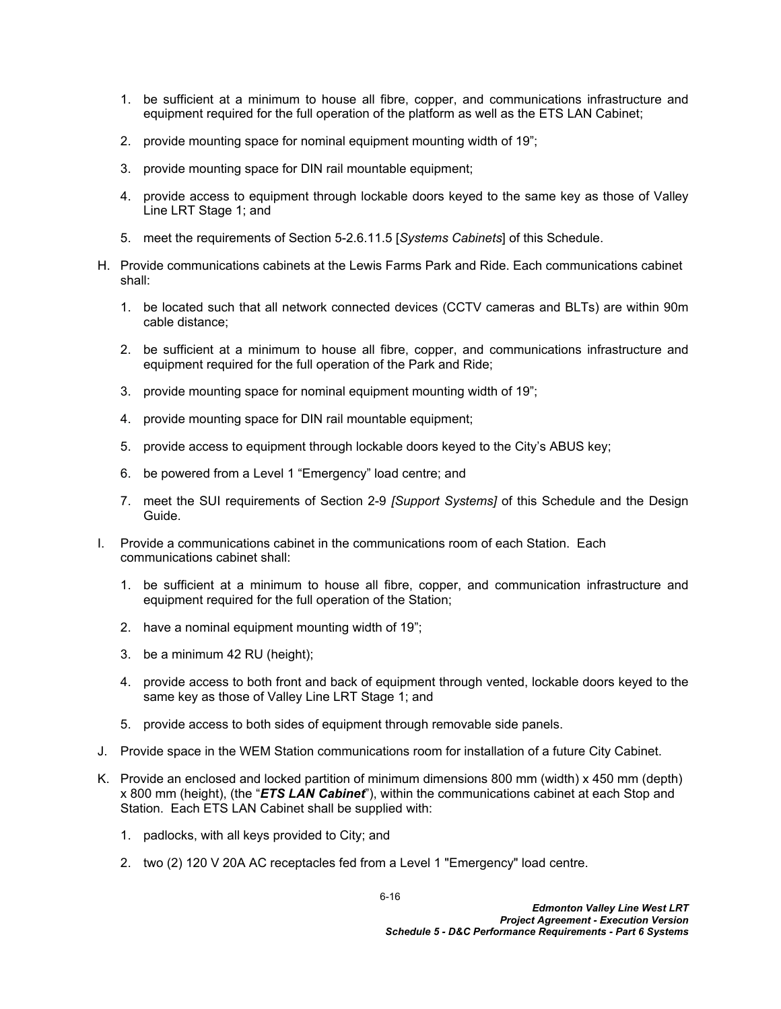- 1. be sufficient at a minimum to house all fibre, copper, and communications infrastructure and equipment required for the full operation of the platform as well as the ETS LAN Cabinet;
- 2. provide mounting space for nominal equipment mounting width of 19";
- 3. provide mounting space for DIN rail mountable equipment;
- 4. provide access to equipment through lockable doors keyed to the same key as those of Valley Line LRT Stage 1; and
- 5. meet the requirements of Section 5-2.6.11.5 [*Systems Cabinets*] of this Schedule.
- H. Provide communications cabinets at the Lewis Farms Park and Ride. Each communications cabinet shall:
	- 1. be located such that all network connected devices (CCTV cameras and BLTs) are within 90m cable distance;
	- 2. be sufficient at a minimum to house all fibre, copper, and communications infrastructure and equipment required for the full operation of the Park and Ride;
	- 3. provide mounting space for nominal equipment mounting width of 19";
	- 4. provide mounting space for DIN rail mountable equipment;
	- 5. provide access to equipment through lockable doors keyed to the City's ABUS key;
	- 6. be powered from a Level 1 "Emergency" load centre; and
	- 7. meet the SUI requirements of Section 2-9 *[Support Systems]* of this Schedule and the Design Guide.
- I. Provide a communications cabinet in the communications room of each Station. Each communications cabinet shall:
	- 1. be sufficient at a minimum to house all fibre, copper, and communication infrastructure and equipment required for the full operation of the Station;
	- 2. have a nominal equipment mounting width of 19";
	- 3. be a minimum 42 RU (height);
	- 4. provide access to both front and back of equipment through vented, lockable doors keyed to the same key as those of Valley Line LRT Stage 1; and
	- 5. provide access to both sides of equipment through removable side panels.
- J. Provide space in the WEM Station communications room for installation of a future City Cabinet.
- K. Provide an enclosed and locked partition of minimum dimensions 800 mm (width) x 450 mm (depth) x 800 mm (height), (the "*ETS LAN Cabinet*"), within the communications cabinet at each Stop and Station. Each ETS LAN Cabinet shall be supplied with:
	- 1. padlocks, with all keys provided to City; and
	- 2. two (2) 120 V 20A AC receptacles fed from a Level 1 "Emergency" load centre.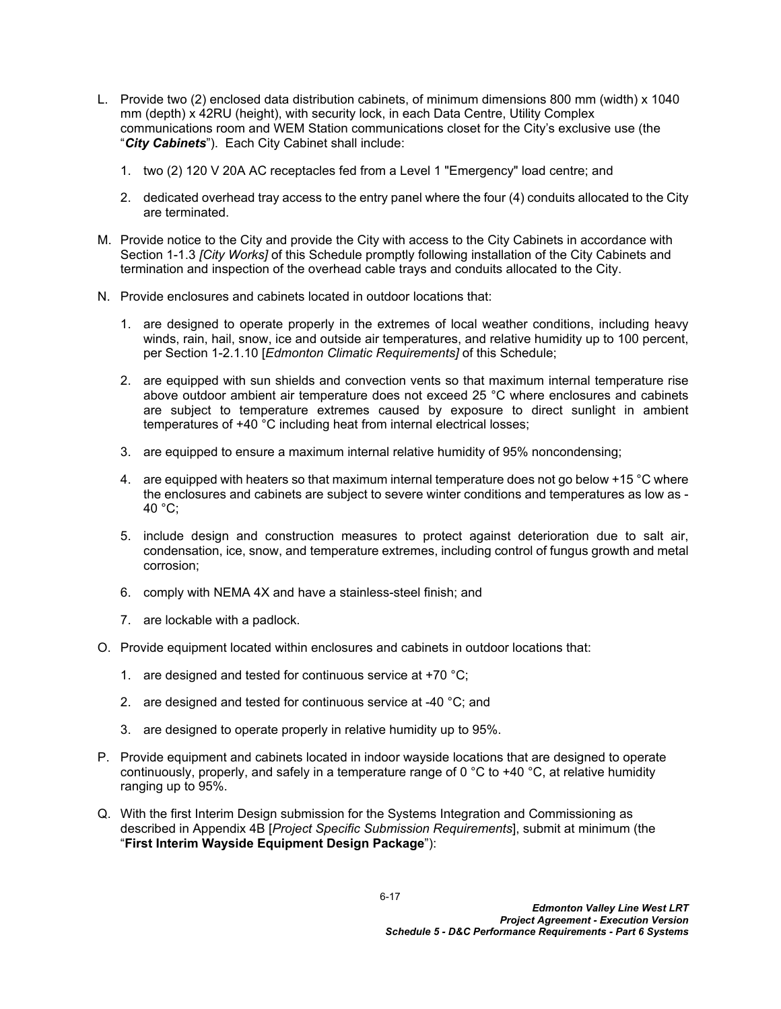- L. Provide two (2) enclosed data distribution cabinets, of minimum dimensions 800 mm (width) x 1040 mm (depth) x 42RU (height), with security lock, in each Data Centre, Utility Complex communications room and WEM Station communications closet for the City's exclusive use (the "*City Cabinets*"). Each City Cabinet shall include:
	- 1. two (2) 120 V 20A AC receptacles fed from a Level 1 "Emergency" load centre; and
	- 2. dedicated overhead tray access to the entry panel where the four (4) conduits allocated to the City are terminated.
- M. Provide notice to the City and provide the City with access to the City Cabinets in accordance with Section 1-1.3 *[City Works]* of this Schedule promptly following installation of the City Cabinets and termination and inspection of the overhead cable trays and conduits allocated to the City.
- N. Provide enclosures and cabinets located in outdoor locations that:
	- 1. are designed to operate properly in the extremes of local weather conditions, including heavy winds, rain, hail, snow, ice and outside air temperatures, and relative humidity up to 100 percent, per Section 1-2.1.10 [*Edmonton Climatic Requirements]* of this Schedule;
	- 2. are equipped with sun shields and convection vents so that maximum internal temperature rise above outdoor ambient air temperature does not exceed 25 °C where enclosures and cabinets are subject to temperature extremes caused by exposure to direct sunlight in ambient temperatures of +40 °C including heat from internal electrical losses;
	- 3. are equipped to ensure a maximum internal relative humidity of 95% noncondensing;
	- 4. are equipped with heaters so that maximum internal temperature does not go below +15 °C where the enclosures and cabinets are subject to severe winter conditions and temperatures as low as - 40 °C;
	- 5. include design and construction measures to protect against deterioration due to salt air, condensation, ice, snow, and temperature extremes, including control of fungus growth and metal corrosion;
	- 6. comply with NEMA 4X and have a stainless-steel finish; and
	- 7. are lockable with a padlock.
- O. Provide equipment located within enclosures and cabinets in outdoor locations that:
	- 1. are designed and tested for continuous service at +70 °C;
	- 2. are designed and tested for continuous service at -40 °C; and
	- 3. are designed to operate properly in relative humidity up to 95%.
- P. Provide equipment and cabinets located in indoor wayside locations that are designed to operate continuously, properly, and safely in a temperature range of 0 °C to +40 °C, at relative humidity ranging up to 95%.
- Q. With the first Interim Design submission for the Systems Integration and Commissioning as described in Appendix 4B [*Project Specific Submission Requirements*], submit at minimum (the "**First Interim Wayside Equipment Design Package**"):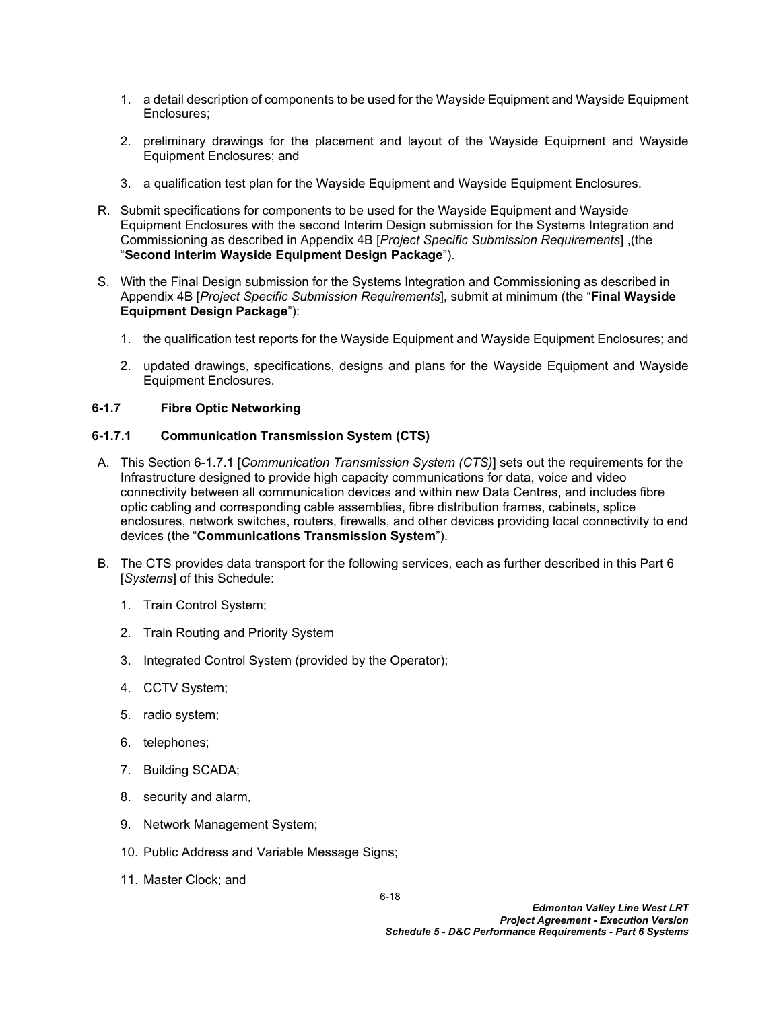- 1. a detail description of components to be used for the Wayside Equipment and Wayside Equipment Enclosures;
- 2. preliminary drawings for the placement and layout of the Wayside Equipment and Wayside Equipment Enclosures; and
- 3. a qualification test plan for the Wayside Equipment and Wayside Equipment Enclosures.
- R. Submit specifications for components to be used for the Wayside Equipment and Wayside Equipment Enclosures with the second Interim Design submission for the Systems Integration and Commissioning as described in Appendix 4B [*Project Specific Submission Requirements*] ,(the "**Second Interim Wayside Equipment Design Package**").
- S. With the Final Design submission for the Systems Integration and Commissioning as described in Appendix 4B [*Project Specific Submission Requirements*], submit at minimum (the "**Final Wayside Equipment Design Package**"):
	- 1. the qualification test reports for the Wayside Equipment and Wayside Equipment Enclosures; and
	- 2. updated drawings, specifications, designs and plans for the Wayside Equipment and Wayside Equipment Enclosures.

### <span id="page-20-0"></span>**6-1.7 Fibre Optic Networking**

### <span id="page-20-1"></span>**6-1.7.1 Communication Transmission System (CTS)**

- A. This Section 6-1.7.1 [*Communication Transmission System (CTS)*] sets out the requirements for the Infrastructure designed to provide high capacity communications for data, voice and video connectivity between all communication devices and within new Data Centres, and includes fibre optic cabling and corresponding cable assemblies, fibre distribution frames, cabinets, splice enclosures, network switches, routers, firewalls, and other devices providing local connectivity to end devices (the "**Communications Transmission System**").
- B. The CTS provides data transport for the following services, each as further described in this Part 6 [*Systems*] of this Schedule:
	- 1. Train Control System;
	- 2. Train Routing and Priority System
	- 3. Integrated Control System (provided by the Operator);
	- 4. CCTV System;
	- 5. radio system;
	- 6. telephones;
	- 7. Building SCADA;
	- 8. security and alarm,
	- 9. Network Management System;
	- 10. Public Address and Variable Message Signs;
	- 11. Master Clock; and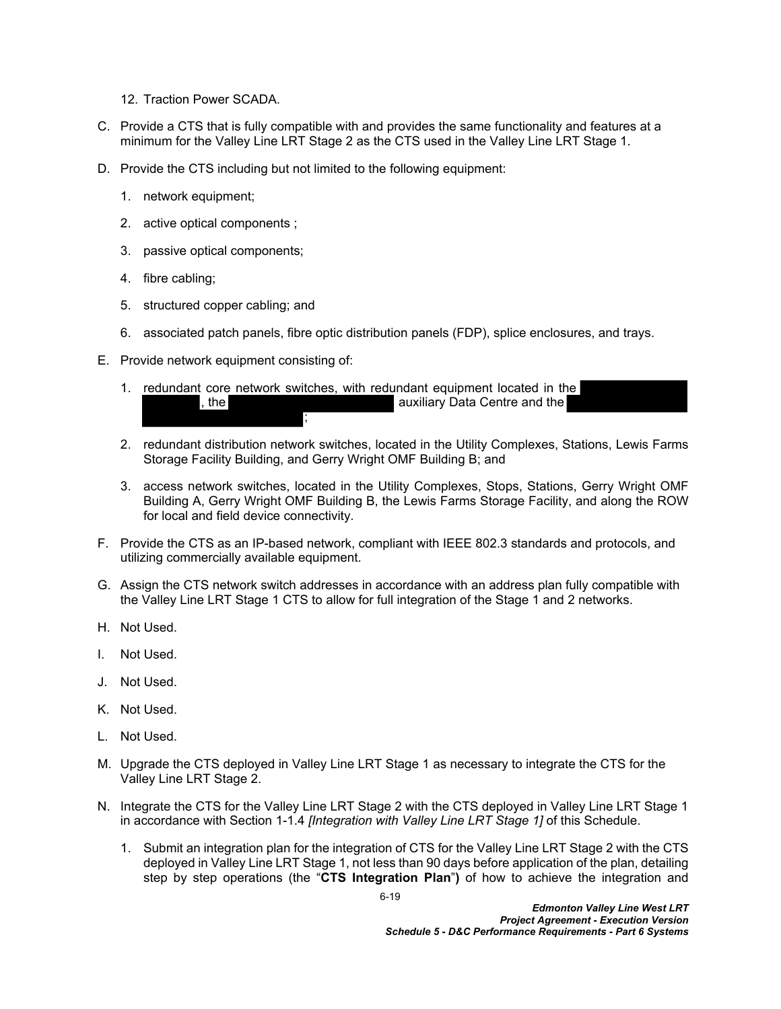- 12. Traction Power SCADA.
- C. Provide a CTS that is fully compatible with and provides the same functionality and features at a minimum for the Valley Line LRT Stage 2 as the CTS used in the Valley Line LRT Stage 1.
- D. Provide the CTS including but not limited to the following equipment:
	- 1. network equipment;
	- 2. active optical components ;
	- 3. passive optical components;
	- 4. fibre cabling;
	- 5. structured copper cabling; and
	- 6. associated patch panels, fibre optic distribution panels (FDP), splice enclosures, and trays.
- E. Provide network equipment consisting of:
	- 1. redundant core network switches, with redundant equipment located in the , the **auxiliary Data Centre and the** ;
	- 2. redundant distribution network switches, located in the Utility Complexes, Stations, Lewis Farms Storage Facility Building, and Gerry Wright OMF Building B; and
	- 3. access network switches, located in the Utility Complexes, Stops, Stations, Gerry Wright OMF Building A, Gerry Wright OMF Building B, the Lewis Farms Storage Facility, and along the ROW for local and field device connectivity.
- F. Provide the CTS as an IP-based network, compliant with IEEE 802.3 standards and protocols, and utilizing commercially available equipment.
- G. Assign the CTS network switch addresses in accordance with an address plan fully compatible with the Valley Line LRT Stage 1 CTS to allow for full integration of the Stage 1 and 2 networks.
- H. Not Used.
- I. Not Used.
- J. Not Used.
- K. Not Used.
- L. Not Used.
- M. Upgrade the CTS deployed in Valley Line LRT Stage 1 as necessary to integrate the CTS for the Valley Line LRT Stage 2.
- N. Integrate the CTS for the Valley Line LRT Stage 2 with the CTS deployed in Valley Line LRT Stage 1 in accordance with Section 1-1.4 *[Integration with Valley Line LRT Stage 1]* of this Schedule.
	- 1. Submit an integration plan for the integration of CTS for the Valley Line LRT Stage 2 with the CTS deployed in Valley Line LRT Stage 1, not less than 90 days before application of the plan, detailing step by step operations (the "**CTS Integration Plan**"**)** of how to achieve the integration and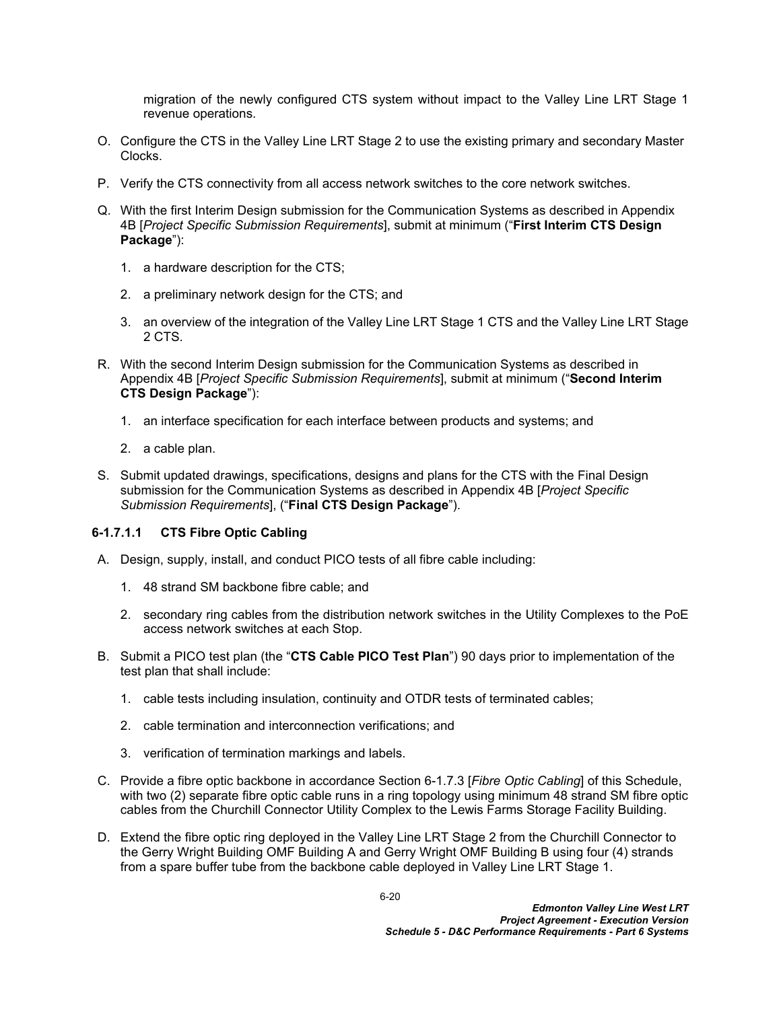migration of the newly configured CTS system without impact to the Valley Line LRT Stage 1 revenue operations.

- O. Configure the CTS in the Valley Line LRT Stage 2 to use the existing primary and secondary Master Clocks.
- P. Verify the CTS connectivity from all access network switches to the core network switches.
- Q. With the first Interim Design submission for the Communication Systems as described in Appendix 4B [*Project Specific Submission Requirements*], submit at minimum ("**First Interim CTS Design Package**"):
	- 1. a hardware description for the CTS;
	- 2. a preliminary network design for the CTS; and
	- 3. an overview of the integration of the Valley Line LRT Stage 1 CTS and the Valley Line LRT Stage 2 CTS.
- R. With the second Interim Design submission for the Communication Systems as described in Appendix 4B [*Project Specific Submission Requirements*], submit at minimum ("**Second Interim CTS Design Package**"):
	- 1. an interface specification for each interface between products and systems; and
	- 2. a cable plan.
- S. Submit updated drawings, specifications, designs and plans for the CTS with the Final Design submission for the Communication Systems as described in Appendix 4B [*Project Specific Submission Requirements*], ("**Final CTS Design Package**").

# **6-1.7.1.1 CTS Fibre Optic Cabling**

- A. Design, supply, install, and conduct PICO tests of all fibre cable including:
	- 1. 48 strand SM backbone fibre cable; and
	- 2. secondary ring cables from the distribution network switches in the Utility Complexes to the PoE access network switches at each Stop.
- B. Submit a PICO test plan (the "**CTS Cable PICO Test Plan**") 90 days prior to implementation of the test plan that shall include:
	- 1. cable tests including insulation, continuity and OTDR tests of terminated cables;
	- 2. cable termination and interconnection verifications; and
	- 3. verification of termination markings and labels.
- C. Provide a fibre optic backbone in accordance Section [6-1.7.3](#page-27-0) [*Fibre Optic Cabling*] of this Schedule, with two (2) separate fibre optic cable runs in a ring topology using minimum 48 strand SM fibre optic cables from the Churchill Connector Utility Complex to the Lewis Farms Storage Facility Building.
- D. Extend the fibre optic ring deployed in the Valley Line LRT Stage 2 from the Churchill Connector to the Gerry Wright Building OMF Building A and Gerry Wright OMF Building B using four (4) strands from a spare buffer tube from the backbone cable deployed in Valley Line LRT Stage 1.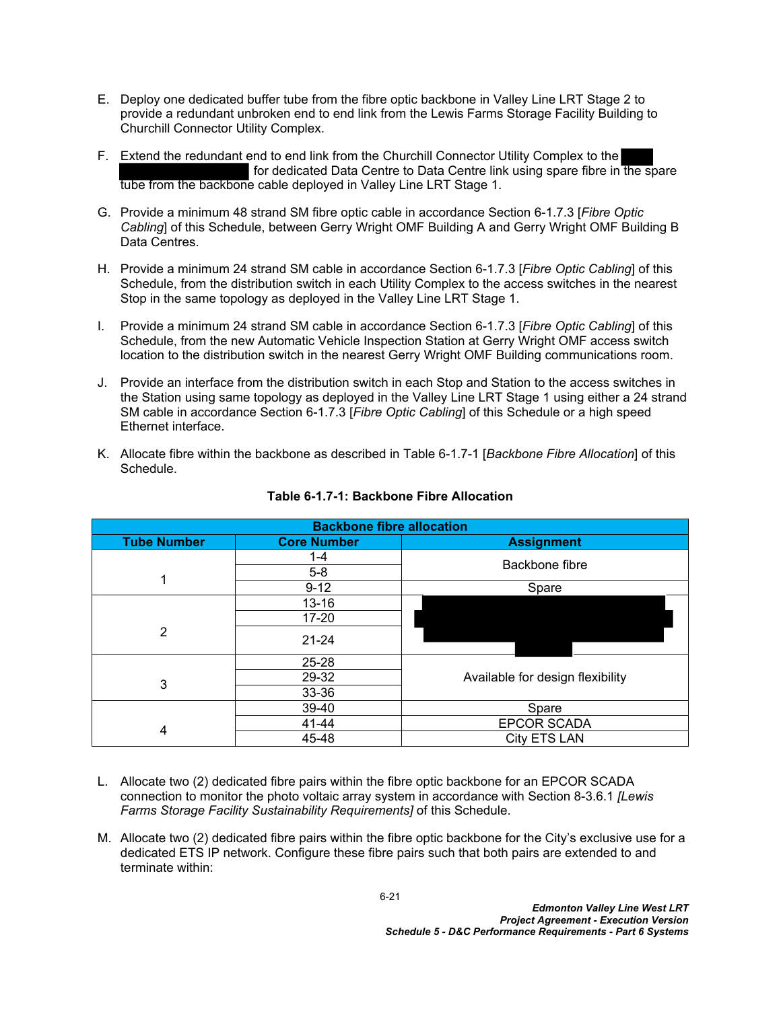- E. Deploy one dedicated buffer tube from the fibre optic backbone in Valley Line LRT Stage 2 to provide a redundant unbroken end to end link from the Lewis Farms Storage Facility Building to Churchill Connector Utility Complex.
- F. Extend the redundant end to end link from the Churchill Connector Utility Complex to the for dedicated Data Centre to Data Centre link using spare fibre in the spare tube from the backbone cable deployed in Valley Line LRT Stage 1.
- G. Provide a minimum 48 strand SM fibre optic cable in accordance Section [6-1.7.3](#page-27-0) [*Fibre Optic Cabling*] of this Schedule, between Gerry Wright OMF Building A and Gerry Wright OMF Building B Data Centres.
- H. Provide a minimum 24 strand SM cable in accordance Section [6-1.7.3](#page-27-0) [*Fibre Optic Cabling*] of this Schedule, from the distribution switch in each Utility Complex to the access switches in the nearest Stop in the same topology as deployed in the Valley Line LRT Stage 1.
- I. Provide a minimum 24 strand SM cable in accordance Section [6-1.7.3](#page-27-0) [*Fibre Optic Cabling*] of this Schedule, from the new Automatic Vehicle Inspection Station at Gerry Wright OMF access switch location to the distribution switch in the nearest Gerry Wright OMF Building communications room.
- J. Provide an interface from the distribution switch in each Stop and Station to the access switches in the Station using same topology as deployed in the Valley Line LRT Stage 1 using either a 24 strand SM cable in accordance Section [6-1.7.3](#page-27-0) [*Fibre Optic Cabling*] of this Schedule or a high speed Ethernet interface.
- K. Allocate fibre within the backbone as described in Table 6-1.7-1 [*Backbone Fibre Allocation*] of this Schedule.

| <b>Backbone fibre allocation</b> |                    |                                  |  |  |  |
|----------------------------------|--------------------|----------------------------------|--|--|--|
| <b>Tube Number</b>               | <b>Core Number</b> | <b>Assignment</b>                |  |  |  |
|                                  | $1 - 4$            | Backbone fibre                   |  |  |  |
| 1                                | $5-8$              |                                  |  |  |  |
|                                  | $9 - 12$           | Spare                            |  |  |  |
|                                  | $13 - 16$          |                                  |  |  |  |
|                                  | 17-20              |                                  |  |  |  |
| 2                                | $21 - 24$          |                                  |  |  |  |
|                                  | 25-28              |                                  |  |  |  |
| 3                                | 29-32              | Available for design flexibility |  |  |  |
|                                  | 33-36              |                                  |  |  |  |
|                                  | 39-40              | Spare                            |  |  |  |
| 4                                | 41-44              | <b>EPCOR SCADA</b>               |  |  |  |
|                                  | 45-48              | City ETS LAN                     |  |  |  |

### <span id="page-23-0"></span>**Table 6-1.7-1: Backbone Fibre Allocation**

- L. Allocate two (2) dedicated fibre pairs within the fibre optic backbone for an EPCOR SCADA connection to monitor the photo voltaic array system in accordance with Section 8-3.6.1 *[Lewis Farms Storage Facility Sustainability Requirements]* of this Schedule.
- M. Allocate two (2) dedicated fibre pairs within the fibre optic backbone for the City's exclusive use for a dedicated ETS IP network. Configure these fibre pairs such that both pairs are extended to and terminate within: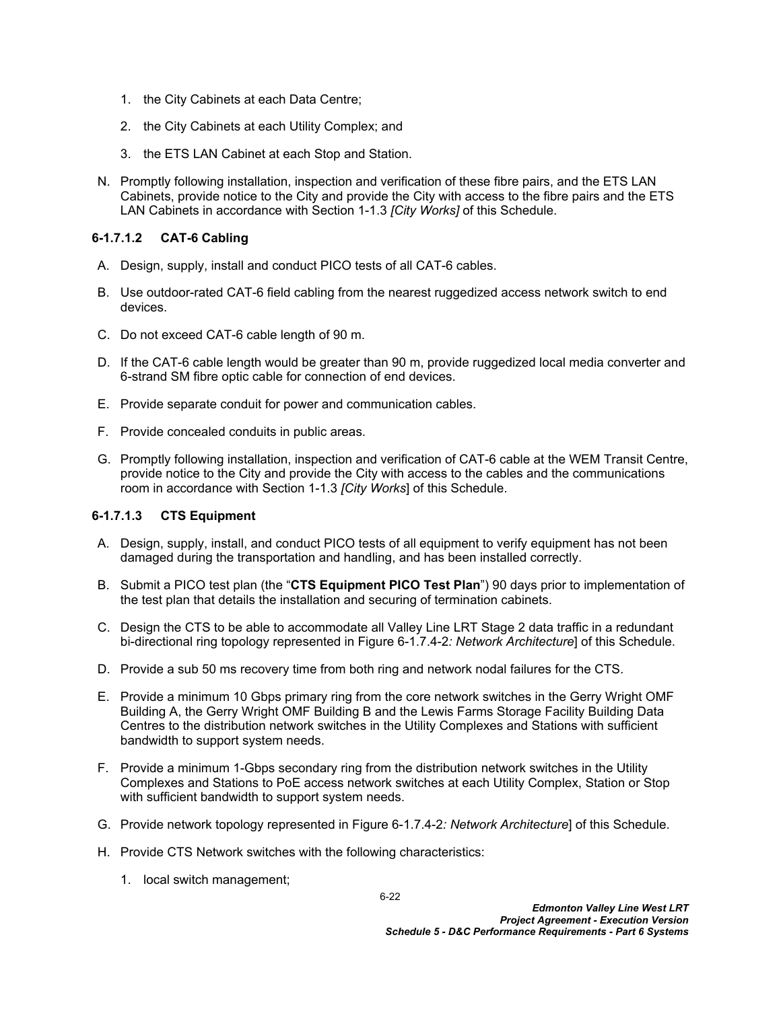- 1. the City Cabinets at each Data Centre;
- 2. the City Cabinets at each Utility Complex; and
- 3. the ETS LAN Cabinet at each Stop and Station.
- N. Promptly following installation, inspection and verification of these fibre pairs, and the ETS LAN Cabinets, provide notice to the City and provide the City with access to the fibre pairs and the ETS LAN Cabinets in accordance with Section 1-1.3 *[City Works]* of this Schedule.

# **6-1.7.1.2 CAT-6 Cabling**

- A. Design, supply, install and conduct PICO tests of all CAT-6 cables.
- B. Use outdoor-rated CAT-6 field cabling from the nearest ruggedized access network switch to end devices.
- C. Do not exceed CAT-6 cable length of 90 m.
- D. If the CAT-6 cable length would be greater than 90 m, provide ruggedized local media converter and 6-strand SM fibre optic cable for connection of end devices.
- E. Provide separate conduit for power and communication cables.
- F. Provide concealed conduits in public areas.
- G. Promptly following installation, inspection and verification of CAT-6 cable at the WEM Transit Centre, provide notice to the City and provide the City with access to the cables and the communications room in accordance with Section 1-1.3 *[City Works*] of this Schedule.

## **6-1.7.1.3 CTS Equipment**

- A. Design, supply, install, and conduct PICO tests of all equipment to verify equipment has not been damaged during the transportation and handling, and has been installed correctly.
- B. Submit a PICO test plan (the "**CTS Equipment PICO Test Plan**") 90 days prior to implementation of the test plan that details the installation and securing of termination cabinets.
- C. Design the CTS to be able to accommodate all Valley Line LRT Stage 2 data traffic in a redundant bi-directional ring topology represented in Figure 6-1.7.4-2*[: Network Architecture](#page-30-1)*] of this Schedule.
- D. Provide a sub 50 ms recovery time from both ring and network nodal failures for the CTS.
- E. Provide a minimum 10 Gbps primary ring from the core network switches in the Gerry Wright OMF Building A, the Gerry Wright OMF Building B and the Lewis Farms Storage Facility Building Data Centres to the distribution network switches in the Utility Complexes and Stations with sufficient bandwidth to support system needs.
- F. Provide a minimum 1-Gbps secondary ring from the distribution network switches in the Utility Complexes and Stations to PoE access network switches at each Utility Complex, Station or Stop with sufficient bandwidth to support system needs.
- G. Provide network topology represented in Figure 6-1.7.4-2*[: Network Architecture](#page-30-1)*] of this Schedule.
- <span id="page-24-0"></span>H. Provide CTS Network switches with the following characteristics:
	- 1. local switch management;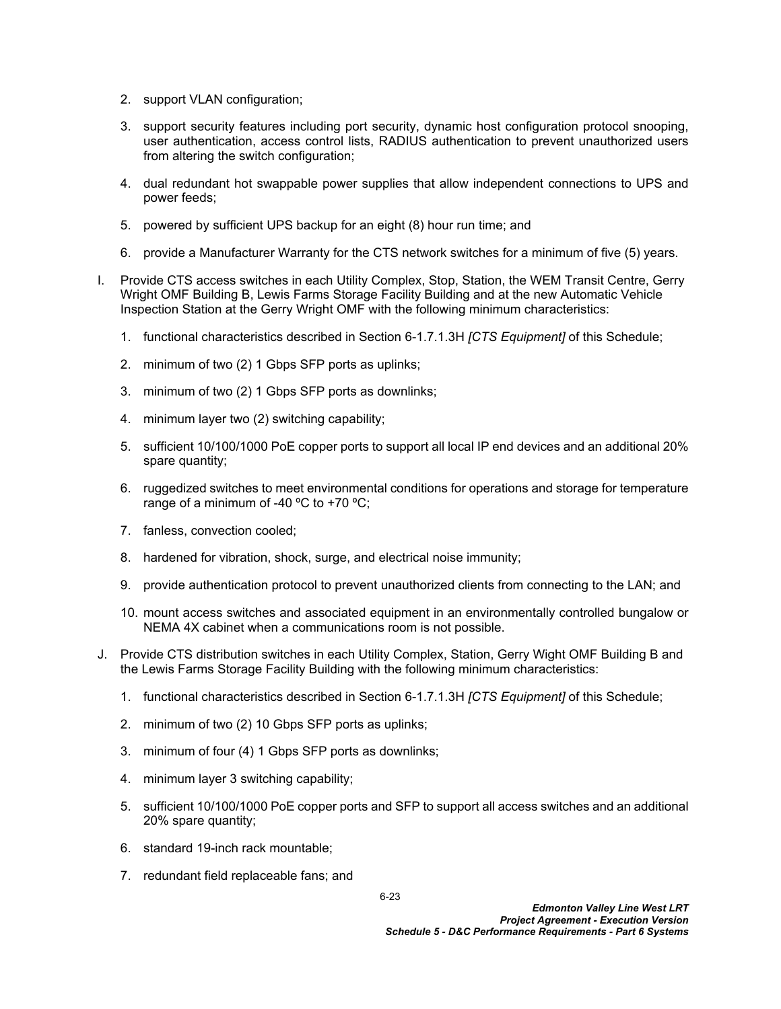- 2. support VLAN configuration;
- 3. support security features including port security, dynamic host configuration protocol snooping, user authentication, access control lists, RADIUS authentication to prevent unauthorized users from altering the switch configuration;
- 4. dual redundant hot swappable power supplies that allow independent connections to UPS and power feeds;
- 5. powered by sufficient UPS backup for an eight (8) hour run time; and
- 6. provide a Manufacturer Warranty for the CTS network switches for a minimum of five (5) years.
- <span id="page-25-0"></span>I. Provide CTS access switches in each Utility Complex, Stop, Station, the WEM Transit Centre, Gerry Wright OMF Building B, Lewis Farms Storage Facility Building and at the new Automatic Vehicle Inspection Station at the Gerry Wright OMF with the following minimum characteristics:
	- 1. functional characteristics described in Section [6-1.7.1.3H](#page-24-0) *[CTS Equipment]* of this Schedule;
	- 2. minimum of two (2) 1 Gbps SFP ports as uplinks;
	- 3. minimum of two (2) 1 Gbps SFP ports as downlinks;
	- 4. minimum layer two (2) switching capability;
	- 5. sufficient 10/100/1000 PoE copper ports to support all local IP end devices and an additional 20% spare quantity;
	- 6. ruggedized switches to meet environmental conditions for operations and storage for temperature range of a minimum of -40  $^{\circ}$ C to +70  $^{\circ}$ C;
	- 7. fanless, convection cooled;
	- 8. hardened for vibration, shock, surge, and electrical noise immunity;
	- 9. provide authentication protocol to prevent unauthorized clients from connecting to the LAN; and
	- 10. mount access switches and associated equipment in an environmentally controlled bungalow or NEMA 4X cabinet when a communications room is not possible.
- <span id="page-25-1"></span>J. Provide CTS distribution switches in each Utility Complex, Station, Gerry Wight OMF Building B and the Lewis Farms Storage Facility Building with the following minimum characteristics:
	- 1. functional characteristics described in Section [6-1.7.1.3H](#page-24-0) *[CTS Equipment]* of this Schedule;
	- 2. minimum of two (2) 10 Gbps SFP ports as uplinks;
	- 3. minimum of four (4) 1 Gbps SFP ports as downlinks;
	- 4. minimum layer 3 switching capability;
	- 5. sufficient 10/100/1000 PoE copper ports and SFP to support all access switches and an additional 20% spare quantity;
	- 6. standard 19-inch rack mountable;
	- 7. redundant field replaceable fans; and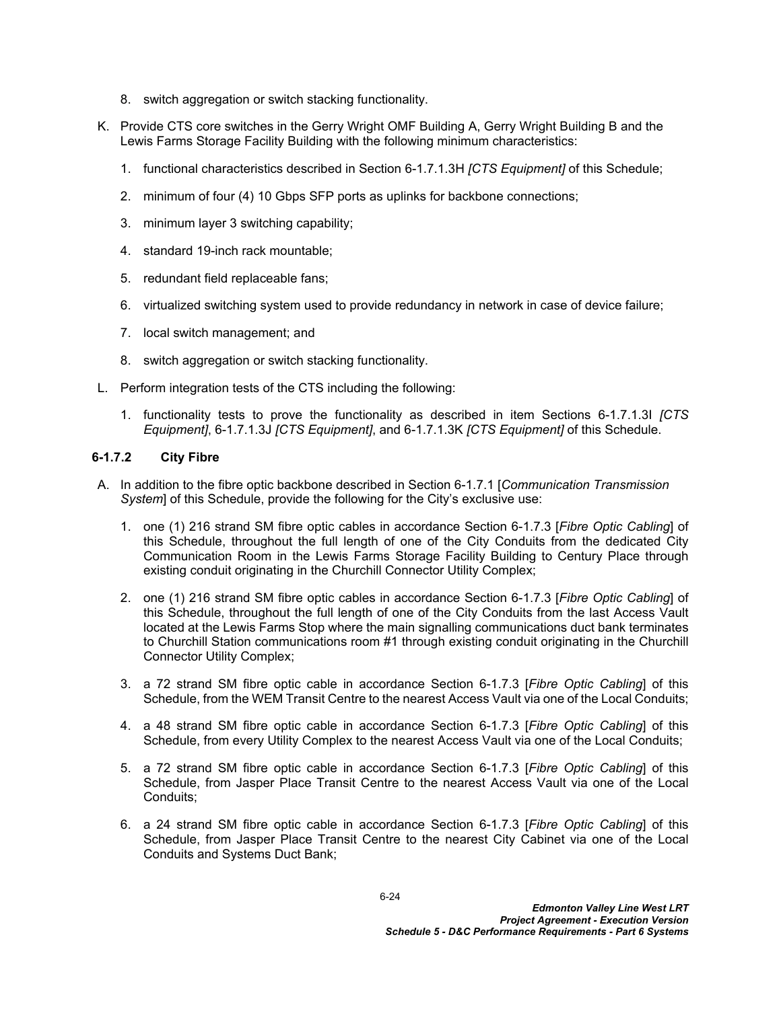- 8. switch aggregation or switch stacking functionality.
- <span id="page-26-0"></span>K. Provide CTS core switches in the Gerry Wright OMF Building A, Gerry Wright Building B and the Lewis Farms Storage Facility Building with the following minimum characteristics:
	- 1. functional characteristics described in Section [6-1.7.1.3H](#page-24-0) *[CTS Equipment]* of this Schedule;
	- 2. minimum of four (4) 10 Gbps SFP ports as uplinks for backbone connections;
	- 3. minimum layer 3 switching capability;
	- 4. standard 19-inch rack mountable;
	- 5. redundant field replaceable fans;
	- 6. virtualized switching system used to provide redundancy in network in case of device failure;
	- 7. local switch management; and
	- 8. switch aggregation or switch stacking functionality.
- L. Perform integration tests of the CTS including the following:
	- 1. functionality tests to prove the functionality as described in item Sections [6-1.7.1.3I](#page-25-0) *[CTS Equipment]*, [6-1.7.1.3J](#page-25-1) *[CTS Equipment]*, and [6-1.7.1.3K](#page-26-0) *[CTS Equipment]* of this Schedule.

### <span id="page-26-1"></span>**6-1.7.2 City Fibre**

- A. In addition to the fibre optic backbone described in Section [6-1.7.1](#page-20-1) [*Communication Transmission System*] of this Schedule, provide the following for the City's exclusive use:
	- 1. one (1) 216 strand SM fibre optic cables in accordance Section [6-1.7.3](#page-27-0) [*Fibre Optic Cabling*] of this Schedule, throughout the full length of one of the City Conduits from the dedicated City Communication Room in the Lewis Farms Storage Facility Building to Century Place through existing conduit originating in the Churchill Connector Utility Complex;
	- 2. one (1) 216 strand SM fibre optic cables in accordance Section [6-1.7.3](#page-27-0) [*Fibre Optic Cabling*] of this Schedule, throughout the full length of one of the City Conduits from the last Access Vault located at the Lewis Farms Stop where the main signalling communications duct bank terminates to Churchill Station communications room #1 through existing conduit originating in the Churchill Connector Utility Complex;
	- 3. a 72 strand SM fibre optic cable in accordance Section [6-1.7.3](#page-27-0) [*Fibre Optic Cabling*] of this Schedule, from the WEM Transit Centre to the nearest Access Vault via one of the Local Conduits;
	- 4. a 48 strand SM fibre optic cable in accordance Section [6-1.7.3](#page-27-0) [*Fibre Optic Cabling*] of this Schedule, from every Utility Complex to the nearest Access Vault via one of the Local Conduits;
	- 5. a 72 strand SM fibre optic cable in accordance Section [6-1.7.3](#page-27-0) [*Fibre Optic Cabling*] of this Schedule, from Jasper Place Transit Centre to the nearest Access Vault via one of the Local Conduits;
	- 6. a 24 strand SM fibre optic cable in accordance Section [6-1.7.3](#page-27-0) [*Fibre Optic Cabling*] of this Schedule, from Jasper Place Transit Centre to the nearest City Cabinet via one of the Local Conduits and Systems Duct Bank;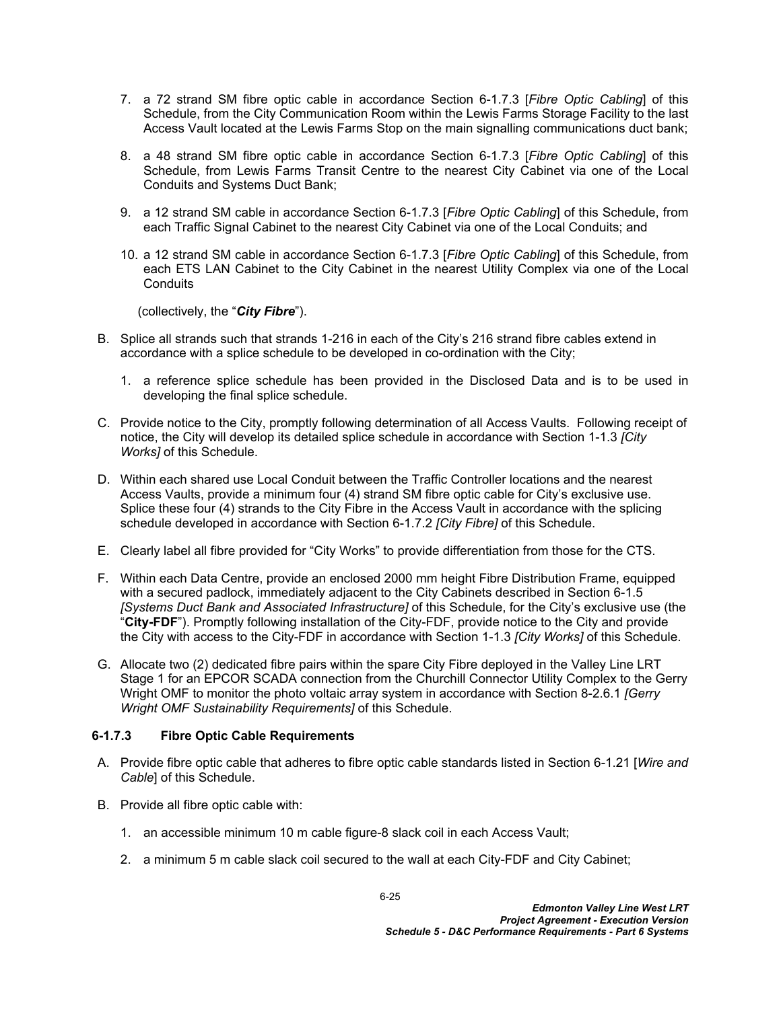- 7. a 72 strand SM fibre optic cable in accordance Section [6-1.7.3](#page-27-0) [*Fibre Optic Cabling*] of this Schedule, from the City Communication Room within the Lewis Farms Storage Facility to the last Access Vault located at the Lewis Farms Stop on the main signalling communications duct bank;
- 8. a 48 strand SM fibre optic cable in accordance Section [6-1.7.3](#page-27-0) [*Fibre Optic Cabling*] of this Schedule, from Lewis Farms Transit Centre to the nearest City Cabinet via one of the Local Conduits and Systems Duct Bank;
- 9. a 12 strand SM cable in accordance Section [6-1.7.3](#page-27-0) [*Fibre Optic Cabling*] of this Schedule, from each Traffic Signal Cabinet to the nearest City Cabinet via one of the Local Conduits; and
- 10. a 12 strand SM cable in accordance Section [6-1.7.3](#page-27-0) [*Fibre Optic Cabling*] of this Schedule, from each ETS LAN Cabinet to the City Cabinet in the nearest Utility Complex via one of the Local **Conduits**

(collectively, the "*City Fibre*").

- B. Splice all strands such that strands 1-216 in each of the City's 216 strand fibre cables extend in accordance with a splice schedule to be developed in co-ordination with the City;
	- 1. a reference splice schedule has been provided in the Disclosed Data and is to be used in developing the final splice schedule.
- C. Provide notice to the City, promptly following determination of all Access Vaults. Following receipt of notice, the City will develop its detailed splice schedule in accordance with Section 1-1.3 *[City Works]* of this Schedule.
- D. Within each shared use Local Conduit between the Traffic Controller locations and the nearest Access Vaults, provide a minimum four (4) strand SM fibre optic cable for City's exclusive use. Splice these four (4) strands to the City Fibre in the Access Vault in accordance with the splicing schedule developed in accordance with Section [6-1.7.2](#page-26-1) *[City Fibre]* of this Schedule.
- E. Clearly label all fibre provided for "City Works" to provide differentiation from those for the CTS.
- F. Within each Data Centre, provide an enclosed 2000 mm height Fibre Distribution Frame, equipped with a secured padlock, immediately adjacent to the City Cabinets described in Section 6-1.5 *[Systems Duct Bank and Associated Infrastructure]* of this Schedule, for the City's exclusive use (the "**City-FDF**"). Promptly following installation of the City-FDF, provide notice to the City and provide the City with access to the City-FDF in accordance with Section 1-1.3 *[City Works]* of this Schedule.
- G. Allocate two (2) dedicated fibre pairs within the spare City Fibre deployed in the Valley Line LRT Stage 1 for an EPCOR SCADA connection from the Churchill Connector Utility Complex to the Gerry Wright OMF to monitor the photo voltaic array system in accordance with Section 8-2.6.1 *[Gerry Wright OMF Sustainability Requirements]* of this Schedule.

### <span id="page-27-0"></span>**6-1.7.3 Fibre Optic Cable Requirements**

- A. Provide fibre optic cable that adheres to fibre optic cable standards listed in Section [6-1.21](#page-77-0) [*Wire and Cable*] of this Schedule.
- B. Provide all fibre optic cable with:
	- 1. an accessible minimum 10 m cable figure-8 slack coil in each Access Vault;
	- 2. a minimum 5 m cable slack coil secured to the wall at each City-FDF and City Cabinet;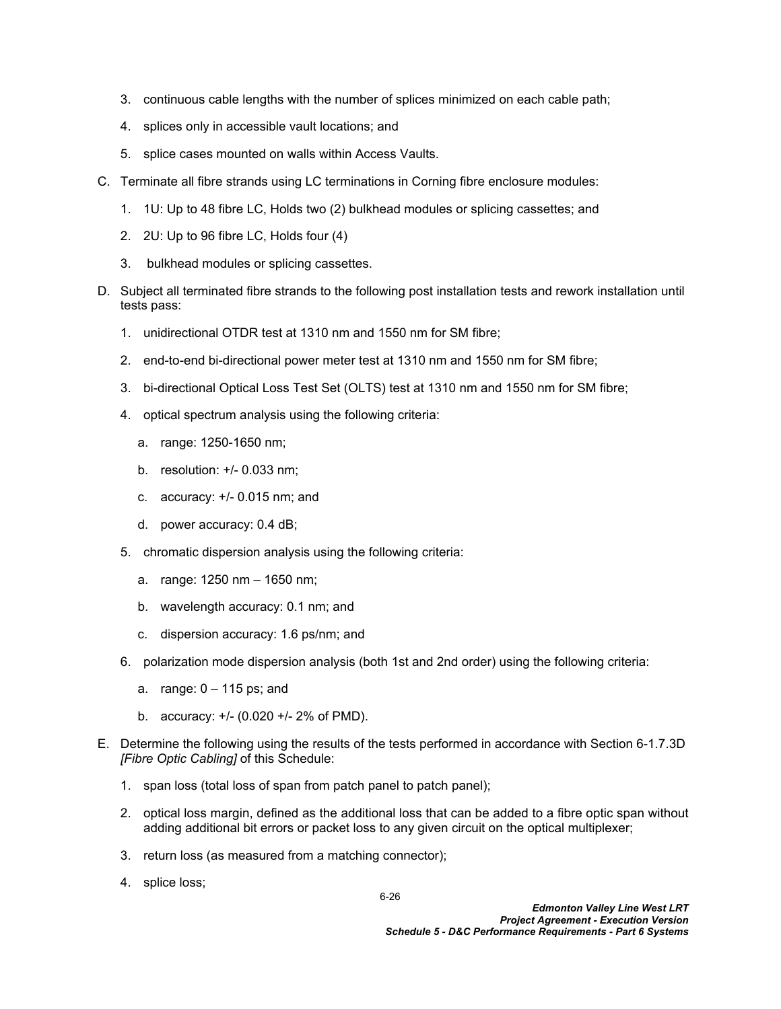- 3. continuous cable lengths with the number of splices minimized on each cable path;
- 4. splices only in accessible vault locations; and
- 5. splice cases mounted on walls within Access Vaults.
- C. Terminate all fibre strands using LC terminations in Corning fibre enclosure modules:
	- 1. 1U: Up to 48 fibre LC, Holds two (2) bulkhead modules or splicing cassettes; and
	- 2. 2U: Up to 96 fibre LC, Holds four (4)
	- 3. bulkhead modules or splicing cassettes.
- <span id="page-28-0"></span>D. Subject all terminated fibre strands to the following post installation tests and rework installation until tests pass:
	- 1. unidirectional OTDR test at 1310 nm and 1550 nm for SM fibre;
	- 2. end-to-end bi-directional power meter test at 1310 nm and 1550 nm for SM fibre;
	- 3. bi-directional Optical Loss Test Set (OLTS) test at 1310 nm and 1550 nm for SM fibre;
	- 4. optical spectrum analysis using the following criteria:
		- a. range: 1250-1650 nm;
		- b. resolution: +/- 0.033 nm;
		- c. accuracy: +/- 0.015 nm; and
		- d. power accuracy: 0.4 dB;
	- 5. chromatic dispersion analysis using the following criteria:
		- a. range: 1250 nm 1650 nm;
		- b. wavelength accuracy: 0.1 nm; and
		- c. dispersion accuracy: 1.6 ps/nm; and
	- 6. polarization mode dispersion analysis (both 1st and 2nd order) using the following criteria:
		- a. range: 0 115 ps; and
		- b. accuracy: +/- (0.020 +/- 2% of PMD).
- E. Determine the following using the results of the tests performed in accordance with Section [6-1.7.3D](#page-28-0)  *[Fibre Optic Cabling]* of this Schedule:
	- 1. span loss (total loss of span from patch panel to patch panel);
	- 2. optical loss margin, defined as the additional loss that can be added to a fibre optic span without adding additional bit errors or packet loss to any given circuit on the optical multiplexer;
	- 3. return loss (as measured from a matching connector);
	- 4. splice loss;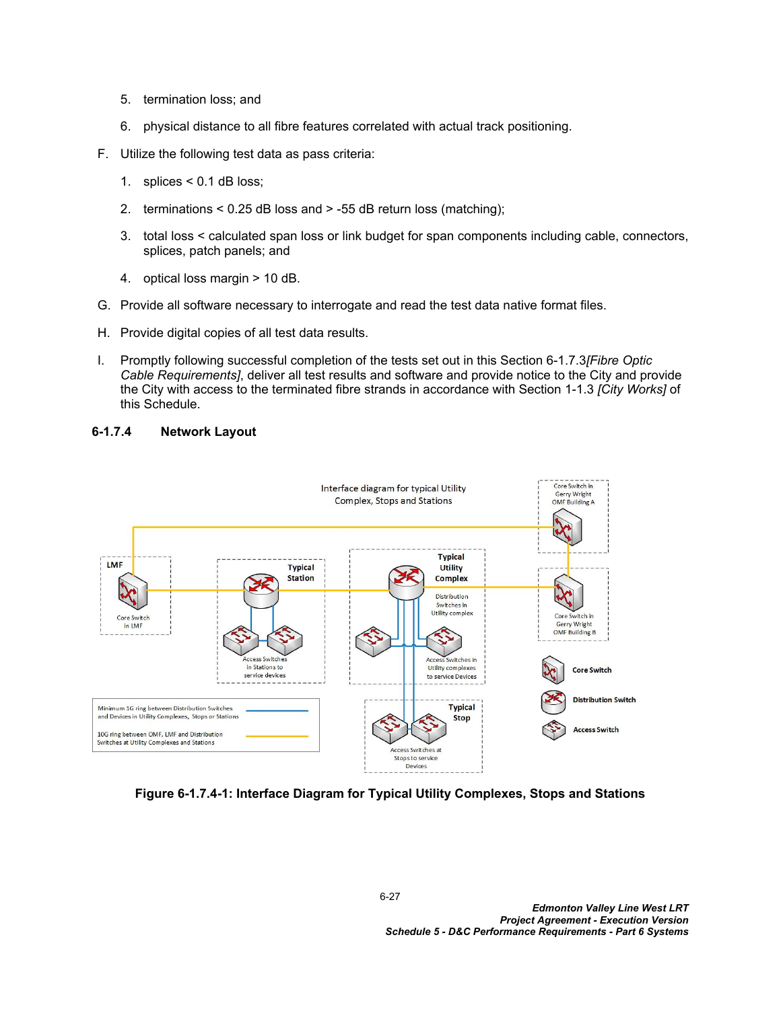- 5. termination loss; and
- 6. physical distance to all fibre features correlated with actual track positioning.
- F. Utilize the following test data as pass criteria:
	- 1. splices  $< 0.1$  dB loss;
	- 2. terminations < 0.25 dB loss and > -55 dB return loss (matching);
	- 3. total loss < calculated span loss or link budget for span components including cable, connectors, splices, patch panels; and
	- 4. optical loss margin > 10 dB.
- G. Provide all software necessary to interrogate and read the test data native format files.
- H. Provide digital copies of all test data results.
- I. Promptly following successful completion of the tests set out in this Section [6-1.7.3](#page-27-0)*[Fibre Optic Cable Requirements]*, deliver all test results and software and provide notice to the City and provide the City with access to the terminated fibre strands in accordance with Section 1-1.3 *[City Works]* of this Schedule.

### **6-1.7.4 Network Layout**



**Figure 6-1.7.4-1: Interface Diagram for Typical Utility Complexes, Stops and Stations**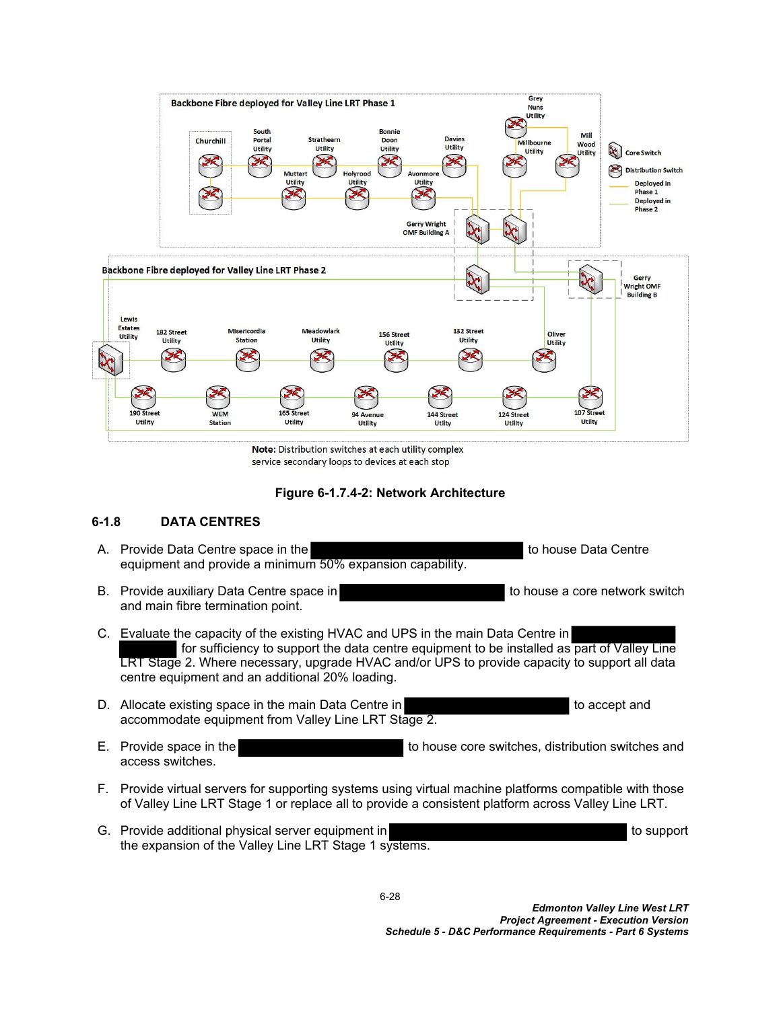

Note: Distribution switches at each utility complex service secondary loops to devices at each stop

### <span id="page-30-1"></span>**Figure 6-1.7.4-2: Network Architecture**

# <span id="page-30-0"></span>**6-1.8 DATA CENTRES**

- A. Provide Data Centre space in the to house Data Centre to house Data Centre equipment and provide a minimum 50% expansion capability. B. Provide auxiliary Data Centre space in the state of the to house a core network switch and main fibre termination point. C. Evaluate the capacity of the existing HVAC and UPS in the main Data Centre in for sufficiency to support the data centre equipment to be installed as part of Valley Line LRT Stage 2. Where necessary, upgrade HVAC and/or UPS to provide capacity to support all data centre equipment and an additional 20% loading.
- D. Allocate existing space in the main Data Centre in the main of the state of to accept and accommodate equipment from Valley Line LRT Stage 2.
- E. Provide space in the to house core switches, distribution switches and access switches.
- F. Provide virtual servers for supporting systems using virtual machine platforms compatible with those of Valley Line LRT Stage 1 or replace all to provide a consistent platform across Valley Line LRT.
- G. Provide additional physical server equipment in the support of support to support the expansion of the Valley Line LRT Stage 1 systems.

6-28

*Edmonton Valley Line West LRT Project Agreement - Execution Version Schedule 5 - D&C Performance Requirements - Part 6 Systems*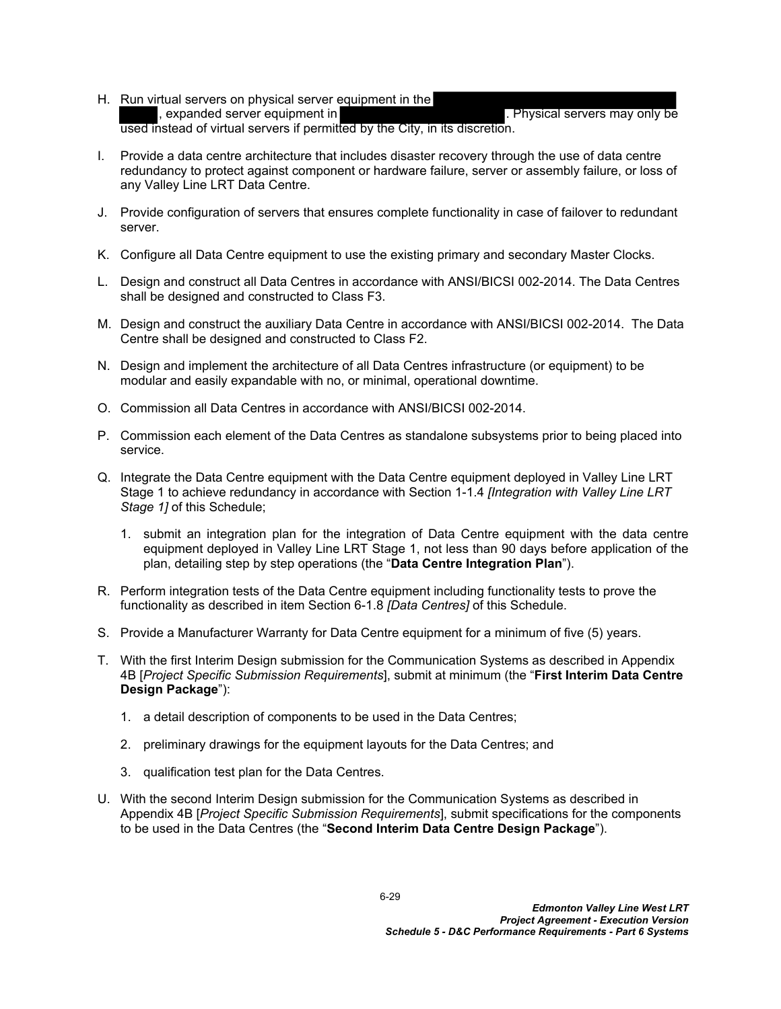- H. Run virtual servers on physical server equipment in the , expanded server equipment in . And the servers may only be servers may only be used instead of virtual servers if permitted by the City, in its discretion.
- I. Provide a data centre architecture that includes disaster recovery through the use of data centre redundancy to protect against component or hardware failure, server or assembly failure, or loss of any Valley Line LRT Data Centre.
- J. Provide configuration of servers that ensures complete functionality in case of failover to redundant server.
- K. Configure all Data Centre equipment to use the existing primary and secondary Master Clocks.
- L. Design and construct all Data Centres in accordance with ANSI/BICSI 002-2014. The Data Centres shall be designed and constructed to Class F3.
- M. Design and construct the auxiliary Data Centre in accordance with ANSI/BICSI 002-2014. The Data Centre shall be designed and constructed to Class F2.
- N. Design and implement the architecture of all Data Centres infrastructure (or equipment) to be modular and easily expandable with no, or minimal, operational downtime.
- O. Commission all Data Centres in accordance with ANSI/BICSI 002-2014.
- P. Commission each element of the Data Centres as standalone subsystems prior to being placed into service.
- Q. Integrate the Data Centre equipment with the Data Centre equipment deployed in Valley Line LRT Stage 1 to achieve redundancy in accordance with Section 1-1.4 *[Integration with Valley Line LRT Stage 1]* of this Schedule;
	- 1. submit an integration plan for the integration of Data Centre equipment with the data centre equipment deployed in Valley Line LRT Stage 1, not less than 90 days before application of the plan, detailing step by step operations (the "**Data Centre Integration Plan**").
- R. Perform integration tests of the Data Centre equipment including functionality tests to prove the functionality as described in item Section [6-1.8](#page-30-0) *[Data Centres]* of this Schedule.
- S. Provide a Manufacturer Warranty for Data Centre equipment for a minimum of five (5) years.
- T. With the first Interim Design submission for the Communication Systems as described in Appendix 4B [*Project Specific Submission Requirements*], submit at minimum (the "**First Interim Data Centre Design Package**"):
	- 1. a detail description of components to be used in the Data Centres;
	- 2. preliminary drawings for the equipment layouts for the Data Centres; and
	- 3. qualification test plan for the Data Centres.
- U. With the second Interim Design submission for the Communication Systems as described in Appendix 4B [*Project Specific Submission Requirements*], submit specifications for the components to be used in the Data Centres (the "**Second Interim Data Centre Design Package**").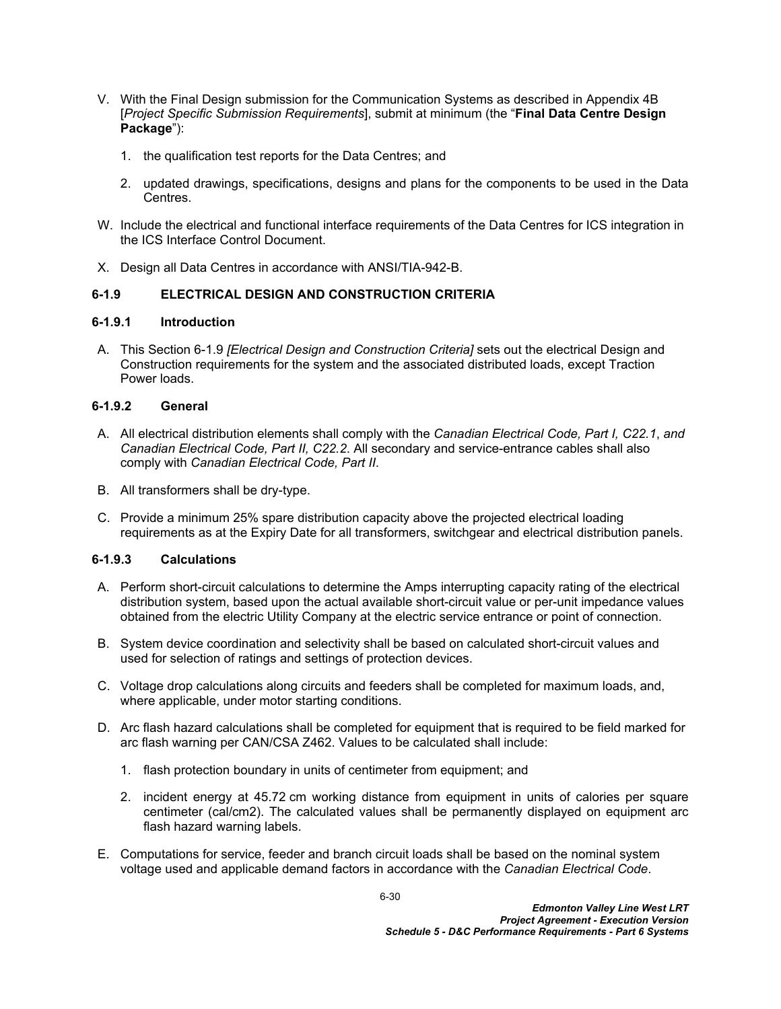- V. With the Final Design submission for the Communication Systems as described in Appendix 4B [*Project Specific Submission Requirements*], submit at minimum (the "**Final Data Centre Design Package**"):
	- 1. the qualification test reports for the Data Centres; and
	- 2. updated drawings, specifications, designs and plans for the components to be used in the Data Centres.
- W. Include the electrical and functional interface requirements of the Data Centres for ICS integration in the ICS Interface Control Document.
- X. Design all Data Centres in accordance with ANSI/TIA-942-B.

# <span id="page-32-0"></span>**6-1.9 ELECTRICAL DESIGN AND CONSTRUCTION CRITERIA**

### **6-1.9.1 Introduction**

A. This Section [6-1.9](#page-32-0) *[Electrical Design and Construction Criteria]* sets out the electrical Design and Construction requirements for the system and the associated distributed loads, except Traction Power loads.

### **6-1.9.2 General**

- A. All electrical distribution elements shall comply with the *Canadian Electrical Code, Part I, C22.1*, *and Canadian Electrical Code, Part II, C22.2*. All secondary and service-entrance cables shall also comply with *Canadian Electrical Code, Part II*.
- B. All transformers shall be dry-type.
- C. Provide a minimum 25% spare distribution capacity above the projected electrical loading requirements as at the Expiry Date for all transformers, switchgear and electrical distribution panels.

#### **6-1.9.3 Calculations**

- A. Perform short-circuit calculations to determine the Amps interrupting capacity rating of the electrical distribution system, based upon the actual available short-circuit value or per-unit impedance values obtained from the electric Utility Company at the electric service entrance or point of connection.
- B. System device coordination and selectivity shall be based on calculated short-circuit values and used for selection of ratings and settings of protection devices.
- C. Voltage drop calculations along circuits and feeders shall be completed for maximum loads, and, where applicable, under motor starting conditions.
- D. Arc flash hazard calculations shall be completed for equipment that is required to be field marked for arc flash warning per CAN/CSA Z462. Values to be calculated shall include:
	- 1. flash protection boundary in units of centimeter from equipment; and
	- 2. incident energy at 45.72 cm working distance from equipment in units of calories per square centimeter (cal/cm2). The calculated values shall be permanently displayed on equipment arc flash hazard warning labels.
- E. Computations for service, feeder and branch circuit loads shall be based on the nominal system voltage used and applicable demand factors in accordance with the *Canadian Electrical Code*.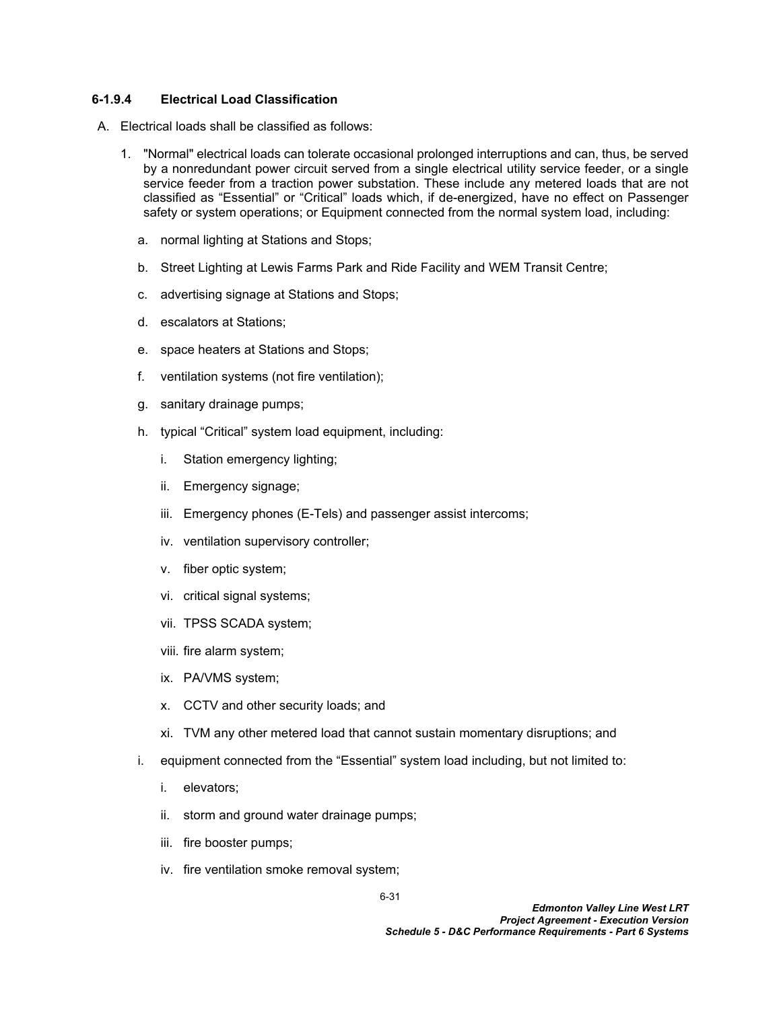#### **6-1.9.4 Electrical Load Classification**

- A. Electrical loads shall be classified as follows:
	- 1. "Normal" electrical loads can tolerate occasional prolonged interruptions and can, thus, be served by a nonredundant power circuit served from a single electrical utility service feeder, or a single service feeder from a traction power substation. These include any metered loads that are not classified as "Essential" or "Critical" loads which, if de-energized, have no effect on Passenger safety or system operations; or Equipment connected from the normal system load, including:
		- a. normal lighting at Stations and Stops;
		- b. Street Lighting at Lewis Farms Park and Ride Facility and WEM Transit Centre;
		- c. advertising signage at Stations and Stops;
		- d. escalators at Stations;
		- e. space heaters at Stations and Stops;
		- f. ventilation systems (not fire ventilation);
		- g. sanitary drainage pumps;
		- h. typical "Critical" system load equipment, including:
			- i. Station emergency lighting;
			- ii. Emergency signage;
			- iii. Emergency phones (E-Tels) and passenger assist intercoms;
			- iv. ventilation supervisory controller;
			- v. fiber optic system;
			- vi. critical signal systems;
			- vii. TPSS SCADA system;
			- viii. fire alarm system;
			- ix. PA/VMS system;
			- x. CCTV and other security loads; and
			- xi. TVM any other metered load that cannot sustain momentary disruptions; and
		- i. equipment connected from the "Essential" system load including, but not limited to:
			- i. elevators;
			- ii. storm and ground water drainage pumps;
			- iii. fire booster pumps;
			- iv. fire ventilation smoke removal system;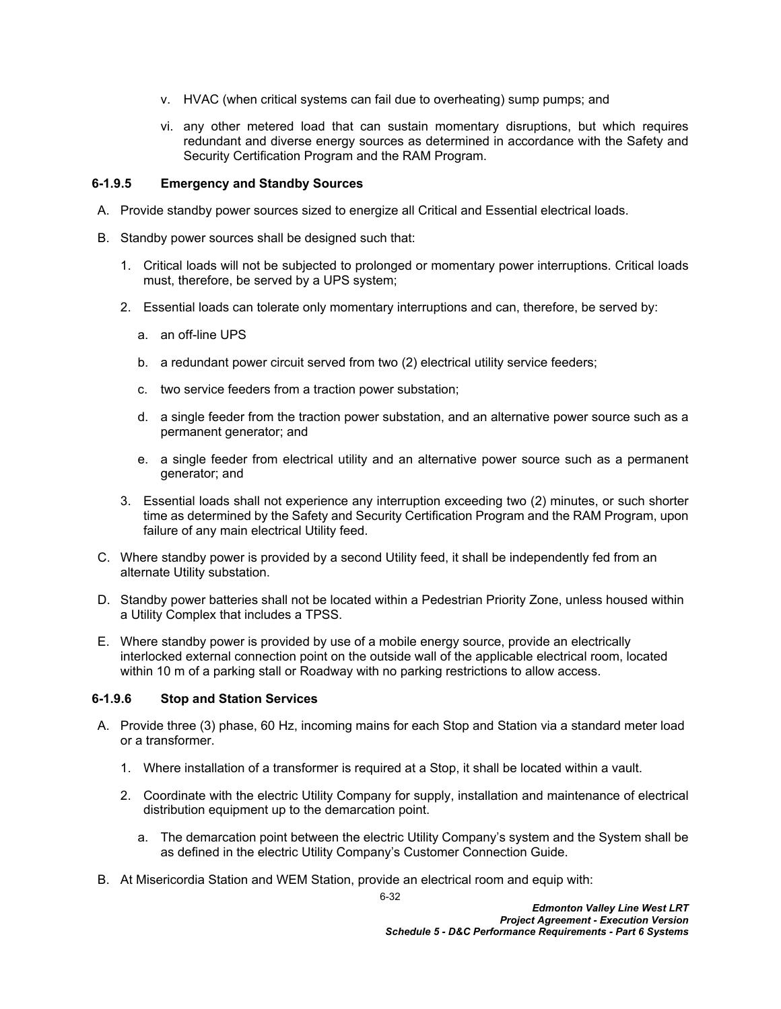- v. HVAC (when critical systems can fail due to overheating) sump pumps; and
- vi. any other metered load that can sustain momentary disruptions, but which requires redundant and diverse energy sources as determined in accordance with the Safety and Security Certification Program and the RAM Program.

### <span id="page-34-0"></span>**6-1.9.5 Emergency and Standby Sources**

- A. Provide standby power sources sized to energize all Critical and Essential electrical loads.
- B. Standby power sources shall be designed such that:
	- 1. Critical loads will not be subjected to prolonged or momentary power interruptions. Critical loads must, therefore, be served by a UPS system;
	- 2. Essential loads can tolerate only momentary interruptions and can, therefore, be served by:
		- a. an off-line UPS
		- b. a redundant power circuit served from two (2) electrical utility service feeders;
		- c. two service feeders from a traction power substation;
		- d. a single feeder from the traction power substation, and an alternative power source such as a permanent generator; and
		- e. a single feeder from electrical utility and an alternative power source such as a permanent generator; and
	- 3. Essential loads shall not experience any interruption exceeding two (2) minutes, or such shorter time as determined by the Safety and Security Certification Program and the RAM Program, upon failure of any main electrical Utility feed.
- C. Where standby power is provided by a second Utility feed, it shall be independently fed from an alternate Utility substation.
- D. Standby power batteries shall not be located within a Pedestrian Priority Zone, unless housed within a Utility Complex that includes a TPSS.
- E. Where standby power is provided by use of a mobile energy source, provide an electrically interlocked external connection point on the outside wall of the applicable electrical room, located within 10 m of a parking stall or Roadway with no parking restrictions to allow access.

#### **6-1.9.6 Stop and Station Services**

- A. Provide three (3) phase, 60 Hz, incoming mains for each Stop and Station via a standard meter load or a transformer.
	- 1. Where installation of a transformer is required at a Stop, it shall be located within a vault.
	- 2. Coordinate with the electric Utility Company for supply, installation and maintenance of electrical distribution equipment up to the demarcation point.
		- a. The demarcation point between the electric Utility Company's system and the System shall be as defined in the electric Utility Company's Customer Connection Guide.
- B. At Misericordia Station and WEM Station, provide an electrical room and equip with: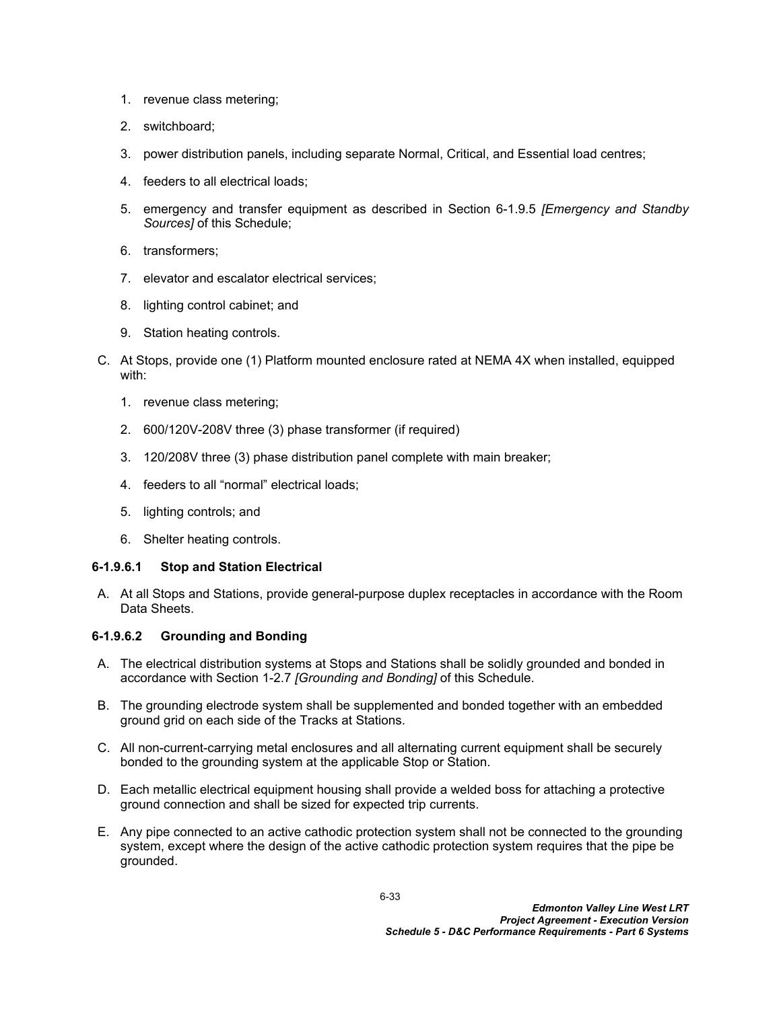- 1. revenue class metering;
- 2. switchboard;
- 3. power distribution panels, including separate Normal, Critical, and Essential load centres;
- 4. feeders to all electrical loads;
- 5. emergency and transfer equipment as described in Section [6-1.9.5](#page-34-0) *[Emergency and Standby Sources]* of this Schedule;
- 6. transformers;
- 7. elevator and escalator electrical services;
- 8. lighting control cabinet; and
- 9. Station heating controls.
- C. At Stops, provide one (1) Platform mounted enclosure rated at NEMA 4X when installed, equipped with:
	- 1. revenue class metering;
	- 2. 600/120V-208V three (3) phase transformer (if required)
	- 3. 120/208V three (3) phase distribution panel complete with main breaker;
	- 4. feeders to all "normal" electrical loads;
	- 5. lighting controls; and
	- 6. Shelter heating controls.

### **6-1.9.6.1 Stop and Station Electrical**

A. At all Stops and Stations, provide general-purpose duplex receptacles in accordance with the Room Data Sheets.

#### **6-1.9.6.2 Grounding and Bonding**

- A. The electrical distribution systems at Stops and Stations shall be solidly grounded and bonded in accordance with Section 1-2.7 *[Grounding and Bonding]* of this Schedule.
- B. The grounding electrode system shall be supplemented and bonded together with an embedded ground grid on each side of the Tracks at Stations.
- C. All non-current-carrying metal enclosures and all alternating current equipment shall be securely bonded to the grounding system at the applicable Stop or Station.
- D. Each metallic electrical equipment housing shall provide a welded boss for attaching a protective ground connection and shall be sized for expected trip currents.
- E. Any pipe connected to an active cathodic protection system shall not be connected to the grounding system, except where the design of the active cathodic protection system requires that the pipe be grounded.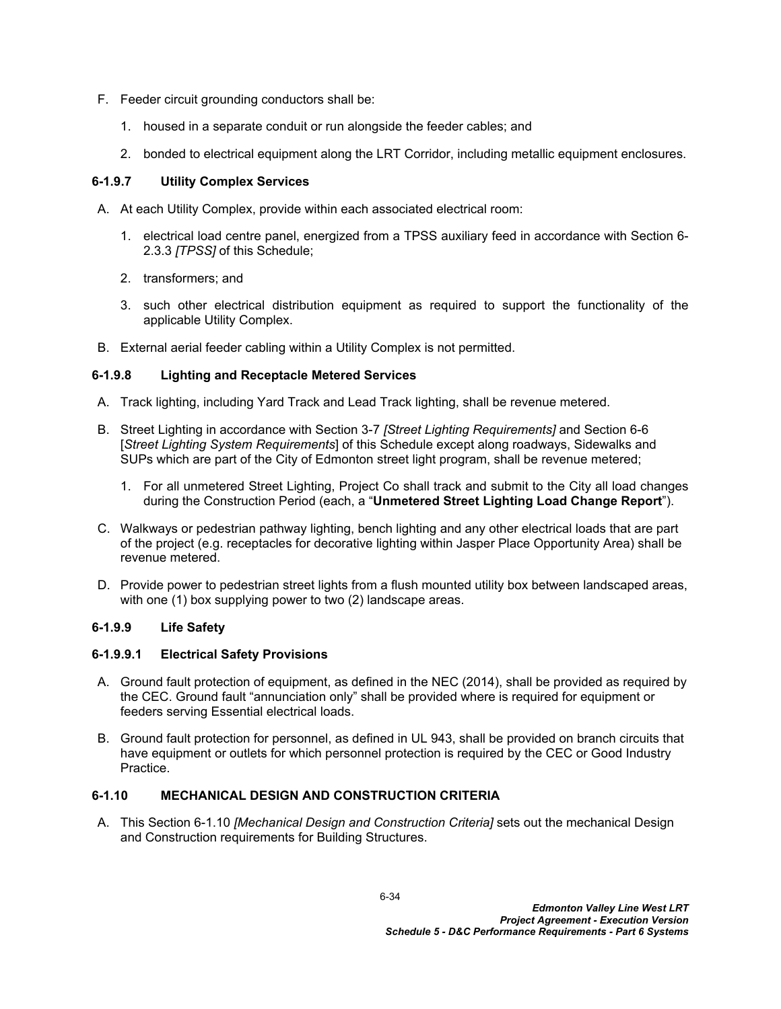- F. Feeder circuit grounding conductors shall be:
	- 1. housed in a separate conduit or run alongside the feeder cables; and
	- 2. bonded to electrical equipment along the LRT Corridor, including metallic equipment enclosures.

### **6-1.9.7 Utility Complex Services**

- A. At each Utility Complex, provide within each associated electrical room:
	- 1. electrical load centre panel, energized from a TPSS auxiliary feed in accordance with Section 6- 2.3.3 *[TPSS]* of this Schedule;
	- 2. transformers; and
	- 3. such other electrical distribution equipment as required to support the functionality of the applicable Utility Complex.
- B. External aerial feeder cabling within a Utility Complex is not permitted.

### **6-1.9.8 Lighting and Receptacle Metered Services**

- A. Track lighting, including Yard Track and Lead Track lighting, shall be revenue metered.
- B. Street Lighting in accordance with Section 3-7 *[Street Lighting Requirements]* and Section 6-6 [*Street Lighting System Requirements*] of this Schedule except along roadways, Sidewalks and SUPs which are part of the City of Edmonton street light program, shall be revenue metered;
	- 1. For all unmetered Street Lighting, Project Co shall track and submit to the City all load changes during the Construction Period (each, a "**Unmetered Street Lighting Load Change Report**").
- C. Walkways or pedestrian pathway lighting, bench lighting and any other electrical loads that are part of the project (e.g. receptacles for decorative lighting within Jasper Place Opportunity Area) shall be revenue metered.
- D. Provide power to pedestrian street lights from a flush mounted utility box between landscaped areas, with one (1) box supplying power to two (2) landscape areas.

# **6-1.9.9 Life Safety**

#### **6-1.9.9.1 Electrical Safety Provisions**

- A. Ground fault protection of equipment, as defined in the NEC (2014), shall be provided as required by the CEC. Ground fault "annunciation only" shall be provided where is required for equipment or feeders serving Essential electrical loads.
- B. Ground fault protection for personnel, as defined in UL 943, shall be provided on branch circuits that have equipment or outlets for which personnel protection is required by the CEC or Good Industry Practice.

# <span id="page-36-0"></span>**6-1.10 MECHANICAL DESIGN AND CONSTRUCTION CRITERIA**

A. This Section [6-1.10](#page-36-0) *[Mechanical Design and Construction Criteria]* sets out the mechanical Design and Construction requirements for Building Structures.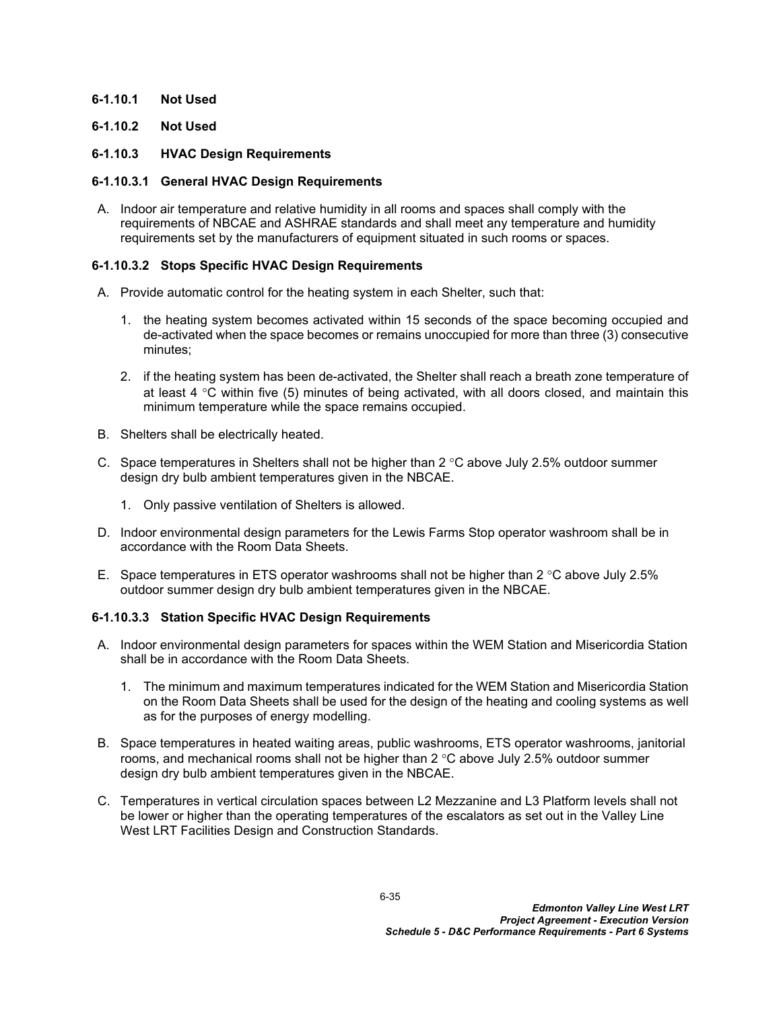#### **6-1.10.1 Not Used**

### **6-1.10.2 Not Used**

#### **6-1.10.3 HVAC Design Requirements**

#### **6-1.10.3.1 General HVAC Design Requirements**

A. Indoor air temperature and relative humidity in all rooms and spaces shall comply with the requirements of NBCAE and ASHRAE standards and shall meet any temperature and humidity requirements set by the manufacturers of equipment situated in such rooms or spaces.

#### **6-1.10.3.2 Stops Specific HVAC Design Requirements**

- A. Provide automatic control for the heating system in each Shelter, such that:
	- 1. the heating system becomes activated within 15 seconds of the space becoming occupied and de-activated when the space becomes or remains unoccupied for more than three (3) consecutive minutes;
	- 2. if the heating system has been de-activated, the Shelter shall reach a breath zone temperature of at least 4  $\degree$ C within five (5) minutes of being activated, with all doors closed, and maintain this minimum temperature while the space remains occupied.
- B. Shelters shall be electrically heated.
- C. Space temperatures in Shelters shall not be higher than  $2^{\circ}$ C above July 2.5% outdoor summer design dry bulb ambient temperatures given in the NBCAE.
	- 1. Only passive ventilation of Shelters is allowed.
- D. Indoor environmental design parameters for the Lewis Farms Stop operator washroom shall be in accordance with the Room Data Sheets.
- E. Space temperatures in ETS operator washrooms shall not be higher than 2  $\degree$ C above July 2.5% outdoor summer design dry bulb ambient temperatures given in the NBCAE.

#### **6-1.10.3.3 Station Specific HVAC Design Requirements**

- A. Indoor environmental design parameters for spaces within the WEM Station and Misericordia Station shall be in accordance with the Room Data Sheets.
	- 1. The minimum and maximum temperatures indicated for the WEM Station and Misericordia Station on the Room Data Sheets shall be used for the design of the heating and cooling systems as well as for the purposes of energy modelling.
- B. Space temperatures in heated waiting areas, public washrooms, ETS operator washrooms, janitorial rooms, and mechanical rooms shall not be higher than  $2 \degree C$  above July 2.5% outdoor summer design dry bulb ambient temperatures given in the NBCAE.
- C. Temperatures in vertical circulation spaces between L2 Mezzanine and L3 Platform levels shall not be lower or higher than the operating temperatures of the escalators as set out in the Valley Line West LRT Facilities Design and Construction Standards.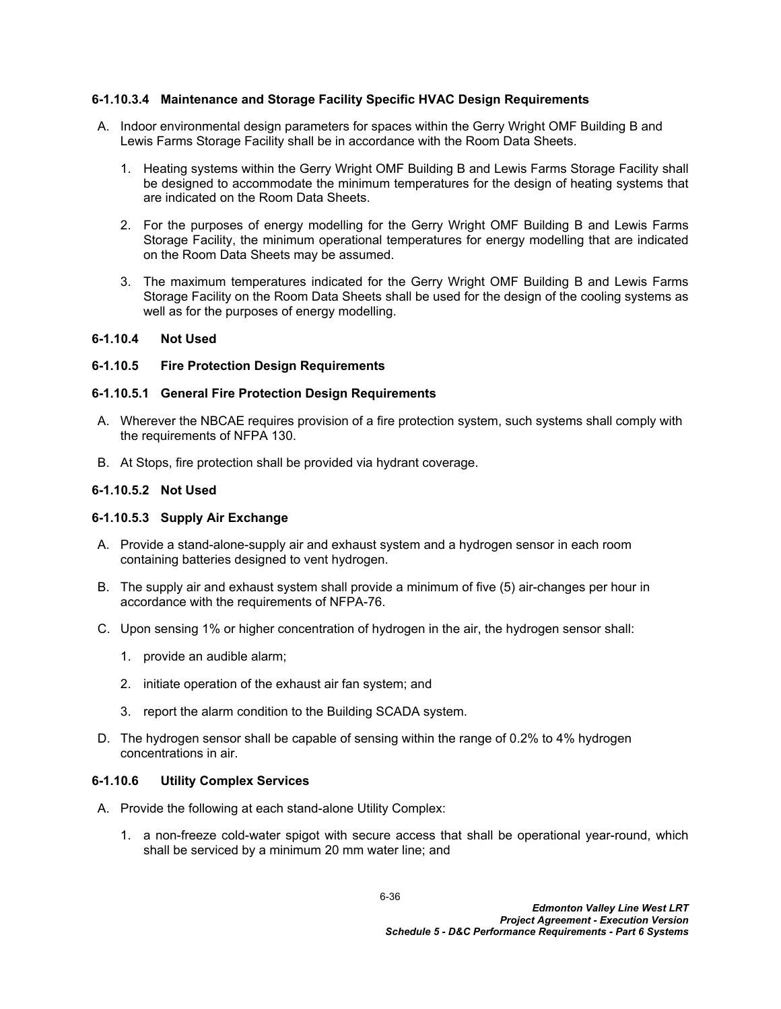#### **6-1.10.3.4 Maintenance and Storage Facility Specific HVAC Design Requirements**

- A. Indoor environmental design parameters for spaces within the Gerry Wright OMF Building B and Lewis Farms Storage Facility shall be in accordance with the Room Data Sheets.
	- 1. Heating systems within the Gerry Wright OMF Building B and Lewis Farms Storage Facility shall be designed to accommodate the minimum temperatures for the design of heating systems that are indicated on the Room Data Sheets.
	- 2. For the purposes of energy modelling for the Gerry Wright OMF Building B and Lewis Farms Storage Facility, the minimum operational temperatures for energy modelling that are indicated on the Room Data Sheets may be assumed.
	- 3. The maximum temperatures indicated for the Gerry Wright OMF Building B and Lewis Farms Storage Facility on the Room Data Sheets shall be used for the design of the cooling systems as well as for the purposes of energy modelling.

### **6-1.10.4 Not Used**

### **6-1.10.5 Fire Protection Design Requirements**

### **6-1.10.5.1 General Fire Protection Design Requirements**

- A. Wherever the NBCAE requires provision of a fire protection system, such systems shall comply with the requirements of NFPA 130.
- B. At Stops, fire protection shall be provided via hydrant coverage.

### **6-1.10.5.2 Not Used**

#### **6-1.10.5.3 Supply Air Exchange**

- A. Provide a stand-alone-supply air and exhaust system and a hydrogen sensor in each room containing batteries designed to vent hydrogen.
- B. The supply air and exhaust system shall provide a minimum of five (5) air-changes per hour in accordance with the requirements of NFPA-76.
- C. Upon sensing 1% or higher concentration of hydrogen in the air, the hydrogen sensor shall:
	- 1. provide an audible alarm;
	- 2. initiate operation of the exhaust air fan system; and
	- 3. report the alarm condition to the Building SCADA system.
- D. The hydrogen sensor shall be capable of sensing within the range of 0.2% to 4% hydrogen concentrations in air.

#### **6-1.10.6 Utility Complex Services**

- A. Provide the following at each stand-alone Utility Complex:
	- 1. a non-freeze cold-water spigot with secure access that shall be operational year-round, which shall be serviced by a minimum 20 mm water line; and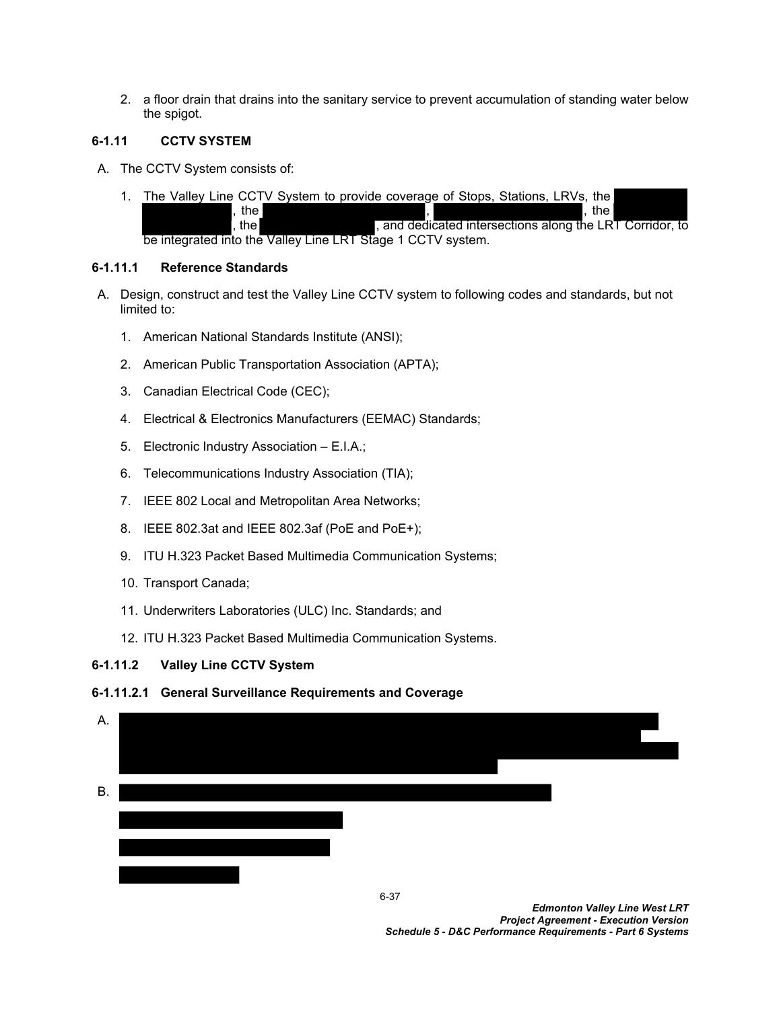2. a floor drain that drains into the sanitary service to prevent accumulation of standing water below the spigot.

### **6-1.11 CCTV SYSTEM**

- A. The CCTV System consists of:
	- 1. The Valley Line CCTV System to provide coverage of Stops, Stations, LRVs, the , the , , the the the contract the state of the state of the LRT Corridor, to be integrated into the Valley Line LRT Stage 1 CCTV system.

### **6-1.11.1 Reference Standards**

- A. Design, construct and test the Valley Line CCTV system to following codes and standards, but not limited to:
	- 1. American National Standards Institute (ANSI);
	- 2. American Public Transportation Association (APTA);
	- 3. Canadian Electrical Code (CEC);
	- 4. Electrical & Electronics Manufacturers (EEMAC) Standards;
	- 5. Electronic Industry Association E.I.A.;
	- 6. Telecommunications Industry Association (TIA);
	- 7. IEEE 802 Local and Metropolitan Area Networks;
	- 8. IEEE 802.3at and IEEE 802.3af (PoE and PoE+);
	- 9. ITU H.323 Packet Based Multimedia Communication Systems;
	- 10. Transport Canada;
	- 11. Underwriters Laboratories (ULC) Inc. Standards; and
	- 12. ITU H.323 Packet Based Multimedia Communication Systems.

# **6-1.11.2 Valley Line CCTV System**

#### <span id="page-39-0"></span>**6-1.11.2.1 General Surveillance Requirements and Coverage**



*Project Agreement - Execution Version Schedule 5 - D&C Performance Requirements - Part 6 Systems*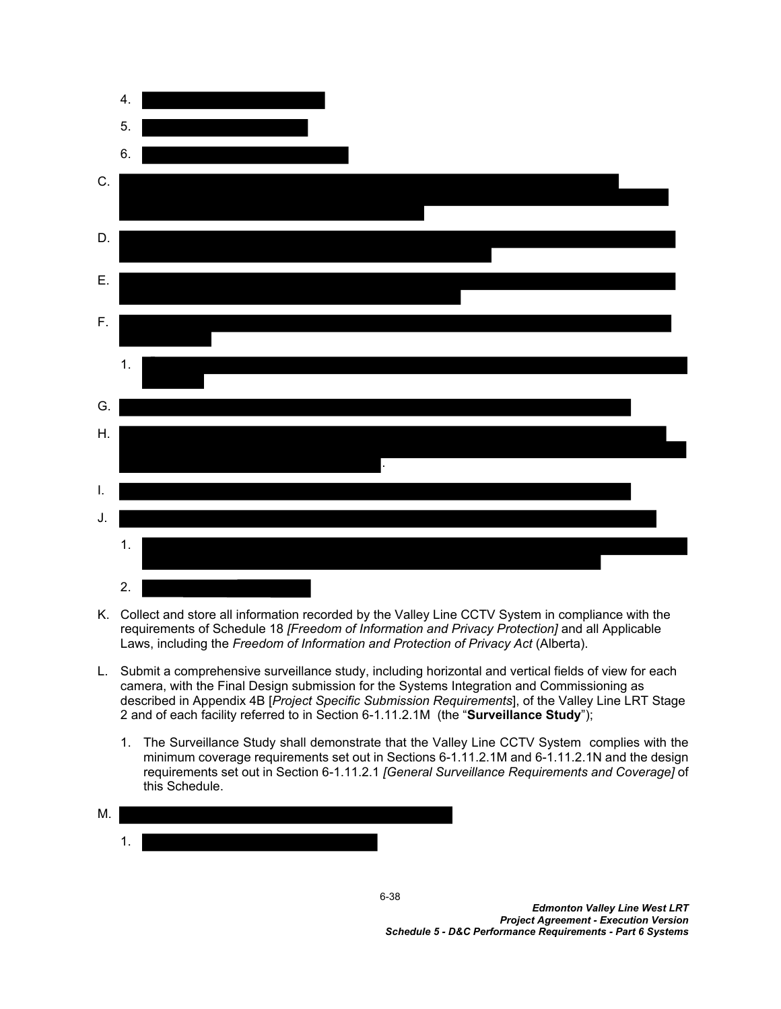

- K. Collect and store all information recorded by the Valley Line CCTV System in compliance with the requirements of Schedule 18 *[Freedom of Information and Privacy Protection]* and all Applicable Laws, including the *Freedom of Information and Protection of Privacy Act* (Alberta).
- L. Submit a comprehensive surveillance study, including horizontal and vertical fields of view for each camera, with the Final Design submission for the Systems Integration and Commissioning as described in Appendix 4B [*Project Specific Submission Requirements*], of the Valley Line LRT Stage 2 and of each facility referred to in Section [6-1.11.2.1M](#page-40-0) (the "**Surveillance Study**");
	- 1. The Surveillance Study shall demonstrate that the Valley Line CCTV System complies with the minimum coverage requirements set out in Sections [6-1.11.2.1M](#page-40-0) and [6-1.11.2.1N](#page-43-0) and the design requirements set out in Section [6-1.11.2.1](#page-39-0) *[General Surveillance Requirements and Coverage]* of this Schedule.

<span id="page-40-0"></span>

*Edmonton Valley Line West LRT Project Agreement - Execution Version Schedule 5 - D&C Performance Requirements - Part 6 Systems*

6-38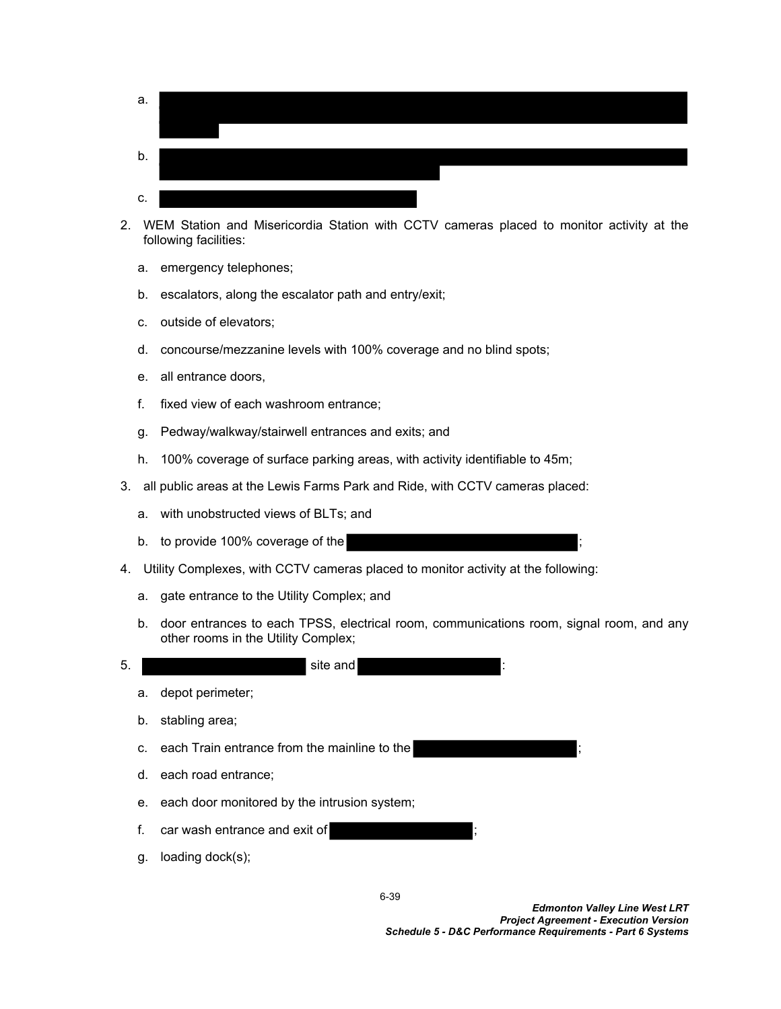

- 2. WEM Station and Misericordia Station with CCTV cameras placed to monitor activity at the following facilities:
	- a. emergency telephones;
	- b. escalators, along the escalator path and entry/exit;
	- c. outside of elevators;
	- d. concourse/mezzanine levels with 100% coverage and no blind spots;
	- e. all entrance doors,
	- f. fixed view of each washroom entrance;
	- g. Pedway/walkway/stairwell entrances and exits; and
	- h. 100% coverage of surface parking areas, with activity identifiable to 45m;
- 3. all public areas at the Lewis Farms Park and Ride, with CCTV cameras placed:
	- a. with unobstructed views of BLTs; and
	- b. to provide 100% coverage of the
- 4. Utility Complexes, with CCTV cameras placed to monitor activity at the following:
	- a. gate entrance to the Utility Complex; and
	- b. door entrances to each TPSS, electrical room, communications room, signal room, and any other rooms in the Utility Complex;

| 5. |    | site and                                       |
|----|----|------------------------------------------------|
|    | a. | depot perimeter;                               |
|    | b. | stabling area;                                 |
|    | C. | each Train entrance from the mainline to the   |
|    | d. | each road entrance;                            |
|    |    | a coop dear monitored by the intrusion overage |

- e. each door monitored by the intrusion system;
- f. car wash entrance and exit of
- g. loading dock(s);

6-39

*Edmonton Valley Line West LRT Project Agreement - Execution Version Schedule 5 - D&C Performance Requirements - Part 6 Systems*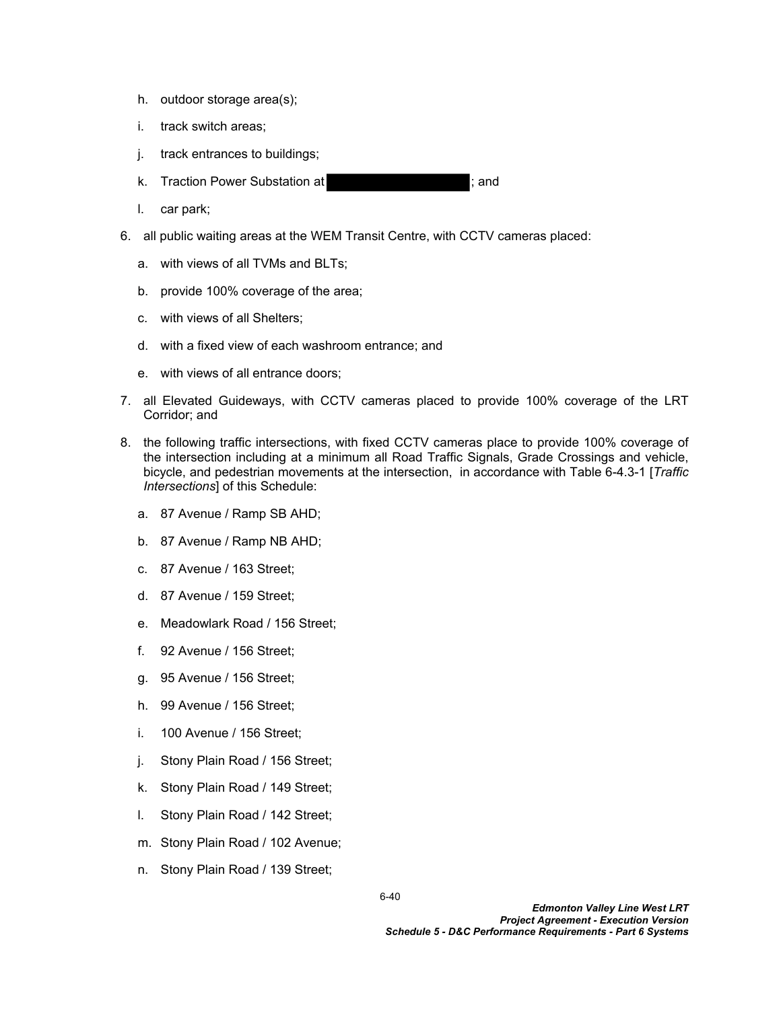- h. outdoor storage area(s);
- i. track switch areas;
- j. track entrances to buildings;
- k. Traction Power Substation at  $\blacksquare$ ; and
- l. car park;
- 6. all public waiting areas at the WEM Transit Centre, with CCTV cameras placed:
	- a. with views of all TVMs and BLTs;
	- b. provide 100% coverage of the area;
	- c. with views of all Shelters;
	- d. with a fixed view of each washroom entrance; and
	- e. with views of all entrance doors;
- 7. all Elevated Guideways, with CCTV cameras placed to provide 100% coverage of the LRT Corridor; and
- 8. the following traffic intersections, with fixed CCTV cameras place to provide 100% coverage of the intersection including at a minimum all Road Traffic Signals, Grade Crossings and vehicle, bicycle, and pedestrian movements at the intersection, in accordance with Table 6-4.3-1 [*Traffic Intersections*] of this Schedule:
	- a. 87 Avenue / Ramp SB AHD;
	- b. 87 Avenue / Ramp NB AHD;
	- c. 87 Avenue / 163 Street;
	- d. 87 Avenue / 159 Street;
	- e. Meadowlark Road / 156 Street;
	- f. 92 Avenue / 156 Street;
	- g. 95 Avenue / 156 Street;
	- h. 99 Avenue / 156 Street;
	- i. 100 Avenue / 156 Street;
	- j. Stony Plain Road / 156 Street;
	- k. Stony Plain Road / 149 Street;
	- l. Stony Plain Road / 142 Street;
	- m. Stony Plain Road / 102 Avenue;
	- n. Stony Plain Road / 139 Street;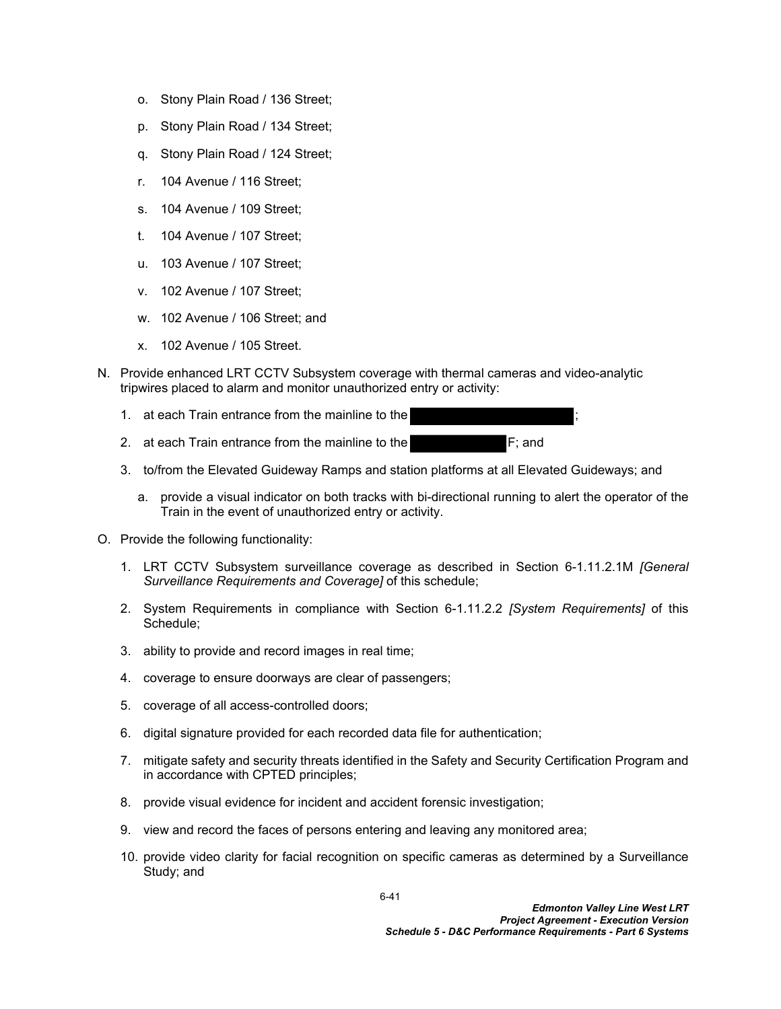- o. Stony Plain Road / 136 Street;
- p. Stony Plain Road / 134 Street;
- q. Stony Plain Road / 124 Street;
- r. 104 Avenue / 116 Street;
- s. 104 Avenue / 109 Street;
- t. 104 Avenue / 107 Street;
- u. 103 Avenue / 107 Street;
- v. 102 Avenue / 107 Street;
- w. 102 Avenue / 106 Street; and
- <span id="page-43-0"></span>x. 102 Avenue / 105 Street.
- N. Provide enhanced LRT CCTV Subsystem coverage with thermal cameras and video-analytic tripwires placed to alarm and monitor unauthorized entry or activity:
	- 1. at each Train entrance from the mainline to the
	- 2. at each Train entrance from the mainline to the F; and
	- 3. to/from the Elevated Guideway Ramps and station platforms at all Elevated Guideways; and
		- a. provide a visual indicator on both tracks with bi-directional running to alert the operator of the Train in the event of unauthorized entry or activity.
- O. Provide the following functionality:
	- 1. LRT CCTV Subsystem surveillance coverage as described in Section [6-1.11.2.1M](#page-40-0) *[General Surveillance Requirements and Coverage]* of this schedule;
	- 2. System Requirements in compliance with Section [6-1.11.2.2](#page-44-0) *[System Requirements]* of this Schedule;
	- 3. ability to provide and record images in real time;
	- 4. coverage to ensure doorways are clear of passengers;
	- 5. coverage of all access-controlled doors;
	- 6. digital signature provided for each recorded data file for authentication;
	- 7. mitigate safety and security threats identified in the Safety and Security Certification Program and in accordance with CPTED principles;
	- 8. provide visual evidence for incident and accident forensic investigation;
	- 9. view and record the faces of persons entering and leaving any monitored area;
	- 10. provide video clarity for facial recognition on specific cameras as determined by a Surveillance Study; and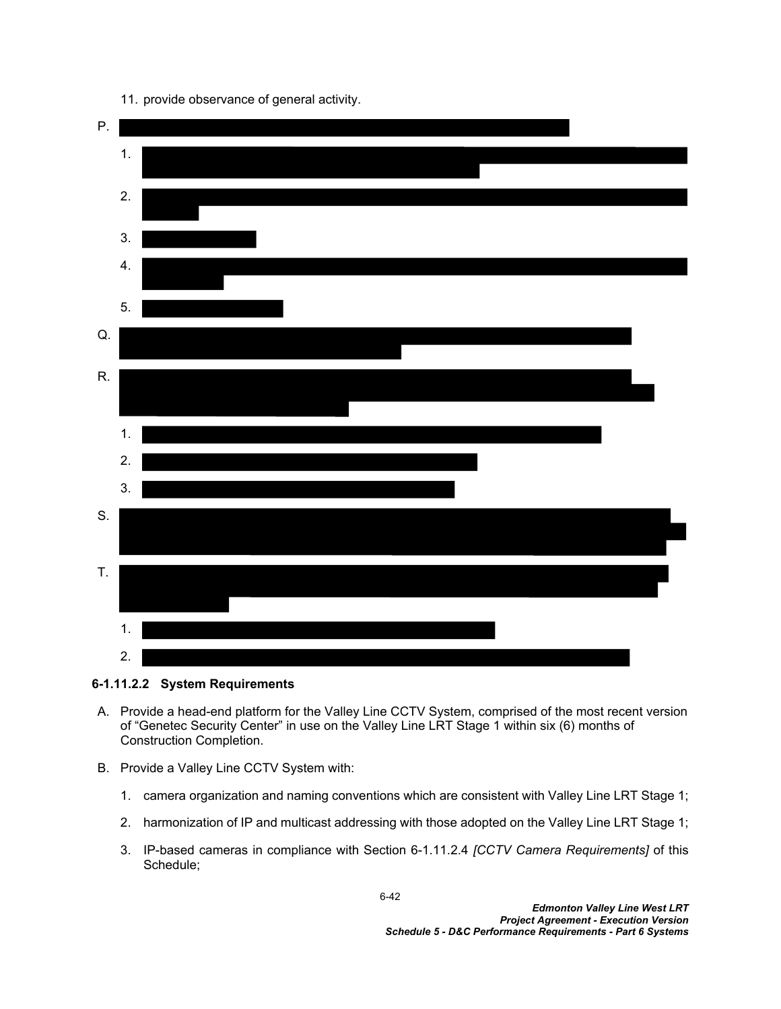

11. provide observance of general activity.

<span id="page-44-0"></span>

- A. Provide a head-end platform for the Valley Line CCTV System, comprised of the most recent version of "Genetec Security Center" in use on the Valley Line LRT Stage 1 within six (6) months of Construction Completion.
- B. Provide a Valley Line CCTV System with:
	- 1. camera organization and naming conventions which are consistent with Valley Line LRT Stage 1;
	- 2. harmonization of IP and multicast addressing with those adopted on the Valley Line LRT Stage 1;
	- 3. IP-based cameras in compliance with Section [6-1.11.2.4](#page-46-0) *[CCTV Camera Requirements]* of this Schedule;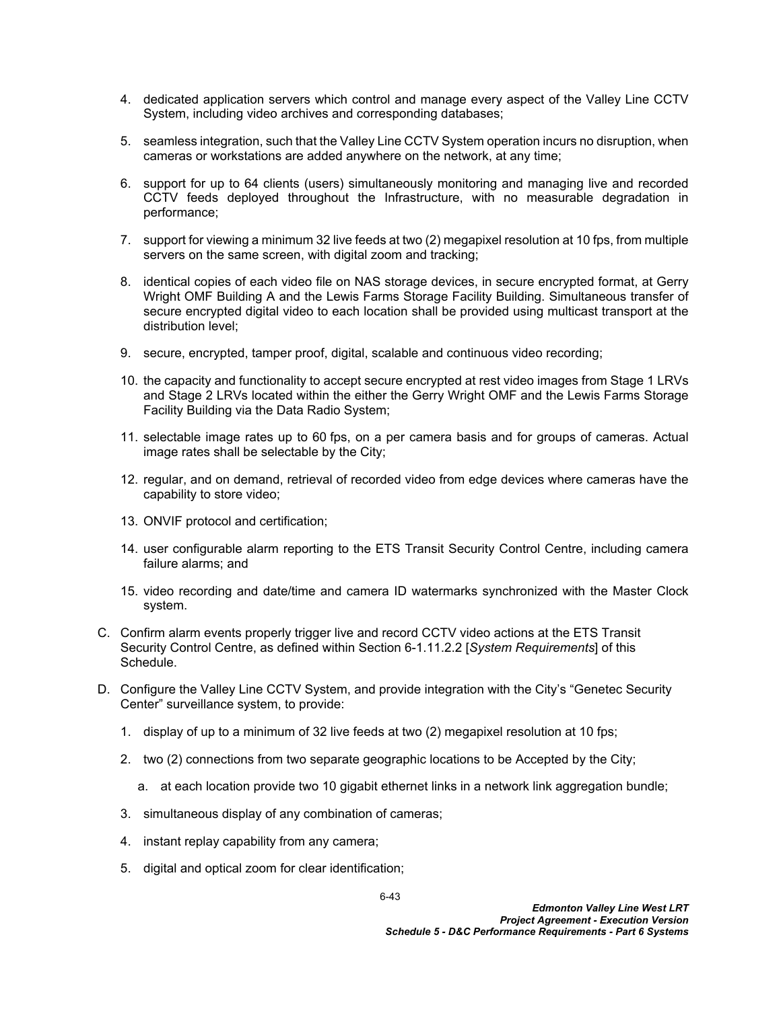- 4. dedicated application servers which control and manage every aspect of the Valley Line CCTV System, including video archives and corresponding databases;
- 5. seamless integration, such that the Valley Line CCTV System operation incurs no disruption, when cameras or workstations are added anywhere on the network, at any time;
- 6. support for up to 64 clients (users) simultaneously monitoring and managing live and recorded CCTV feeds deployed throughout the Infrastructure, with no measurable degradation in performance;
- 7. support for viewing a minimum 32 live feeds at two (2) megapixel resolution at 10 fps, from multiple servers on the same screen, with digital zoom and tracking;
- 8. identical copies of each video file on NAS storage devices, in secure encrypted format, at Gerry Wright OMF Building A and the Lewis Farms Storage Facility Building. Simultaneous transfer of secure encrypted digital video to each location shall be provided using multicast transport at the distribution level;
- 9. secure, encrypted, tamper proof, digital, scalable and continuous video recording;
- 10. the capacity and functionality to accept secure encrypted at rest video images from Stage 1 LRVs and Stage 2 LRVs located within the either the Gerry Wright OMF and the Lewis Farms Storage Facility Building via the Data Radio System;
- 11. selectable image rates up to 60 fps, on a per camera basis and for groups of cameras. Actual image rates shall be selectable by the City;
- 12. regular, and on demand, retrieval of recorded video from edge devices where cameras have the capability to store video;
- 13. ONVIF protocol and certification;
- 14. user configurable alarm reporting to the ETS Transit Security Control Centre, including camera failure alarms; and
- 15. video recording and date/time and camera ID watermarks synchronized with the Master Clock system.
- C. Confirm alarm events properly trigger live and record CCTV video actions at the ETS Transit Security Control Centre, as defined within Section 6-1.11.2.2 [*System Requirements*] of this Schedule.
- D. Configure the Valley Line CCTV System, and provide integration with the City's "Genetec Security Center" surveillance system, to provide:
	- 1. display of up to a minimum of 32 live feeds at two (2) megapixel resolution at 10 fps;
	- 2. two (2) connections from two separate geographic locations to be Accepted by the City;
		- a. at each location provide two 10 gigabit ethernet links in a network link aggregation bundle;
	- 3. simultaneous display of any combination of cameras;
	- 4. instant replay capability from any camera;
	- 5. digital and optical zoom for clear identification;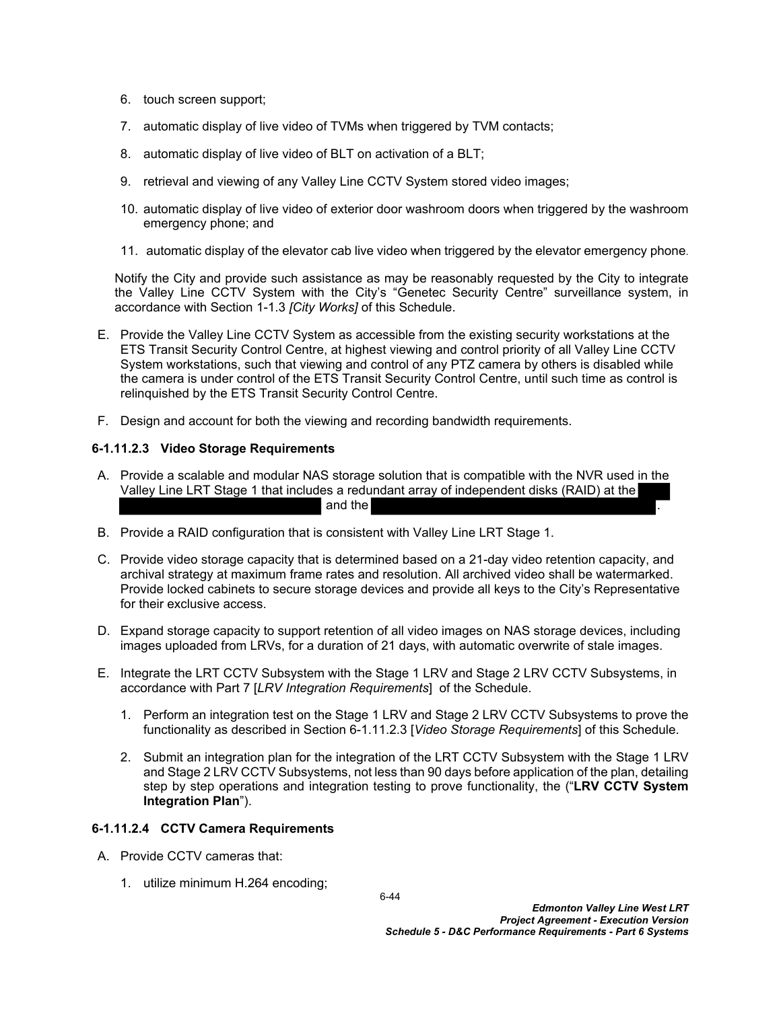- 6. touch screen support;
- 7. automatic display of live video of TVMs when triggered by TVM contacts;
- 8. automatic display of live video of BLT on activation of a BLT;
- 9. retrieval and viewing of any Valley Line CCTV System stored video images;
- 10. automatic display of live video of exterior door washroom doors when triggered by the washroom emergency phone; and
- 11. automatic display of the elevator cab live video when triggered by the elevator emergency phone.

Notify the City and provide such assistance as may be reasonably requested by the City to integrate the Valley Line CCTV System with the City's "Genetec Security Centre" surveillance system, in accordance with Section 1-1.3 *[City Works]* of this Schedule.

- E. Provide the Valley Line CCTV System as accessible from the existing security workstations at the ETS Transit Security Control Centre, at highest viewing and control priority of all Valley Line CCTV System workstations, such that viewing and control of any PTZ camera by others is disabled while the camera is under control of the ETS Transit Security Control Centre, until such time as control is relinquished by the ETS Transit Security Control Centre.
- F. Design and account for both the viewing and recording bandwidth requirements.

# **6-1.11.2.3 Video Storage Requirements**

- A. Provide a scalable and modular NAS storage solution that is compatible with the NVR used in the Valley Line LRT Stage 1 that includes a redundant array of independent disks (RAID) at the and the
- B. Provide a RAID configuration that is consistent with Valley Line LRT Stage 1.
- C. Provide video storage capacity that is determined based on a 21-day video retention capacity, and archival strategy at maximum frame rates and resolution. All archived video shall be watermarked. Provide locked cabinets to secure storage devices and provide all keys to the City's Representative for their exclusive access.
- D. Expand storage capacity to support retention of all video images on NAS storage devices, including images uploaded from LRVs, for a duration of 21 days, with automatic overwrite of stale images.
- E. Integrate the LRT CCTV Subsystem with the Stage 1 LRV and Stage 2 LRV CCTV Subsystems, in accordance with Part 7 [*LRV Integration Requirements*] of the Schedule.
	- 1. Perform an integration test on the Stage 1 LRV and Stage 2 LRV CCTV Subsystems to prove the functionality as described in Section 6-1.11.2.3 [*Video Storage Requirements*] of this Schedule.
	- 2. Submit an integration plan for the integration of the LRT CCTV Subsystem with the Stage 1 LRV and Stage 2 LRV CCTV Subsystems, not less than 90 days before application of the plan, detailing step by step operations and integration testing to prove functionality, the ("**LRV CCTV System Integration Plan**").

# <span id="page-46-0"></span>**6-1.11.2.4 CCTV Camera Requirements**

- A. Provide CCTV cameras that:
	- 1. utilize minimum H.264 encoding;

6-44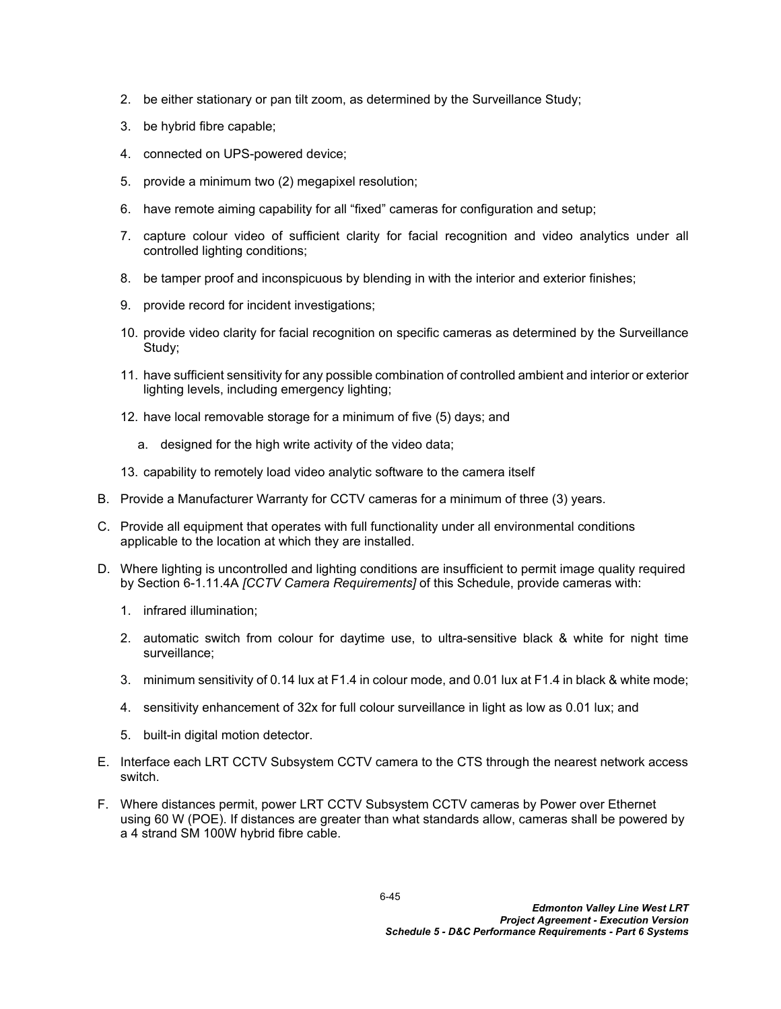- 2. be either stationary or pan tilt zoom, as determined by the Surveillance Study;
- 3. be hybrid fibre capable;
- 4. connected on UPS-powered device;
- 5. provide a minimum two (2) megapixel resolution;
- 6. have remote aiming capability for all "fixed" cameras for configuration and setup;
- 7. capture colour video of sufficient clarity for facial recognition and video analytics under all controlled lighting conditions;
- 8. be tamper proof and inconspicuous by blending in with the interior and exterior finishes;
- 9. provide record for incident investigations;
- 10. provide video clarity for facial recognition on specific cameras as determined by the Surveillance Study;
- 11. have sufficient sensitivity for any possible combination of controlled ambient and interior or exterior lighting levels, including emergency lighting;
- 12. have local removable storage for a minimum of five (5) days; and
	- a. designed for the high write activity of the video data;
- 13. capability to remotely load video analytic software to the camera itself
- B. Provide a Manufacturer Warranty for CCTV cameras for a minimum of three (3) years.
- C. Provide all equipment that operates with full functionality under all environmental conditions applicable to the location at which they are installed.
- D. Where lighting is uncontrolled and lighting conditions are insufficient to permit image quality required by Section 6-1.11.4A *[CCTV Camera Requirements]* of this Schedule, provide cameras with:
	- 1. infrared illumination;
	- 2. automatic switch from colour for daytime use, to ultra-sensitive black & white for night time surveillance;
	- 3. minimum sensitivity of 0.14 lux at F1.4 in colour mode, and 0.01 lux at F1.4 in black & white mode;
	- 4. sensitivity enhancement of 32x for full colour surveillance in light as low as 0.01 lux; and
	- 5. built-in digital motion detector.
- E. Interface each LRT CCTV Subsystem CCTV camera to the CTS through the nearest network access switch.
- F. Where distances permit, power LRT CCTV Subsystem CCTV cameras by Power over Ethernet using 60 W (POE). If distances are greater than what standards allow, cameras shall be powered by a 4 strand SM 100W hybrid fibre cable.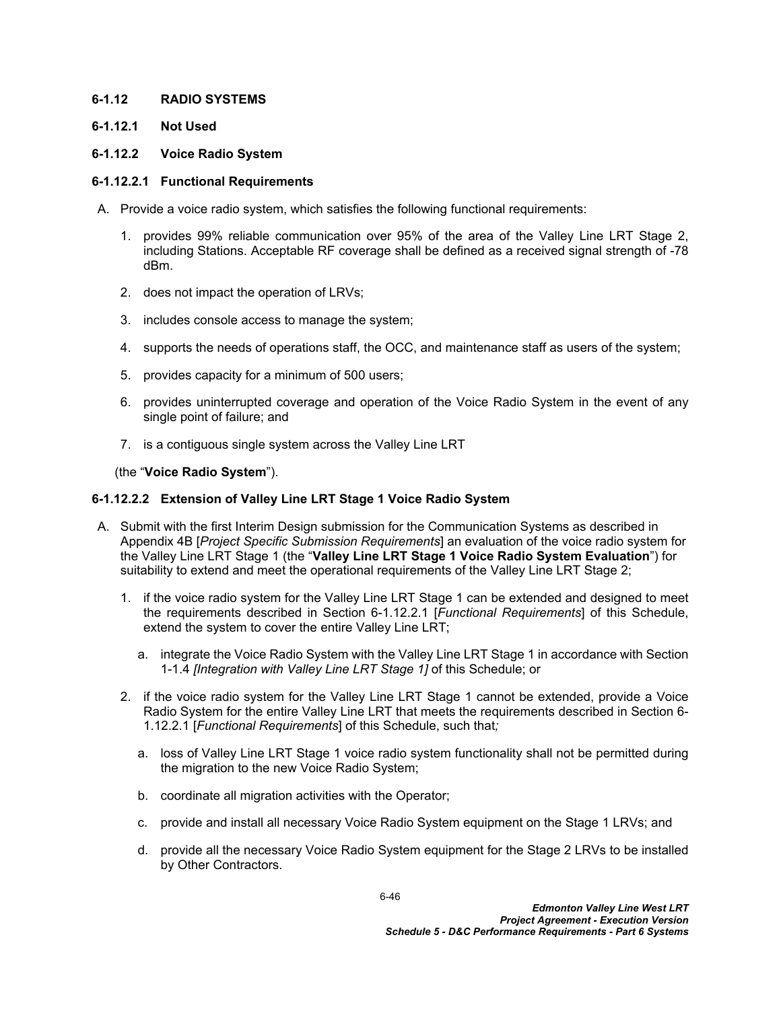### **6-1.12 RADIO SYSTEMS**

### **6-1.12.1 Not Used**

### **6-1.12.2 Voice Radio System**

#### **6-1.12.2.1 Functional Requirements**

- A. Provide a voice radio system, which satisfies the following functional requirements:
	- 1. provides 99% reliable communication over 95% of the area of the Valley Line LRT Stage 2, including Stations. Acceptable RF coverage shall be defined as a received signal strength of -78 dBm.
	- 2. does not impact the operation of LRVs;
	- 3. includes console access to manage the system;
	- 4. supports the needs of operations staff, the OCC, and maintenance staff as users of the system;
	- 5. provides capacity for a minimum of 500 users;
	- 6. provides uninterrupted coverage and operation of the Voice Radio System in the event of any single point of failure; and
	- 7. is a contiguous single system across the Valley Line LRT

### (the "**Voice Radio System**").

### **6-1.12.2.2 Extension of Valley Line LRT Stage 1 Voice Radio System**

- A. Submit with the first Interim Design submission for the Communication Systems as described in Appendix 4B [*Project Specific Submission Requirements*] an evaluation of the voice radio system for the Valley Line LRT Stage 1 (the "**Valley Line LRT Stage 1 Voice Radio System Evaluation**") for suitability to extend and meet the operational requirements of the Valley Line LRT Stage 2;
	- 1. if the voice radio system for the Valley Line LRT Stage 1 can be extended and designed to meet the requirements described in Section 6-1.12.2.1 [*Functional Requirements*] of this Schedule, extend the system to cover the entire Valley Line LRT;
		- a. integrate the Voice Radio System with the Valley Line LRT Stage 1 in accordance with Section 1-1.4 *[Integration with Valley Line LRT Stage 1]* of this Schedule; or
	- 2. if the voice radio system for the Valley Line LRT Stage 1 cannot be extended, provide a Voice Radio System for the entire Valley Line LRT that meets the requirements described in Section 6- 1.12.2.1 [*Functional Requirements*] of this Schedule, such that*;*
		- a. loss of Valley Line LRT Stage 1 voice radio system functionality shall not be permitted during the migration to the new Voice Radio System;
		- b. coordinate all migration activities with the Operator;
		- c. provide and install all necessary Voice Radio System equipment on the Stage 1 LRVs; and
		- d. provide all the necessary Voice Radio System equipment for the Stage 2 LRVs to be installed by Other Contractors.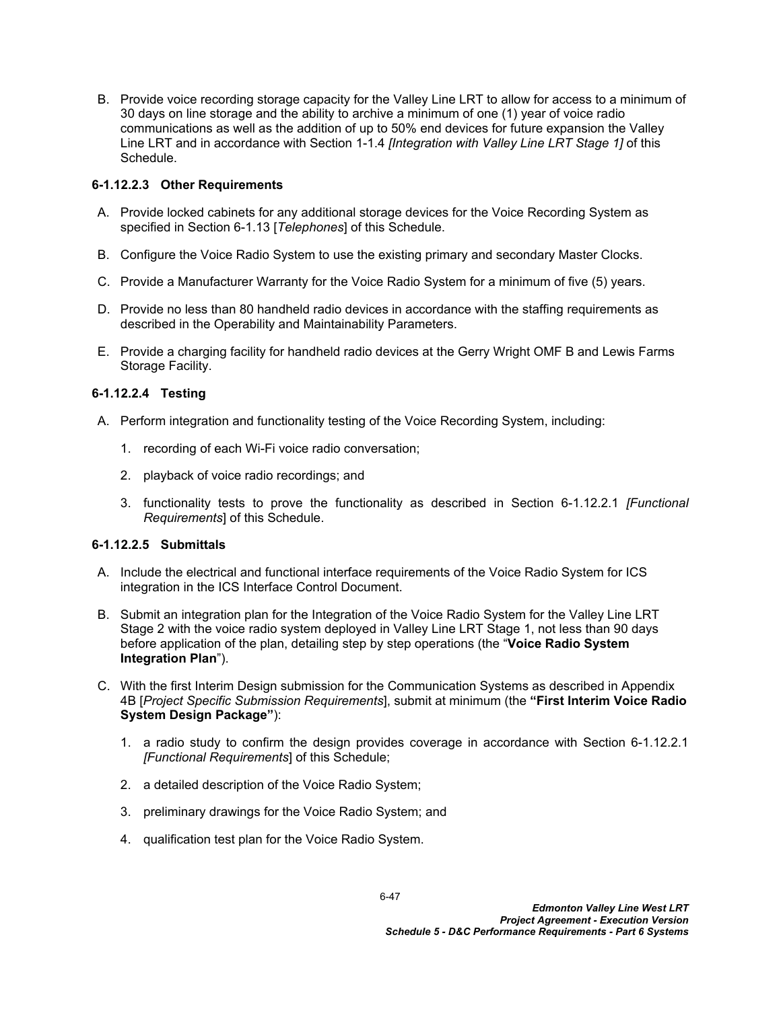B. Provide voice recording storage capacity for the Valley Line LRT to allow for access to a minimum of 30 days on line storage and the ability to archive a minimum of one (1) year of voice radio communications as well as the addition of up to 50% end devices for future expansion the Valley Line LRT and in accordance with Section 1-1.4 *[Integration with Valley Line LRT Stage 1]* of this Schedule.

# **6-1.12.2.3 Other Requirements**

- A. Provide locked cabinets for any additional storage devices for the Voice Recording System as specified in Section [6-1.13](#page-52-0) [*Telephones*] of this Schedule.
- B. Configure the Voice Radio System to use the existing primary and secondary Master Clocks.
- C. Provide a Manufacturer Warranty for the Voice Radio System for a minimum of five (5) years.
- D. Provide no less than 80 handheld radio devices in accordance with the staffing requirements as described in the Operability and Maintainability Parameters.
- E. Provide a charging facility for handheld radio devices at the Gerry Wright OMF B and Lewis Farms Storage Facility.

# **6-1.12.2.4 Testing**

- A. Perform integration and functionality testing of the Voice Recording System, including:
	- 1. recording of each Wi-Fi voice radio conversation;
	- 2. playback of voice radio recordings; and
	- 3. functionality tests to prove the functionality as described in Section 6-1.12.2.1 *[Functional Requirements*] of this Schedule.

# **6-1.12.2.5 Submittals**

- A. Include the electrical and functional interface requirements of the Voice Radio System for ICS integration in the ICS Interface Control Document.
- B. Submit an integration plan for the Integration of the Voice Radio System for the Valley Line LRT Stage 2 with the voice radio system deployed in Valley Line LRT Stage 1, not less than 90 days before application of the plan, detailing step by step operations (the "**Voice Radio System Integration Plan**").
- C. With the first Interim Design submission for the Communication Systems as described in Appendix 4B [*Project Specific Submission Requirements*], submit at minimum (the **"First Interim Voice Radio System Design Package"**):
	- 1. a radio study to confirm the design provides coverage in accordance with Section 6-1.12.2.1 *[Functional Requirements*] of this Schedule;
	- 2. a detailed description of the Voice Radio System;
	- 3. preliminary drawings for the Voice Radio System; and
	- 4. qualification test plan for the Voice Radio System.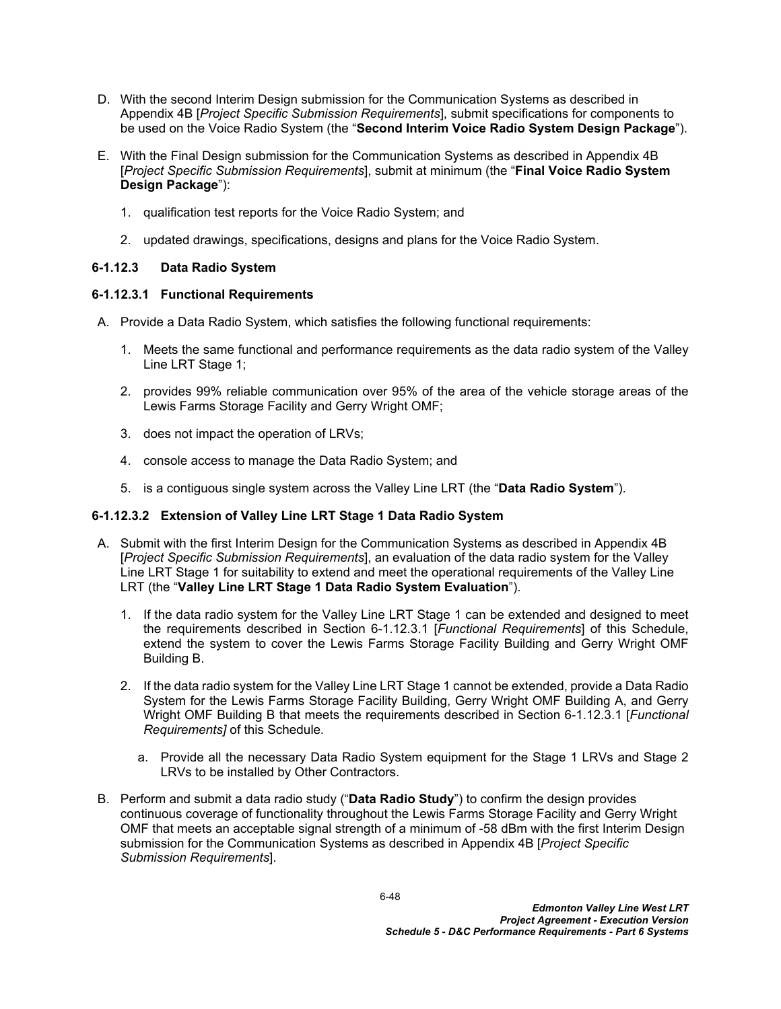- D. With the second Interim Design submission for the Communication Systems as described in Appendix 4B [*Project Specific Submission Requirements*], submit specifications for components to be used on the Voice Radio System (the "**Second Interim Voice Radio System Design Package**").
- E. With the Final Design submission for the Communication Systems as described in Appendix 4B [*Project Specific Submission Requirements*], submit at minimum (the "**Final Voice Radio System Design Package**"):
	- 1. qualification test reports for the Voice Radio System; and
	- 2. updated drawings, specifications, designs and plans for the Voice Radio System.

# <span id="page-50-0"></span>**6-1.12.3 Data Radio System**

# **6-1.12.3.1 Functional Requirements**

- A. Provide a Data Radio System, which satisfies the following functional requirements:
	- 1. Meets the same functional and performance requirements as the data radio system of the Valley Line LRT Stage 1;
	- 2. provides 99% reliable communication over 95% of the area of the vehicle storage areas of the Lewis Farms Storage Facility and Gerry Wright OMF;
	- 3. does not impact the operation of LRVs;
	- 4. console access to manage the Data Radio System; and
	- 5. is a contiguous single system across the Valley Line LRT (the "**Data Radio System**").

# **6-1.12.3.2 Extension of Valley Line LRT Stage 1 Data Radio System**

- A. Submit with the first Interim Design for the Communication Systems as described in Appendix 4B [*Project Specific Submission Requirements*], an evaluation of the data radio system for the Valley Line LRT Stage 1 for suitability to extend and meet the operational requirements of the Valley Line LRT (the "**Valley Line LRT Stage 1 Data Radio System Evaluation**").
	- 1. If the data radio system for the Valley Line LRT Stage 1 can be extended and designed to meet the requirements described in Section [6-1.12.3.](#page-50-0)1 [*Functional Requirements*] of this Schedule, extend the system to cover the Lewis Farms Storage Facility Building and Gerry Wright OMF Building B.
	- 2. If the data radio system for the Valley Line LRT Stage 1 cannot be extended, provide a Data Radio System for the Lewis Farms Storage Facility Building, Gerry Wright OMF Building A, and Gerry Wright OMF Building B that meets the requirements described in Section [6-1.12.3](#page-50-0).1 [*Functional Requirements]* of this Schedule*.* 
		- a. Provide all the necessary Data Radio System equipment for the Stage 1 LRVs and Stage 2 LRVs to be installed by Other Contractors.
- B. Perform and submit a data radio study ("**Data Radio Study**") to confirm the design provides continuous coverage of functionality throughout the Lewis Farms Storage Facility and Gerry Wright OMF that meets an acceptable signal strength of a minimum of -58 dBm with the first Interim Design submission for the Communication Systems as described in Appendix 4B [*Project Specific Submission Requirements*].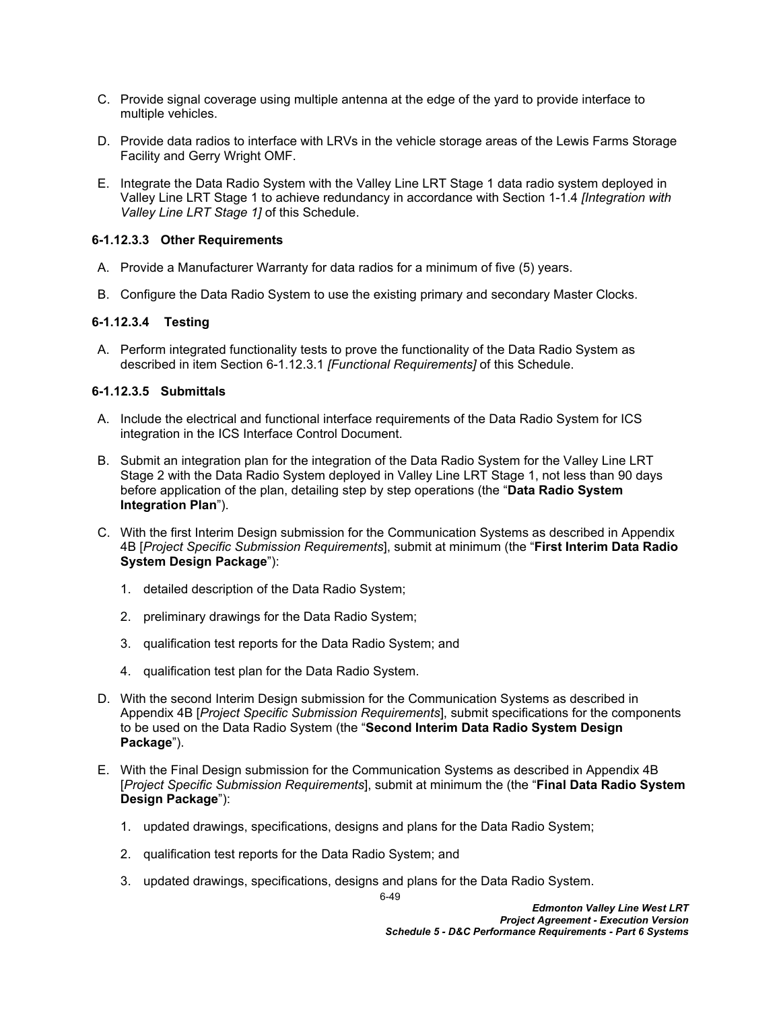- C. Provide signal coverage using multiple antenna at the edge of the yard to provide interface to multiple vehicles.
- D. Provide data radios to interface with LRVs in the vehicle storage areas of the Lewis Farms Storage Facility and Gerry Wright OMF.
- E. Integrate the Data Radio System with the Valley Line LRT Stage 1 data radio system deployed in Valley Line LRT Stage 1 to achieve redundancy in accordance with Section 1-1.4 *[Integration with Valley Line LRT Stage 1]* of this Schedule.

### **6-1.12.3.3 Other Requirements**

- A. Provide a Manufacturer Warranty for data radios for a minimum of five (5) years.
- B. Configure the Data Radio System to use the existing primary and secondary Master Clocks.

### **6-1.12.3.4 Testing**

A. Perform integrated functionality tests to prove the functionality of the Data Radio System as described in item Section 6-1.12.3.1 *[Functional Requirements]* of this Schedule.

#### **6-1.12.3.5 Submittals**

- A. Include the electrical and functional interface requirements of the Data Radio System for ICS integration in the ICS Interface Control Document.
- B. Submit an integration plan for the integration of the Data Radio System for the Valley Line LRT Stage 2 with the Data Radio System deployed in Valley Line LRT Stage 1, not less than 90 days before application of the plan, detailing step by step operations (the "**Data Radio System Integration Plan**").
- C. With the first Interim Design submission for the Communication Systems as described in Appendix 4B [*Project Specific Submission Requirements*], submit at minimum (the "**First Interim Data Radio System Design Package**"):
	- 1. detailed description of the Data Radio System;
	- 2. preliminary drawings for the Data Radio System;
	- 3. qualification test reports for the Data Radio System; and
	- 4. qualification test plan for the Data Radio System.
- D. With the second Interim Design submission for the Communication Systems as described in Appendix 4B [*Project Specific Submission Requirements*], submit specifications for the components to be used on the Data Radio System (the "**Second Interim Data Radio System Design Package**").
- E. With the Final Design submission for the Communication Systems as described in Appendix 4B [*Project Specific Submission Requirements*], submit at minimum the (the "**Final Data Radio System Design Package**"):

6-49

- 1. updated drawings, specifications, designs and plans for the Data Radio System;
- 2. qualification test reports for the Data Radio System; and
- 3. updated drawings, specifications, designs and plans for the Data Radio System.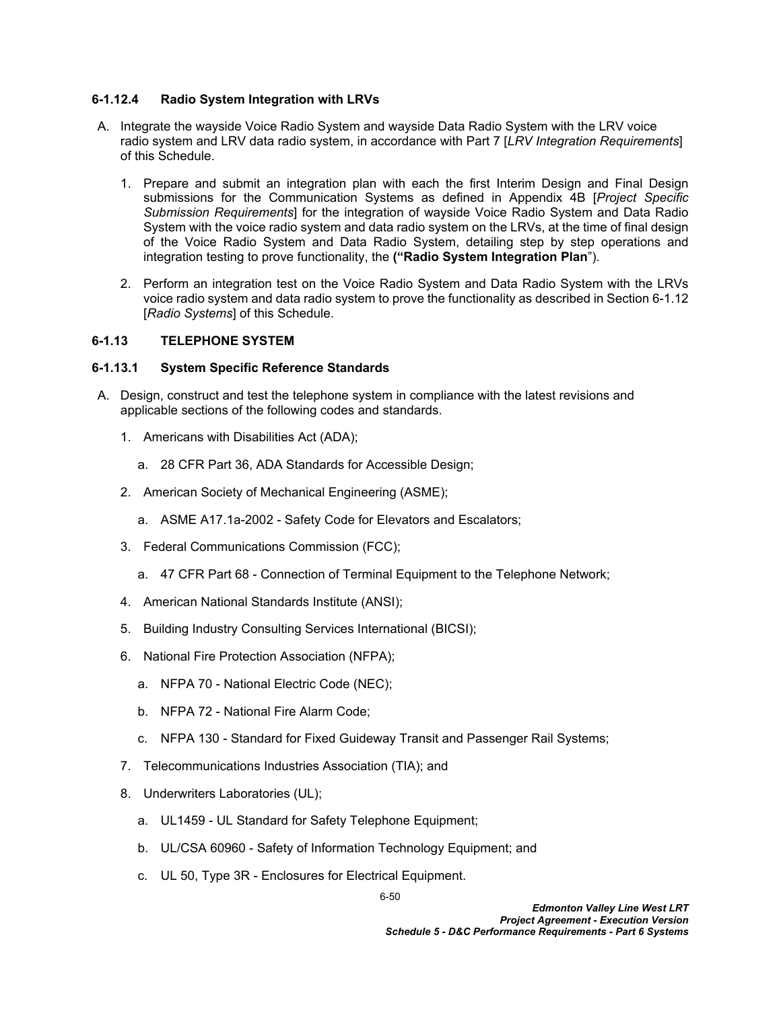### **6-1.12.4 Radio System Integration with LRVs**

- A. Integrate the wayside Voice Radio System and wayside Data Radio System with the LRV voice radio system and LRV data radio system, in accordance with Part 7 [*LRV Integration Requirements*] of this Schedule.
	- 1. Prepare and submit an integration plan with each the first Interim Design and Final Design submissions for the Communication Systems as defined in Appendix 4B [*Project Specific Submission Requirements*] for the integration of wayside Voice Radio System and Data Radio System with the voice radio system and data radio system on the LRVs, at the time of final design of the Voice Radio System and Data Radio System, detailing step by step operations and integration testing to prove functionality, the **("Radio System Integration Plan**").
	- 2. Perform an integration test on the Voice Radio System and Data Radio System with the LRVs voice radio system and data radio system to prove the functionality as described in Section 6-1.12 [*Radio Systems*] of this Schedule.

### <span id="page-52-0"></span>**6-1.13 TELEPHONE SYSTEM**

### **6-1.13.1 System Specific Reference Standards**

- A. Design, construct and test the telephone system in compliance with the latest revisions and applicable sections of the following codes and standards.
	- 1. Americans with Disabilities Act (ADA);
		- a. 28 CFR Part 36, ADA Standards for Accessible Design;
	- 2. American Society of Mechanical Engineering (ASME);
		- a. ASME A17.1a-2002 Safety Code for Elevators and Escalators;
	- 3. Federal Communications Commission (FCC);
		- a. 47 CFR Part 68 Connection of Terminal Equipment to the Telephone Network;
	- 4. American National Standards Institute (ANSI);
	- 5. Building Industry Consulting Services International (BICSI);
	- 6. National Fire Protection Association (NFPA);
		- a. NFPA 70 National Electric Code (NEC);
		- b. NFPA 72 National Fire Alarm Code;
		- c. NFPA 130 Standard for Fixed Guideway Transit and Passenger Rail Systems;
	- 7. Telecommunications Industries Association (TIA); and
	- 8. Underwriters Laboratories (UL);
		- a. UL1459 UL Standard for Safety Telephone Equipment;
		- b. UL/CSA 60960 Safety of Information Technology Equipment; and
		- c. UL 50, Type 3R Enclosures for Electrical Equipment.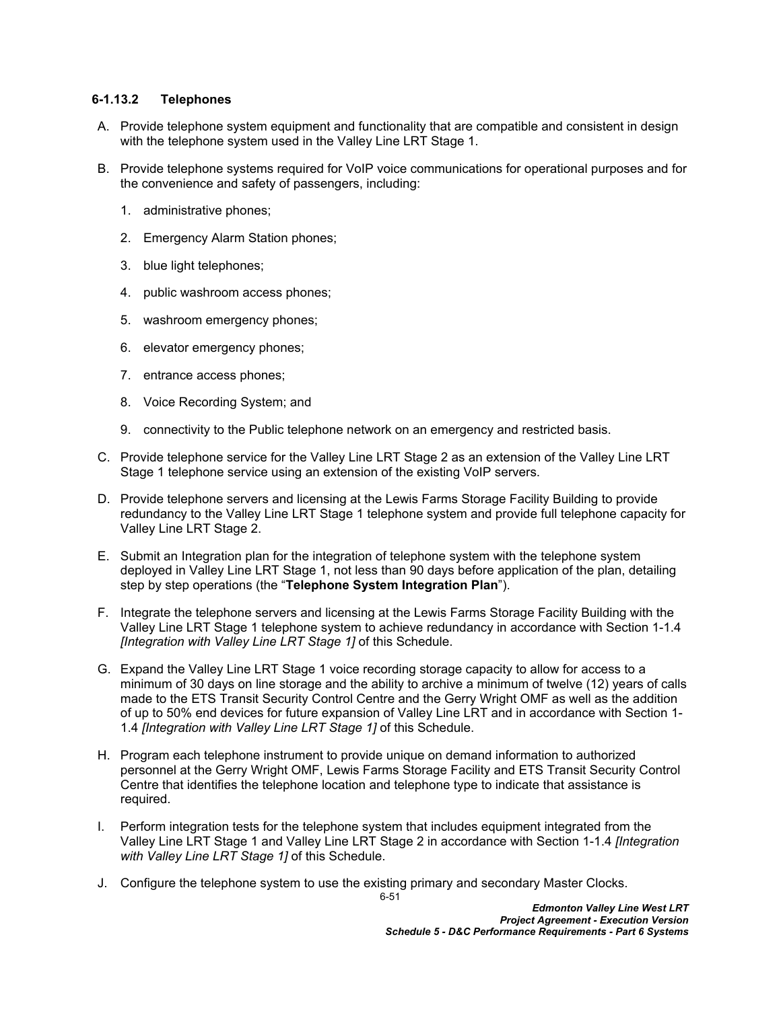### **6-1.13.2 Telephones**

- A. Provide telephone system equipment and functionality that are compatible and consistent in design with the telephone system used in the Valley Line LRT Stage 1.
- B. Provide telephone systems required for VoIP voice communications for operational purposes and for the convenience and safety of passengers, including:
	- 1. administrative phones;
	- 2. Emergency Alarm Station phones;
	- 3. blue light telephones;
	- 4. public washroom access phones;
	- 5. washroom emergency phones;
	- 6. elevator emergency phones;
	- 7. entrance access phones;
	- 8. Voice Recording System; and
	- 9. connectivity to the Public telephone network on an emergency and restricted basis.
- C. Provide telephone service for the Valley Line LRT Stage 2 as an extension of the Valley Line LRT Stage 1 telephone service using an extension of the existing VoIP servers.
- D. Provide telephone servers and licensing at the Lewis Farms Storage Facility Building to provide redundancy to the Valley Line LRT Stage 1 telephone system and provide full telephone capacity for Valley Line LRT Stage 2.
- E. Submit an Integration plan for the integration of telephone system with the telephone system deployed in Valley Line LRT Stage 1, not less than 90 days before application of the plan, detailing step by step operations (the "**Telephone System Integration Plan**").
- F. Integrate the telephone servers and licensing at the Lewis Farms Storage Facility Building with the Valley Line LRT Stage 1 telephone system to achieve redundancy in accordance with Section 1-1.4 *[Integration with Valley Line LRT Stage 1]* of this Schedule.
- G. Expand the Valley Line LRT Stage 1 voice recording storage capacity to allow for access to a minimum of 30 days on line storage and the ability to archive a minimum of twelve (12) years of calls made to the ETS Transit Security Control Centre and the Gerry Wright OMF as well as the addition of up to 50% end devices for future expansion of Valley Line LRT and in accordance with Section 1- 1.4 *[Integration with Valley Line LRT Stage 1]* of this Schedule.
- H. Program each telephone instrument to provide unique on demand information to authorized personnel at the Gerry Wright OMF, Lewis Farms Storage Facility and ETS Transit Security Control Centre that identifies the telephone location and telephone type to indicate that assistance is required.
- I. Perform integration tests for the telephone system that includes equipment integrated from the Valley Line LRT Stage 1 and Valley Line LRT Stage 2 in accordance with Section 1-1.4 *[Integration with Valley Line LRT Stage 1]* of this Schedule.
- J. Configure the telephone system to use the existing primary and secondary Master Clocks.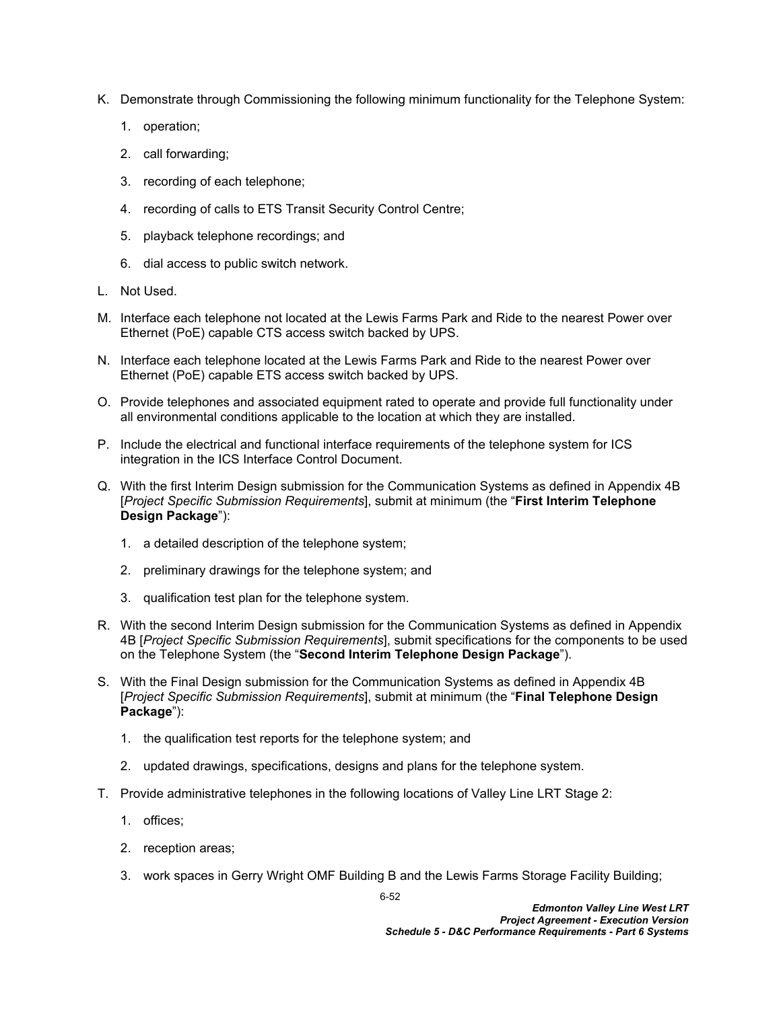- K. Demonstrate through Commissioning the following minimum functionality for the Telephone System:
	- 1. operation;
	- 2. call forwarding;
	- 3. recording of each telephone;
	- 4. recording of calls to ETS Transit Security Control Centre;
	- 5. playback telephone recordings; and
	- 6. dial access to public switch network.
- L. Not Used.
- M. Interface each telephone not located at the Lewis Farms Park and Ride to the nearest Power over Ethernet (PoE) capable CTS access switch backed by UPS.
- N. Interface each telephone located at the Lewis Farms Park and Ride to the nearest Power over Ethernet (PoE) capable ETS access switch backed by UPS.
- O. Provide telephones and associated equipment rated to operate and provide full functionality under all environmental conditions applicable to the location at which they are installed.
- P. Include the electrical and functional interface requirements of the telephone system for ICS integration in the ICS Interface Control Document.
- Q. With the first Interim Design submission for the Communication Systems as defined in Appendix 4B [*Project Specific Submission Requirements*], submit at minimum (the "**First Interim Telephone Design Package**"):
	- 1. a detailed description of the telephone system;
	- 2. preliminary drawings for the telephone system; and
	- 3. qualification test plan for the telephone system.
- R. With the second Interim Design submission for the Communication Systems as defined in Appendix 4B [*Project Specific Submission Requirements*], submit specifications for the components to be used on the Telephone System (the "**Second Interim Telephone Design Package**").
- S. With the Final Design submission for the Communication Systems as defined in Appendix 4B [*Project Specific Submission Requirements*], submit at minimum (the "**Final Telephone Design Package**"):
	- 1. the qualification test reports for the telephone system; and
	- 2. updated drawings, specifications, designs and plans for the telephone system.
- T. Provide administrative telephones in the following locations of Valley Line LRT Stage 2:
	- 1. offices;
	- 2. reception areas;
	- 3. work spaces in Gerry Wright OMF Building B and the Lewis Farms Storage Facility Building;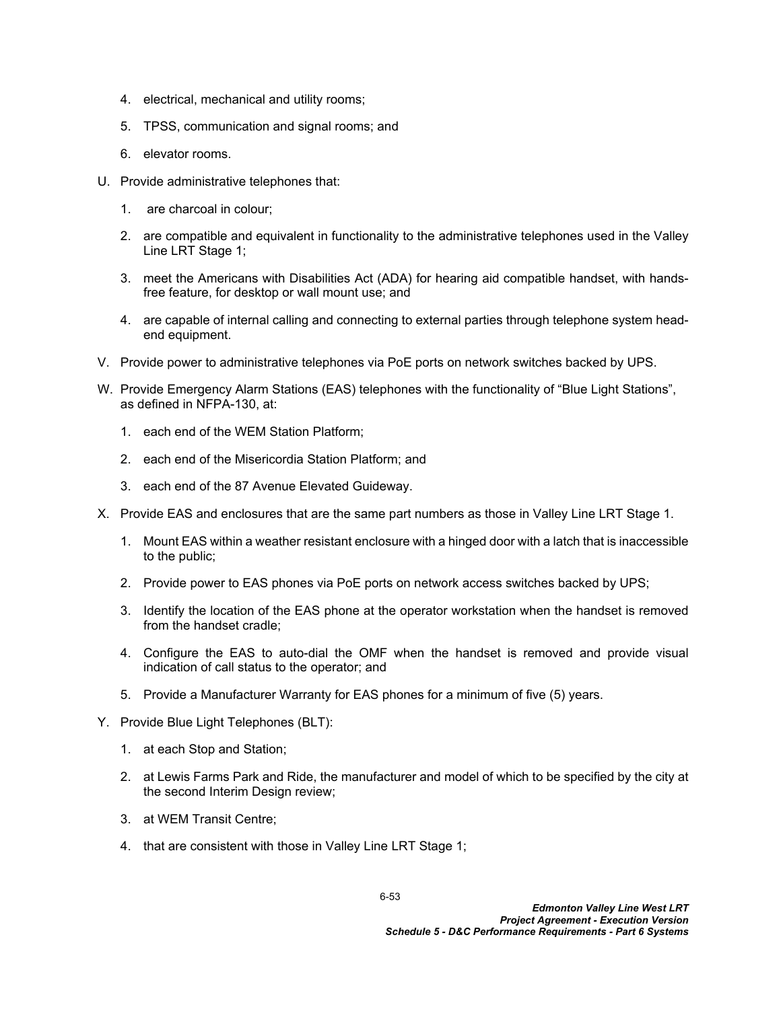- 4. electrical, mechanical and utility rooms;
- 5. TPSS, communication and signal rooms; and
- 6. elevator rooms.
- U. Provide administrative telephones that:
	- 1. are charcoal in colour;
	- 2. are compatible and equivalent in functionality to the administrative telephones used in the Valley Line LRT Stage 1;
	- 3. meet the Americans with Disabilities Act (ADA) for hearing aid compatible handset, with handsfree feature, for desktop or wall mount use; and
	- 4. are capable of internal calling and connecting to external parties through telephone system headend equipment.
- V. Provide power to administrative telephones via PoE ports on network switches backed by UPS.
- W. Provide Emergency Alarm Stations (EAS) telephones with the functionality of "Blue Light Stations", as defined in NFPA-130, at:
	- 1. each end of the WEM Station Platform;
	- 2. each end of the Misericordia Station Platform; and
	- 3. each end of the 87 Avenue Elevated Guideway.
- X. Provide EAS and enclosures that are the same part numbers as those in Valley Line LRT Stage 1.
	- 1. Mount EAS within a weather resistant enclosure with a hinged door with a latch that is inaccessible to the public;
	- 2. Provide power to EAS phones via PoE ports on network access switches backed by UPS;
	- 3. Identify the location of the EAS phone at the operator workstation when the handset is removed from the handset cradle;
	- 4. Configure the EAS to auto-dial the OMF when the handset is removed and provide visual indication of call status to the operator; and
	- 5. Provide a Manufacturer Warranty for EAS phones for a minimum of five (5) years.
- Y. Provide Blue Light Telephones (BLT):
	- 1. at each Stop and Station;
	- 2. at Lewis Farms Park and Ride, the manufacturer and model of which to be specified by the city at the second Interim Design review;
	- 3. at WEM Transit Centre;
	- 4. that are consistent with those in Valley Line LRT Stage 1;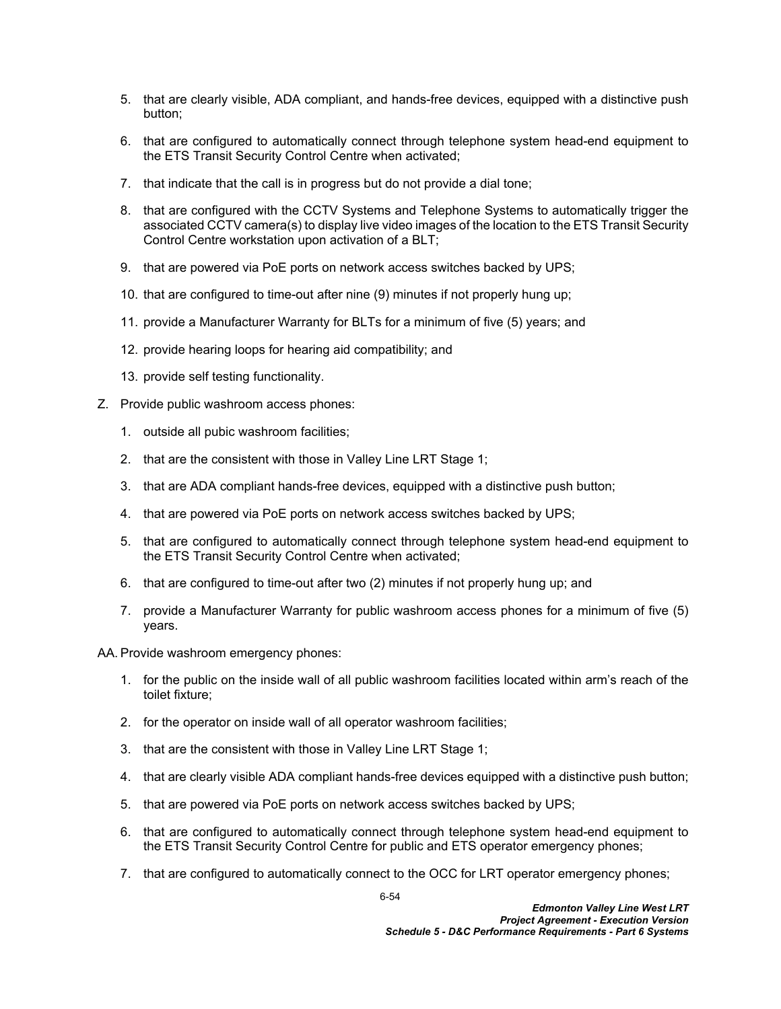- 5. that are clearly visible, ADA compliant, and hands-free devices, equipped with a distinctive push button;
- 6. that are configured to automatically connect through telephone system head-end equipment to the ETS Transit Security Control Centre when activated;
- 7. that indicate that the call is in progress but do not provide a dial tone;
- 8. that are configured with the CCTV Systems and Telephone Systems to automatically trigger the associated CCTV camera(s) to display live video images of the location to the ETS Transit Security Control Centre workstation upon activation of a BLT;
- 9. that are powered via PoE ports on network access switches backed by UPS;
- 10. that are configured to time-out after nine (9) minutes if not properly hung up;
- 11. provide a Manufacturer Warranty for BLTs for a minimum of five (5) years; and
- 12. provide hearing loops for hearing aid compatibility; and
- 13. provide self testing functionality.
- Z. Provide public washroom access phones:
	- 1. outside all pubic washroom facilities;
	- 2. that are the consistent with those in Valley Line LRT Stage 1;
	- 3. that are ADA compliant hands-free devices, equipped with a distinctive push button;
	- 4. that are powered via PoE ports on network access switches backed by UPS;
	- 5. that are configured to automatically connect through telephone system head-end equipment to the ETS Transit Security Control Centre when activated;
	- 6. that are configured to time-out after two (2) minutes if not properly hung up; and
	- 7. provide a Manufacturer Warranty for public washroom access phones for a minimum of five (5) years.

AA. Provide washroom emergency phones:

- 1. for the public on the inside wall of all public washroom facilities located within arm's reach of the toilet fixture;
- 2. for the operator on inside wall of all operator washroom facilities;
- 3. that are the consistent with those in Valley Line LRT Stage 1;
- 4. that are clearly visible ADA compliant hands-free devices equipped with a distinctive push button;
- 5. that are powered via PoE ports on network access switches backed by UPS;
- 6. that are configured to automatically connect through telephone system head-end equipment to the ETS Transit Security Control Centre for public and ETS operator emergency phones;
- 7. that are configured to automatically connect to the OCC for LRT operator emergency phones;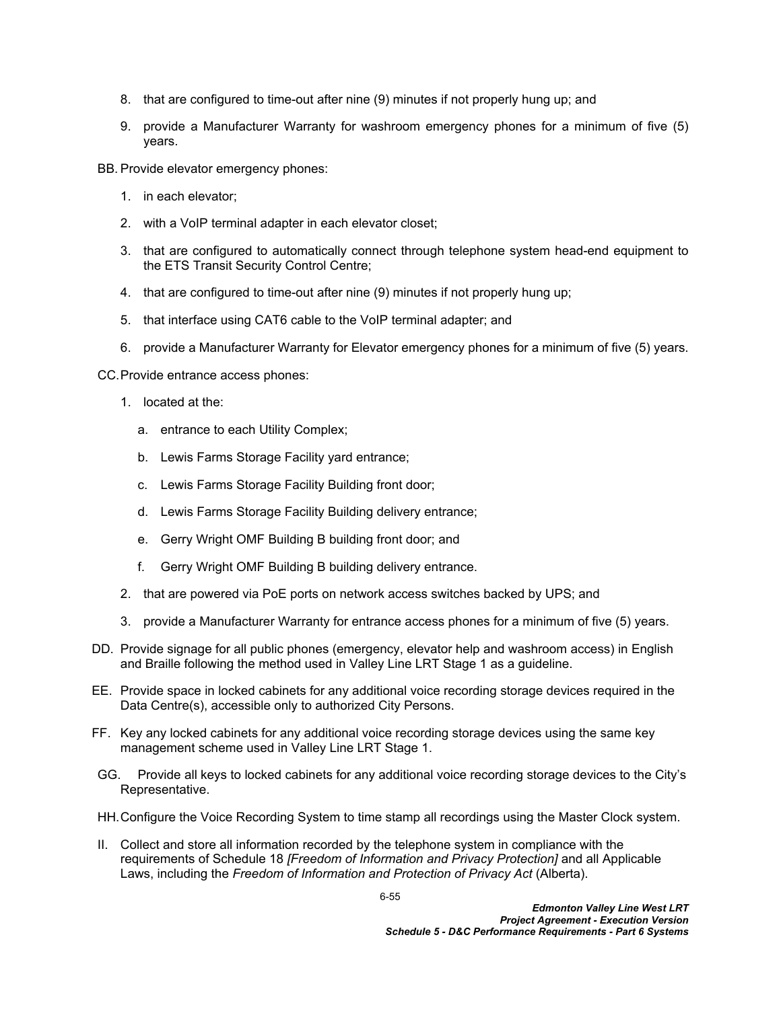- 8. that are configured to time-out after nine (9) minutes if not properly hung up; and
- 9. provide a Manufacturer Warranty for washroom emergency phones for a minimum of five (5) years.

BB. Provide elevator emergency phones:

- 1. in each elevator;
- 2. with a VoIP terminal adapter in each elevator closet;
- 3. that are configured to automatically connect through telephone system head-end equipment to the ETS Transit Security Control Centre;
- 4. that are configured to time-out after nine (9) minutes if not properly hung up;
- 5. that interface using CAT6 cable to the VoIP terminal adapter; and
- 6. provide a Manufacturer Warranty for Elevator emergency phones for a minimum of five (5) years.

CC.Provide entrance access phones:

- 1. located at the:
	- a. entrance to each Utility Complex;
	- b. Lewis Farms Storage Facility yard entrance;
	- c. Lewis Farms Storage Facility Building front door;
	- d. Lewis Farms Storage Facility Building delivery entrance;
	- e. Gerry Wright OMF Building B building front door; and
	- f. Gerry Wright OMF Building B building delivery entrance.
- 2. that are powered via PoE ports on network access switches backed by UPS; and
- 3. provide a Manufacturer Warranty for entrance access phones for a minimum of five (5) years.
- DD. Provide signage for all public phones (emergency, elevator help and washroom access) in English and Braille following the method used in Valley Line LRT Stage 1 as a guideline.
- EE. Provide space in locked cabinets for any additional voice recording storage devices required in the Data Centre(s), accessible only to authorized City Persons.
- FF. Key any locked cabinets for any additional voice recording storage devices using the same key management scheme used in Valley Line LRT Stage 1.
- GG. Provide all keys to locked cabinets for any additional voice recording storage devices to the City's Representative.
- HH.Configure the Voice Recording System to time stamp all recordings using the Master Clock system.
- II. Collect and store all information recorded by the telephone system in compliance with the requirements of Schedule 18 *[Freedom of Information and Privacy Protection]* and all Applicable Laws, including the *Freedom of Information and Protection of Privacy Act* (Alberta).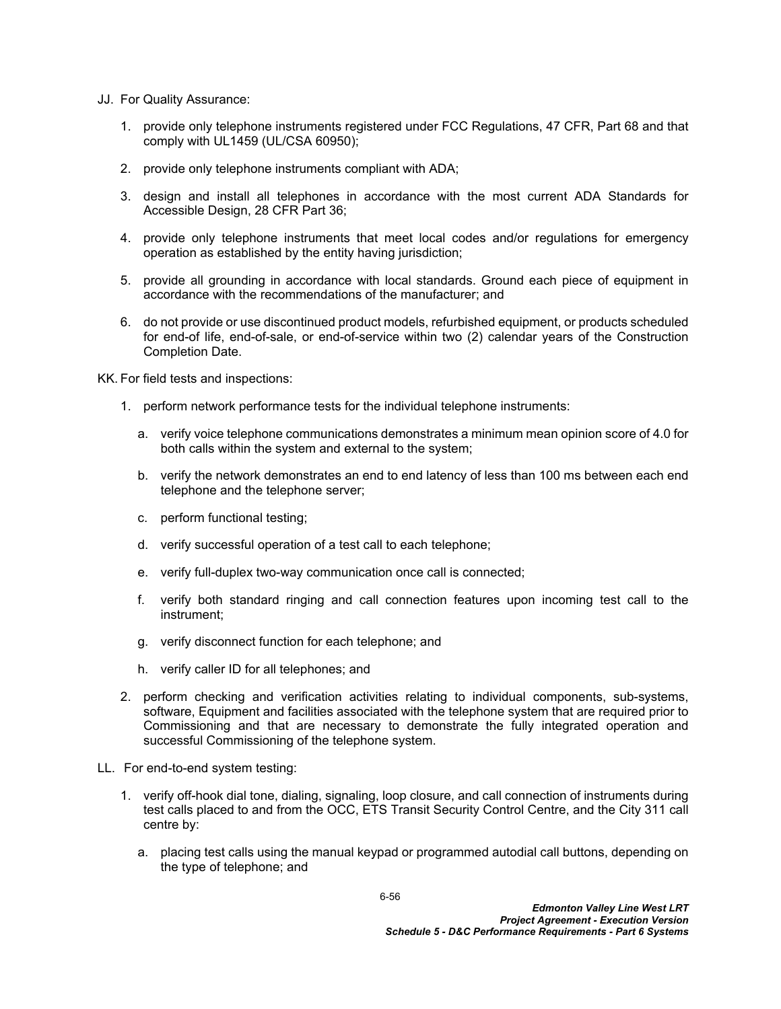- JJ. For Quality Assurance:
	- 1. provide only telephone instruments registered under FCC Regulations, 47 CFR, Part 68 and that comply with UL1459 (UL/CSA 60950);
	- 2. provide only telephone instruments compliant with ADA;
	- 3. design and install all telephones in accordance with the most current ADA Standards for Accessible Design, 28 CFR Part 36;
	- 4. provide only telephone instruments that meet local codes and/or regulations for emergency operation as established by the entity having jurisdiction;
	- 5. provide all grounding in accordance with local standards. Ground each piece of equipment in accordance with the recommendations of the manufacturer; and
	- 6. do not provide or use discontinued product models, refurbished equipment, or products scheduled for end-of life, end-of-sale, or end-of-service within two (2) calendar years of the Construction Completion Date.

KK. For field tests and inspections:

- 1. perform network performance tests for the individual telephone instruments:
	- a. verify voice telephone communications demonstrates a minimum mean opinion score of 4.0 for both calls within the system and external to the system;
	- b. verify the network demonstrates an end to end latency of less than 100 ms between each end telephone and the telephone server;
	- c. perform functional testing;
	- d. verify successful operation of a test call to each telephone;
	- e. verify full-duplex two-way communication once call is connected;
	- f. verify both standard ringing and call connection features upon incoming test call to the instrument;
	- g. verify disconnect function for each telephone; and
	- h. verify caller ID for all telephones; and
- 2. perform checking and verification activities relating to individual components, sub-systems, software, Equipment and facilities associated with the telephone system that are required prior to Commissioning and that are necessary to demonstrate the fully integrated operation and successful Commissioning of the telephone system.
- LL. For end-to-end system testing:
	- 1. verify off-hook dial tone, dialing, signaling, loop closure, and call connection of instruments during test calls placed to and from the OCC, ETS Transit Security Control Centre, and the City 311 call centre by:
		- a. placing test calls using the manual keypad or programmed autodial call buttons, depending on the type of telephone; and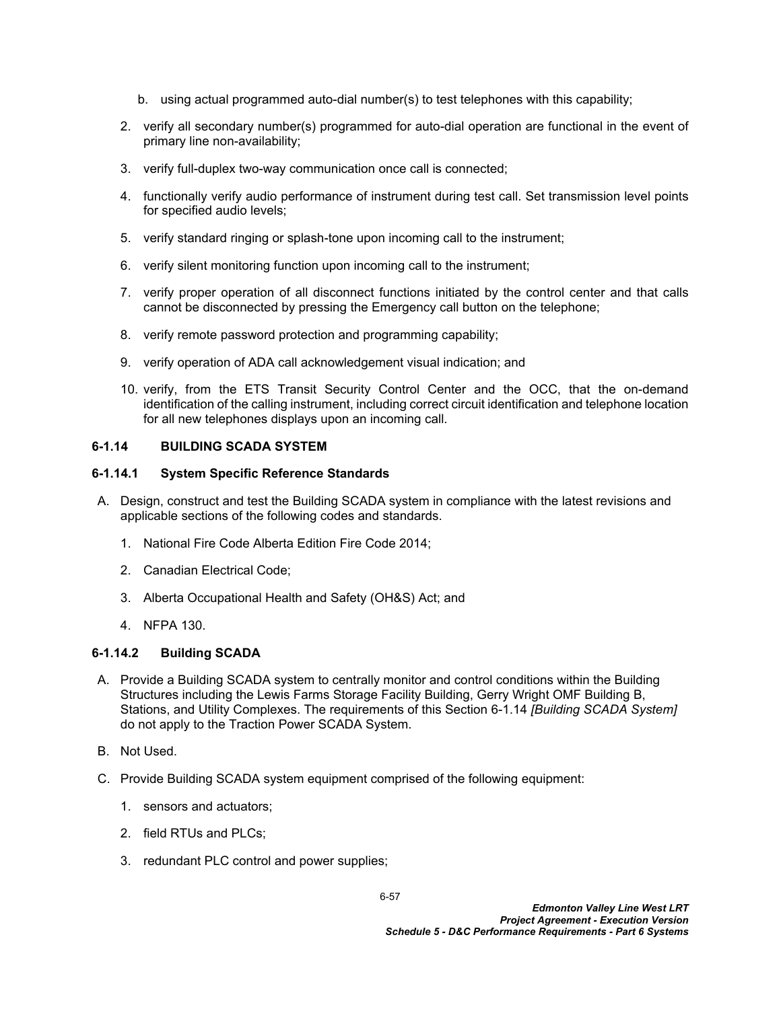- b. using actual programmed auto-dial number(s) to test telephones with this capability;
- 2. verify all secondary number(s) programmed for auto-dial operation are functional in the event of primary line non-availability;
- 3. verify full-duplex two-way communication once call is connected;
- 4. functionally verify audio performance of instrument during test call. Set transmission level points for specified audio levels;
- 5. verify standard ringing or splash-tone upon incoming call to the instrument;
- 6. verify silent monitoring function upon incoming call to the instrument;
- 7. verify proper operation of all disconnect functions initiated by the control center and that calls cannot be disconnected by pressing the Emergency call button on the telephone;
- 8. verify remote password protection and programming capability;
- 9. verify operation of ADA call acknowledgement visual indication; and
- 10. verify, from the ETS Transit Security Control Center and the OCC, that the on-demand identification of the calling instrument, including correct circuit identification and telephone location for all new telephones displays upon an incoming call.

### <span id="page-59-0"></span>**6-1.14 BUILDING SCADA SYSTEM**

### **6-1.14.1 System Specific Reference Standards**

- A. Design, construct and test the Building SCADA system in compliance with the latest revisions and applicable sections of the following codes and standards.
	- 1. National Fire Code Alberta Edition Fire Code 2014;
	- 2. Canadian Electrical Code;
	- 3. Alberta Occupational Health and Safety (OH&S) Act; and
	- 4. NFPA 130.

# **6-1.14.2 Building SCADA**

- A. Provide a Building SCADA system to centrally monitor and control conditions within the Building Structures including the Lewis Farms Storage Facility Building, Gerry Wright OMF Building B, Stations, and Utility Complexes. The requirements of this Section [6-1.14](#page-59-0) *[Building SCADA System]*  do not apply to the Traction Power SCADA System.
- B. Not Used.
- C. Provide Building SCADA system equipment comprised of the following equipment:
	- 1. sensors and actuators;
	- 2. field RTUs and PLCs;
	- 3. redundant PLC control and power supplies;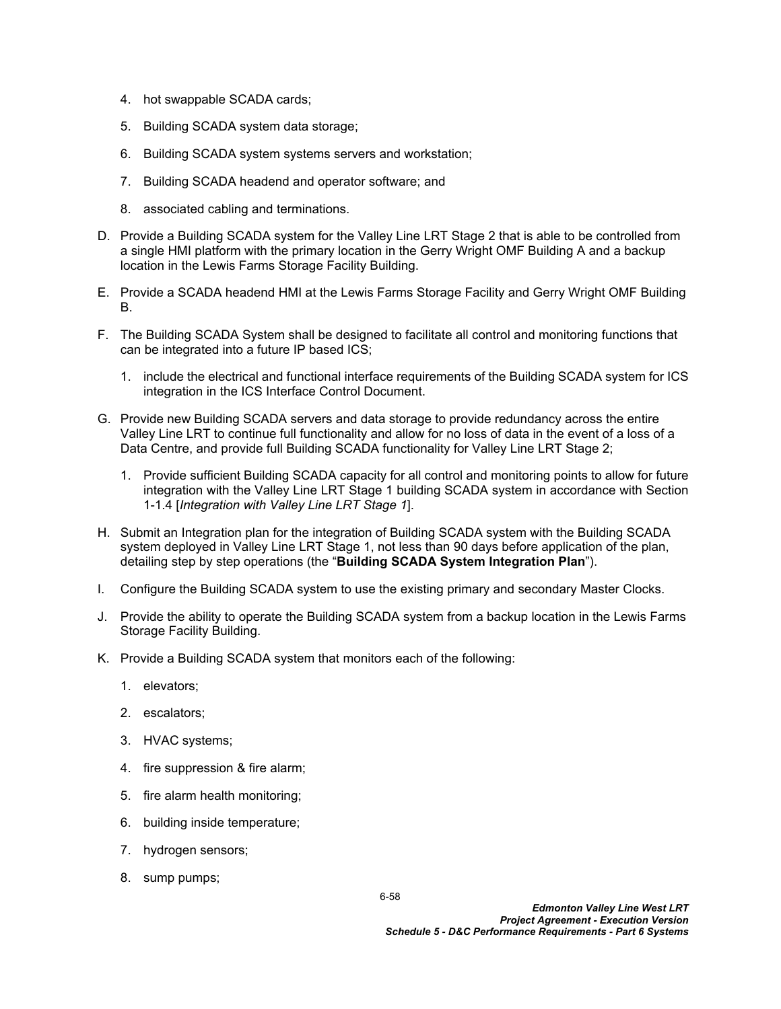- 4. hot swappable SCADA cards;
- 5. Building SCADA system data storage;
- 6. Building SCADA system systems servers and workstation;
- 7. Building SCADA headend and operator software; and
- 8. associated cabling and terminations.
- D. Provide a Building SCADA system for the Valley Line LRT Stage 2 that is able to be controlled from a single HMI platform with the primary location in the Gerry Wright OMF Building A and a backup location in the Lewis Farms Storage Facility Building.
- E. Provide a SCADA headend HMI at the Lewis Farms Storage Facility and Gerry Wright OMF Building B.
- F. The Building SCADA System shall be designed to facilitate all control and monitoring functions that can be integrated into a future IP based ICS;
	- 1. include the electrical and functional interface requirements of the Building SCADA system for ICS integration in the ICS Interface Control Document.
- G. Provide new Building SCADA servers and data storage to provide redundancy across the entire Valley Line LRT to continue full functionality and allow for no loss of data in the event of a loss of a Data Centre, and provide full Building SCADA functionality for Valley Line LRT Stage 2;
	- 1. Provide sufficient Building SCADA capacity for all control and monitoring points to allow for future integration with the Valley Line LRT Stage 1 building SCADA system in accordance with Section 1-1.4 [*Integration with Valley Line LRT Stage 1*].
- H. Submit an Integration plan for the integration of Building SCADA system with the Building SCADA system deployed in Valley Line LRT Stage 1, not less than 90 days before application of the plan, detailing step by step operations (the "**Building SCADA System Integration Plan**").
- I. Configure the Building SCADA system to use the existing primary and secondary Master Clocks.
- J. Provide the ability to operate the Building SCADA system from a backup location in the Lewis Farms Storage Facility Building.
- K. Provide a Building SCADA system that monitors each of the following:
	- 1. elevators;
	- 2. escalators;
	- 3. HVAC systems;
	- 4. fire suppression & fire alarm;
	- 5. fire alarm health monitoring;
	- 6. building inside temperature;
	- 7. hydrogen sensors;
	- 8. sump pumps;

6-58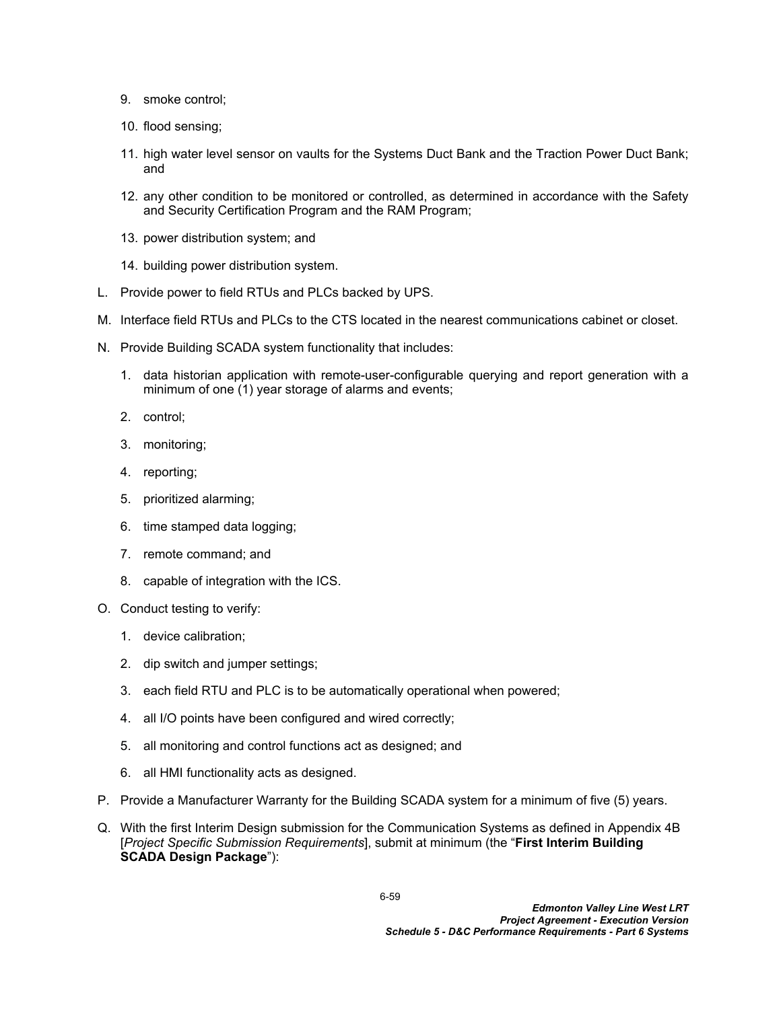- 9. smoke control;
- 10. flood sensing;
- 11. high water level sensor on vaults for the Systems Duct Bank and the Traction Power Duct Bank; and
- 12. any other condition to be monitored or controlled, as determined in accordance with the Safety and Security Certification Program and the RAM Program;
- 13. power distribution system; and
- 14. building power distribution system.
- L. Provide power to field RTUs and PLCs backed by UPS.
- M. Interface field RTUs and PLCs to the CTS located in the nearest communications cabinet or closet.
- N. Provide Building SCADA system functionality that includes:
	- 1. data historian application with remote-user-configurable querying and report generation with a minimum of one (1) year storage of alarms and events;
	- 2. control;
	- 3. monitoring;
	- 4. reporting;
	- 5. prioritized alarming;
	- 6. time stamped data logging;
	- 7. remote command; and
	- 8. capable of integration with the ICS.
- O. Conduct testing to verify:
	- 1. device calibration;
	- 2. dip switch and jumper settings;
	- 3. each field RTU and PLC is to be automatically operational when powered;
	- 4. all I/O points have been configured and wired correctly;
	- 5. all monitoring and control functions act as designed; and
	- 6. all HMI functionality acts as designed.
- P. Provide a Manufacturer Warranty for the Building SCADA system for a minimum of five (5) years.
- Q. With the first Interim Design submission for the Communication Systems as defined in Appendix 4B [*Project Specific Submission Requirements*], submit at minimum (the "**First Interim Building SCADA Design Package**"):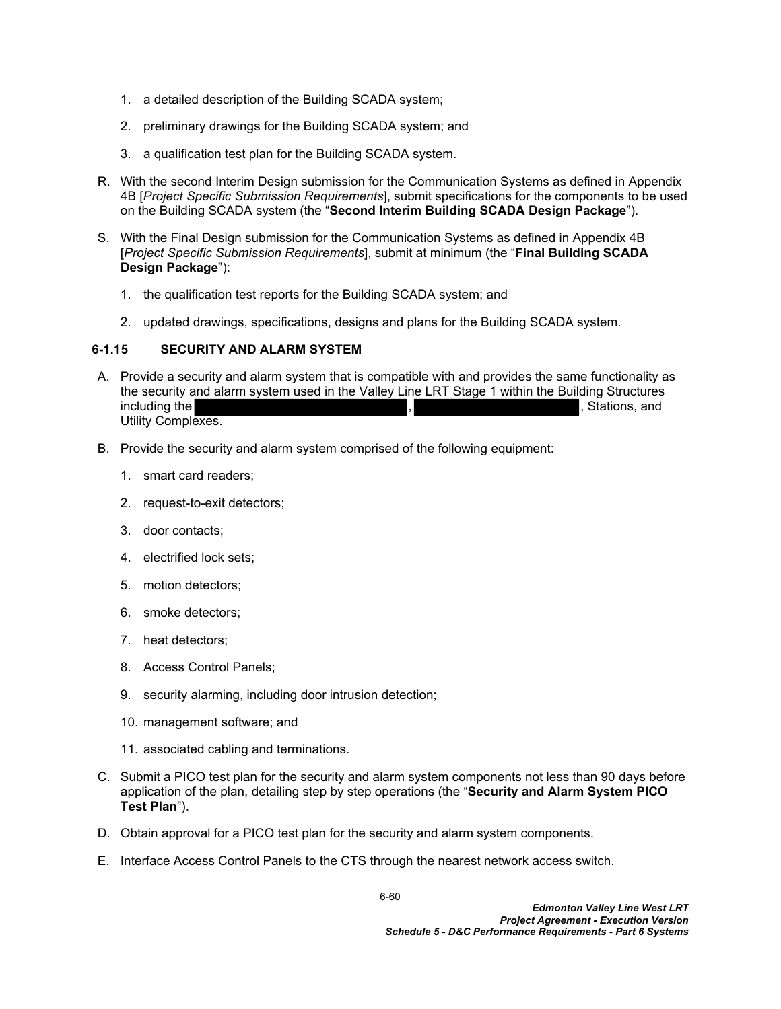- 1. a detailed description of the Building SCADA system;
- 2. preliminary drawings for the Building SCADA system; and
- 3. a qualification test plan for the Building SCADA system.
- R. With the second Interim Design submission for the Communication Systems as defined in Appendix 4B [*Project Specific Submission Requirements*], submit specifications for the components to be used on the Building SCADA system (the "**Second Interim Building SCADA Design Package**").
- S. With the Final Design submission for the Communication Systems as defined in Appendix 4B [*Project Specific Submission Requirements*], submit at minimum (the "**Final Building SCADA Design Package**"):
	- 1. the qualification test reports for the Building SCADA system; and
	- 2. updated drawings, specifications, designs and plans for the Building SCADA system.

### <span id="page-62-0"></span>**6-1.15 SECURITY AND ALARM SYSTEM**

- A. Provide a security and alarm system that is compatible with and provides the same functionality as the security and alarm system used in the Valley Line LRT Stage 1 within the Building Structures including the stations, and , the stations, and , stations, and , stations, and , stations, and , stations, and Utility Complexes.
- B. Provide the security and alarm system comprised of the following equipment:
	- 1. smart card readers;
	- 2. request-to-exit detectors;
	- 3. door contacts;
	- 4. electrified lock sets;
	- 5. motion detectors;
	- 6. smoke detectors;
	- 7. heat detectors;
	- 8. Access Control Panels;
	- 9. security alarming, including door intrusion detection;
	- 10. management software; and
	- 11. associated cabling and terminations.
- C. Submit a PICO test plan for the security and alarm system components not less than 90 days before application of the plan, detailing step by step operations (the "**Security and Alarm System PICO Test Plan**").
- D. Obtain approval for a PICO test plan for the security and alarm system components.
- E. Interface Access Control Panels to the CTS through the nearest network access switch.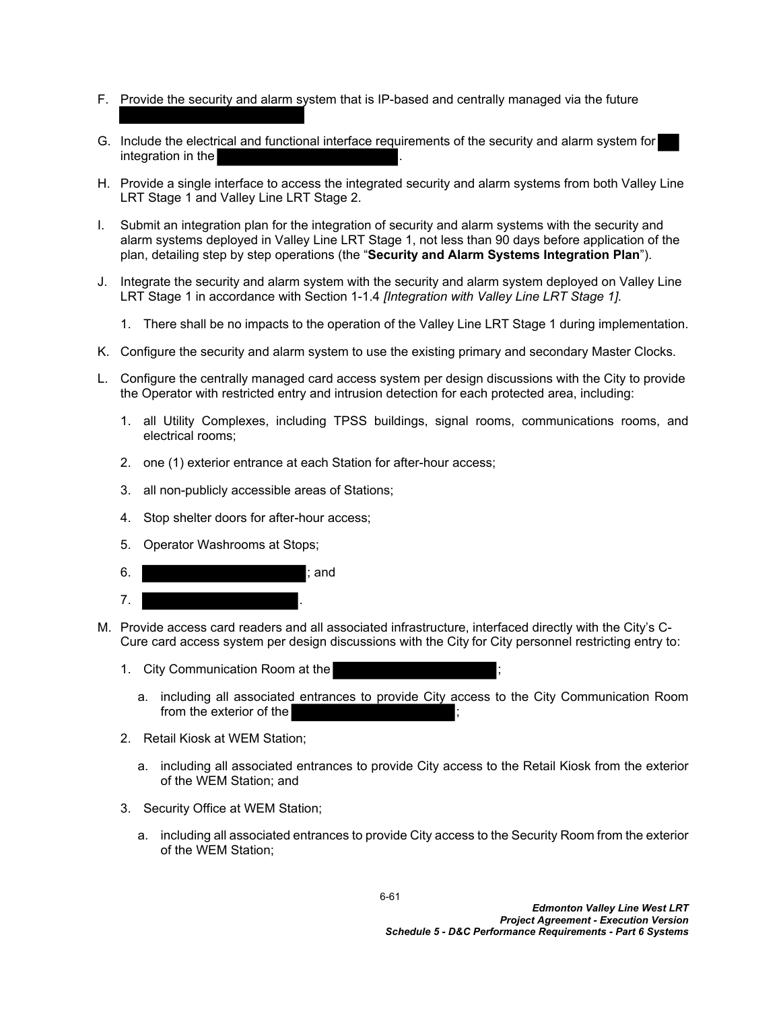- F. Provide the security and alarm system that is IP-based and centrally managed via the future
- G. Include the electrical and functional interface requirements of the security and alarm system for integration in the
- H. Provide a single interface to access the integrated security and alarm systems from both Valley Line LRT Stage 1 and Valley Line LRT Stage 2.
- I. Submit an integration plan for the integration of security and alarm systems with the security and alarm systems deployed in Valley Line LRT Stage 1, not less than 90 days before application of the plan, detailing step by step operations (the "**Security and Alarm Systems Integration Plan**").
- J. Integrate the security and alarm system with the security and alarm system deployed on Valley Line LRT Stage 1 in accordance with Section 1-1.4 *[Integration with Valley Line LRT Stage 1].*
	- 1. There shall be no impacts to the operation of the Valley Line LRT Stage 1 during implementation.
- K. Configure the security and alarm system to use the existing primary and secondary Master Clocks.
- L. Configure the centrally managed card access system per design discussions with the City to provide the Operator with restricted entry and intrusion detection for each protected area, including:
	- 1. all Utility Complexes, including TPSS buildings, signal rooms, communications rooms, and electrical rooms;
	- 2. one (1) exterior entrance at each Station for after-hour access;
	- 3. all non-publicly accessible areas of Stations;
	- 4. Stop shelter doors for after-hour access;
	- 5. Operator Washrooms at Stops;
	- 6. ; and
	- 7. .
- M. Provide access card readers and all associated infrastructure, interfaced directly with the City's C-Cure card access system per design discussions with the City for City personnel restricting entry to:
	- 1. City Communication Room at the
		- a. including all associated entrances to provide City access to the City Communication Room from the exterior of the
	- 2. Retail Kiosk at WEM Station;
		- a. including all associated entrances to provide City access to the Retail Kiosk from the exterior of the WEM Station; and
	- 3. Security Office at WEM Station;
		- a. including all associated entrances to provide City access to the Security Room from the exterior of the WEM Station;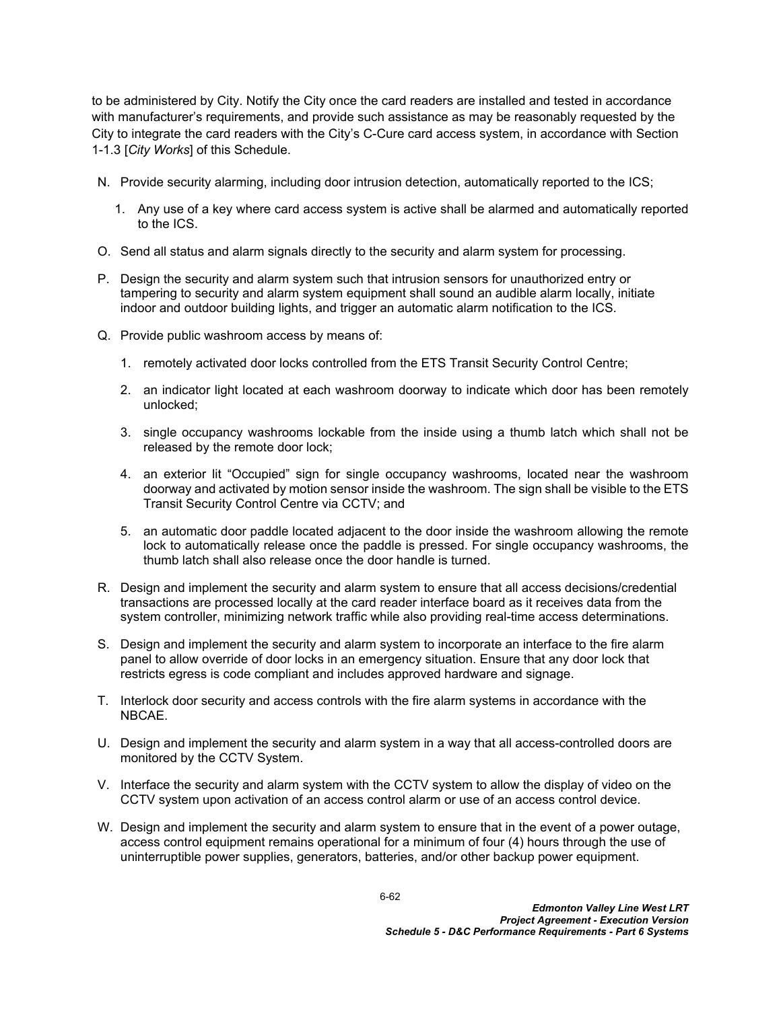to be administered by City. Notify the City once the card readers are installed and tested in accordance with manufacturer's requirements, and provide such assistance as may be reasonably requested by the City to integrate the card readers with the City's C-Cure card access system, in accordance with Section 1-1.3 [*City Works*] of this Schedule.

- N. Provide security alarming, including door intrusion detection, automatically reported to the ICS;
	- 1. Any use of a key where card access system is active shall be alarmed and automatically reported to the ICS.
- O. Send all status and alarm signals directly to the security and alarm system for processing.
- P. Design the security and alarm system such that intrusion sensors for unauthorized entry or tampering to security and alarm system equipment shall sound an audible alarm locally, initiate indoor and outdoor building lights, and trigger an automatic alarm notification to the ICS.
- Q. Provide public washroom access by means of:
	- 1. remotely activated door locks controlled from the ETS Transit Security Control Centre;
	- 2. an indicator light located at each washroom doorway to indicate which door has been remotely unlocked;
	- 3. single occupancy washrooms lockable from the inside using a thumb latch which shall not be released by the remote door lock;
	- 4. an exterior lit "Occupied" sign for single occupancy washrooms, located near the washroom doorway and activated by motion sensor inside the washroom. The sign shall be visible to the ETS Transit Security Control Centre via CCTV; and
	- 5. an automatic door paddle located adjacent to the door inside the washroom allowing the remote lock to automatically release once the paddle is pressed. For single occupancy washrooms, the thumb latch shall also release once the door handle is turned.
- R. Design and implement the security and alarm system to ensure that all access decisions/credential transactions are processed locally at the card reader interface board as it receives data from the system controller, minimizing network traffic while also providing real-time access determinations.
- S. Design and implement the security and alarm system to incorporate an interface to the fire alarm panel to allow override of door locks in an emergency situation. Ensure that any door lock that restricts egress is code compliant and includes approved hardware and signage.
- T. Interlock door security and access controls with the fire alarm systems in accordance with the NBCAE.
- U. Design and implement the security and alarm system in a way that all access-controlled doors are monitored by the CCTV System.
- V. Interface the security and alarm system with the CCTV system to allow the display of video on the CCTV system upon activation of an access control alarm or use of an access control device.
- W. Design and implement the security and alarm system to ensure that in the event of a power outage, access control equipment remains operational for a minimum of four (4) hours through the use of uninterruptible power supplies, generators, batteries, and/or other backup power equipment.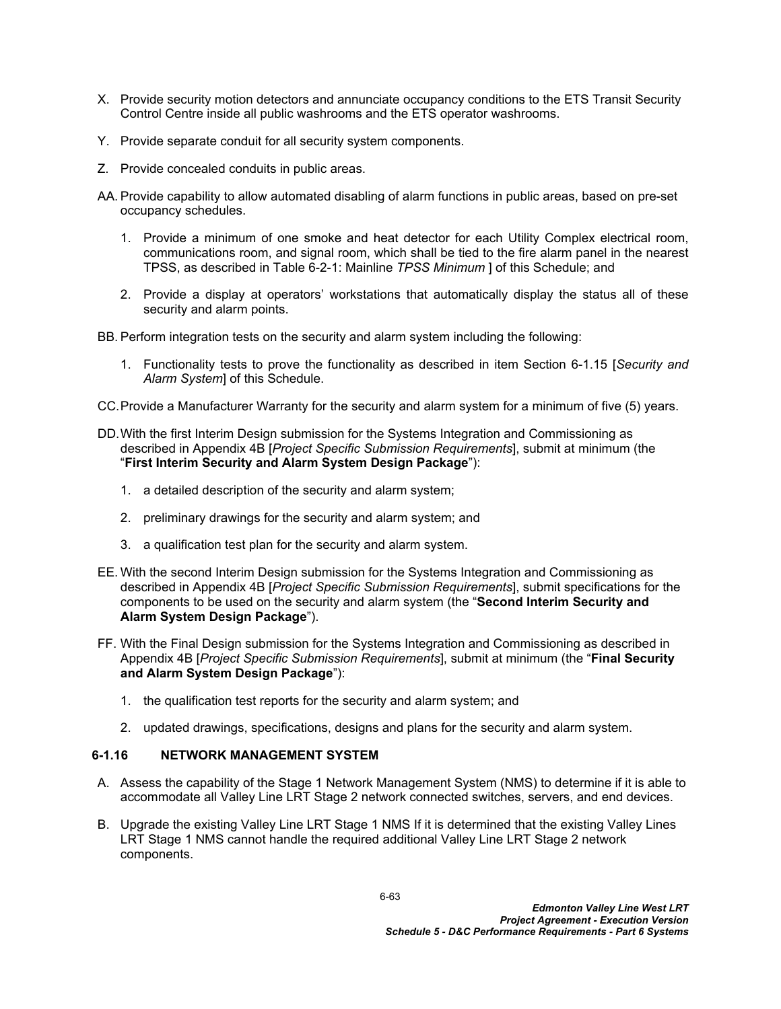- X. Provide security motion detectors and annunciate occupancy conditions to the ETS Transit Security Control Centre inside all public washrooms and the ETS operator washrooms.
- Y. Provide separate conduit for all security system components.
- Z. Provide concealed conduits in public areas.
- AA. Provide capability to allow automated disabling of alarm functions in public areas, based on pre-set occupancy schedules.
	- 1. Provide a minimum of one smoke and heat detector for each Utility Complex electrical room, communications room, and signal room, which shall be tied to the fire alarm panel in the nearest TPSS, as described in [Table 6-2-1: Mainline](#page-106-0) *TPSS Minimum* ] of this Schedule; and
	- 2. Provide a display at operators' workstations that automatically display the status all of these security and alarm points.
- BB. Perform integration tests on the security and alarm system including the following:
	- 1. Functionality tests to prove the functionality as described in item Section [6-1.15](#page-62-0) [*Security and Alarm System*] of this Schedule.
- CC.Provide a Manufacturer Warranty for the security and alarm system for a minimum of five (5) years.
- DD.With the first Interim Design submission for the Systems Integration and Commissioning as described in Appendix 4B [*Project Specific Submission Requirements*], submit at minimum (the "**First Interim Security and Alarm System Design Package**"):
	- 1. a detailed description of the security and alarm system;
	- 2. preliminary drawings for the security and alarm system; and
	- 3. a qualification test plan for the security and alarm system.
- EE. With the second Interim Design submission for the Systems Integration and Commissioning as described in Appendix 4B [*Project Specific Submission Requirements*], submit specifications for the components to be used on the security and alarm system (the "**Second Interim Security and Alarm System Design Package**").
- FF. With the Final Design submission for the Systems Integration and Commissioning as described in Appendix 4B [*Project Specific Submission Requirements*], submit at minimum (the "**Final Security and Alarm System Design Package**"):
	- 1. the qualification test reports for the security and alarm system; and
	- 2. updated drawings, specifications, designs and plans for the security and alarm system.

# **6-1.16 NETWORK MANAGEMENT SYSTEM**

- A. Assess the capability of the Stage 1 Network Management System (NMS) to determine if it is able to accommodate all Valley Line LRT Stage 2 network connected switches, servers, and end devices.
- B. Upgrade the existing Valley Line LRT Stage 1 NMS If it is determined that the existing Valley Lines LRT Stage 1 NMS cannot handle the required additional Valley Line LRT Stage 2 network components.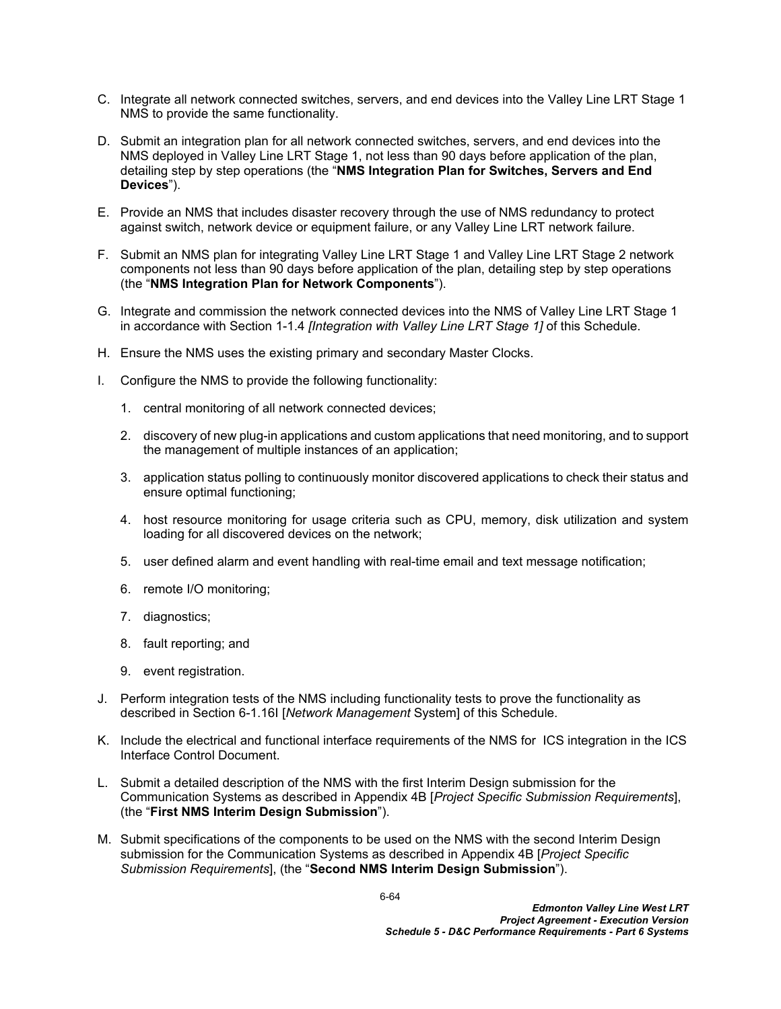- C. Integrate all network connected switches, servers, and end devices into the Valley Line LRT Stage 1 NMS to provide the same functionality.
- D. Submit an integration plan for all network connected switches, servers, and end devices into the NMS deployed in Valley Line LRT Stage 1, not less than 90 days before application of the plan, detailing step by step operations (the "**NMS Integration Plan for Switches, Servers and End Devices**").
- E. Provide an NMS that includes disaster recovery through the use of NMS redundancy to protect against switch, network device or equipment failure, or any Valley Line LRT network failure.
- F. Submit an NMS plan for integrating Valley Line LRT Stage 1 and Valley Line LRT Stage 2 network components not less than 90 days before application of the plan, detailing step by step operations (the "**NMS Integration Plan for Network Components**").
- G. Integrate and commission the network connected devices into the NMS of Valley Line LRT Stage 1 in accordance with Section 1-1.4 *[Integration with Valley Line LRT Stage 1]* of this Schedule.
- H. Ensure the NMS uses the existing primary and secondary Master Clocks.
- <span id="page-66-0"></span>I. Configure the NMS to provide the following functionality:
	- 1. central monitoring of all network connected devices;
	- 2. discovery of new plug-in applications and custom applications that need monitoring, and to support the management of multiple instances of an application;
	- 3. application status polling to continuously monitor discovered applications to check their status and ensure optimal functioning;
	- 4. host resource monitoring for usage criteria such as CPU, memory, disk utilization and system loading for all discovered devices on the network;
	- 5. user defined alarm and event handling with real-time email and text message notification;
	- 6. remote I/O monitoring;
	- 7. diagnostics;
	- 8. fault reporting; and
	- 9. event registration.
- J. Perform integration tests of the NMS including functionality tests to prove the functionality as described in Section [6-1.16I](#page-66-0) [*Network Management* System] of this Schedule.
- K. Include the electrical and functional interface requirements of the NMS for ICS integration in the ICS Interface Control Document.
- L. Submit a detailed description of the NMS with the first Interim Design submission for the Communication Systems as described in Appendix 4B [*Project Specific Submission Requirements*], (the "**First NMS Interim Design Submission**").
- M. Submit specifications of the components to be used on the NMS with the second Interim Design submission for the Communication Systems as described in Appendix 4B [*Project Specific Submission Requirements*], (the "**Second NMS Interim Design Submission**").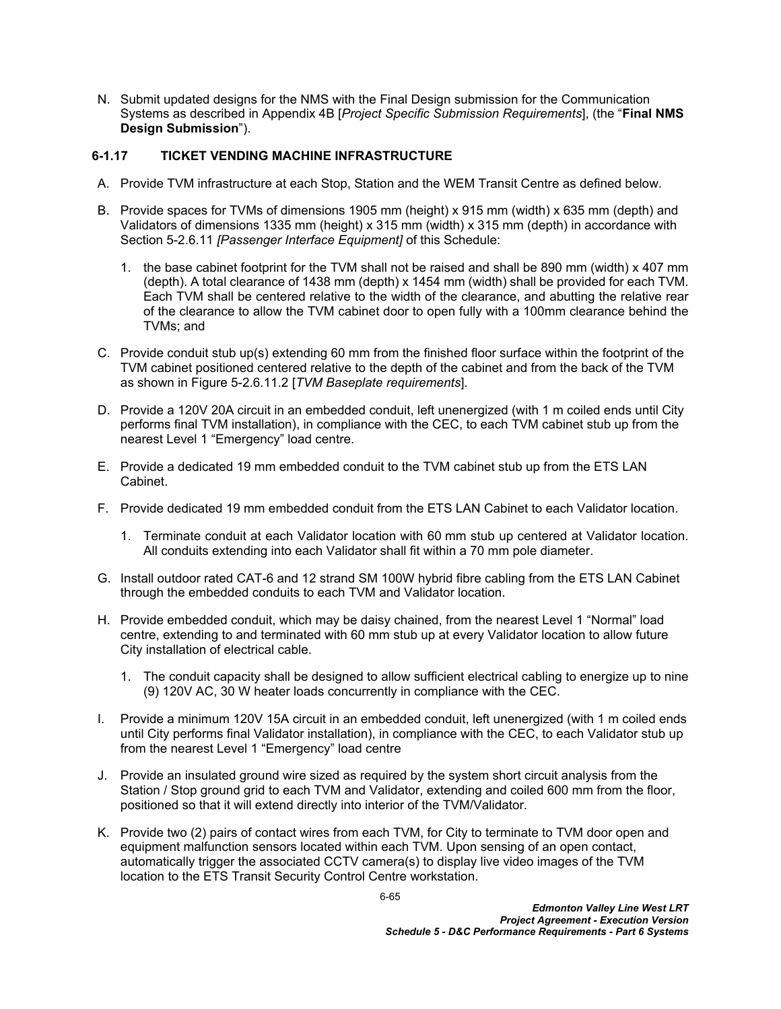N. Submit updated designs for the NMS with the Final Design submission for the Communication Systems as described in Appendix 4B [*Project Specific Submission Requirements*], (the "**Final NMS Design Submission**").

### **6-1.17 TICKET VENDING MACHINE INFRASTRUCTURE**

- A. Provide TVM infrastructure at each Stop, Station and the WEM Transit Centre as defined below.
- B. Provide spaces for TVMs of dimensions 1905 mm (height) x 915 mm (width) x 635 mm (depth) and Validators of dimensions 1335 mm (height) x 315 mm (width) x 315 mm (depth) in accordance with Section 5-2.6.11 *[Passenger Interface Equipment]* of this Schedule:
	- 1. the base cabinet footprint for the TVM shall not be raised and shall be 890 mm (width) x 407 mm (depth). A total clearance of 1438 mm (depth) x 1454 mm (width) shall be provided for each TVM. Each TVM shall be centered relative to the width of the clearance, and abutting the relative rear of the clearance to allow the TVM cabinet door to open fully with a 100mm clearance behind the TVMs; and
- C. Provide conduit stub up(s) extending 60 mm from the finished floor surface within the footprint of the TVM cabinet positioned centered relative to the depth of the cabinet and from the back of the TVM as shown in Figure 5-2.6.11.2 [*TVM Baseplate requirements*].
- D. Provide a 120V 20A circuit in an embedded conduit, left unenergized (with 1 m coiled ends until City performs final TVM installation), in compliance with the CEC, to each TVM cabinet stub up from the nearest Level 1 "Emergency" load centre.
- E. Provide a dedicated 19 mm embedded conduit to the TVM cabinet stub up from the ETS LAN Cabinet.
- F. Provide dedicated 19 mm embedded conduit from the ETS LAN Cabinet to each Validator location.
	- 1. Terminate conduit at each Validator location with 60 mm stub up centered at Validator location. All conduits extending into each Validator shall fit within a 70 mm pole diameter.
- G. Install outdoor rated CAT-6 and 12 strand SM 100W hybrid fibre cabling from the ETS LAN Cabinet through the embedded conduits to each TVM and Validator location.
- H. Provide embedded conduit, which may be daisy chained, from the nearest Level 1 "Normal" load centre, extending to and terminated with 60 mm stub up at every Validator location to allow future City installation of electrical cable.
	- 1. The conduit capacity shall be designed to allow sufficient electrical cabling to energize up to nine (9) 120V AC, 30 W heater loads concurrently in compliance with the CEC.
- I. Provide a minimum 120V 15A circuit in an embedded conduit, left unenergized (with 1 m coiled ends until City performs final Validator installation), in compliance with the CEC, to each Validator stub up from the nearest Level 1 "Emergency" load centre
- J. Provide an insulated ground wire sized as required by the system short circuit analysis from the Station / Stop ground grid to each TVM and Validator, extending and coiled 600 mm from the floor, positioned so that it will extend directly into interior of the TVM/Validator.
- K. Provide two (2) pairs of contact wires from each TVM, for City to terminate to TVM door open and equipment malfunction sensors located within each TVM. Upon sensing of an open contact, automatically trigger the associated CCTV camera(s) to display live video images of the TVM location to the ETS Transit Security Control Centre workstation.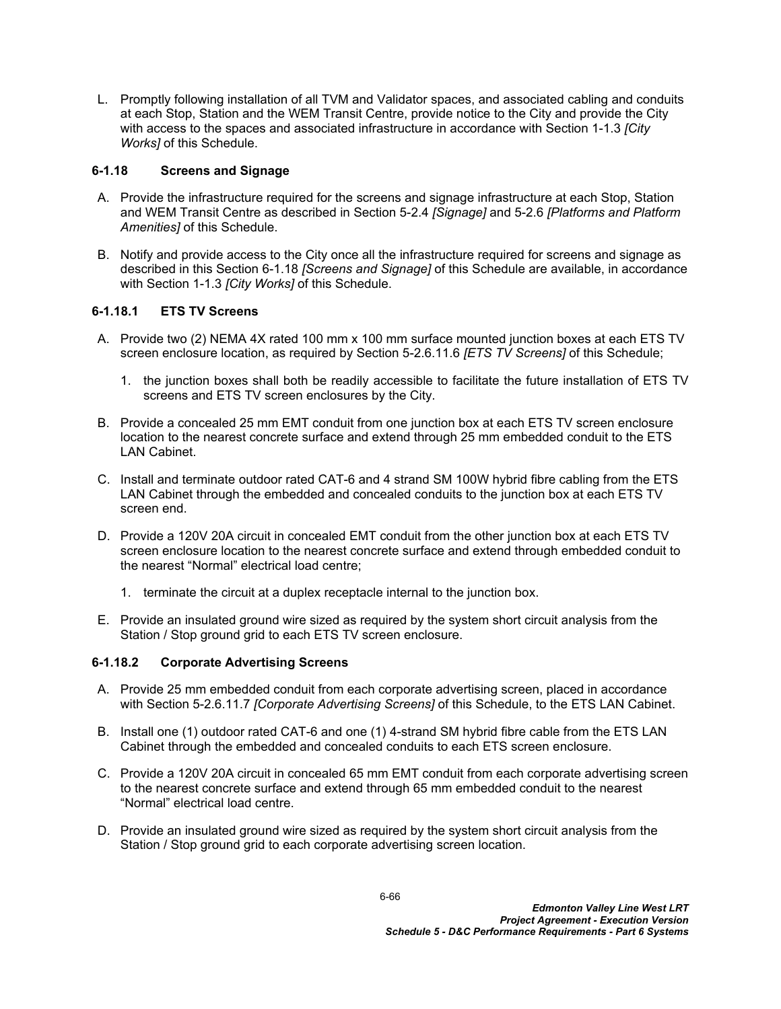L. Promptly following installation of all TVM and Validator spaces, and associated cabling and conduits at each Stop, Station and the WEM Transit Centre, provide notice to the City and provide the City with access to the spaces and associated infrastructure in accordance with Section 1-1.3 *[City Works]* of this Schedule.

### <span id="page-68-0"></span>**6-1.18 Screens and Signage**

- A. Provide the infrastructure required for the screens and signage infrastructure at each Stop, Station and WEM Transit Centre as described in Section 5-2.4 *[Signage]* and 5-2.6 *[Platforms and Platform Amenities]* of this Schedule.
- B. Notify and provide access to the City once all the infrastructure required for screens and signage as described in this Section [6-1.18](#page-68-0) *[Screens and Signage]* of this Schedule are available, in accordance with Section 1-1.3 *[City Works]* of this Schedule.

# **6-1.18.1 ETS TV Screens**

- A. Provide two (2) NEMA 4X rated 100 mm x 100 mm surface mounted junction boxes at each ETS TV screen enclosure location, as required by Section 5-2.6.11.6 *[ETS TV Screens]* of this Schedule;
	- 1. the junction boxes shall both be readily accessible to facilitate the future installation of ETS TV screens and ETS TV screen enclosures by the City.
- B. Provide a concealed 25 mm EMT conduit from one junction box at each ETS TV screen enclosure location to the nearest concrete surface and extend through 25 mm embedded conduit to the ETS LAN Cabinet.
- C. Install and terminate outdoor rated CAT-6 and 4 strand SM 100W hybrid fibre cabling from the ETS LAN Cabinet through the embedded and concealed conduits to the junction box at each ETS TV screen end.
- D. Provide a 120V 20A circuit in concealed EMT conduit from the other junction box at each ETS TV screen enclosure location to the nearest concrete surface and extend through embedded conduit to the nearest "Normal" electrical load centre;
	- 1. terminate the circuit at a duplex receptacle internal to the junction box.
- E. Provide an insulated ground wire sized as required by the system short circuit analysis from the Station / Stop ground grid to each ETS TV screen enclosure.

# **6-1.18.2 Corporate Advertising Screens**

- A. Provide 25 mm embedded conduit from each corporate advertising screen, placed in accordance with Section 5-2.6.11.7 *[Corporate Advertising Screens]* of this Schedule, to the ETS LAN Cabinet.
- B. Install one (1) outdoor rated CAT-6 and one (1) 4-strand SM hybrid fibre cable from the ETS LAN Cabinet through the embedded and concealed conduits to each ETS screen enclosure.
- C. Provide a 120V 20A circuit in concealed 65 mm EMT conduit from each corporate advertising screen to the nearest concrete surface and extend through 65 mm embedded conduit to the nearest "Normal" electrical load centre.
- D. Provide an insulated ground wire sized as required by the system short circuit analysis from the Station / Stop ground grid to each corporate advertising screen location.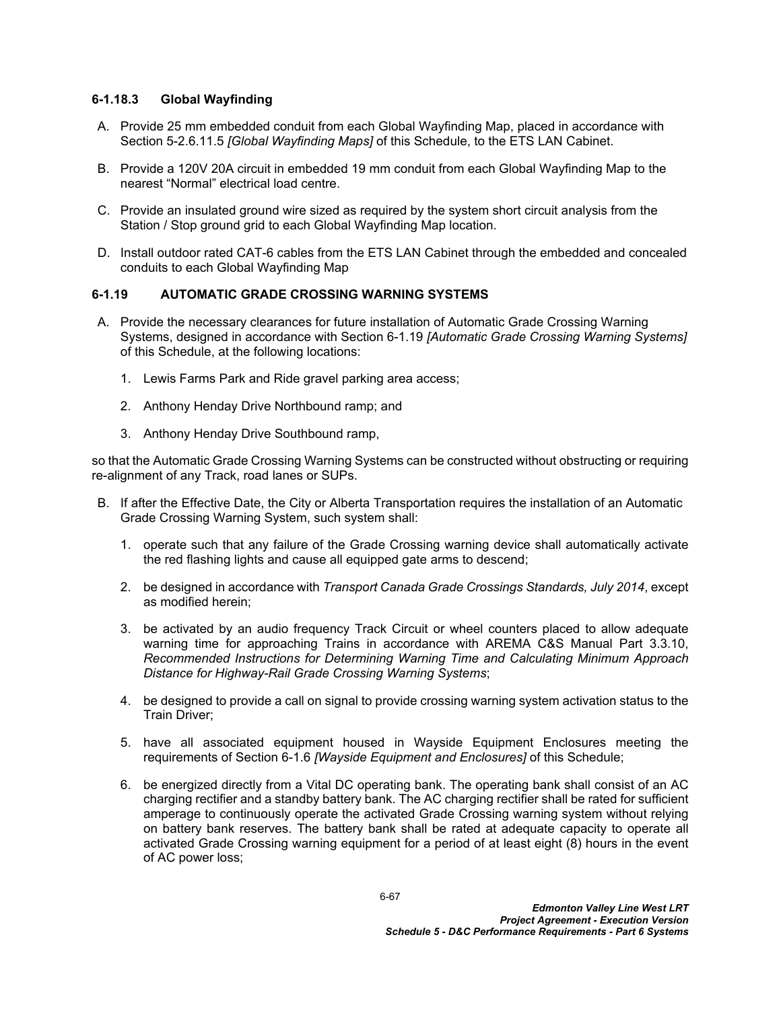### **6-1.18.3 Global Wayfinding**

- A. Provide 25 mm embedded conduit from each Global Wayfinding Map, placed in accordance with Section 5-2.6.11.5 *[Global Wayfinding Maps]* of this Schedule, to the ETS LAN Cabinet.
- B. Provide a 120V 20A circuit in embedded 19 mm conduit from each Global Wayfinding Map to the nearest "Normal" electrical load centre.
- C. Provide an insulated ground wire sized as required by the system short circuit analysis from the Station / Stop ground grid to each Global Wayfinding Map location.
- D. Install outdoor rated CAT-6 cables from the ETS LAN Cabinet through the embedded and concealed conduits to each Global Wayfinding Map

### <span id="page-69-0"></span>**6-1.19 AUTOMATIC GRADE CROSSING WARNING SYSTEMS**

- A. Provide the necessary clearances for future installation of Automatic Grade Crossing Warning Systems, designed in accordance with Section [6-1.19](#page-69-0) *[Automatic Grade Crossing Warning Systems]* of this Schedule, at the following locations:
	- 1. Lewis Farms Park and Ride gravel parking area access;
	- 2. Anthony Henday Drive Northbound ramp; and
	- 3. Anthony Henday Drive Southbound ramp,

so that the Automatic Grade Crossing Warning Systems can be constructed without obstructing or requiring re-alignment of any Track, road lanes or SUPs.

- B. If after the Effective Date, the City or Alberta Transportation requires the installation of an Automatic Grade Crossing Warning System, such system shall:
	- 1. operate such that any failure of the Grade Crossing warning device shall automatically activate the red flashing lights and cause all equipped gate arms to descend;
	- 2. be designed in accordance with *Transport Canada Grade Crossings Standards, July 2014*, except as modified herein;
	- 3. be activated by an audio frequency Track Circuit or wheel counters placed to allow adequate warning time for approaching Trains in accordance with AREMA C&S Manual Part 3.3.10, *Recommended Instructions for Determining Warning Time and Calculating Minimum Approach Distance for Highway-Rail Grade Crossing Warning Systems*;
	- 4. be designed to provide a call on signal to provide crossing warning system activation status to the Train Driver;
	- 5. have all associated equipment housed in Wayside Equipment Enclosures meeting the requirements of Section 6-1.6 *[Wayside Equipment and Enclosures]* of this Schedule;
	- 6. be energized directly from a Vital DC operating bank. The operating bank shall consist of an AC charging rectifier and a standby battery bank. The AC charging rectifier shall be rated for sufficient amperage to continuously operate the activated Grade Crossing warning system without relying on battery bank reserves. The battery bank shall be rated at adequate capacity to operate all activated Grade Crossing warning equipment for a period of at least eight (8) hours in the event of AC power loss;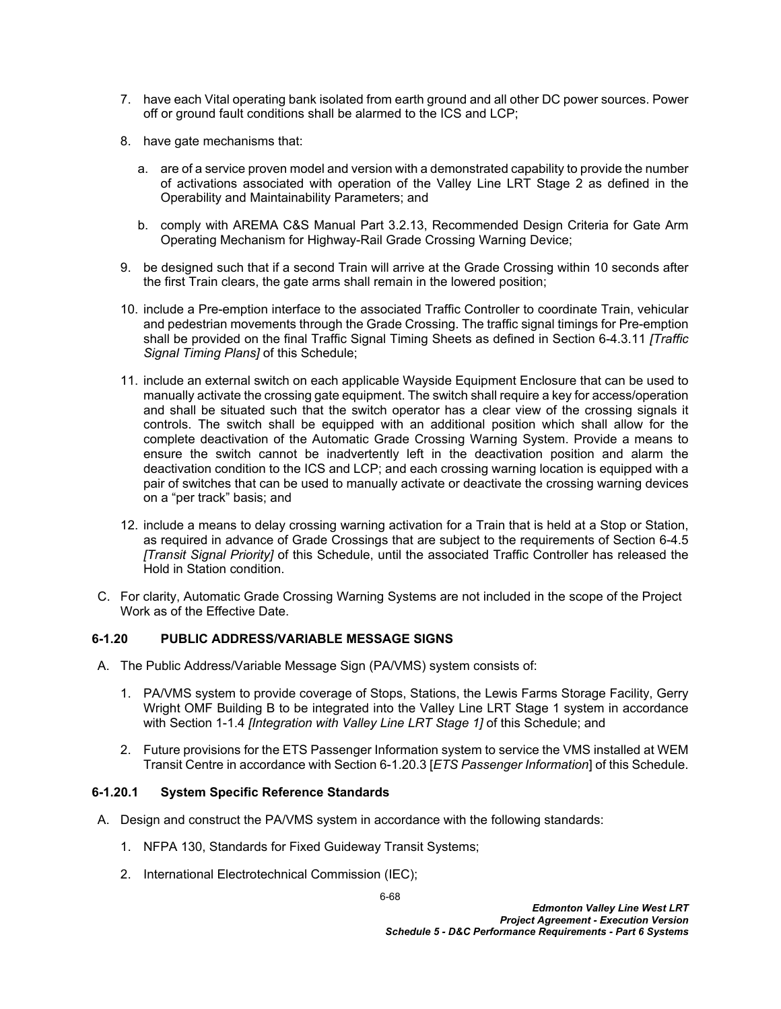- 7. have each Vital operating bank isolated from earth ground and all other DC power sources. Power off or ground fault conditions shall be alarmed to the ICS and LCP;
- 8. have gate mechanisms that:
	- a. are of a service proven model and version with a demonstrated capability to provide the number of activations associated with operation of the Valley Line LRT Stage 2 as defined in the Operability and Maintainability Parameters; and
	- b. comply with AREMA C&S Manual Part 3.2.13, Recommended Design Criteria for Gate Arm Operating Mechanism for Highway-Rail Grade Crossing Warning Device;
- 9. be designed such that if a second Train will arrive at the Grade Crossing within 10 seconds after the first Train clears, the gate arms shall remain in the lowered position;
- 10. include a Pre-emption interface to the associated Traffic Controller to coordinate Train, vehicular and pedestrian movements through the Grade Crossing. The traffic signal timings for Pre-emption shall be provided on the final Traffic Signal Timing Sheets as defined in Section [6-4.3.11](#page-163-0) *[\[Traffic](#page-163-0)  [Signal Timing Plans\]](#page-163-0)* of this Schedule;
- 11. include an external switch on each applicable Wayside Equipment Enclosure that can be used to manually activate the crossing gate equipment. The switch shall require a key for access/operation and shall be situated such that the switch operator has a clear view of the crossing signals it controls. The switch shall be equipped with an additional position which shall allow for the complete deactivation of the Automatic Grade Crossing Warning System. Provide a means to ensure the switch cannot be inadvertently left in the deactivation position and alarm the deactivation condition to the ICS and LCP; and each crossing warning location is equipped with a pair of switches that can be used to manually activate or deactivate the crossing warning devices on a "per track" basis; and
- 12. include a means to delay crossing warning activation for a Train that is held at a Stop or Station, as required in advance of Grade Crossings that are subject to the requirements of Section 6-4.5 *[Transit Signal Priority]* of this Schedule, until the associated Traffic Controller has released the Hold in Station condition.
- C. For clarity, Automatic Grade Crossing Warning Systems are not included in the scope of the Project Work as of the Effective Date.

# **6-1.20 PUBLIC ADDRESS/VARIABLE MESSAGE SIGNS**

- A. The Public Address/Variable Message Sign (PA/VMS) system consists of:
	- 1. PA/VMS system to provide coverage of Stops, Stations, the Lewis Farms Storage Facility, Gerry Wright OMF Building B to be integrated into the Valley Line LRT Stage 1 system in accordance with Section 1-1.4 *[Integration with Valley Line LRT Stage 1]* of this Schedule; and
	- 2. Future provisions for the ETS Passenger Information system to service the VMS installed at WEM Transit Centre in accordance with Section 6-1.20.3 [*ETS Passenger Information*] of this Schedule.

### **6-1.20.1 System Specific Reference Standards**

- A. Design and construct the PA/VMS system in accordance with the following standards:
	- 1. NFPA 130, Standards for Fixed Guideway Transit Systems;
	- 2. International Electrotechnical Commission (IEC);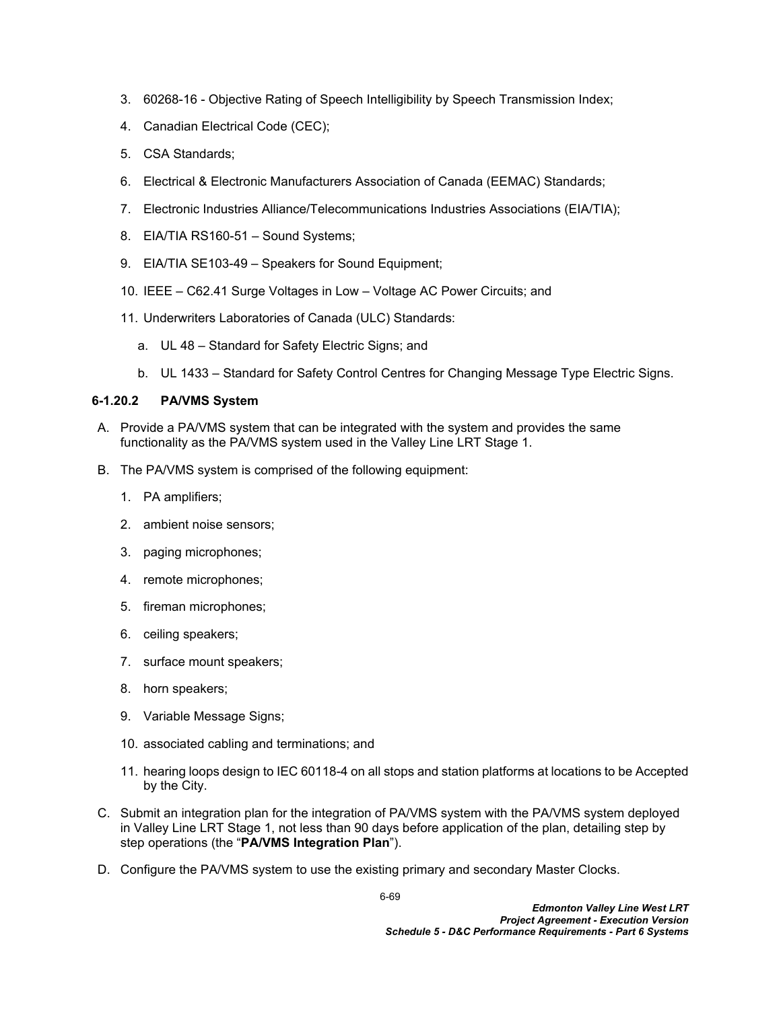- 3. 60268-16 Objective Rating of Speech Intelligibility by Speech Transmission Index;
- 4. Canadian Electrical Code (CEC);
- 5. CSA Standards;
- 6. Electrical & Electronic Manufacturers Association of Canada (EEMAC) Standards;
- 7. Electronic Industries Alliance/Telecommunications Industries Associations (EIA/TIA);
- 8. EIA/TIA RS160-51 Sound Systems;
- 9. EIA/TIA SE103-49 Speakers for Sound Equipment;
- 10. IEEE C62.41 Surge Voltages in Low Voltage AC Power Circuits; and
- 11. Underwriters Laboratories of Canada (ULC) Standards:
	- a. UL 48 Standard for Safety Electric Signs; and
	- b. UL 1433 Standard for Safety Control Centres for Changing Message Type Electric Signs.

### **6-1.20.2 PA/VMS System**

- A. Provide a PA/VMS system that can be integrated with the system and provides the same functionality as the PA/VMS system used in the Valley Line LRT Stage 1.
- B. The PA/VMS system is comprised of the following equipment:
	- 1. PA amplifiers;
	- 2. ambient noise sensors;
	- 3. paging microphones;
	- 4. remote microphones;
	- 5. fireman microphones;
	- 6. ceiling speakers;
	- 7. surface mount speakers;
	- 8. horn speakers;
	- 9. Variable Message Signs;
	- 10. associated cabling and terminations; and
	- 11. hearing loops design to IEC 60118-4 on all stops and station platforms at locations to be Accepted by the City.
- C. Submit an integration plan for the integration of PA/VMS system with the PA/VMS system deployed in Valley Line LRT Stage 1, not less than 90 days before application of the plan, detailing step by step operations (the "**PA/VMS Integration Plan**").
- D. Configure the PA/VMS system to use the existing primary and secondary Master Clocks.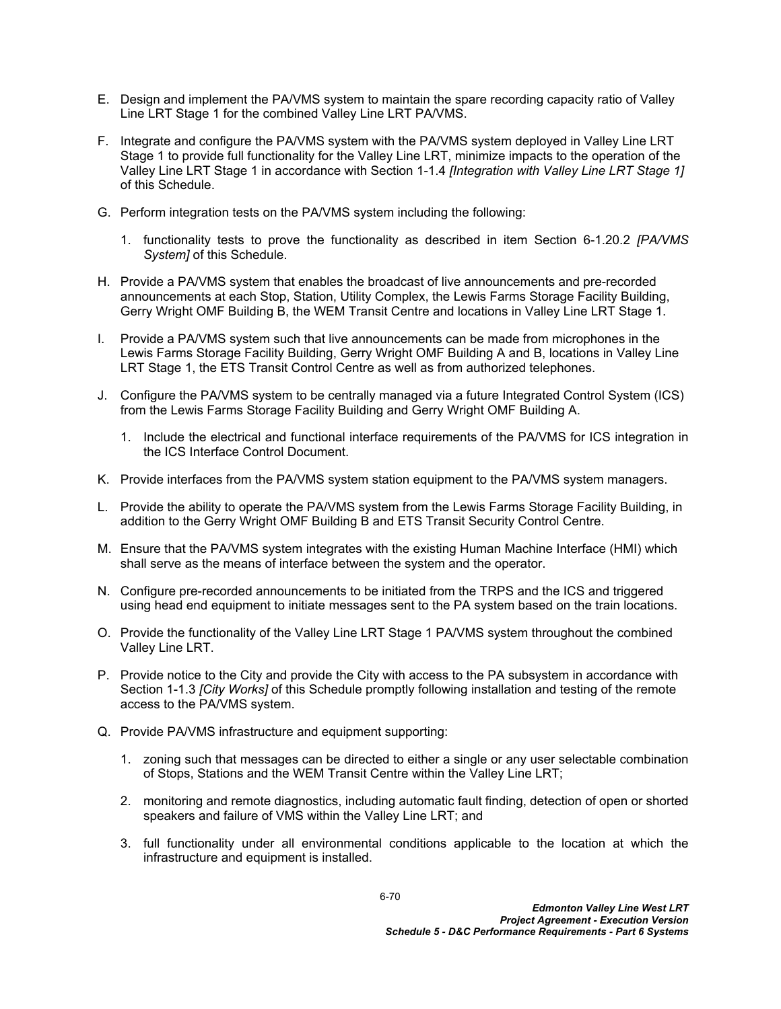- E. Design and implement the PA/VMS system to maintain the spare recording capacity ratio of Valley Line LRT Stage 1 for the combined Valley Line LRT PA/VMS.
- F. Integrate and configure the PA/VMS system with the PA/VMS system deployed in Valley Line LRT Stage 1 to provide full functionality for the Valley Line LRT, minimize impacts to the operation of the Valley Line LRT Stage 1 in accordance with Section 1-1.4 *[Integration with Valley Line LRT Stage 1]* of this Schedule.
- G. Perform integration tests on the PA/VMS system including the following:
	- 1. functionality tests to prove the functionality as described in item Section [6-1.20.2](#page-71-0) *[PA/VMS System]* of this Schedule.
- H. Provide a PA/VMS system that enables the broadcast of live announcements and pre-recorded announcements at each Stop, Station, Utility Complex, the Lewis Farms Storage Facility Building, Gerry Wright OMF Building B, the WEM Transit Centre and locations in Valley Line LRT Stage 1.
- I. Provide a PA/VMS system such that live announcements can be made from microphones in the Lewis Farms Storage Facility Building, Gerry Wright OMF Building A and B, locations in Valley Line LRT Stage 1, the ETS Transit Control Centre as well as from authorized telephones.
- J. Configure the PA/VMS system to be centrally managed via a future Integrated Control System (ICS) from the Lewis Farms Storage Facility Building and Gerry Wright OMF Building A.
	- 1. Include the electrical and functional interface requirements of the PA/VMS for ICS integration in the ICS Interface Control Document.
- K. Provide interfaces from the PA/VMS system station equipment to the PA/VMS system managers.
- L. Provide the ability to operate the PA/VMS system from the Lewis Farms Storage Facility Building, in addition to the Gerry Wright OMF Building B and ETS Transit Security Control Centre.
- M. Ensure that the PA/VMS system integrates with the existing Human Machine Interface (HMI) which shall serve as the means of interface between the system and the operator.
- N. Configure pre-recorded announcements to be initiated from the TRPS and the ICS and triggered using head end equipment to initiate messages sent to the PA system based on the train locations.
- O. Provide the functionality of the Valley Line LRT Stage 1 PA/VMS system throughout the combined Valley Line LRT.
- P. Provide notice to the City and provide the City with access to the PA subsystem in accordance with Section 1-1.3 *[City Works]* of this Schedule promptly following installation and testing of the remote access to the PA/VMS system.
- Q. Provide PA/VMS infrastructure and equipment supporting:
	- 1. zoning such that messages can be directed to either a single or any user selectable combination of Stops, Stations and the WEM Transit Centre within the Valley Line LRT;
	- 2. monitoring and remote diagnostics, including automatic fault finding, detection of open or shorted speakers and failure of VMS within the Valley Line LRT; and
	- 3. full functionality under all environmental conditions applicable to the location at which the infrastructure and equipment is installed.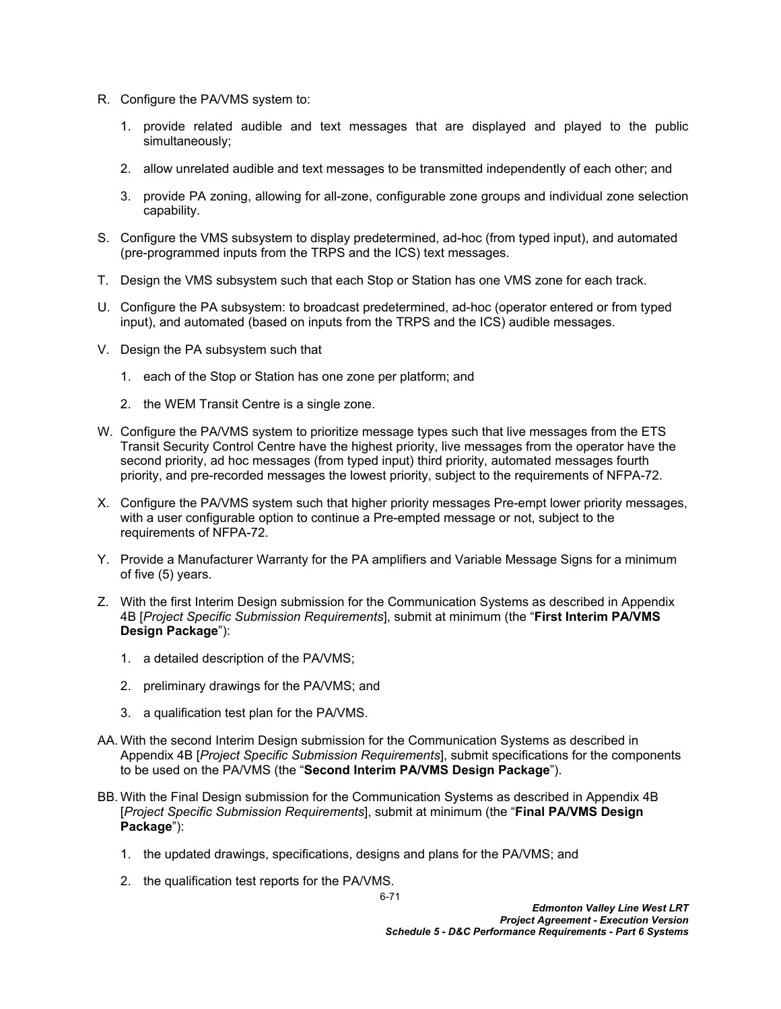- R. Configure the PA/VMS system to:
	- 1. provide related audible and text messages that are displayed and played to the public simultaneously;
	- 2. allow unrelated audible and text messages to be transmitted independently of each other; and
	- 3. provide PA zoning, allowing for all-zone, configurable zone groups and individual zone selection capability.
- S. Configure the VMS subsystem to display predetermined, ad-hoc (from typed input), and automated (pre-programmed inputs from the TRPS and the ICS) text messages.
- T. Design the VMS subsystem such that each Stop or Station has one VMS zone for each track.
- U. Configure the PA subsystem: to broadcast predetermined, ad-hoc (operator entered or from typed input), and automated (based on inputs from the TRPS and the ICS) audible messages.
- V. Design the PA subsystem such that
	- 1. each of the Stop or Station has one zone per platform; and
	- 2. the WEM Transit Centre is a single zone.
- W. Configure the PA/VMS system to prioritize message types such that live messages from the ETS Transit Security Control Centre have the highest priority, live messages from the operator have the second priority, ad hoc messages (from typed input) third priority, automated messages fourth priority, and pre-recorded messages the lowest priority, subject to the requirements of NFPA-72.
- X. Configure the PA/VMS system such that higher priority messages Pre-empt lower priority messages, with a user configurable option to continue a Pre-empted message or not, subject to the requirements of NFPA-72.
- Y. Provide a Manufacturer Warranty for the PA amplifiers and Variable Message Signs for a minimum of five (5) years.
- Z. With the first Interim Design submission for the Communication Systems as described in Appendix 4B [*Project Specific Submission Requirements*], submit at minimum (the "**First Interim PA/VMS Design Package**"):
	- 1. a detailed description of the PA/VMS;
	- 2. preliminary drawings for the PA/VMS; and
	- 3. a qualification test plan for the PA/VMS.
- AA. With the second Interim Design submission for the Communication Systems as described in Appendix 4B [*Project Specific Submission Requirements*], submit specifications for the components to be used on the PA/VMS (the "**Second Interim PA/VMS Design Package**").
- BB. With the Final Design submission for the Communication Systems as described in Appendix 4B [*Project Specific Submission Requirements*], submit at minimum (the "**Final PA/VMS Design Package**"):
	- 1. the updated drawings, specifications, designs and plans for the PA/VMS; and
	- 2. the qualification test reports for the PA/VMS.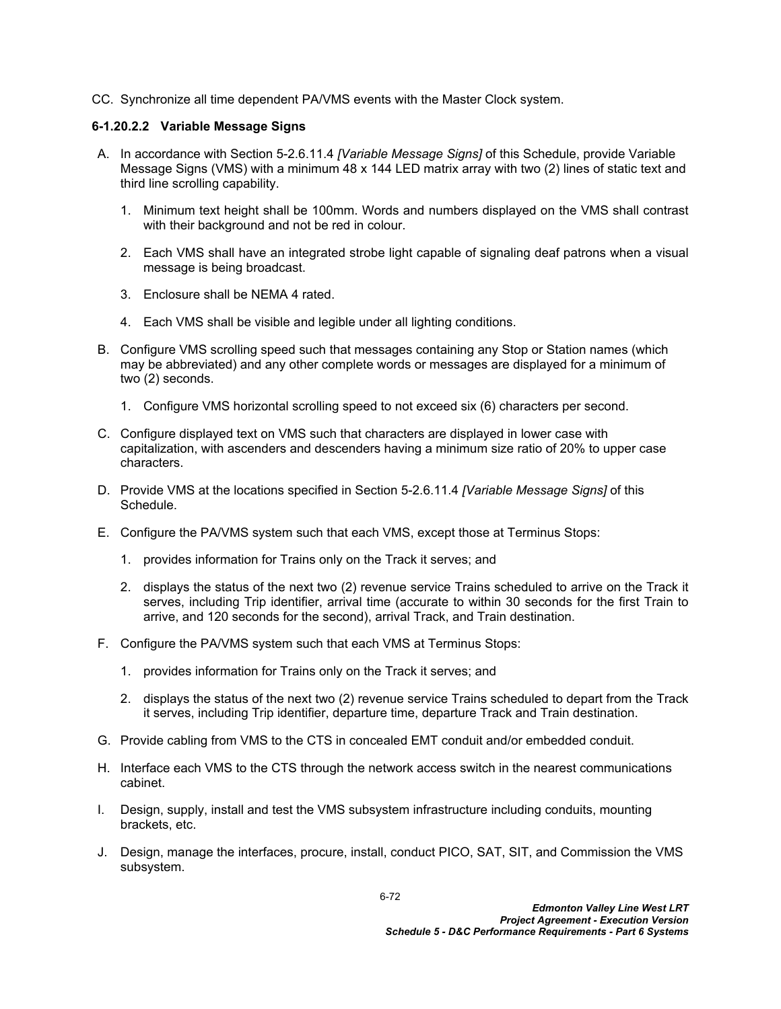CC. Synchronize all time dependent PA/VMS events with the Master Clock system.

## **6-1.20.2.2 Variable Message Signs**

- A. In accordance with Section 5-2.6.11.4 *[Variable Message Signs]* of this Schedule, provide Variable Message Signs (VMS) with a minimum 48 x 144 LED matrix array with two (2) lines of static text and third line scrolling capability.
	- 1. Minimum text height shall be 100mm. Words and numbers displayed on the VMS shall contrast with their background and not be red in colour.
	- 2. Each VMS shall have an integrated strobe light capable of signaling deaf patrons when a visual message is being broadcast.
	- 3. Enclosure shall be NEMA 4 rated.
	- 4. Each VMS shall be visible and legible under all lighting conditions.
- B. Configure VMS scrolling speed such that messages containing any Stop or Station names (which may be abbreviated) and any other complete words or messages are displayed for a minimum of two (2) seconds.
	- 1. Configure VMS horizontal scrolling speed to not exceed six (6) characters per second.
- C. Configure displayed text on VMS such that characters are displayed in lower case with capitalization, with ascenders and descenders having a minimum size ratio of 20% to upper case characters.
- D. Provide VMS at the locations specified in Section 5-2.6.11.4 *[Variable Message Signs]* of this Schedule.
- E. Configure the PA/VMS system such that each VMS, except those at Terminus Stops:
	- 1. provides information for Trains only on the Track it serves; and
	- 2. displays the status of the next two (2) revenue service Trains scheduled to arrive on the Track it serves, including Trip identifier, arrival time (accurate to within 30 seconds for the first Train to arrive, and 120 seconds for the second), arrival Track, and Train destination.
- F. Configure the PA/VMS system such that each VMS at Terminus Stops:
	- 1. provides information for Trains only on the Track it serves; and
	- 2. displays the status of the next two (2) revenue service Trains scheduled to depart from the Track it serves, including Trip identifier, departure time, departure Track and Train destination.
- G. Provide cabling from VMS to the CTS in concealed EMT conduit and/or embedded conduit.
- H. Interface each VMS to the CTS through the network access switch in the nearest communications cabinet.
- I. Design, supply, install and test the VMS subsystem infrastructure including conduits, mounting brackets, etc.
- J. Design, manage the interfaces, procure, install, conduct PICO, SAT, SIT, and Commission the VMS subsystem.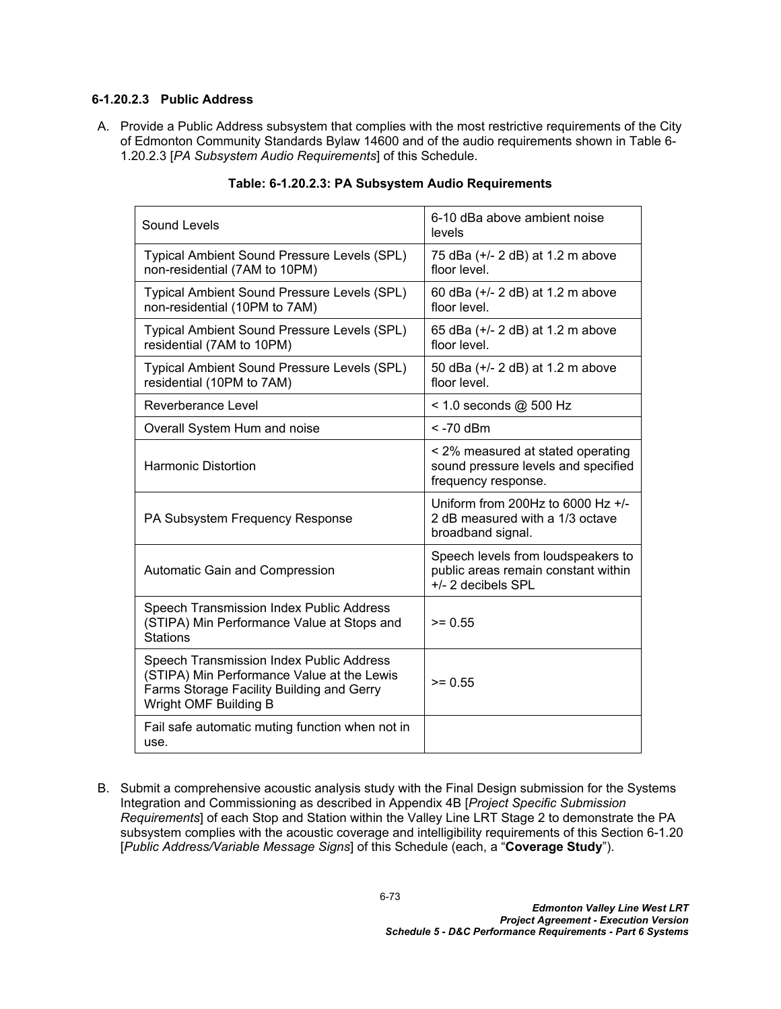# <span id="page-75-0"></span>**6-1.20.2.3 Public Address**

A. Provide a Public Address subsystem that complies with the most restrictive requirements of the City of Edmonton Community Standards Bylaw 14600 and of the audio requirements shown in Table 6- 1.20.2.3 [*PA Subsystem Audio Requirements*] of this Schedule.

| Sound Levels                                                                                                                                                 | 6-10 dBa above ambient noise<br>levels                                                          |  |
|--------------------------------------------------------------------------------------------------------------------------------------------------------------|-------------------------------------------------------------------------------------------------|--|
| Typical Ambient Sound Pressure Levels (SPL)<br>non-residential (7AM to 10PM)                                                                                 | 75 dBa (+/- 2 dB) at 1.2 m above<br>floor level.                                                |  |
| Typical Ambient Sound Pressure Levels (SPL)<br>non-residential (10PM to 7AM)                                                                                 | 60 dBa (+/- 2 dB) at 1.2 m above<br>floor level.                                                |  |
| Typical Ambient Sound Pressure Levels (SPL)<br>residential (7AM to 10PM)                                                                                     | 65 dBa (+/- 2 dB) at 1.2 m above<br>floor level.                                                |  |
| Typical Ambient Sound Pressure Levels (SPL)<br>residential (10PM to 7AM)                                                                                     | 50 dBa (+/- 2 dB) at 1.2 m above<br>floor level.                                                |  |
| Reverberance Level                                                                                                                                           | $<$ 1.0 seconds $@$ 500 Hz                                                                      |  |
| Overall System Hum and noise                                                                                                                                 | < -70 dBm                                                                                       |  |
| <b>Harmonic Distortion</b>                                                                                                                                   | < 2% measured at stated operating<br>sound pressure levels and specified<br>frequency response. |  |
| PA Subsystem Frequency Response                                                                                                                              | Uniform from 200Hz to 6000 Hz +/-<br>2 dB measured with a 1/3 octave<br>broadband signal.       |  |
| Automatic Gain and Compression                                                                                                                               | Speech levels from loudspeakers to<br>public areas remain constant within<br>+/- 2 decibels SPL |  |
| Speech Transmission Index Public Address<br>(STIPA) Min Performance Value at Stops and<br><b>Stations</b>                                                    | $>= 0.55$                                                                                       |  |
| Speech Transmission Index Public Address<br>(STIPA) Min Performance Value at the Lewis<br>Farms Storage Facility Building and Gerry<br>Wright OMF Building B | $>= 0.55$                                                                                       |  |
| Fail safe automatic muting function when not in<br>use.                                                                                                      |                                                                                                 |  |

## **Table: [6-1.20.2.3](#page-75-0): PA Subsystem Audio Requirements**

B. Submit a comprehensive acoustic analysis study with the Final Design submission for the Systems Integration and Commissioning as described in Appendix 4B [*Project Specific Submission Requirements*] of each Stop and Station within the Valley Line LRT Stage 2 to demonstrate the PA subsystem complies with the acoustic coverage and intelligibility requirements of this Section [6-1.20](#page-70-0)  [*Public Address/Variable Message Signs*] of this Schedule (each, a "**Coverage Study**").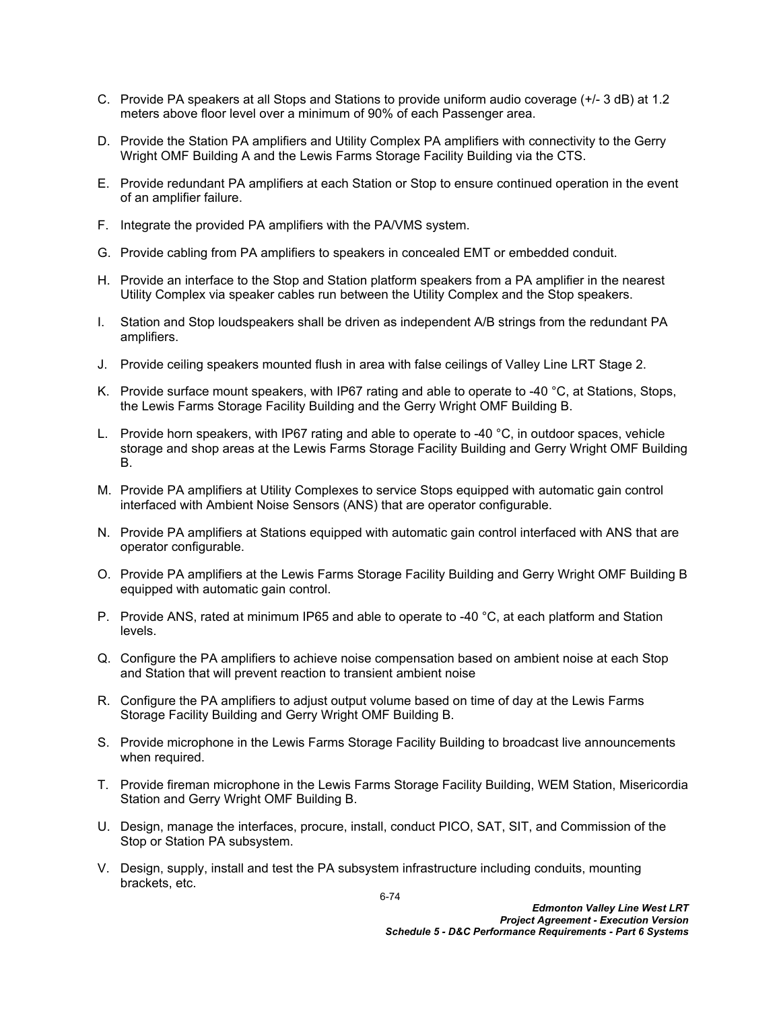- C. Provide PA speakers at all Stops and Stations to provide uniform audio coverage (+/- 3 dB) at 1.2 meters above floor level over a minimum of 90% of each Passenger area.
- D. Provide the Station PA amplifiers and Utility Complex PA amplifiers with connectivity to the Gerry Wright OMF Building A and the Lewis Farms Storage Facility Building via the CTS.
- E. Provide redundant PA amplifiers at each Station or Stop to ensure continued operation in the event of an amplifier failure.
- F. Integrate the provided PA amplifiers with the PA/VMS system.
- G. Provide cabling from PA amplifiers to speakers in concealed EMT or embedded conduit.
- H. Provide an interface to the Stop and Station platform speakers from a PA amplifier in the nearest Utility Complex via speaker cables run between the Utility Complex and the Stop speakers.
- I. Station and Stop loudspeakers shall be driven as independent A/B strings from the redundant PA amplifiers.
- J. Provide ceiling speakers mounted flush in area with false ceilings of Valley Line LRT Stage 2.
- K. Provide surface mount speakers, with IP67 rating and able to operate to -40 °C, at Stations, Stops, the Lewis Farms Storage Facility Building and the Gerry Wright OMF Building B.
- L. Provide horn speakers, with IP67 rating and able to operate to -40 °C, in outdoor spaces, vehicle storage and shop areas at the Lewis Farms Storage Facility Building and Gerry Wright OMF Building B.
- M. Provide PA amplifiers at Utility Complexes to service Stops equipped with automatic gain control interfaced with Ambient Noise Sensors (ANS) that are operator configurable.
- N. Provide PA amplifiers at Stations equipped with automatic gain control interfaced with ANS that are operator configurable.
- O. Provide PA amplifiers at the Lewis Farms Storage Facility Building and Gerry Wright OMF Building B equipped with automatic gain control.
- P. Provide ANS, rated at minimum IP65 and able to operate to -40 °C, at each platform and Station levels.
- Q. Configure the PA amplifiers to achieve noise compensation based on ambient noise at each Stop and Station that will prevent reaction to transient ambient noise
- R. Configure the PA amplifiers to adjust output volume based on time of day at the Lewis Farms Storage Facility Building and Gerry Wright OMF Building B.
- S. Provide microphone in the Lewis Farms Storage Facility Building to broadcast live announcements when required.
- T. Provide fireman microphone in the Lewis Farms Storage Facility Building, WEM Station, Misericordia Station and Gerry Wright OMF Building B.
- U. Design, manage the interfaces, procure, install, conduct PICO, SAT, SIT, and Commission of the Stop or Station PA subsystem.
- V. Design, supply, install and test the PA subsystem infrastructure including conduits, mounting brackets, etc.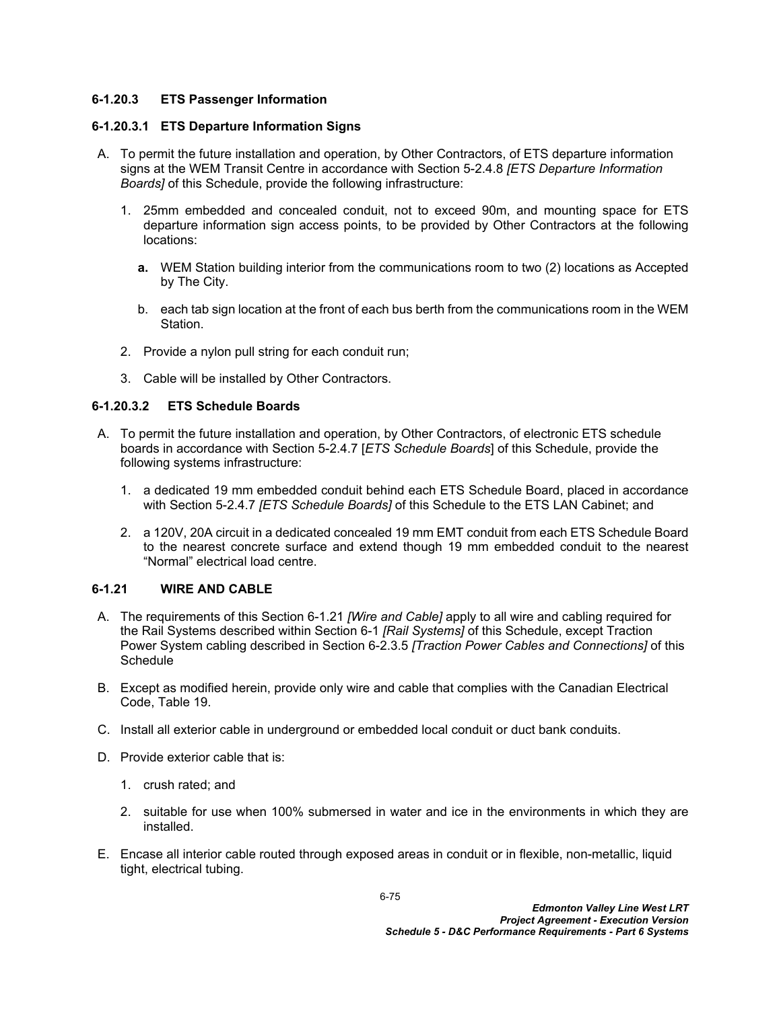## **6-1.20.3 ETS Passenger Information**

## **6-1.20.3.1 ETS Departure Information Signs**

- A. To permit the future installation and operation, by Other Contractors, of ETS departure information signs at the WEM Transit Centre in accordance with Section 5-2.4.8 *[ETS Departure Information Boards]* of this Schedule, provide the following infrastructure:
	- 1. 25mm embedded and concealed conduit, not to exceed 90m, and mounting space for ETS departure information sign access points, to be provided by Other Contractors at the following locations:
		- **a.** WEM Station building interior from the communications room to two (2) locations as Accepted by The City.
		- b. each tab sign location at the front of each bus berth from the communications room in the WEM Station.
	- 2. Provide a nylon pull string for each conduit run;
	- 3. Cable will be installed by Other Contractors.

# **6-1.20.3.2 ETS Schedule Boards**

- A. To permit the future installation and operation, by Other Contractors, of electronic ETS schedule boards in accordance with Section 5-2.4.7 [*ETS Schedule Boards*] of this Schedule, provide the following systems infrastructure:
	- 1. a dedicated 19 mm embedded conduit behind each ETS Schedule Board, placed in accordance with Section 5-2.4.7 *[ETS Schedule Boards]* of this Schedule to the ETS LAN Cabinet; and
	- 2. a 120V, 20A circuit in a dedicated concealed 19 mm EMT conduit from each ETS Schedule Board to the nearest concrete surface and extend though 19 mm embedded conduit to the nearest "Normal" electrical load centre.

# <span id="page-77-0"></span>**6-1.21 WIRE AND CABLE**

- A. The requirements of this Section [6-1.21](#page-77-0) *[Wire and Cable]* apply to all wire and cabling required for the Rail Systems described within Section 6-1 *[Rail Systems]* of this Schedule, except Traction Power System cabling described in Section 6-2.3.5 *[Traction Power Cables and Connections]* of this **Schedule**
- B. Except as modified herein, provide only wire and cable that complies with the Canadian Electrical Code, Table 19.
- C. Install all exterior cable in underground or embedded local conduit or duct bank conduits.
- D. Provide exterior cable that is:
	- 1. crush rated; and
	- 2. suitable for use when 100% submersed in water and ice in the environments in which they are installed.
- E. Encase all interior cable routed through exposed areas in conduit or in flexible, non-metallic, liquid tight, electrical tubing.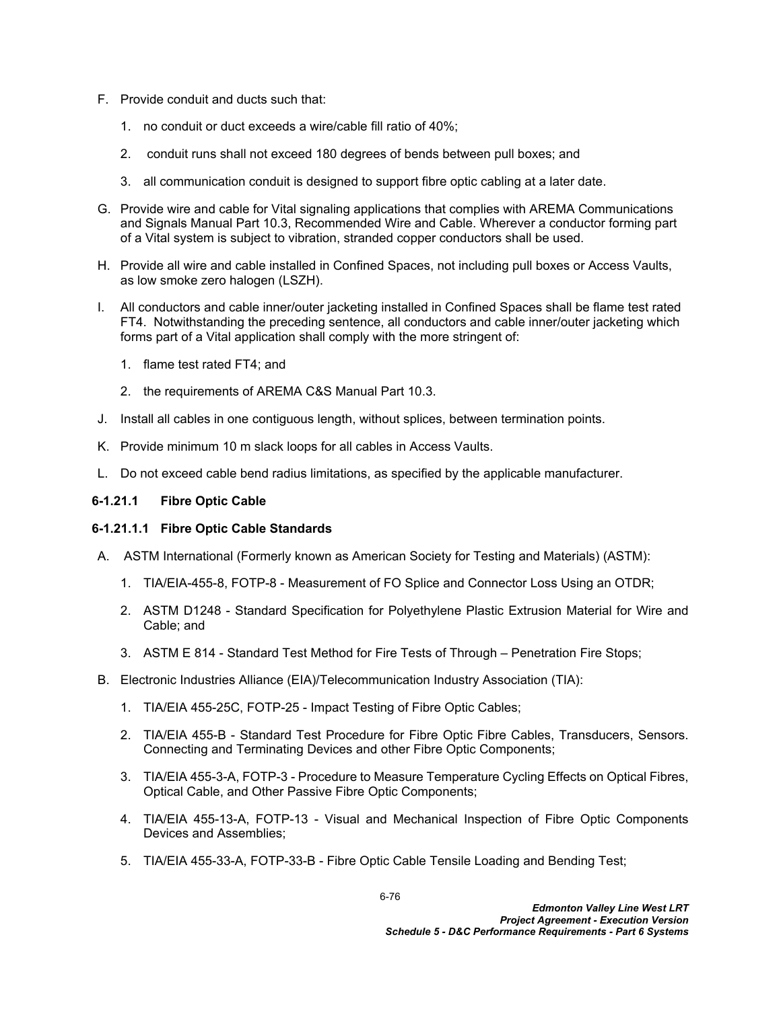- F. Provide conduit and ducts such that:
	- 1. no conduit or duct exceeds a wire/cable fill ratio of 40%;
	- 2. conduit runs shall not exceed 180 degrees of bends between pull boxes; and
	- 3. all communication conduit is designed to support fibre optic cabling at a later date.
- G. Provide wire and cable for Vital signaling applications that complies with AREMA Communications and Signals Manual Part 10.3, Recommended Wire and Cable. Wherever a conductor forming part of a Vital system is subject to vibration, stranded copper conductors shall be used.
- H. Provide all wire and cable installed in Confined Spaces, not including pull boxes or Access Vaults, as low smoke zero halogen (LSZH).
- I. All conductors and cable inner/outer jacketing installed in Confined Spaces shall be flame test rated FT4. Notwithstanding the preceding sentence, all conductors and cable inner/outer jacketing which forms part of a Vital application shall comply with the more stringent of:
	- 1. flame test rated FT4; and
	- 2. the requirements of AREMA C&S Manual Part 10.3.
- J. Install all cables in one contiguous length, without splices, between termination points.
- K. Provide minimum 10 m slack loops for all cables in Access Vaults.
- L. Do not exceed cable bend radius limitations, as specified by the applicable manufacturer.

#### **6-1.21.1 Fibre Optic Cable**

## **6-1.21.1.1 Fibre Optic Cable Standards**

- A. ASTM International (Formerly known as American Society for Testing and Materials) (ASTM):
	- 1. TIA/EIA-455-8, FOTP-8 Measurement of FO Splice and Connector Loss Using an OTDR;
	- 2. ASTM D1248 Standard Specification for Polyethylene Plastic Extrusion Material for Wire and Cable; and
	- 3. ASTM E 814 Standard Test Method for Fire Tests of Through Penetration Fire Stops;
- B. Electronic Industries Alliance (EIA)/Telecommunication Industry Association (TIA):
	- 1. TIA/EIA 455-25C, FOTP-25 Impact Testing of Fibre Optic Cables;
	- 2. TIA/EIA 455-B Standard Test Procedure for Fibre Optic Fibre Cables, Transducers, Sensors. Connecting and Terminating Devices and other Fibre Optic Components;
	- 3. TIA/EIA 455-3-A, FOTP-3 Procedure to Measure Temperature Cycling Effects on Optical Fibres, Optical Cable, and Other Passive Fibre Optic Components;
	- 4. TIA/EIA 455-13-A, FOTP-13 Visual and Mechanical Inspection of Fibre Optic Components Devices and Assemblies;
	- 5. TIA/EIA 455-33-A, FOTP-33-B Fibre Optic Cable Tensile Loading and Bending Test;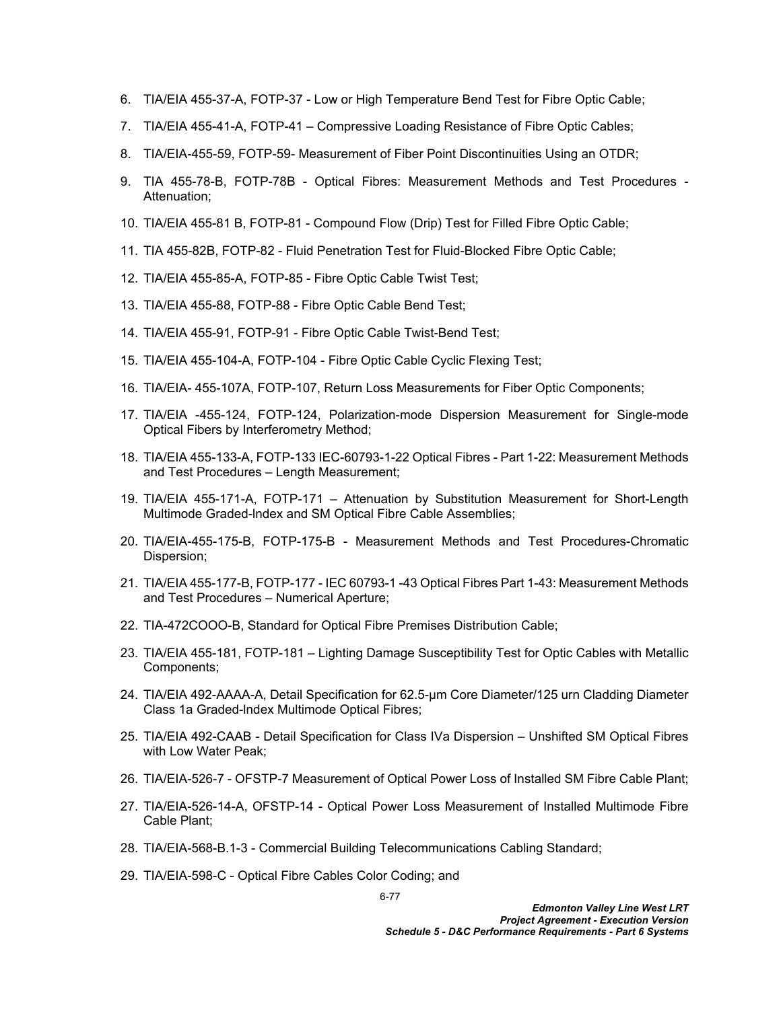- 6. TIA/EIA 455-37-A, FOTP-37 Low or High Temperature Bend Test for Fibre Optic Cable;
- 7. TIA/EIA 455-41-A, FOTP-41 Compressive Loading Resistance of Fibre Optic Cables;
- 8. TIA/EIA-455-59, FOTP-59- Measurement of Fiber Point Discontinuities Using an OTDR;
- 9. TIA 455-78-B, FOTP-78B Optical Fibres: Measurement Methods and Test Procedures Attenuation;
- 10. TIA/EIA 455-81 B, FOTP-81 Compound Flow (Drip) Test for Filled Fibre Optic Cable;
- 11. TIA 455-82B, FOTP-82 Fluid Penetration Test for Fluid-Blocked Fibre Optic Cable;
- 12. TIA/EIA 455-85-A, FOTP-85 Fibre Optic Cable Twist Test;
- 13. TIA/EIA 455-88, FOTP-88 Fibre Optic Cable Bend Test;
- 14. TIA/EIA 455-91, FOTP-91 Fibre Optic Cable Twist-Bend Test;
- 15. TIA/EIA 455-104-A, FOTP-104 Fibre Optic Cable Cyclic Flexing Test;
- 16. TIA/EIA- 455-107A, FOTP-107, Return Loss Measurements for Fiber Optic Components;
- 17. TIA/EIA -455-124, FOTP-124, Polarization-mode Dispersion Measurement for Single-mode Optical Fibers by Interferometry Method;
- 18. TIA/EIA 455-133-A, FOTP-133 IEC-60793-1-22 Optical Fibres Part 1-22: Measurement Methods and Test Procedures – Length Measurement;
- 19. TIA/EIA 455-171-A, FOTP-171 Attenuation by Substitution Measurement for Short-Length Multimode Graded-lndex and SM Optical Fibre Cable Assemblies;
- 20. TIA/EIA-455-175-B, FOTP-175-B Measurement Methods and Test Procedures-Chromatic Dispersion;
- 21. TIA/EIA 455-177-B, FOTP-177 IEC 60793-1 -43 Optical Fibres Part 1-43: Measurement Methods and Test Procedures – Numerical Aperture;
- 22. TIA-472COOO-B, Standard for Optical Fibre Premises Distribution Cable;
- 23. TIA/EIA 455-181, FOTP-181 Lighting Damage Susceptibility Test for Optic Cables with Metallic Components;
- 24. TIA/EIA 492-AAAA-A, Detail Specification for 62.5-μm Core Diameter/125 urn Cladding Diameter Class 1a Graded-lndex Multimode Optical Fibres;
- 25. TIA/EIA 492-CAAB Detail Specification for Class IVa Dispersion Unshifted SM Optical Fibres with Low Water Peak;
- 26. TIA/EIA-526-7 OFSTP-7 Measurement of Optical Power Loss of Installed SM Fibre Cable Plant;
- 27. TIA/EIA-526-14-A, OFSTP-14 Optical Power Loss Measurement of Installed Multimode Fibre Cable Plant;
- 28. TIA/EIA-568-B.1-3 Commercial Building Telecommunications Cabling Standard;
- 29. TIA/EIA-598-C Optical Fibre Cables Color Coding; and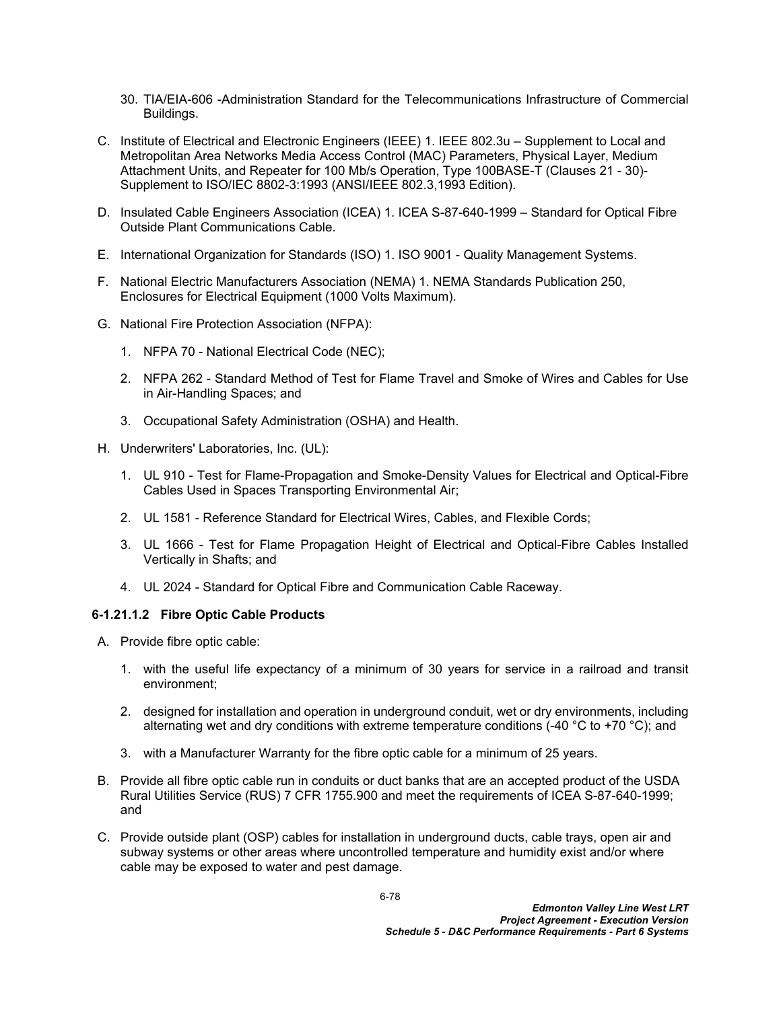- 30. TIA/EIA-606 -Administration Standard for the Telecommunications Infrastructure of Commercial Buildings.
- C. Institute of Electrical and Electronic Engineers (IEEE) 1. IEEE 802.3u Supplement to Local and Metropolitan Area Networks Media Access Control (MAC) Parameters, Physical Layer, Medium Attachment Units, and Repeater for 100 Mb/s Operation, Type 100BASE-T (Clauses 21 - 30)- Supplement to ISO/IEC 8802-3:1993 (ANSI/IEEE 802.3,1993 Edition).
- D. Insulated Cable Engineers Association (ICEA) 1. ICEA S-87-640-1999 Standard for Optical Fibre Outside Plant Communications Cable.
- E. International Organization for Standards (ISO) 1. ISO 9001 Quality Management Systems.
- F. National Electric Manufacturers Association (NEMA) 1. NEMA Standards Publication 250, Enclosures for Electrical Equipment (1000 Volts Maximum).
- G. National Fire Protection Association (NFPA):
	- 1. NFPA 70 National Electrical Code (NEC);
	- 2. NFPA 262 Standard Method of Test for Flame Travel and Smoke of Wires and Cables for Use in Air-Handling Spaces; and
	- 3. Occupational Safety Administration (OSHA) and Health.
- H. Underwriters' Laboratories, Inc. (UL):
	- 1. UL 910 Test for Flame-Propagation and Smoke-Density Values for Electrical and Optical-Fibre Cables Used in Spaces Transporting Environmental Air;
	- 2. UL 1581 Reference Standard for Electrical Wires, Cables, and Flexible Cords;
	- 3. UL 1666 Test for Flame Propagation Height of Electrical and Optical-Fibre Cables Installed Vertically in Shafts; and
	- 4. UL 2024 Standard for Optical Fibre and Communication Cable Raceway.

## **6-1.21.1.2 Fibre Optic Cable Products**

- A. Provide fibre optic cable:
	- 1. with the useful life expectancy of a minimum of 30 years for service in a railroad and transit environment;
	- 2. designed for installation and operation in underground conduit, wet or dry environments, including alternating wet and dry conditions with extreme temperature conditions (-40  $^{\circ}$ C to +70  $^{\circ}$ C); and
	- 3. with a Manufacturer Warranty for the fibre optic cable for a minimum of 25 years.
- B. Provide all fibre optic cable run in conduits or duct banks that are an accepted product of the USDA Rural Utilities Service (RUS) 7 CFR 1755.900 and meet the requirements of ICEA S-87-640-1999; and
- C. Provide outside plant (OSP) cables for installation in underground ducts, cable trays, open air and subway systems or other areas where uncontrolled temperature and humidity exist and/or where cable may be exposed to water and pest damage.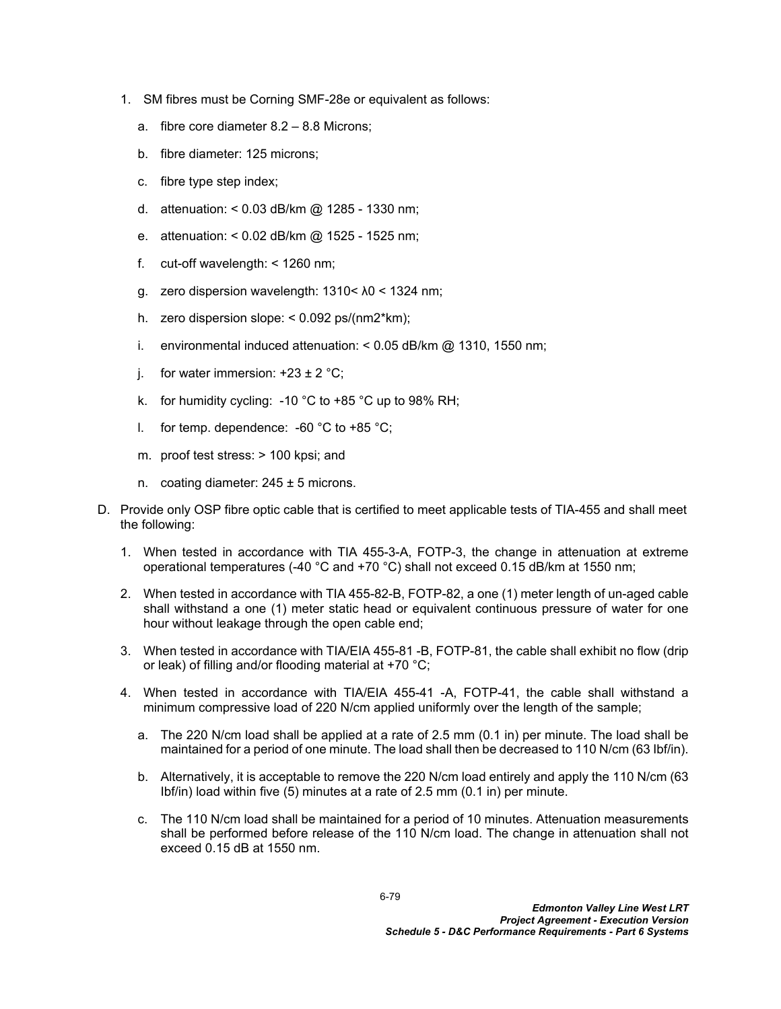- 1. SM fibres must be Corning SMF-28e or equivalent as follows:
	- a. fibre core diameter 8.2 8.8 Microns;
	- b. fibre diameter: 125 microns;
	- c. fibre type step index;
	- d. attenuation: < 0.03 dB/km @ 1285 1330 nm;
	- e. attenuation: < 0.02 dB/km @ 1525 1525 nm;
	- f. cut-off wavelength: < 1260 nm;
	- g. zero dispersion wavelength: 1310< λ0 < 1324 nm;
	- h. zero dispersion slope: < 0.092 ps/(nm2\*km);
	- i. environmental induced attenuation:  $< 0.05$  dB/km @ 1310, 1550 nm;
	- j. for water immersion:  $+23 \pm 2 \degree C$ ;
	- k. for humidity cycling: -10  $^{\circ}$ C to +85  $^{\circ}$ C up to 98% RH;
	- l. for temp. dependence: -60 °C to +85 °C;
	- m. proof test stress: > 100 kpsi; and
	- n. coating diameter:  $245 \pm 5$  microns.
- D. Provide only OSP fibre optic cable that is certified to meet applicable tests of TIA-455 and shall meet the following:
	- 1. When tested in accordance with TIA 455-3-A, FOTP-3, the change in attenuation at extreme operational temperatures (-40 °C and +70 °C) shall not exceed 0.15 dB/km at 1550 nm;
	- 2. When tested in accordance with TIA 455-82-B, FOTP-82, a one (1) meter length of un-aged cable shall withstand a one (1) meter static head or equivalent continuous pressure of water for one hour without leakage through the open cable end;
	- 3. When tested in accordance with TIA/EIA 455-81 -B, FOTP-81, the cable shall exhibit no flow (drip or leak) of filling and/or flooding material at +70 °C;
	- 4. When tested in accordance with TIA/EIA 455-41 -A, FOTP-41, the cable shall withstand a minimum compressive load of 220 N/cm applied uniformly over the length of the sample;
		- a. The 220 N/cm load shall be applied at a rate of 2.5 mm (0.1 in) per minute. The load shall be maintained for a period of one minute. The load shall then be decreased to 110 N/cm (63 Ibf/in).
		- b. Alternatively, it is acceptable to remove the 220 N/cm load entirely and apply the 110 N/cm (63 Ibf/in) load within five (5) minutes at a rate of 2.5 mm (0.1 in) per minute.
		- c. The 110 N/cm load shall be maintained for a period of 10 minutes. Attenuation measurements shall be performed before release of the 110 N/cm load. The change in attenuation shall not exceed 0.15 dB at 1550 nm.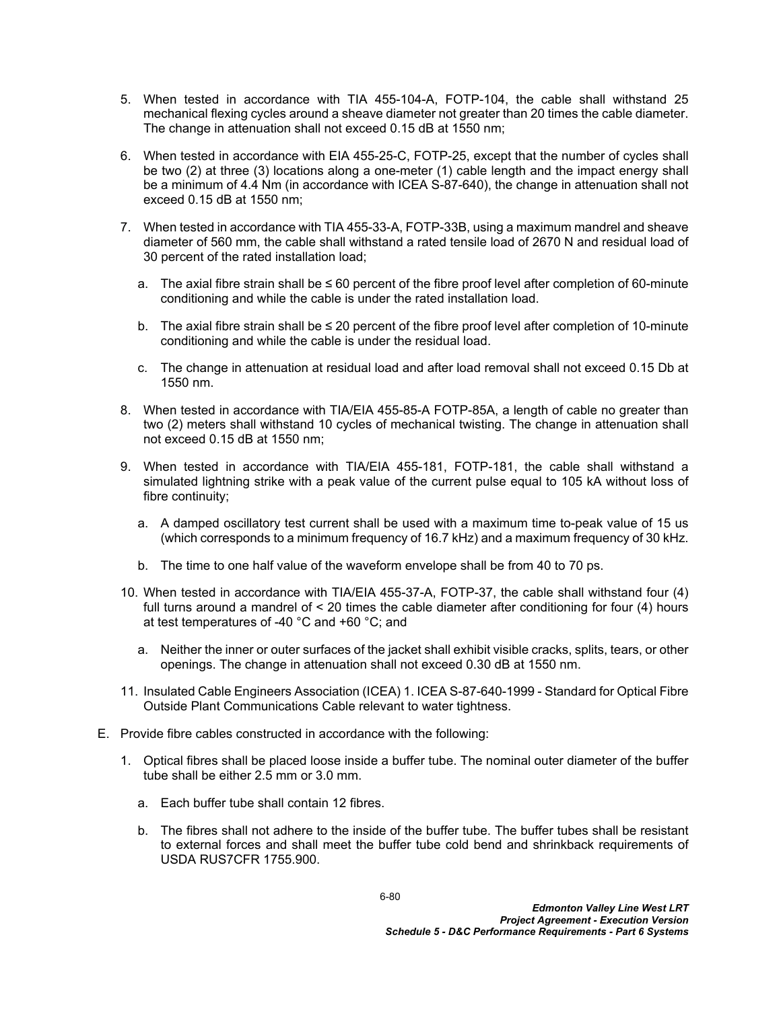- 5. When tested in accordance with TIA 455-104-A, FOTP-104, the cable shall withstand 25 mechanical flexing cycles around a sheave diameter not greater than 20 times the cable diameter. The change in attenuation shall not exceed 0.15 dB at 1550 nm;
- 6. When tested in accordance with EIA 455-25-C, FOTP-25, except that the number of cycles shall be two (2) at three (3) locations along a one-meter (1) cable length and the impact energy shall be a minimum of 4.4 Nm (in accordance with ICEA S-87-640), the change in attenuation shall not exceed 0.15 dB at 1550 nm;
- 7. When tested in accordance with TIA 455-33-A, FOTP-33B, using a maximum mandrel and sheave diameter of 560 mm, the cable shall withstand a rated tensile load of 2670 N and residual load of 30 percent of the rated installation load;
	- a. The axial fibre strain shall be ≤ 60 percent of the fibre proof level after completion of 60-minute conditioning and while the cable is under the rated installation load.
	- b. The axial fibre strain shall be ≤ 20 percent of the fibre proof level after completion of 10-minute conditioning and while the cable is under the residual load.
	- c. The change in attenuation at residual load and after load removal shall not exceed 0.15 Db at 1550 nm.
- 8. When tested in accordance with TIA/EIA 455-85-A FOTP-85A, a length of cable no greater than two (2) meters shall withstand 10 cycles of mechanical twisting. The change in attenuation shall not exceed 0.15 dB at 1550 nm;
- 9. When tested in accordance with TIA/EIA 455-181, FOTP-181, the cable shall withstand a simulated lightning strike with a peak value of the current pulse equal to 105 kA without loss of fibre continuity;
	- a. A damped oscillatory test current shall be used with a maximum time to-peak value of 15 us (which corresponds to a minimum frequency of 16.7 kHz) and a maximum frequency of 30 kHz.
	- b. The time to one half value of the waveform envelope shall be from 40 to 70 ps.
- 10. When tested in accordance with TIA/EIA 455-37-A, FOTP-37, the cable shall withstand four (4) full turns around a mandrel of < 20 times the cable diameter after conditioning for four (4) hours at test temperatures of -40 °C and +60 °C; and
	- a. Neither the inner or outer surfaces of the jacket shall exhibit visible cracks, splits, tears, or other openings. The change in attenuation shall not exceed 0.30 dB at 1550 nm.
- 11. Insulated Cable Engineers Association (ICEA) 1. ICEA S-87-640-1999 Standard for Optical Fibre Outside Plant Communications Cable relevant to water tightness.
- E. Provide fibre cables constructed in accordance with the following:
	- 1. Optical fibres shall be placed loose inside a buffer tube. The nominal outer diameter of the buffer tube shall be either 2.5 mm or 3.0 mm.
		- a. Each buffer tube shall contain 12 fibres.
		- b. The fibres shall not adhere to the inside of the buffer tube. The buffer tubes shall be resistant to external forces and shall meet the buffer tube cold bend and shrinkback requirements of USDA RUS7CFR 1755.900.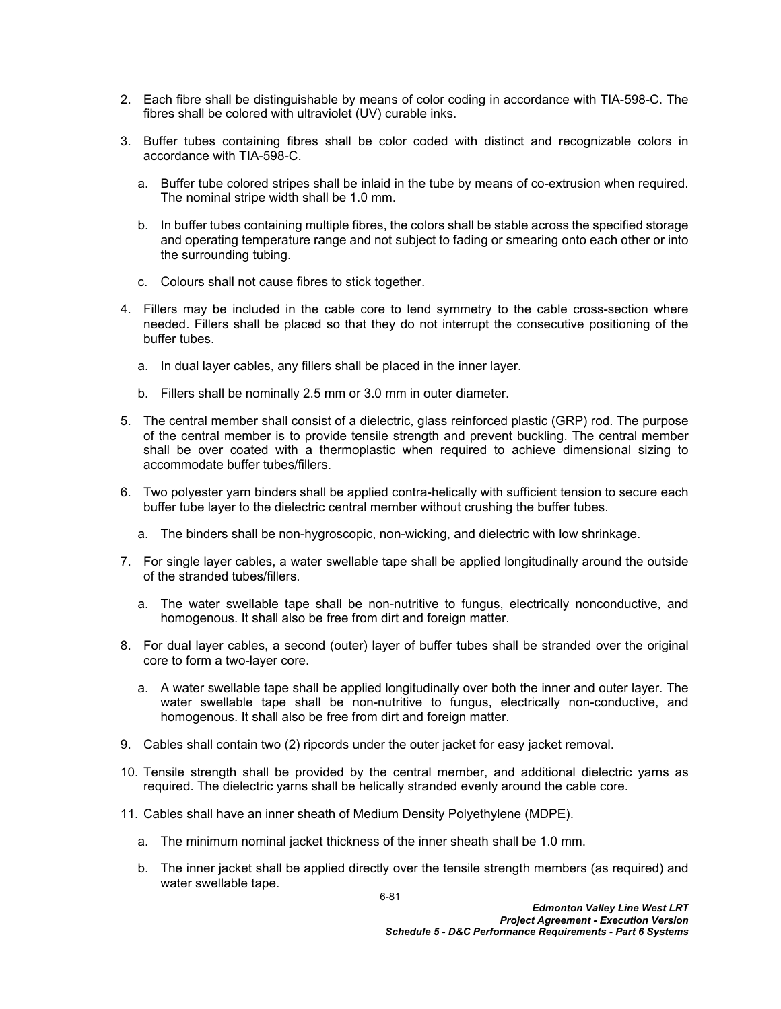- 2. Each fibre shall be distinguishable by means of color coding in accordance with TIA-598-C. The fibres shall be colored with ultraviolet (UV) curable inks.
- 3. Buffer tubes containing fibres shall be color coded with distinct and recognizable colors in accordance with TIA-598-C.
	- a. Buffer tube colored stripes shall be inlaid in the tube by means of co-extrusion when required. The nominal stripe width shall be 1.0 mm.
	- b. In buffer tubes containing multiple fibres, the colors shall be stable across the specified storage and operating temperature range and not subject to fading or smearing onto each other or into the surrounding tubing.
	- c. Colours shall not cause fibres to stick together.
- 4. Fillers may be included in the cable core to lend symmetry to the cable cross-section where needed. Fillers shall be placed so that they do not interrupt the consecutive positioning of the buffer tubes.
	- a. In dual layer cables, any fillers shall be placed in the inner layer.
	- b. Fillers shall be nominally 2.5 mm or 3.0 mm in outer diameter.
- 5. The central member shall consist of a dielectric, glass reinforced plastic (GRP) rod. The purpose of the central member is to provide tensile strength and prevent buckling. The central member shall be over coated with a thermoplastic when required to achieve dimensional sizing to accommodate buffer tubes/fillers.
- 6. Two polyester yarn binders shall be applied contra-helically with sufficient tension to secure each buffer tube layer to the dielectric central member without crushing the buffer tubes.
	- a. The binders shall be non-hygroscopic, non-wicking, and dielectric with low shrinkage.
- 7. For single layer cables, a water swellable tape shall be applied longitudinally around the outside of the stranded tubes/fillers.
	- a. The water swellable tape shall be non-nutritive to fungus, electrically nonconductive, and homogenous. It shall also be free from dirt and foreign matter.
- 8. For dual layer cables, a second (outer) layer of buffer tubes shall be stranded over the original core to form a two-layer core.
	- a. A water swellable tape shall be applied longitudinally over both the inner and outer layer. The water swellable tape shall be non-nutritive to fungus, electrically non-conductive, and homogenous. It shall also be free from dirt and foreign matter.
- 9. Cables shall contain two (2) ripcords under the outer jacket for easy jacket removal.
- 10. Tensile strength shall be provided by the central member, and additional dielectric yarns as required. The dielectric yarns shall be helically stranded evenly around the cable core.
- 11. Cables shall have an inner sheath of Medium Density Polyethylene (MDPE).
	- a. The minimum nominal jacket thickness of the inner sheath shall be 1.0 mm.
	- b. The inner jacket shall be applied directly over the tensile strength members (as required) and water swellable tape.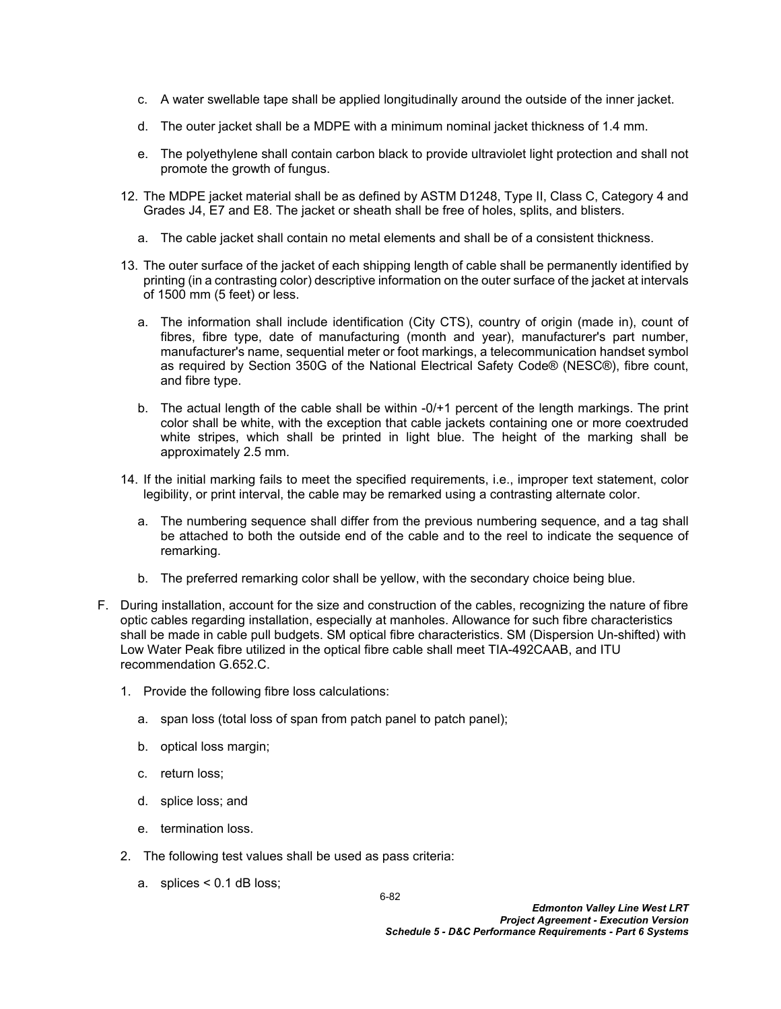- c. A water swellable tape shall be applied longitudinally around the outside of the inner jacket.
- d. The outer jacket shall be a MDPE with a minimum nominal jacket thickness of 1.4 mm.
- e. The polyethylene shall contain carbon black to provide ultraviolet light protection and shall not promote the growth of fungus.
- 12. The MDPE jacket material shall be as defined by ASTM D1248, Type II, Class C, Category 4 and Grades J4, E7 and E8. The jacket or sheath shall be free of holes, splits, and blisters.
	- a. The cable jacket shall contain no metal elements and shall be of a consistent thickness.
- 13. The outer surface of the jacket of each shipping length of cable shall be permanently identified by printing (in a contrasting color) descriptive information on the outer surface of the jacket at intervals of 1500 mm (5 feet) or less.
	- a. The information shall include identification (City CTS), country of origin (made in), count of fibres, fibre type, date of manufacturing (month and year), manufacturer's part number, manufacturer's name, sequential meter or foot markings, a telecommunication handset symbol as required by Section 350G of the National Electrical Safety Code® (NESC®), fibre count, and fibre type.
	- b. The actual length of the cable shall be within -0/+1 percent of the length markings. The print color shall be white, with the exception that cable jackets containing one or more coextruded white stripes, which shall be printed in light blue. The height of the marking shall be approximately 2.5 mm.
- 14. If the initial marking fails to meet the specified requirements, i.e., improper text statement, color legibility, or print interval, the cable may be remarked using a contrasting alternate color.
	- a. The numbering sequence shall differ from the previous numbering sequence, and a tag shall be attached to both the outside end of the cable and to the reel to indicate the sequence of remarking.
	- b. The preferred remarking color shall be yellow, with the secondary choice being blue.
- F. During installation, account for the size and construction of the cables, recognizing the nature of fibre optic cables regarding installation, especially at manholes. Allowance for such fibre characteristics shall be made in cable pull budgets. SM optical fibre characteristics. SM (Dispersion Un-shifted) with Low Water Peak fibre utilized in the optical fibre cable shall meet TIA-492CAAB, and ITU recommendation G.652.C.
	- 1. Provide the following fibre loss calculations:
		- a. span loss (total loss of span from patch panel to patch panel);
		- b. optical loss margin;
		- c. return loss;
		- d. splice loss; and
		- e. termination loss.
	- 2. The following test values shall be used as pass criteria:
		- a. splices < 0.1 dB loss;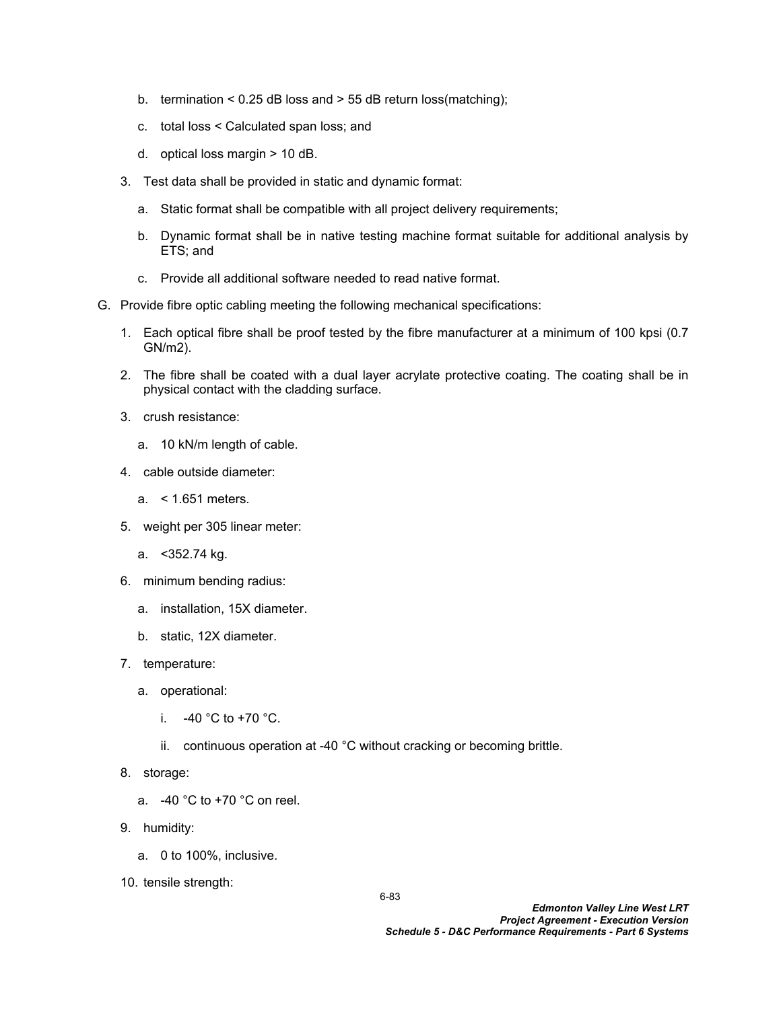- b. termination  $< 0.25$  dB loss and  $> 55$  dB return loss(matching);
- c. total loss < Calculated span loss; and
- d. optical loss margin > 10 dB.
- 3. Test data shall be provided in static and dynamic format:
	- a. Static format shall be compatible with all project delivery requirements;
	- b. Dynamic format shall be in native testing machine format suitable for additional analysis by ETS; and
	- c. Provide all additional software needed to read native format.
- G. Provide fibre optic cabling meeting the following mechanical specifications:
	- 1. Each optical fibre shall be proof tested by the fibre manufacturer at a minimum of 100 kpsi (0.7 GN/m2).
	- 2. The fibre shall be coated with a dual layer acrylate protective coating. The coating shall be in physical contact with the cladding surface.
	- 3. crush resistance:
		- a. 10 kN/m length of cable.
	- 4. cable outside diameter:
		- a. < 1.651 meters.
	- 5. weight per 305 linear meter:
		- a. <352.74 kg.
	- 6. minimum bending radius:
		- a. installation, 15X diameter.
		- b. static, 12X diameter.
	- 7. temperature:
		- a. operational:
			- i.  $-40\degree C$  to  $+70\degree C$ .
			- ii. continuous operation at -40 °C without cracking or becoming brittle.
	- 8. storage:
		- a. -40 °C to +70 °C on reel.
	- 9. humidity:
		- a. 0 to 100%, inclusive.
	- 10. tensile strength:

*Edmonton Valley Line West LRT Project Agreement - Execution Version Schedule 5 - D&C Performance Requirements - Part 6 Systems*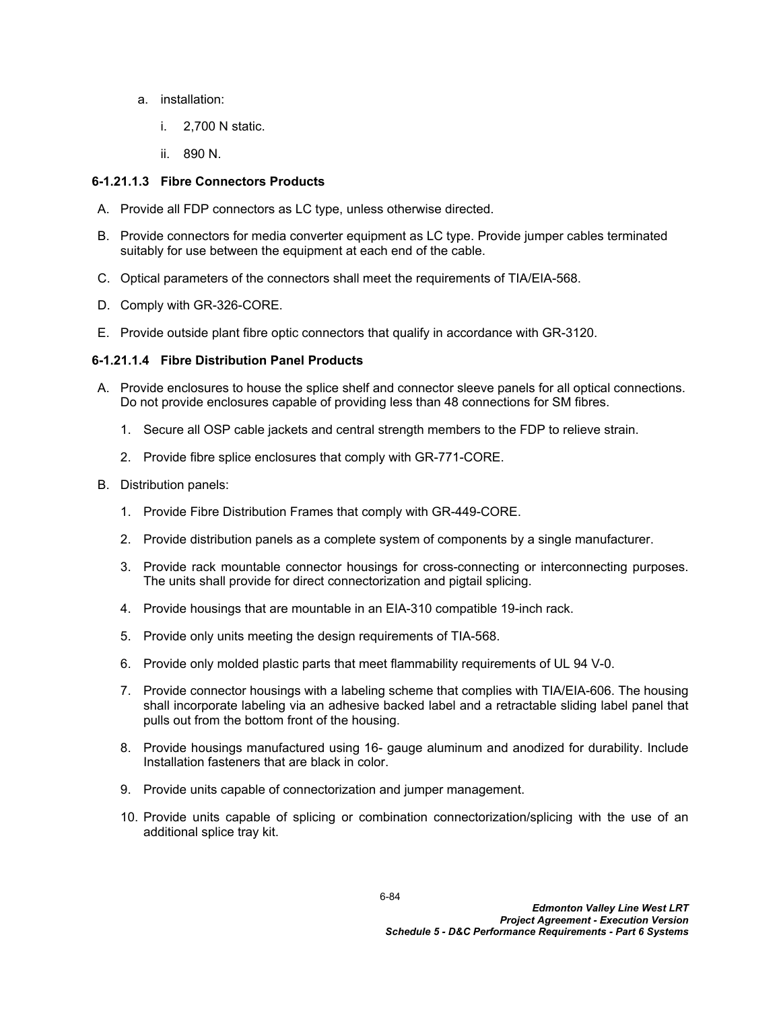- a. installation:
	- i. 2,700 N static.
	- ii. 890 N.

# **6-1.21.1.3 Fibre Connectors Products**

- A. Provide all FDP connectors as LC type, unless otherwise directed.
- B. Provide connectors for media converter equipment as LC type. Provide jumper cables terminated suitably for use between the equipment at each end of the cable.
- C. Optical parameters of the connectors shall meet the requirements of TIA/EIA-568.
- D. Comply with GR-326-CORE.
- E. Provide outside plant fibre optic connectors that qualify in accordance with GR-3120.

## **6-1.21.1.4 Fibre Distribution Panel Products**

- A. Provide enclosures to house the splice shelf and connector sleeve panels for all optical connections. Do not provide enclosures capable of providing less than 48 connections for SM fibres.
	- 1. Secure all OSP cable jackets and central strength members to the FDP to relieve strain.
	- 2. Provide fibre splice enclosures that comply with GR-771-CORE.
- B. Distribution panels:
	- 1. Provide Fibre Distribution Frames that comply with GR-449-CORE.
	- 2. Provide distribution panels as a complete system of components by a single manufacturer.
	- 3. Provide rack mountable connector housings for cross-connecting or interconnecting purposes. The units shall provide for direct connectorization and pigtail splicing.
	- 4. Provide housings that are mountable in an EIA-310 compatible 19-inch rack.
	- 5. Provide only units meeting the design requirements of TIA-568.
	- 6. Provide only molded plastic parts that meet flammability requirements of UL 94 V-0.
	- 7. Provide connector housings with a labeling scheme that complies with TIA/EIA-606. The housing shall incorporate labeling via an adhesive backed label and a retractable sliding label panel that pulls out from the bottom front of the housing.
	- 8. Provide housings manufactured using 16- gauge aluminum and anodized for durability. Include Installation fasteners that are black in color.
	- 9. Provide units capable of connectorization and jumper management.
	- 10. Provide units capable of splicing or combination connectorization/splicing with the use of an additional splice tray kit.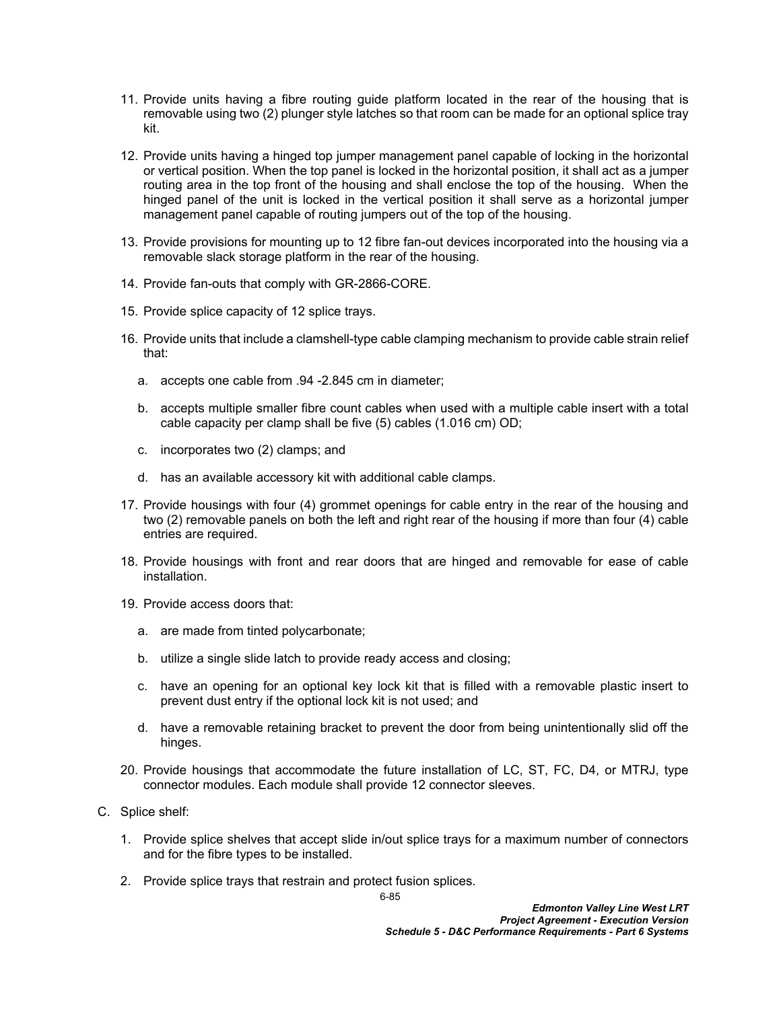- 11. Provide units having a fibre routing guide platform located in the rear of the housing that is removable using two (2) plunger style latches so that room can be made for an optional splice tray kit.
- 12. Provide units having a hinged top jumper management panel capable of locking in the horizontal or vertical position. When the top panel is locked in the horizontal position, it shall act as a jumper routing area in the top front of the housing and shall enclose the top of the housing. When the hinged panel of the unit is locked in the vertical position it shall serve as a horizontal jumper management panel capable of routing jumpers out of the top of the housing.
- 13. Provide provisions for mounting up to 12 fibre fan-out devices incorporated into the housing via a removable slack storage platform in the rear of the housing.
- 14. Provide fan-outs that comply with GR-2866-CORE.
- 15. Provide splice capacity of 12 splice trays.
- 16. Provide units that include a clamshell-type cable clamping mechanism to provide cable strain relief that:
	- a. accepts one cable from .94 -2.845 cm in diameter;
	- b. accepts multiple smaller fibre count cables when used with a multiple cable insert with a total cable capacity per clamp shall be five (5) cables (1.016 cm) OD;
	- c. incorporates two (2) clamps; and
	- d. has an available accessory kit with additional cable clamps.
- 17. Provide housings with four (4) grommet openings for cable entry in the rear of the housing and two (2) removable panels on both the left and right rear of the housing if more than four (4) cable entries are required.
- 18. Provide housings with front and rear doors that are hinged and removable for ease of cable installation.
- 19. Provide access doors that:
	- a. are made from tinted polycarbonate;
	- b. utilize a single slide latch to provide ready access and closing;
	- c. have an opening for an optional key lock kit that is filled with a removable plastic insert to prevent dust entry if the optional lock kit is not used; and
	- d. have a removable retaining bracket to prevent the door from being unintentionally slid off the hinges.
- 20. Provide housings that accommodate the future installation of LC, ST, FC, D4, or MTRJ, type connector modules. Each module shall provide 12 connector sleeves.
- C. Splice shelf:
	- 1. Provide splice shelves that accept slide in/out splice trays for a maximum number of connectors and for the fibre types to be installed.

6-85

2. Provide splice trays that restrain and protect fusion splices.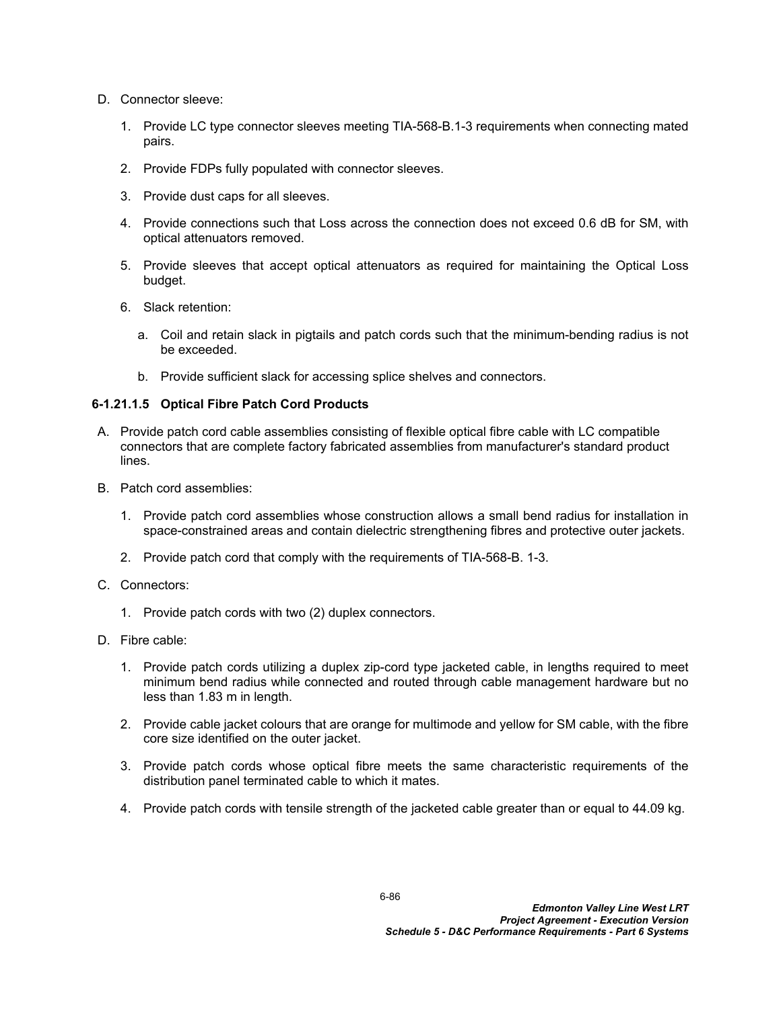- D. Connector sleeve:
	- 1. Provide LC type connector sleeves meeting TIA-568-B.1-3 requirements when connecting mated pairs.
	- 2. Provide FDPs fully populated with connector sleeves.
	- 3. Provide dust caps for all sleeves.
	- 4. Provide connections such that Loss across the connection does not exceed 0.6 dB for SM, with optical attenuators removed.
	- 5. Provide sleeves that accept optical attenuators as required for maintaining the Optical Loss budget.
	- 6. Slack retention:
		- a. Coil and retain slack in pigtails and patch cords such that the minimum-bending radius is not be exceeded.
		- b. Provide sufficient slack for accessing splice shelves and connectors.

#### **6-1.21.1.5 Optical Fibre Patch Cord Products**

- A. Provide patch cord cable assemblies consisting of flexible optical fibre cable with LC compatible connectors that are complete factory fabricated assemblies from manufacturer's standard product lines.
- B. Patch cord assemblies:
	- 1. Provide patch cord assemblies whose construction allows a small bend radius for installation in space-constrained areas and contain dielectric strengthening fibres and protective outer jackets.
	- 2. Provide patch cord that comply with the requirements of TIA-568-B. 1-3.
- C. Connectors:
	- 1. Provide patch cords with two (2) duplex connectors.
- D. Fibre cable:
	- 1. Provide patch cords utilizing a duplex zip-cord type jacketed cable, in lengths required to meet minimum bend radius while connected and routed through cable management hardware but no less than 1.83 m in length.
	- 2. Provide cable jacket colours that are orange for multimode and yellow for SM cable, with the fibre core size identified on the outer jacket.
	- 3. Provide patch cords whose optical fibre meets the same characteristic requirements of the distribution panel terminated cable to which it mates.
	- 4. Provide patch cords with tensile strength of the jacketed cable greater than or equal to 44.09 kg.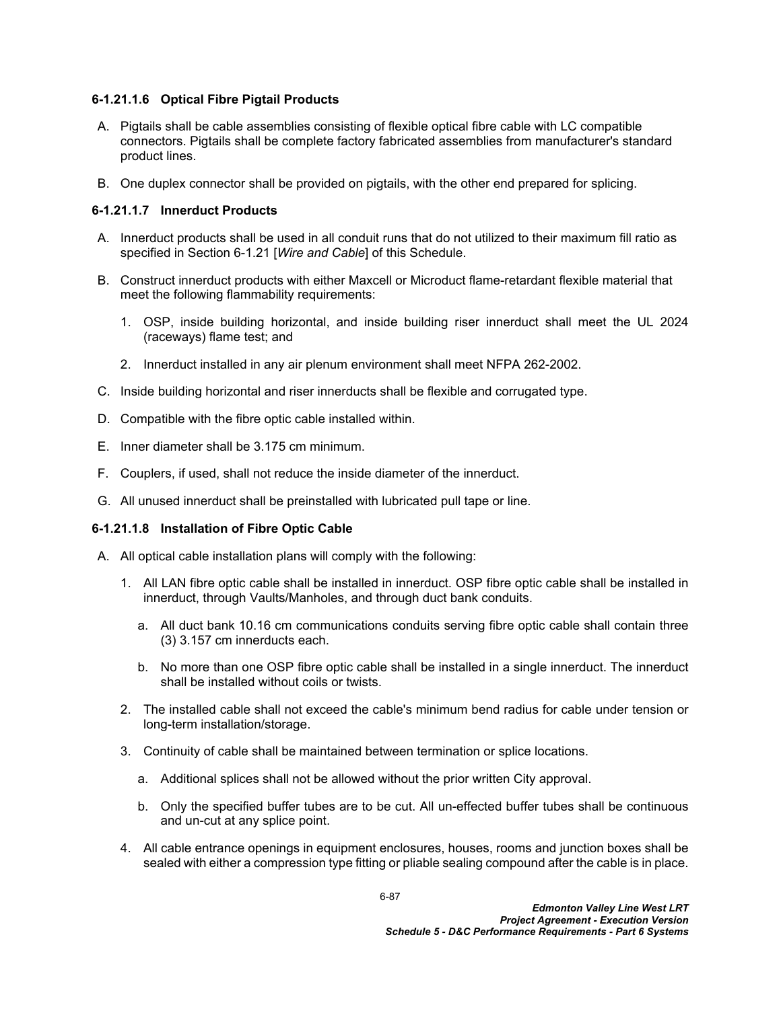## **6-1.21.1.6 Optical Fibre Pigtail Products**

- A. Pigtails shall be cable assemblies consisting of flexible optical fibre cable with LC compatible connectors. Pigtails shall be complete factory fabricated assemblies from manufacturer's standard product lines.
- B. One duplex connector shall be provided on pigtails, with the other end prepared for splicing.

## **6-1.21.1.7 Innerduct Products**

- A. Innerduct products shall be used in all conduit runs that do not utilized to their maximum fill ratio as specified in Section 6-1.21 [*Wire and Cable*] of this Schedule.
- B. Construct innerduct products with either Maxcell or Microduct flame-retardant flexible material that meet the following flammability requirements:
	- 1. OSP, inside building horizontal, and inside building riser innerduct shall meet the UL 2024 (raceways) flame test; and
	- 2. Innerduct installed in any air plenum environment shall meet NFPA 262-2002.
- C. Inside building horizontal and riser innerducts shall be flexible and corrugated type.
- D. Compatible with the fibre optic cable installed within.
- E. Inner diameter shall be 3.175 cm minimum.
- F. Couplers, if used, shall not reduce the inside diameter of the innerduct.
- G. All unused innerduct shall be preinstalled with lubricated pull tape or line.

## **6-1.21.1.8 Installation of Fibre Optic Cable**

- A. All optical cable installation plans will comply with the following:
	- 1. All LAN fibre optic cable shall be installed in innerduct. OSP fibre optic cable shall be installed in innerduct, through Vaults/Manholes, and through duct bank conduits.
		- a. All duct bank 10.16 cm communications conduits serving fibre optic cable shall contain three (3) 3.157 cm innerducts each.
		- b. No more than one OSP fibre optic cable shall be installed in a single innerduct. The innerduct shall be installed without coils or twists.
	- 2. The installed cable shall not exceed the cable's minimum bend radius for cable under tension or long-term installation/storage.
	- 3. Continuity of cable shall be maintained between termination or splice locations.
		- a. Additional splices shall not be allowed without the prior written City approval.
		- b. Only the specified buffer tubes are to be cut. All un-effected buffer tubes shall be continuous and un-cut at any splice point.
	- 4. All cable entrance openings in equipment enclosures, houses, rooms and junction boxes shall be sealed with either a compression type fitting or pliable sealing compound after the cable is in place.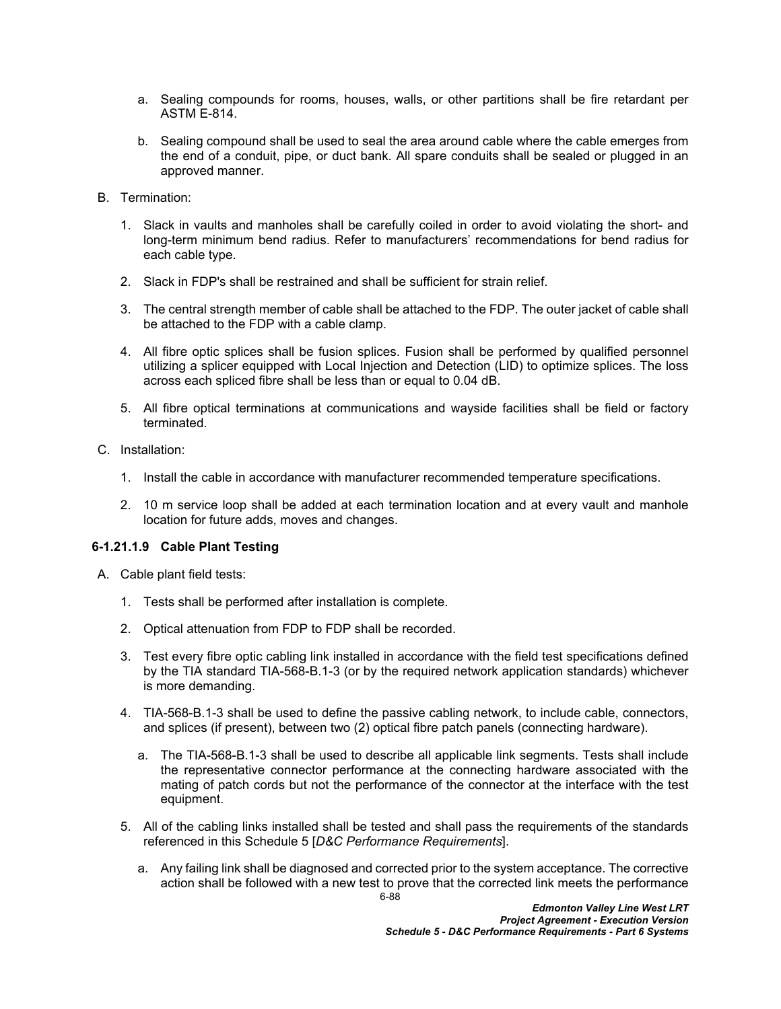- a. Sealing compounds for rooms, houses, walls, or other partitions shall be fire retardant per ASTM E-814.
- b. Sealing compound shall be used to seal the area around cable where the cable emerges from the end of a conduit, pipe, or duct bank. All spare conduits shall be sealed or plugged in an approved manner.
- B. Termination:
	- 1. Slack in vaults and manholes shall be carefully coiled in order to avoid violating the short- and long-term minimum bend radius. Refer to manufacturers' recommendations for bend radius for each cable type.
	- 2. Slack in FDP's shall be restrained and shall be sufficient for strain relief.
	- 3. The central strength member of cable shall be attached to the FDP. The outer jacket of cable shall be attached to the FDP with a cable clamp.
	- 4. All fibre optic splices shall be fusion splices. Fusion shall be performed by qualified personnel utilizing a splicer equipped with Local Injection and Detection (LID) to optimize splices. The loss across each spliced fibre shall be less than or equal to 0.04 dB.
	- 5. All fibre optical terminations at communications and wayside facilities shall be field or factory terminated.
- C. Installation:
	- 1. Install the cable in accordance with manufacturer recommended temperature specifications.
	- 2. 10 m service loop shall be added at each termination location and at every vault and manhole location for future adds, moves and changes.

# **6-1.21.1.9 Cable Plant Testing**

- A. Cable plant field tests:
	- 1. Tests shall be performed after installation is complete.
	- 2. Optical attenuation from FDP to FDP shall be recorded.
	- 3. Test every fibre optic cabling link installed in accordance with the field test specifications defined by the TIA standard TIA-568-B.1-3 (or by the required network application standards) whichever is more demanding.
	- 4. TIA-568-B.1-3 shall be used to define the passive cabling network, to include cable, connectors, and splices (if present), between two (2) optical fibre patch panels (connecting hardware).
		- a. The TIA-568-B.1-3 shall be used to describe all applicable link segments. Tests shall include the representative connector performance at the connecting hardware associated with the mating of patch cords but not the performance of the connector at the interface with the test equipment.
	- 5. All of the cabling links installed shall be tested and shall pass the requirements of the standards referenced in this Schedule 5 [*D&C Performance Requirements*].
		- 6-88 a. Any failing link shall be diagnosed and corrected prior to the system acceptance. The corrective action shall be followed with a new test to prove that the corrected link meets the performance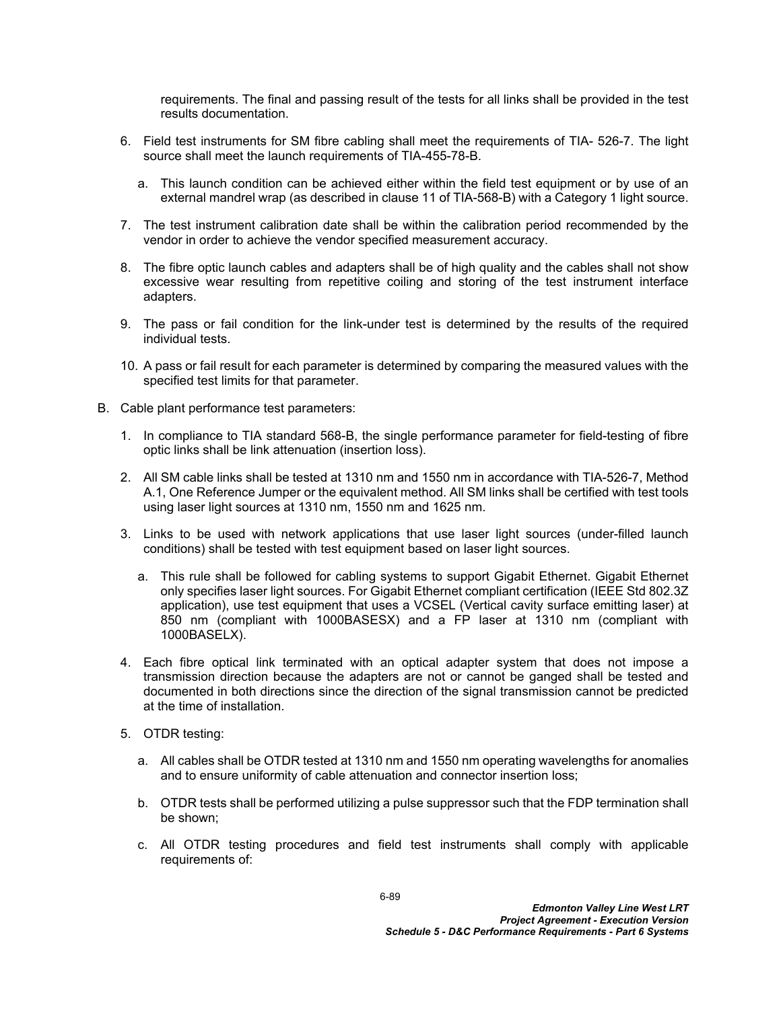requirements. The final and passing result of the tests for all links shall be provided in the test results documentation.

- 6. Field test instruments for SM fibre cabling shall meet the requirements of TIA- 526-7. The light source shall meet the launch requirements of TIA-455-78-B.
	- a. This launch condition can be achieved either within the field test equipment or by use of an external mandrel wrap (as described in clause 11 of TIA-568-B) with a Category 1 light source.
- 7. The test instrument calibration date shall be within the calibration period recommended by the vendor in order to achieve the vendor specified measurement accuracy.
- 8. The fibre optic launch cables and adapters shall be of high quality and the cables shall not show excessive wear resulting from repetitive coiling and storing of the test instrument interface adapters.
- 9. The pass or fail condition for the link-under test is determined by the results of the required individual tests.
- 10. A pass or fail result for each parameter is determined by comparing the measured values with the specified test limits for that parameter.
- B. Cable plant performance test parameters:
	- 1. In compliance to TIA standard 568-B, the single performance parameter for field-testing of fibre optic links shall be link attenuation (insertion loss).
	- 2. All SM cable links shall be tested at 1310 nm and 1550 nm in accordance with TIA-526-7, Method A.1, One Reference Jumper or the equivalent method. All SM links shall be certified with test tools using laser light sources at 1310 nm, 1550 nm and 1625 nm.
	- 3. Links to be used with network applications that use laser light sources (under-filled launch conditions) shall be tested with test equipment based on laser light sources.
		- a. This rule shall be followed for cabling systems to support Gigabit Ethernet. Gigabit Ethernet only specifies laser light sources. For Gigabit Ethernet compliant certification (IEEE Std 802.3Z application), use test equipment that uses a VCSEL (Vertical cavity surface emitting laser) at 850 nm (compliant with 1000BASESX) and a FP laser at 1310 nm (compliant with 1000BASELX).
	- 4. Each fibre optical link terminated with an optical adapter system that does not impose a transmission direction because the adapters are not or cannot be ganged shall be tested and documented in both directions since the direction of the signal transmission cannot be predicted at the time of installation.
	- 5. OTDR testing:
		- a. All cables shall be OTDR tested at 1310 nm and 1550 nm operating wavelengths for anomalies and to ensure uniformity of cable attenuation and connector insertion loss;
		- b. OTDR tests shall be performed utilizing a pulse suppressor such that the FDP termination shall be shown;
		- c. All OTDR testing procedures and field test instruments shall comply with applicable requirements of: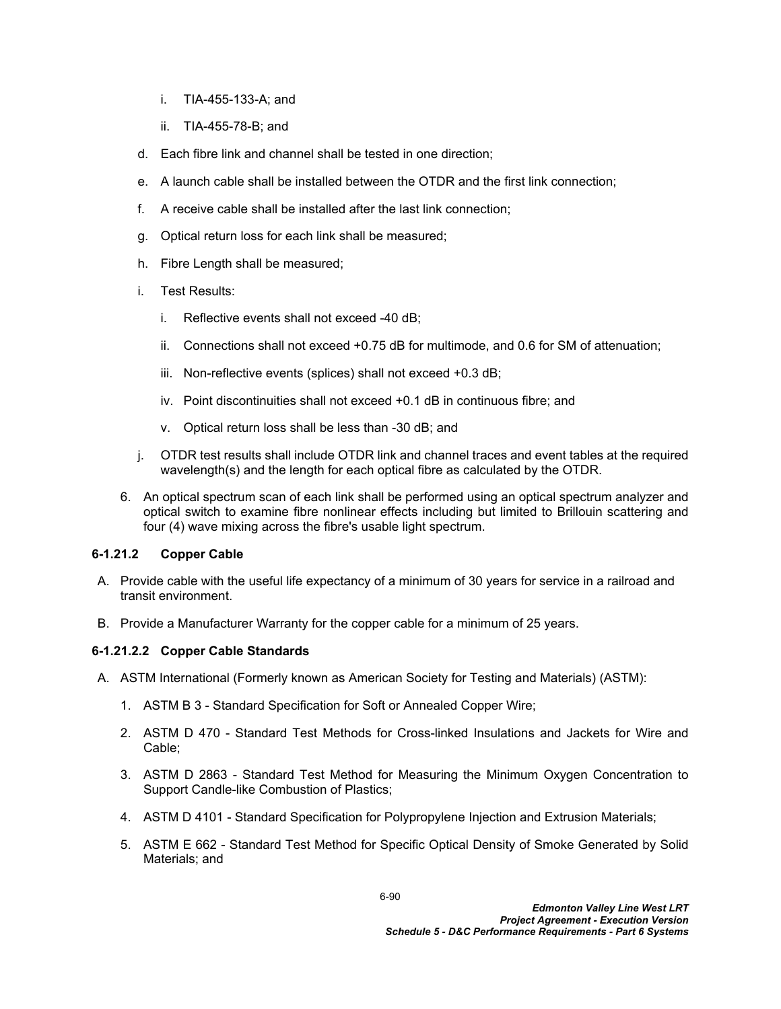- i. TIA-455-133-A; and
- ii. TIA-455-78-B; and
- d. Each fibre link and channel shall be tested in one direction;
- e. A launch cable shall be installed between the OTDR and the first link connection;
- f. A receive cable shall be installed after the last link connection;
- g. Optical return loss for each link shall be measured;
- h. Fibre Length shall be measured;
- i. Test Results:
	- i. Reflective events shall not exceed -40 dB;
	- ii. Connections shall not exceed +0.75 dB for multimode, and 0.6 for SM of attenuation;
	- iii. Non-reflective events (splices) shall not exceed +0.3 dB;
	- iv. Point discontinuities shall not exceed +0.1 dB in continuous fibre; and
	- v. Optical return loss shall be less than -30 dB; and
- j. OTDR test results shall include OTDR link and channel traces and event tables at the required wavelength(s) and the length for each optical fibre as calculated by the OTDR.
- 6. An optical spectrum scan of each link shall be performed using an optical spectrum analyzer and optical switch to examine fibre nonlinear effects including but limited to Brillouin scattering and four (4) wave mixing across the fibre's usable light spectrum.

## **6-1.21.2 Copper Cable**

- A. Provide cable with the useful life expectancy of a minimum of 30 years for service in a railroad and transit environment.
- B. Provide a Manufacturer Warranty for the copper cable for a minimum of 25 years.

## **6-1.21.2.2 Copper Cable Standards**

- A. ASTM International (Formerly known as American Society for Testing and Materials) (ASTM):
	- 1. ASTM B 3 Standard Specification for Soft or Annealed Copper Wire;
	- 2. ASTM D 470 Standard Test Methods for Cross-linked Insulations and Jackets for Wire and Cable;
	- 3. ASTM D 2863 Standard Test Method for Measuring the Minimum Oxygen Concentration to Support Candle-like Combustion of Plastics;
	- 4. ASTM D 4101 Standard Specification for Polypropylene Injection and Extrusion Materials;
	- 5. ASTM E 662 Standard Test Method for Specific Optical Density of Smoke Generated by Solid Materials; and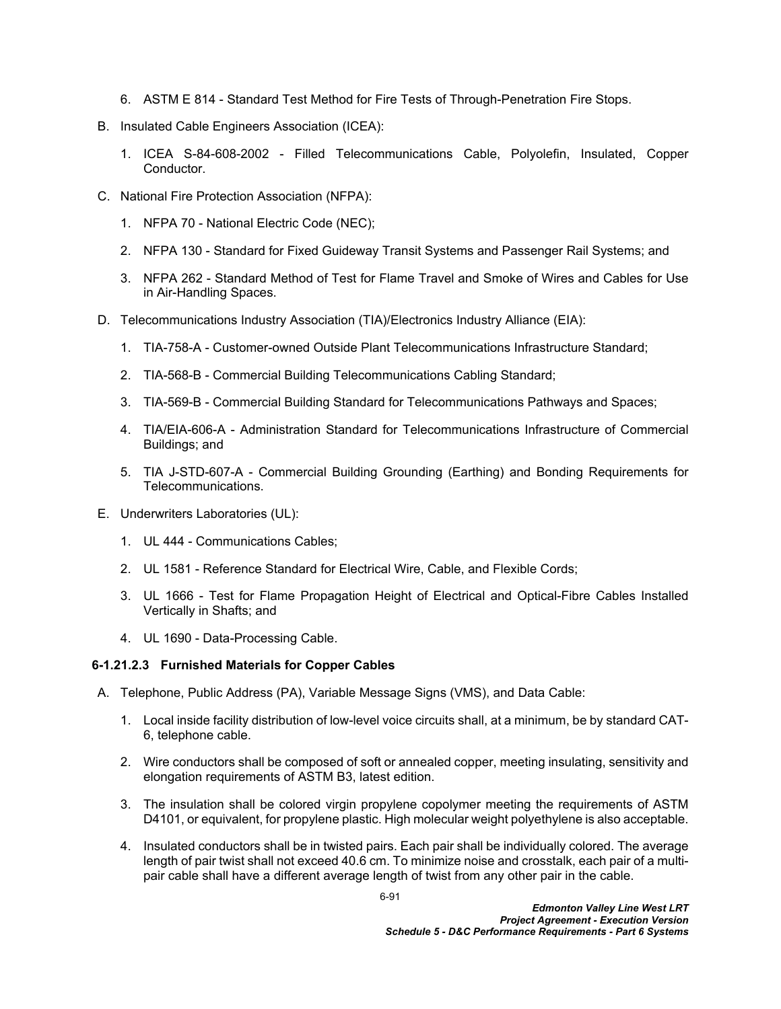- 6. ASTM E 814 Standard Test Method for Fire Tests of Through-Penetration Fire Stops.
- B. Insulated Cable Engineers Association (ICEA):
	- 1. ICEA S-84-608-2002 Filled Telecommunications Cable, Polyolefin, Insulated, Copper Conductor.
- C. National Fire Protection Association (NFPA):
	- 1. NFPA 70 National Electric Code (NEC);
	- 2. NFPA 130 Standard for Fixed Guideway Transit Systems and Passenger Rail Systems; and
	- 3. NFPA 262 Standard Method of Test for Flame Travel and Smoke of Wires and Cables for Use in Air-Handling Spaces.
- D. Telecommunications Industry Association (TIA)/Electronics Industry Alliance (EIA):
	- 1. TIA-758-A Customer-owned Outside Plant Telecommunications Infrastructure Standard;
	- 2. TIA-568-B Commercial Building Telecommunications Cabling Standard;
	- 3. TIA-569-B Commercial Building Standard for Telecommunications Pathways and Spaces;
	- 4. TIA/EIA-606-A Administration Standard for Telecommunications Infrastructure of Commercial Buildings; and
	- 5. TIA J-STD-607-A Commercial Building Grounding (Earthing) and Bonding Requirements for Telecommunications.
- E. Underwriters Laboratories (UL):
	- 1. UL 444 Communications Cables;
	- 2. UL 1581 Reference Standard for Electrical Wire, Cable, and Flexible Cords;
	- 3. UL 1666 Test for Flame Propagation Height of Electrical and Optical-Fibre Cables Installed Vertically in Shafts; and
	- 4. UL 1690 Data-Processing Cable.

#### **6-1.21.2.3 Furnished Materials for Copper Cables**

- A. Telephone, Public Address (PA), Variable Message Signs (VMS), and Data Cable:
	- 1. Local inside facility distribution of low-level voice circuits shall, at a minimum, be by standard CAT-6, telephone cable.
	- 2. Wire conductors shall be composed of soft or annealed copper, meeting insulating, sensitivity and elongation requirements of ASTM B3, latest edition.
	- 3. The insulation shall be colored virgin propylene copolymer meeting the requirements of ASTM D4101, or equivalent, for propylene plastic. High molecular weight polyethylene is also acceptable.
	- 4. Insulated conductors shall be in twisted pairs. Each pair shall be individually colored. The average length of pair twist shall not exceed 40.6 cm. To minimize noise and crosstalk, each pair of a multipair cable shall have a different average length of twist from any other pair in the cable.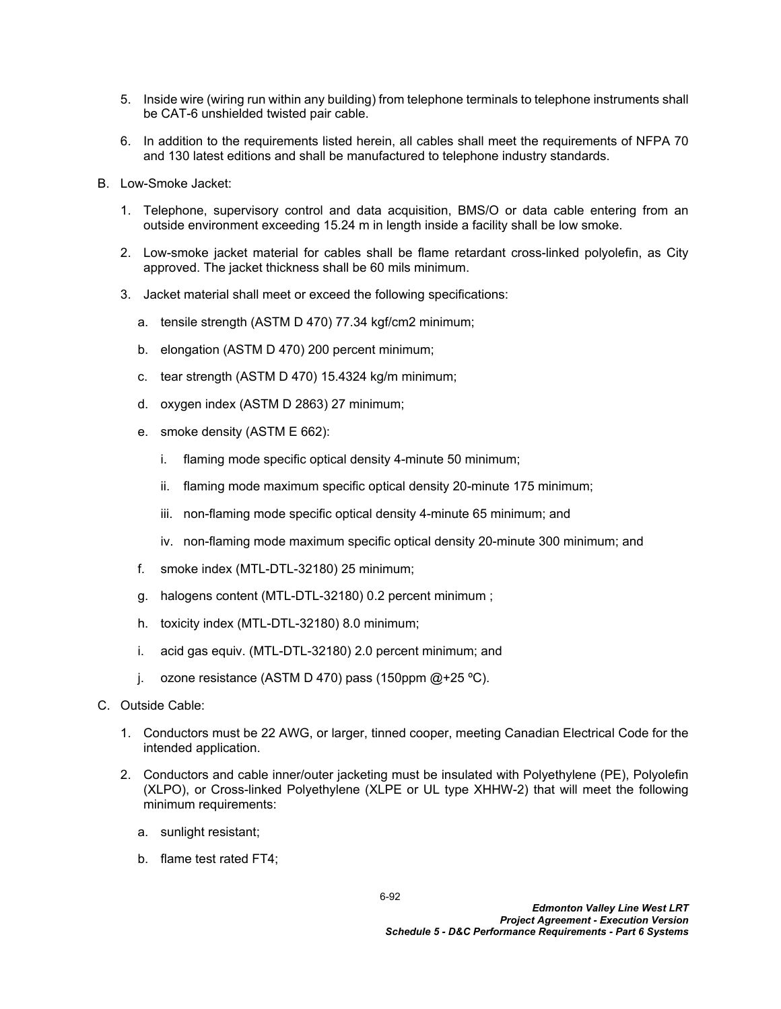- 5. Inside wire (wiring run within any building) from telephone terminals to telephone instruments shall be CAT-6 unshielded twisted pair cable.
- 6. In addition to the requirements listed herein, all cables shall meet the requirements of NFPA 70 and 130 latest editions and shall be manufactured to telephone industry standards.
- B. Low-Smoke Jacket:
	- 1. Telephone, supervisory control and data acquisition, BMS/O or data cable entering from an outside environment exceeding 15.24 m in length inside a facility shall be low smoke.
	- 2. Low-smoke jacket material for cables shall be flame retardant cross-linked polyolefin, as City approved. The jacket thickness shall be 60 mils minimum.
	- 3. Jacket material shall meet or exceed the following specifications:
		- a. tensile strength (ASTM D 470) 77.34 kgf/cm2 minimum;
		- b. elongation (ASTM D 470) 200 percent minimum;
		- c. tear strength (ASTM D 470) 15.4324 kg/m minimum;
		- d. oxygen index (ASTM D 2863) 27 minimum;
		- e. smoke density (ASTM E 662):
			- i. flaming mode specific optical density 4-minute 50 minimum;
			- ii. flaming mode maximum specific optical density 20-minute 175 minimum;
			- iii. non-flaming mode specific optical density 4-minute 65 minimum; and
			- iv. non-flaming mode maximum specific optical density 20-minute 300 minimum; and
		- f. smoke index (MTL-DTL-32180) 25 minimum;
		- g. halogens content (MTL-DTL-32180) 0.2 percent minimum ;
		- h. toxicity index (MTL-DTL-32180) 8.0 minimum;
		- i. acid gas equiv. (MTL-DTL-32180) 2.0 percent minimum; and
		- j. ozone resistance (ASTM D 470) pass (150ppm  $@+25$  °C).
- C. Outside Cable:
	- 1. Conductors must be 22 AWG, or larger, tinned cooper, meeting Canadian Electrical Code for the intended application.
	- 2. Conductors and cable inner/outer jacketing must be insulated with Polyethylene (PE), Polyolefin (XLPO), or Cross-linked Polyethylene (XLPE or UL type XHHW-2) that will meet the following minimum requirements:
		- a. sunlight resistant;
		- b. flame test rated FT4;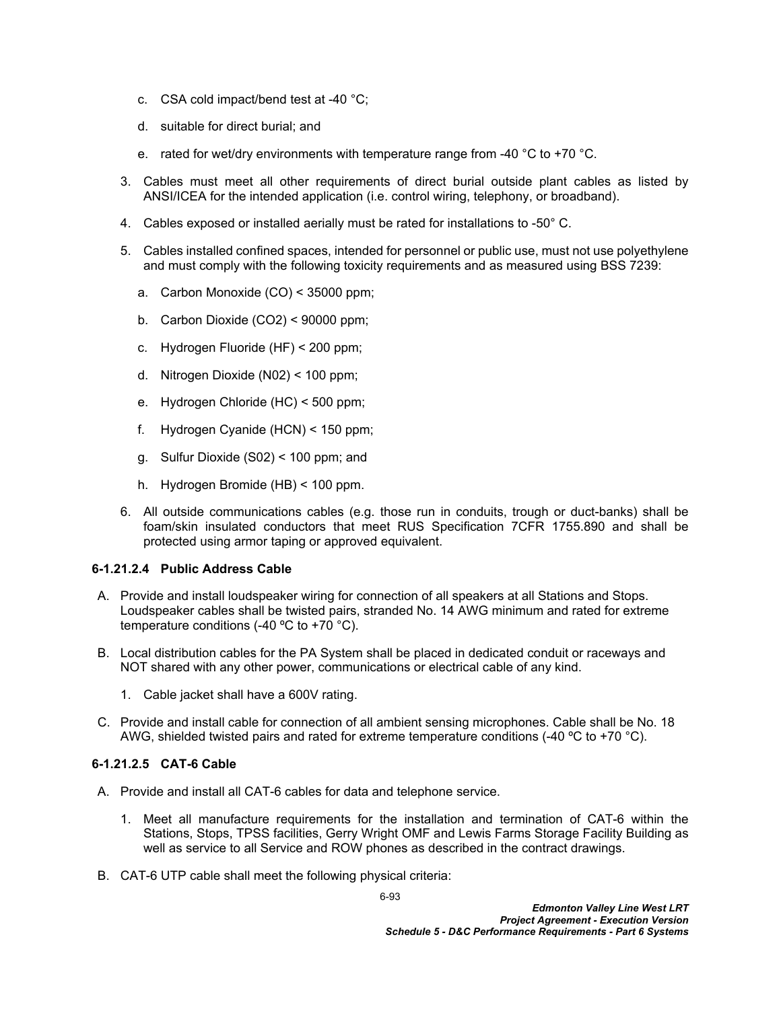- c. CSA cold impact/bend test at -40 °C;
- d. suitable for direct burial; and
- e. rated for wet/dry environments with temperature range from -40  $^{\circ}$ C to +70  $^{\circ}$ C.
- 3. Cables must meet all other requirements of direct burial outside plant cables as listed by ANSI/ICEA for the intended application (i.e. control wiring, telephony, or broadband).
- 4. Cables exposed or installed aerially must be rated for installations to -50° C.
- 5. Cables installed confined spaces, intended for personnel or public use, must not use polyethylene and must comply with the following toxicity requirements and as measured using BSS 7239:
	- a. Carbon Monoxide (CO) < 35000 ppm;
	- b. Carbon Dioxide (CO2) < 90000 ppm;
	- c. Hydrogen Fluoride (HF) < 200 ppm;
	- d. Nitrogen Dioxide (N02) < 100 ppm;
	- e. Hydrogen Chloride (HC) < 500 ppm;
	- f. Hydrogen Cyanide (HCN) < 150 ppm;
	- g. Sulfur Dioxide (S02) < 100 ppm; and
	- h. Hydrogen Bromide (HB) < 100 ppm.
- 6. All outside communications cables (e.g. those run in conduits, trough or duct-banks) shall be foam/skin insulated conductors that meet RUS Specification 7CFR 1755.890 and shall be protected using armor taping or approved equivalent.

## **6-1.21.2.4 Public Address Cable**

- A. Provide and install loudspeaker wiring for connection of all speakers at all Stations and Stops. Loudspeaker cables shall be twisted pairs, stranded No. 14 AWG minimum and rated for extreme temperature conditions (-40  $^{\circ}$ C to +70  $^{\circ}$ C).
- B. Local distribution cables for the PA System shall be placed in dedicated conduit or raceways and NOT shared with any other power, communications or electrical cable of any kind.
	- 1. Cable jacket shall have a 600V rating.
- C. Provide and install cable for connection of all ambient sensing microphones. Cable shall be No. 18 AWG, shielded twisted pairs and rated for extreme temperature conditions (-40  $\degree$ C to +70  $\degree$ C).

# **6-1.21.2.5 CAT-6 Cable**

- A. Provide and install all CAT-6 cables for data and telephone service.
	- 1. Meet all manufacture requirements for the installation and termination of CAT-6 within the Stations, Stops, TPSS facilities, Gerry Wright OMF and Lewis Farms Storage Facility Building as well as service to all Service and ROW phones as described in the contract drawings.
- B. CAT-6 UTP cable shall meet the following physical criteria: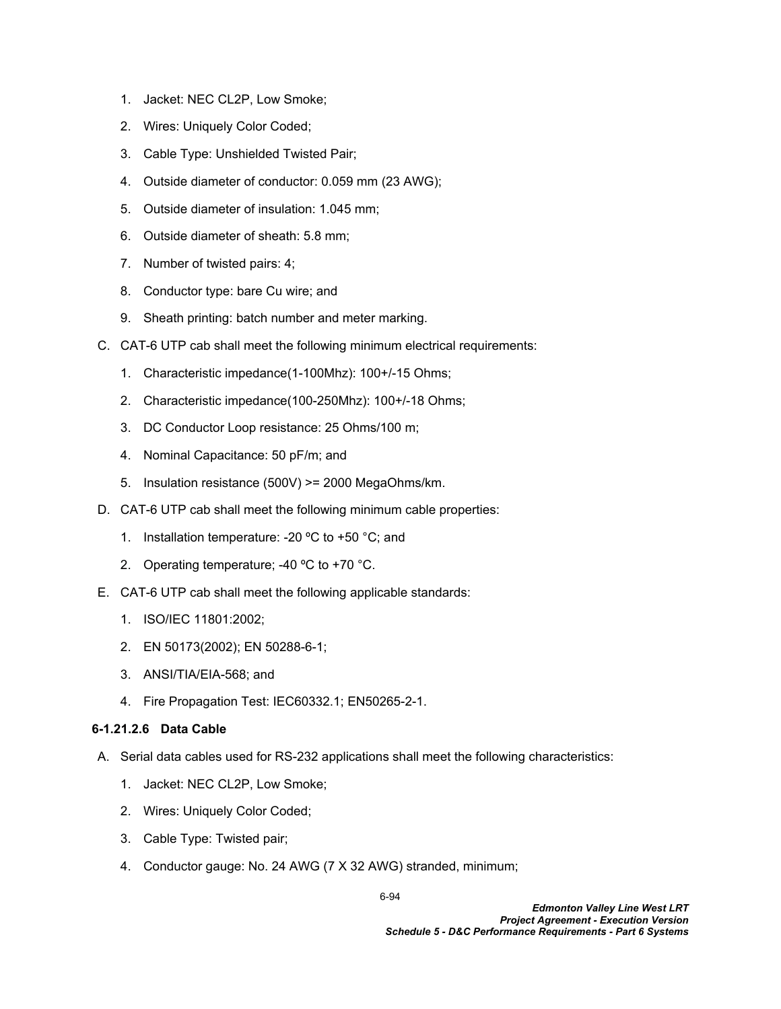- 1. Jacket: NEC CL2P, Low Smoke;
- 2. Wires: Uniquely Color Coded;
- 3. Cable Type: Unshielded Twisted Pair;
- 4. Outside diameter of conductor: 0.059 mm (23 AWG);
- 5. Outside diameter of insulation: 1.045 mm;
- 6. Outside diameter of sheath: 5.8 mm;
- 7. Number of twisted pairs: 4;
- 8. Conductor type: bare Cu wire; and
- 9. Sheath printing: batch number and meter marking.
- C. CAT-6 UTP cab shall meet the following minimum electrical requirements:
	- 1. Characteristic impedance(1-100Mhz): 100+/-15 Ohms;
	- 2. Characteristic impedance(100-250Mhz): 100+/-18 Ohms;
	- 3. DC Conductor Loop resistance: 25 Ohms/100 m;
	- 4. Nominal Capacitance: 50 pF/m; and
	- 5. Insulation resistance (500V) >= 2000 MegaOhms/km.
- D. CAT-6 UTP cab shall meet the following minimum cable properties:
	- 1. Installation temperature: -20 ºC to +50 °C; and
	- 2. Operating temperature; -40 ºC to +70 °C.
- E. CAT-6 UTP cab shall meet the following applicable standards:
	- 1. ISO/IEC 11801:2002;
	- 2. EN 50173(2002); EN 50288-6-1;
	- 3. ANSI/TIA/EIA-568; and
	- 4. Fire Propagation Test: IEC60332.1; EN50265-2-1.

## **6-1.21.2.6 Data Cable**

- A. Serial data cables used for RS-232 applications shall meet the following characteristics:
	- 1. Jacket: NEC CL2P, Low Smoke;
	- 2. Wires: Uniquely Color Coded;
	- 3. Cable Type: Twisted pair;
	- 4. Conductor gauge: No. 24 AWG (7 X 32 AWG) stranded, minimum;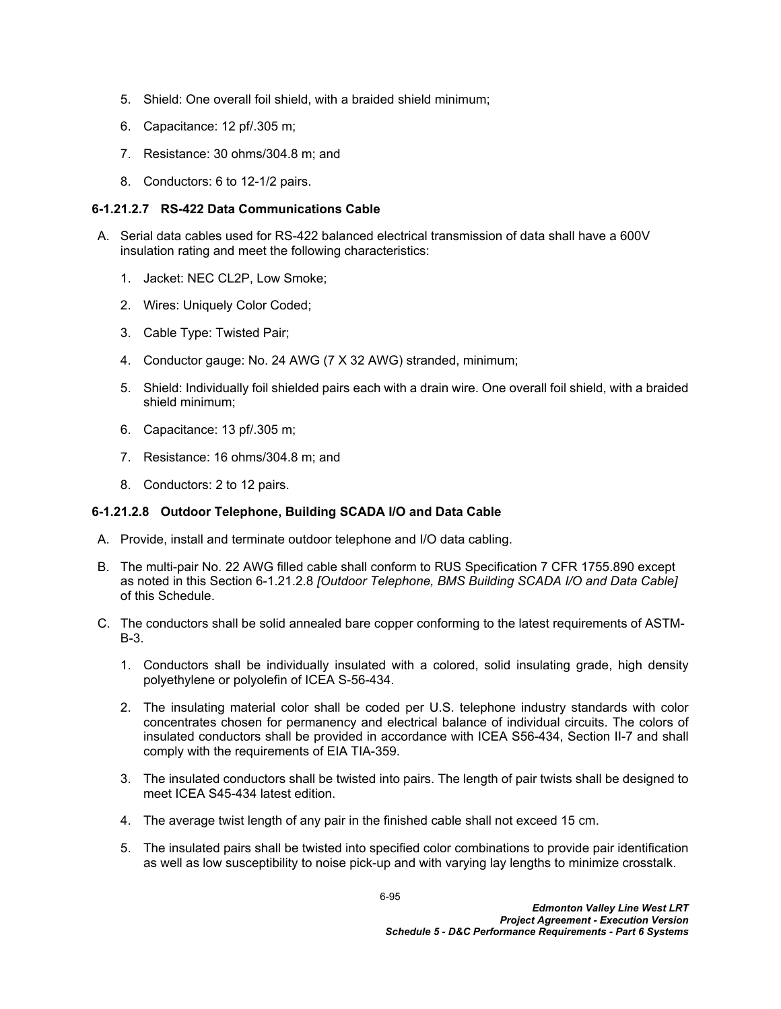- 5. Shield: One overall foil shield, with a braided shield minimum;
- 6. Capacitance: 12 pf/.305 m;
- 7. Resistance: 30 ohms/304.8 m; and
- 8. Conductors: 6 to 12-1/2 pairs.

## **6-1.21.2.7 RS-422 Data Communications Cable**

- A. Serial data cables used for RS-422 balanced electrical transmission of data shall have a 600V insulation rating and meet the following characteristics:
	- 1. Jacket: NEC CL2P, Low Smoke;
	- 2. Wires: Uniquely Color Coded;
	- 3. Cable Type: Twisted Pair;
	- 4. Conductor gauge: No. 24 AWG (7 X 32 AWG) stranded, minimum;
	- 5. Shield: Individually foil shielded pairs each with a drain wire. One overall foil shield, with a braided shield minimum;
	- 6. Capacitance: 13 pf/.305 m;
	- 7. Resistance: 16 ohms/304.8 m; and
	- 8. Conductors: 2 to 12 pairs.

# <span id="page-97-0"></span>**6-1.21.2.8 Outdoor Telephone, Building SCADA I/O and Data Cable**

- A. Provide, install and terminate outdoor telephone and I/O data cabling.
- B. The multi-pair No. 22 AWG filled cable shall conform to RUS Specification 7 CFR 1755.890 except as noted in this Section [6-1.21.2.8](#page-97-0) *[Outdoor Telephone, BMS Building SCADA I/O and Data Cable]* of this Schedule.
- C. The conductors shall be solid annealed bare copper conforming to the latest requirements of ASTM-B-3.
	- 1. Conductors shall be individually insulated with a colored, solid insulating grade, high density polyethylene or polyolefin of ICEA S-56-434.
	- 2. The insulating material color shall be coded per U.S. telephone industry standards with color concentrates chosen for permanency and electrical balance of individual circuits. The colors of insulated conductors shall be provided in accordance with ICEA S56-434, Section II-7 and shall comply with the requirements of EIA TIA-359.
	- 3. The insulated conductors shall be twisted into pairs. The length of pair twists shall be designed to meet ICEA S45-434 latest edition.
	- 4. The average twist length of any pair in the finished cable shall not exceed 15 cm.
	- 5. The insulated pairs shall be twisted into specified color combinations to provide pair identification as well as low susceptibility to noise pick-up and with varying lay lengths to minimize crosstalk.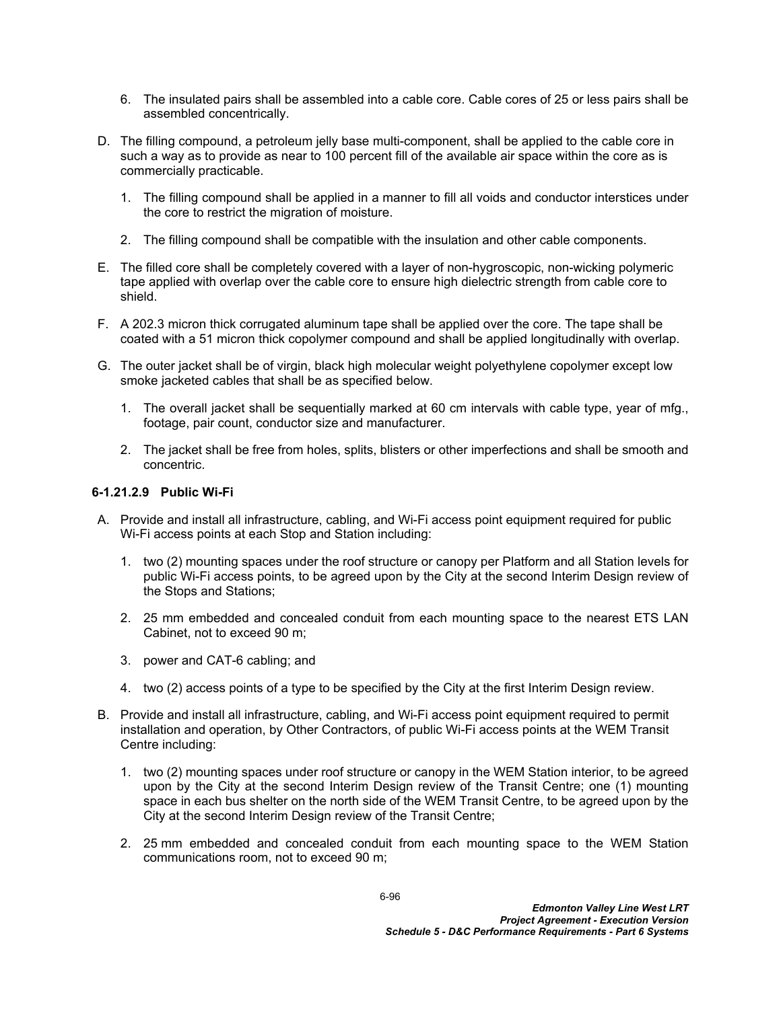- 6. The insulated pairs shall be assembled into a cable core. Cable cores of 25 or less pairs shall be assembled concentrically.
- D. The filling compound, a petroleum jelly base multi-component, shall be applied to the cable core in such a way as to provide as near to 100 percent fill of the available air space within the core as is commercially practicable.
	- 1. The filling compound shall be applied in a manner to fill all voids and conductor interstices under the core to restrict the migration of moisture.
	- 2. The filling compound shall be compatible with the insulation and other cable components.
- E. The filled core shall be completely covered with a layer of non-hygroscopic, non-wicking polymeric tape applied with overlap over the cable core to ensure high dielectric strength from cable core to shield.
- F. A 202.3 micron thick corrugated aluminum tape shall be applied over the core. The tape shall be coated with a 51 micron thick copolymer compound and shall be applied longitudinally with overlap.
- G. The outer jacket shall be of virgin, black high molecular weight polyethylene copolymer except low smoke jacketed cables that shall be as specified below.
	- 1. The overall jacket shall be sequentially marked at 60 cm intervals with cable type, year of mfg., footage, pair count, conductor size and manufacturer.
	- 2. The jacket shall be free from holes, splits, blisters or other imperfections and shall be smooth and concentric.

## **6-1.21.2.9 Public Wi-Fi**

- A. Provide and install all infrastructure, cabling, and Wi-Fi access point equipment required for public Wi-Fi access points at each Stop and Station including:
	- 1. two (2) mounting spaces under the roof structure or canopy per Platform and all Station levels for public Wi-Fi access points, to be agreed upon by the City at the second Interim Design review of the Stops and Stations;
	- 2. 25 mm embedded and concealed conduit from each mounting space to the nearest ETS LAN Cabinet, not to exceed 90 m;
	- 3. power and CAT-6 cabling; and
	- 4. two (2) access points of a type to be specified by the City at the first Interim Design review.
- B. Provide and install all infrastructure, cabling, and Wi-Fi access point equipment required to permit installation and operation, by Other Contractors, of public Wi-Fi access points at the WEM Transit Centre including:
	- 1. two (2) mounting spaces under roof structure or canopy in the WEM Station interior, to be agreed upon by the City at the second Interim Design review of the Transit Centre; one (1) mounting space in each bus shelter on the north side of the WEM Transit Centre, to be agreed upon by the City at the second Interim Design review of the Transit Centre;
	- 2. 25 mm embedded and concealed conduit from each mounting space to the WEM Station communications room, not to exceed 90 m;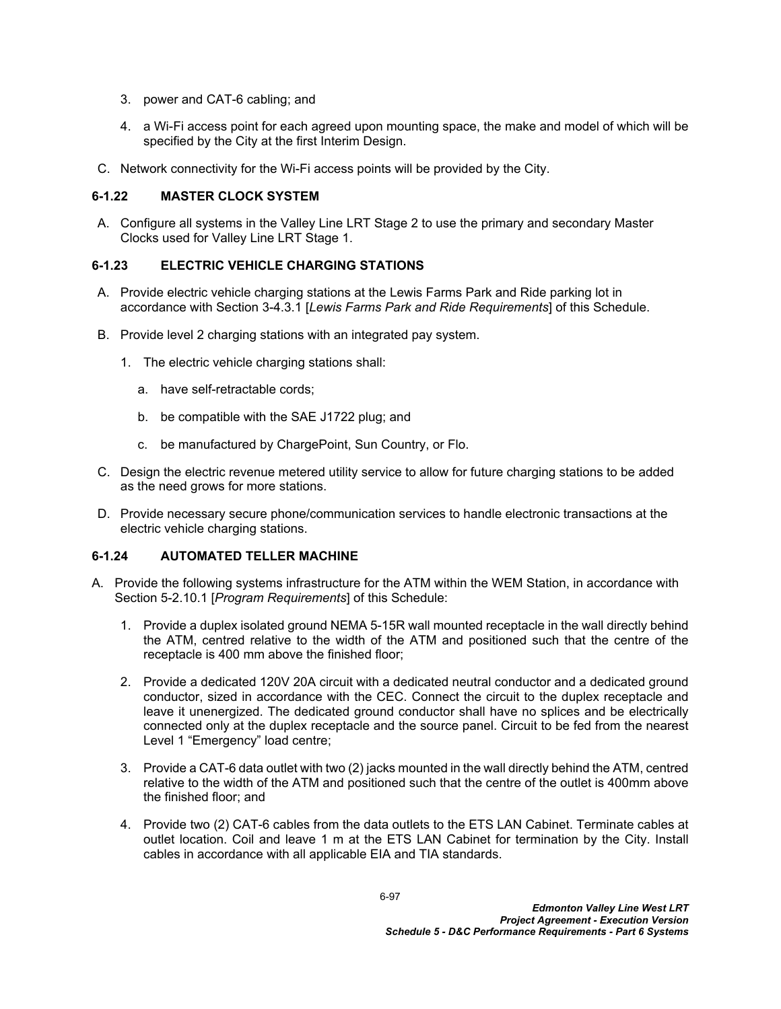- 3. power and CAT-6 cabling; and
- 4. a Wi-Fi access point for each agreed upon mounting space, the make and model of which will be specified by the City at the first Interim Design.
- C. Network connectivity for the Wi-Fi access points will be provided by the City.

# **6-1.22 MASTER CLOCK SYSTEM**

A. Configure all systems in the Valley Line LRT Stage 2 to use the primary and secondary Master Clocks used for Valley Line LRT Stage 1.

# **6-1.23 ELECTRIC VEHICLE CHARGING STATIONS**

- A. Provide electric vehicle charging stations at the Lewis Farms Park and Ride parking lot in accordance with Section 3-4.3.1 [*Lewis Farms Park and Ride Requirements*] of this Schedule.
- B. Provide level 2 charging stations with an integrated pay system.
	- 1. The electric vehicle charging stations shall:
		- a. have self-retractable cords;
		- b. be compatible with the SAE J1722 plug; and
		- c. be manufactured by ChargePoint, Sun Country, or Flo.
- C. Design the electric revenue metered utility service to allow for future charging stations to be added as the need grows for more stations.
- D. Provide necessary secure phone/communication services to handle electronic transactions at the electric vehicle charging stations.

## **6-1.24 AUTOMATED TELLER MACHINE**

- A. Provide the following systems infrastructure for the ATM within the WEM Station, in accordance with Section 5-2.10.1 [*Program Requirements*] of this Schedule:
	- 1. Provide a duplex isolated ground NEMA 5-15R wall mounted receptacle in the wall directly behind the ATM, centred relative to the width of the ATM and positioned such that the centre of the receptacle is 400 mm above the finished floor;
	- 2. Provide a dedicated 120V 20A circuit with a dedicated neutral conductor and a dedicated ground conductor, sized in accordance with the CEC. Connect the circuit to the duplex receptacle and leave it unenergized. The dedicated ground conductor shall have no splices and be electrically connected only at the duplex receptacle and the source panel. Circuit to be fed from the nearest Level 1 "Emergency" load centre;
	- 3. Provide a CAT-6 data outlet with two (2) jacks mounted in the wall directly behind the ATM, centred relative to the width of the ATM and positioned such that the centre of the outlet is 400mm above the finished floor; and
	- 4. Provide two (2) CAT-6 cables from the data outlets to the ETS LAN Cabinet. Terminate cables at outlet location. Coil and leave 1 m at the ETS LAN Cabinet for termination by the City. Install cables in accordance with all applicable EIA and TIA standards.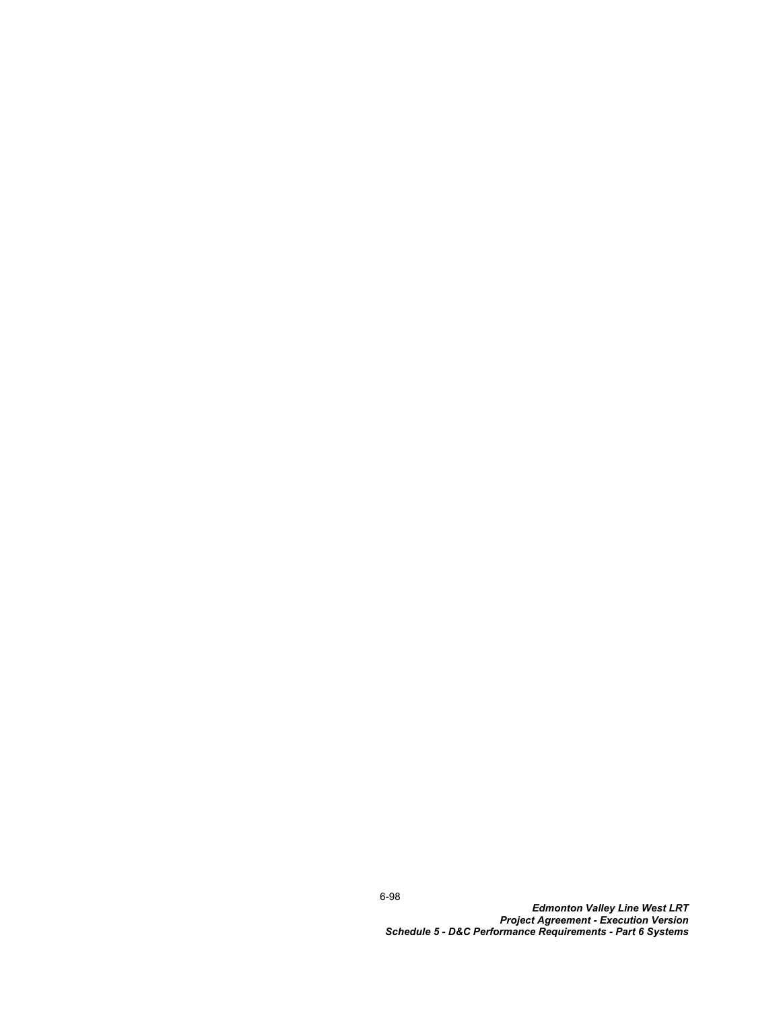*Edmonton Valley Line West LRT Project Agreement - Execution Version Schedule 5 - D&C Performance Requirements - Part 6 Systems*

6-98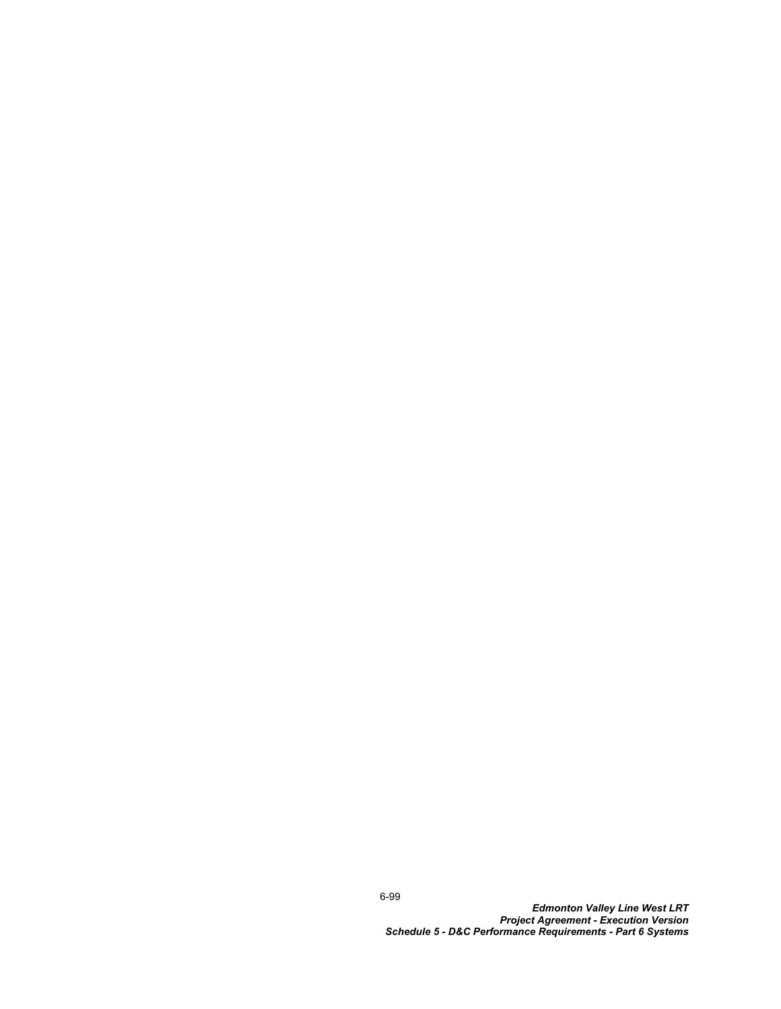*Edmonton Valley Line West LRT Project Agreement - Execution Version Schedule 5 - D&C Performance Requirements - Part 6 Systems*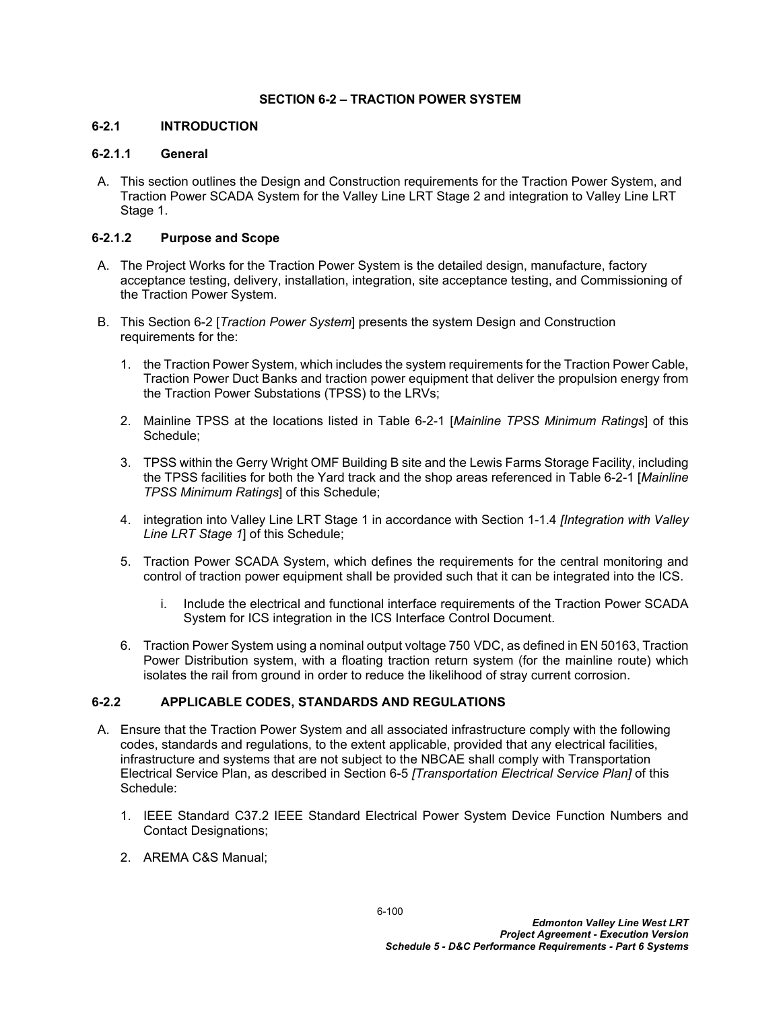## **SECTION 6-2 – TRACTION POWER SYSTEM**

## **6-2.1 INTRODUCTION**

# **6-2.1.1 General**

A. This section outlines the Design and Construction requirements for the Traction Power System, and Traction Power SCADA System for the Valley Line LRT Stage 2 and integration to Valley Line LRT Stage 1.

# **6-2.1.2 Purpose and Scope**

- A. The Project Works for the Traction Power System is the detailed design, manufacture, factory acceptance testing, delivery, installation, integration, site acceptance testing, and Commissioning of the Traction Power System.
- B. This Section 6-2 [*Traction Power System*] presents the system Design and Construction requirements for the:
	- 1. the Traction Power System, which includes the system requirements for the Traction Power Cable, Traction Power Duct Banks and traction power equipment that deliver the propulsion energy from the Traction Power Substations (TPSS) to the LRVs;
	- 2. Mainline TPSS at the locations listed in Table 6-2-1 [*Mainline TPSS Minimum Ratings*] of this Schedule;
	- 3. TPSS within the Gerry Wright OMF Building B site and the Lewis Farms Storage Facility, including the TPSS facilities for both the Yard track and the shop areas referenced in Table 6-2-1 [*Mainline TPSS Minimum Ratings*] of this Schedule;
	- 4. integration into Valley Line LRT Stage 1 in accordance with Section 1-1.4 *[Integration with Valley Line LRT Stage 1*] of this Schedule;
	- 5. Traction Power SCADA System, which defines the requirements for the central monitoring and control of traction power equipment shall be provided such that it can be integrated into the ICS.
		- i. Include the electrical and functional interface requirements of the Traction Power SCADA System for ICS integration in the ICS Interface Control Document.
	- 6. Traction Power System using a nominal output voltage 750 VDC, as defined in EN 50163, Traction Power Distribution system, with a floating traction return system (for the mainline route) which isolates the rail from ground in order to reduce the likelihood of stray current corrosion.

# **6-2.2 APPLICABLE CODES, STANDARDS AND REGULATIONS**

- A. Ensure that the Traction Power System and all associated infrastructure comply with the following codes, standards and regulations, to the extent applicable, provided that any electrical facilities, infrastructure and systems that are not subject to the NBCAE shall comply with Transportation Electrical Service Plan, as described in Section 6-5 *[Transportation Electrical Service Plan]* of this Schedule:
	- 1. IEEE Standard C37.2 IEEE Standard Electrical Power System Device Function Numbers and Contact Designations;
	- 2. AREMA C&S Manual;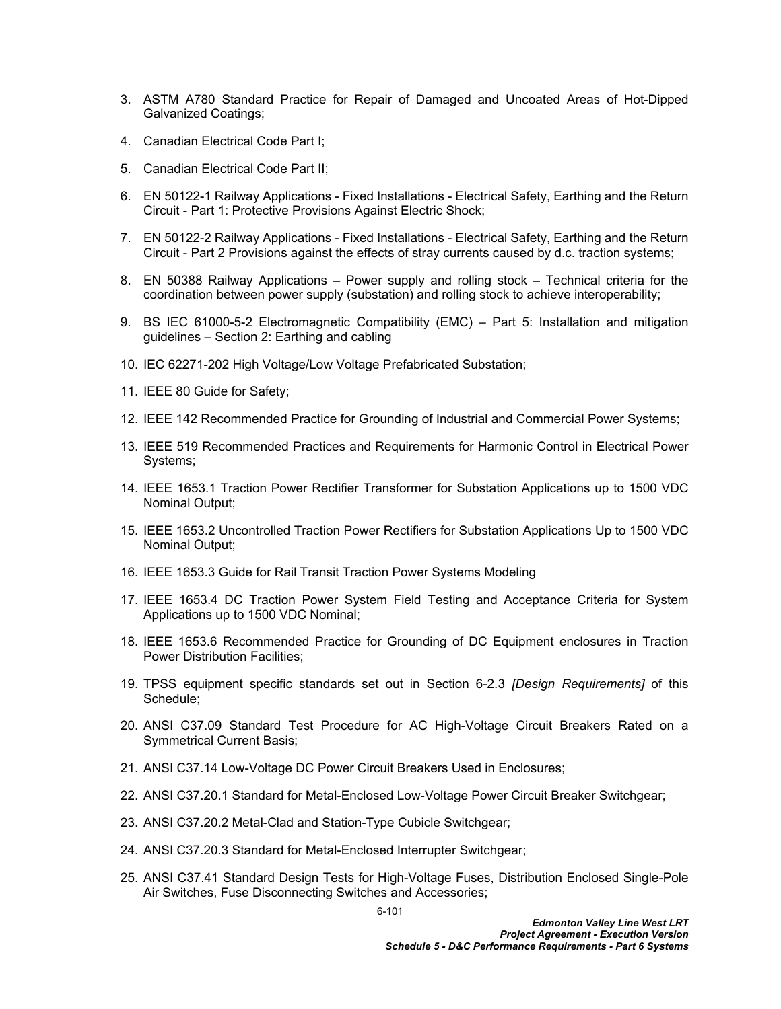- 3. ASTM A780 Standard Practice for Repair of Damaged and Uncoated Areas of Hot-Dipped Galvanized Coatings;
- 4. Canadian Electrical Code Part I;
- 5. Canadian Electrical Code Part II;
- 6. EN 50122-1 Railway Applications Fixed Installations Electrical Safety, Earthing and the Return Circuit - Part 1: Protective Provisions Against Electric Shock;
- 7. EN 50122-2 Railway Applications Fixed Installations Electrical Safety, Earthing and the Return Circuit - Part 2 Provisions against the effects of stray currents caused by d.c. traction systems;
- 8. EN 50388 Railway Applications Power supply and rolling stock Technical criteria for the coordination between power supply (substation) and rolling stock to achieve interoperability;
- 9. BS IEC 61000-5-2 Electromagnetic Compatibility (EMC) Part 5: Installation and mitigation guidelines – Section 2: Earthing and cabling
- 10. IEC 62271-202 High Voltage/Low Voltage Prefabricated Substation;
- 11. IEEE 80 Guide for Safety;
- 12. IEEE 142 Recommended Practice for Grounding of Industrial and Commercial Power Systems;
- 13. IEEE 519 Recommended Practices and Requirements for Harmonic Control in Electrical Power Systems;
- 14. IEEE 1653.1 Traction Power Rectifier Transformer for Substation Applications up to 1500 VDC Nominal Output;
- 15. IEEE 1653.2 Uncontrolled Traction Power Rectifiers for Substation Applications Up to 1500 VDC Nominal Output;
- 16. IEEE 1653.3 Guide for Rail Transit Traction Power Systems Modeling
- 17. IEEE 1653.4 DC Traction Power System Field Testing and Acceptance Criteria for System Applications up to 1500 VDC Nominal;
- 18. IEEE 1653.6 Recommended Practice for Grounding of DC Equipment enclosures in Traction Power Distribution Facilities;
- 19. TPSS equipment specific standards set out in Section 6-2.3 *[Design Requirements]* of this Schedule;
- 20. ANSI C37.09 Standard Test Procedure for AC High-Voltage Circuit Breakers Rated on a Symmetrical Current Basis;
- 21. ANSI C37.14 Low-Voltage DC Power Circuit Breakers Used in Enclosures;
- 22. ANSI C37.20.1 Standard for Metal-Enclosed Low-Voltage Power Circuit Breaker Switchgear;
- 23. ANSI C37.20.2 Metal-Clad and Station-Type Cubicle Switchgear;
- 24. ANSI C37.20.3 Standard for Metal-Enclosed Interrupter Switchgear;
- 25. ANSI C37.41 Standard Design Tests for High-Voltage Fuses, Distribution Enclosed Single-Pole Air Switches, Fuse Disconnecting Switches and Accessories;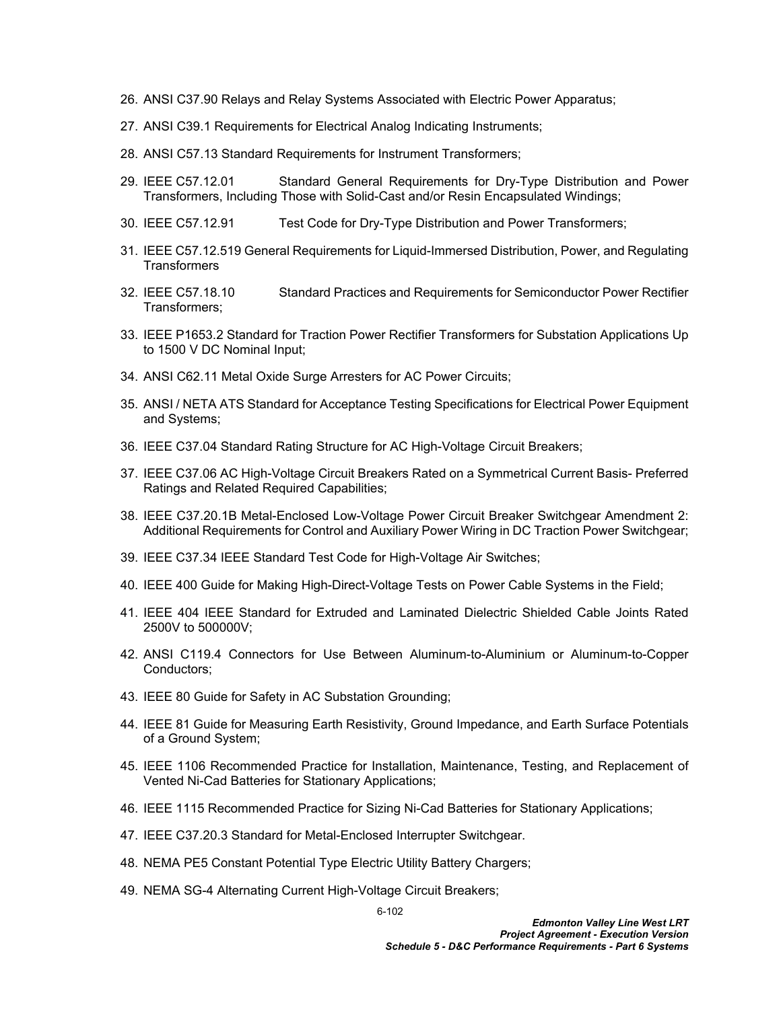- 26. ANSI C37.90 Relays and Relay Systems Associated with Electric Power Apparatus;
- 27. ANSI C39.1 Requirements for Electrical Analog Indicating Instruments;
- 28. ANSI C57.13 Standard Requirements for Instrument Transformers;
- 29. IEEE C57.12.01 Standard General Requirements for Dry-Type Distribution and Power Transformers, Including Those with Solid-Cast and/or Resin Encapsulated Windings;
- 30. IEEE C57.12.91 Test Code for Dry-Type Distribution and Power Transformers;
- 31. IEEE C57.12.519 General Requirements for Liquid-Immersed Distribution, Power, and Regulating **Transformers**
- 32. IEEE C57.18.10 Standard Practices and Requirements for Semiconductor Power Rectifier Transformers;
- 33. IEEE P1653.2 Standard for Traction Power Rectifier Transformers for Substation Applications Up to 1500 V DC Nominal Input;
- 34. ANSI C62.11 Metal Oxide Surge Arresters for AC Power Circuits;
- 35. ANSI / NETA ATS Standard for Acceptance Testing Specifications for Electrical Power Equipment and Systems;
- 36. IEEE C37.04 Standard Rating Structure for AC High-Voltage Circuit Breakers;
- 37. IEEE C37.06 AC High-Voltage Circuit Breakers Rated on a Symmetrical Current Basis- Preferred Ratings and Related Required Capabilities;
- 38. IEEE C37.20.1B Metal-Enclosed Low-Voltage Power Circuit Breaker Switchgear Amendment 2: Additional Requirements for Control and Auxiliary Power Wiring in DC Traction Power Switchgear;
- 39. IEEE C37.34 IEEE Standard Test Code for High-Voltage Air Switches;
- 40. IEEE 400 Guide for Making High-Direct-Voltage Tests on Power Cable Systems in the Field;
- 41. IEEE 404 IEEE Standard for Extruded and Laminated Dielectric Shielded Cable Joints Rated 2500V to 500000V;
- 42. ANSI C119.4 Connectors for Use Between Aluminum-to-Aluminium or Aluminum-to-Copper Conductors;
- 43. IEEE 80 Guide for Safety in AC Substation Grounding;
- 44. IEEE 81 Guide for Measuring Earth Resistivity, Ground Impedance, and Earth Surface Potentials of a Ground System;
- 45. IEEE 1106 Recommended Practice for Installation, Maintenance, Testing, and Replacement of Vented Ni-Cad Batteries for Stationary Applications;
- 46. IEEE 1115 Recommended Practice for Sizing Ni-Cad Batteries for Stationary Applications;
- 47. IEEE C37.20.3 Standard for Metal-Enclosed Interrupter Switchgear.
- 48. NEMA PE5 Constant Potential Type Electric Utility Battery Chargers;
- 49. NEMA SG-4 Alternating Current High-Voltage Circuit Breakers;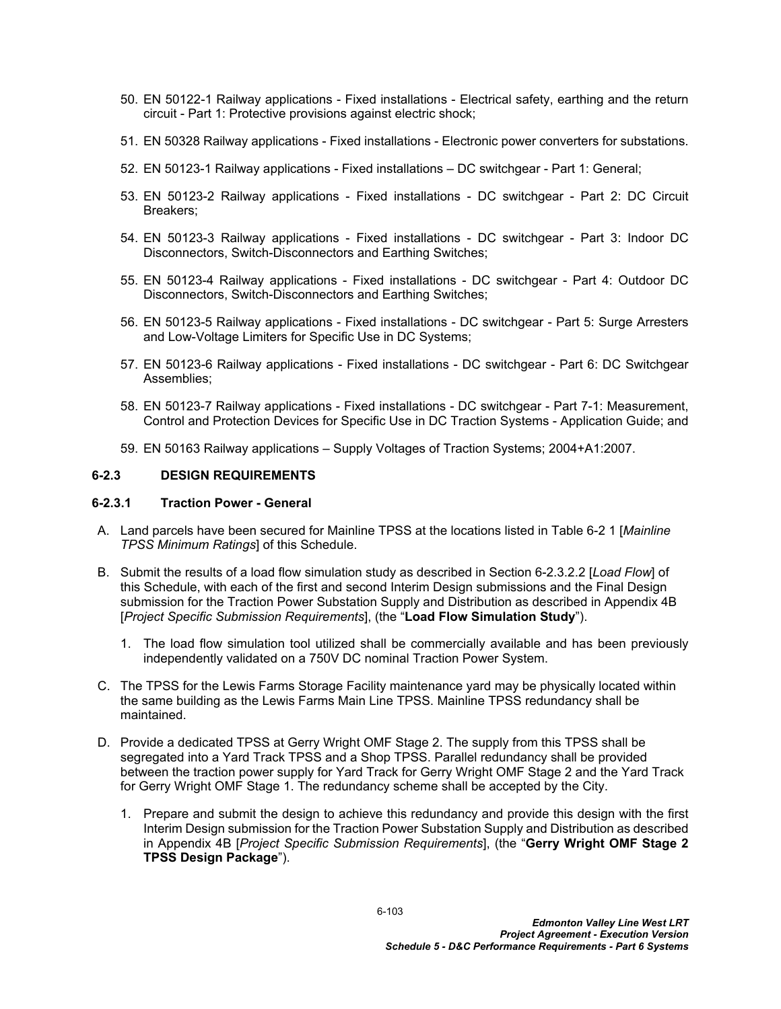- 50. EN 50122-1 Railway applications Fixed installations Electrical safety, earthing and the return circuit - Part 1: Protective provisions against electric shock;
- 51. EN 50328 Railway applications Fixed installations Electronic power converters for substations.
- 52. EN 50123-1 Railway applications Fixed installations DC switchgear Part 1: General;
- 53. EN 50123-2 Railway applications Fixed installations DC switchgear Part 2: DC Circuit Breakers;
- 54. EN 50123-3 Railway applications Fixed installations DC switchgear Part 3: Indoor DC Disconnectors, Switch-Disconnectors and Earthing Switches;
- 55. EN 50123-4 Railway applications Fixed installations DC switchgear Part 4: Outdoor DC Disconnectors, Switch-Disconnectors and Earthing Switches;
- 56. EN 50123-5 Railway applications Fixed installations DC switchgear Part 5: Surge Arresters and Low-Voltage Limiters for Specific Use in DC Systems;
- 57. EN 50123-6 Railway applications Fixed installations DC switchgear Part 6: DC Switchgear Assemblies;
- 58. EN 50123-7 Railway applications Fixed installations DC switchgear Part 7-1: Measurement, Control and Protection Devices for Specific Use in DC Traction Systems - Application Guide; and
- 59. EN 50163 Railway applications Supply Voltages of Traction Systems; 2004+A1:2007.

## **6-2.3 DESIGN REQUIREMENTS**

#### **6-2.3.1 Traction Power - General**

- A. Land parcels have been secured for Mainline TPSS at the locations listed in Table 6-2 1 [*Mainline TPSS Minimum Ratings*] of this Schedule.
- B. Submit the results of a load flow simulation study as described in Section [6-2.3.2.2](#page-107-0) [*Load Flow*] of this Schedule, with each of the first and second Interim Design submissions and the Final Design submission for the Traction Power Substation Supply and Distribution as described in Appendix 4B [*Project Specific Submission Requirements*], (the "**Load Flow Simulation Study**").
	- 1. The load flow simulation tool utilized shall be commercially available and has been previously independently validated on a 750V DC nominal Traction Power System.
- C. The TPSS for the Lewis Farms Storage Facility maintenance yard may be physically located within the same building as the Lewis Farms Main Line TPSS. Mainline TPSS redundancy shall be maintained.
- D. Provide a dedicated TPSS at Gerry Wright OMF Stage 2. The supply from this TPSS shall be segregated into a Yard Track TPSS and a Shop TPSS. Parallel redundancy shall be provided between the traction power supply for Yard Track for Gerry Wright OMF Stage 2 and the Yard Track for Gerry Wright OMF Stage 1. The redundancy scheme shall be accepted by the City.
	- 1. Prepare and submit the design to achieve this redundancy and provide this design with the first Interim Design submission for the Traction Power Substation Supply and Distribution as described in Appendix 4B [*Project Specific Submission Requirements*], (the "**Gerry Wright OMF Stage 2 TPSS Design Package**").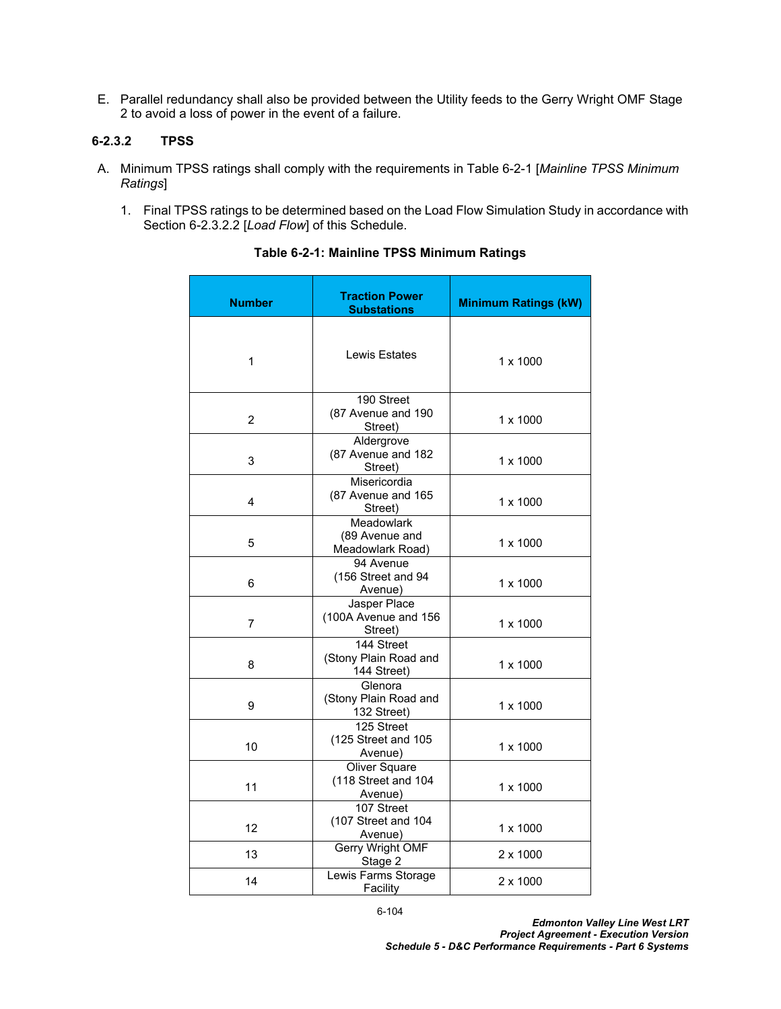E. Parallel redundancy shall also be provided between the Utility feeds to the Gerry Wright OMF Stage 2 to avoid a loss of power in the event of a failure.

# **6-2.3.2 TPSS**

- A. Minimum TPSS ratings shall comply with the requirements in Table 6-2-1 [*Mainline TPSS Minimum Ratings*]
	- 1. Final TPSS ratings to be determined based on the Load Flow Simulation Study in accordance with Section 6-2.3.2.2 [*Load Flow*] of this Schedule.

| <b>Number</b>  | <b>Traction Power</b><br><b>Substations</b>        | <b>Minimum Ratings (kW)</b> |
|----------------|----------------------------------------------------|-----------------------------|
| 1              | <b>Lewis Estates</b>                               | $1 \times 1000$             |
| 2              | 190 Street<br>(87 Avenue and 190<br>Street)        | $1 \times 1000$             |
| 3              | Aldergrove<br>(87 Avenue and 182<br>Street)        | 1 x 1000                    |
| 4              | Misericordia<br>(87 Avenue and 165<br>Street)      | 1 x 1000                    |
| 5              | Meadowlark<br>(89 Avenue and<br>Meadowlark Road)   | 1 x 1000                    |
| 6              | 94 Avenue<br>(156 Street and 94<br>Avenue)         | 1 x 1000                    |
| $\overline{7}$ | Jasper Place<br>(100A Avenue and 156<br>Street)    | $1 \times 1000$             |
| 8              | 144 Street<br>(Stony Plain Road and<br>144 Street) | 1 x 1000                    |
| 9              | Glenora<br>(Stony Plain Road and<br>132 Street)    | $1 \times 1000$             |
| 10             | 125 Street<br>(125 Street and 105<br>Avenue)       | 1 x 1000                    |
| 11             | Oliver Square<br>(118 Street and 104<br>Avenue)    | 1 x 1000                    |
| 12             | 107 Street<br>(107 Street and 104<br>Avenue)       | 1 x 1000                    |
| 13             | Gerry Wright OMF<br>Stage 2                        | $2 \times 1000$             |
| 14             | Lewis Farms Storage<br>Facility                    | $2 \times 1000$             |

## **Table 6-2-1: Mainline TPSS Minimum Ratings**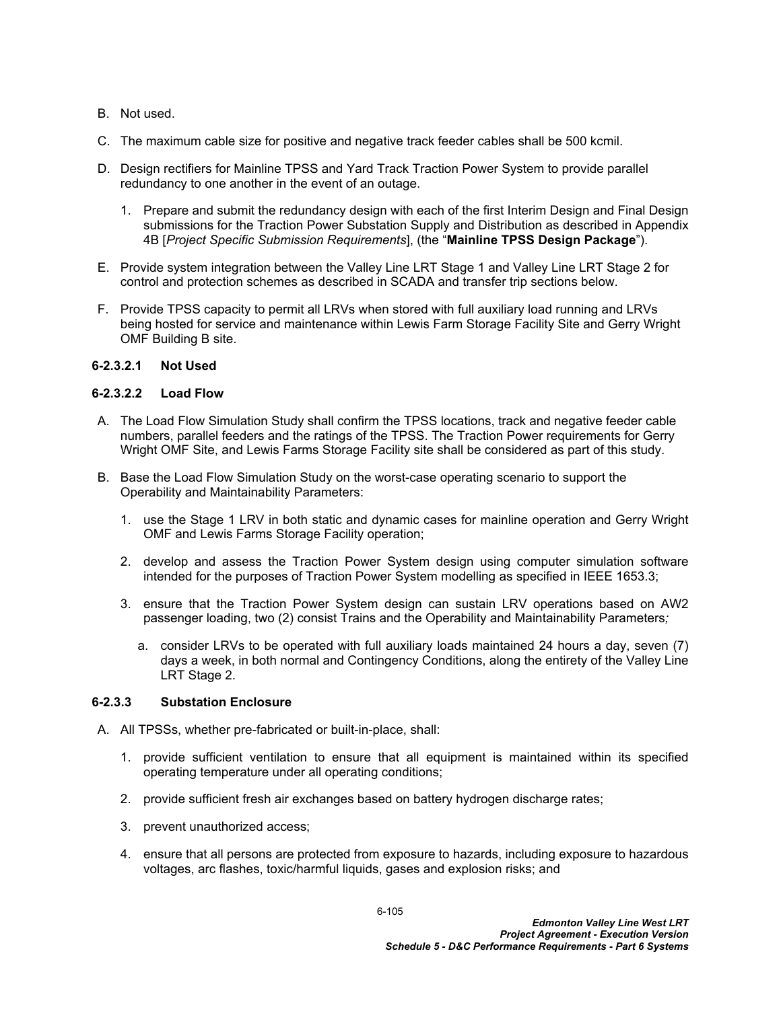- B. Not used.
- C. The maximum cable size for positive and negative track feeder cables shall be 500 kcmil.
- D. Design rectifiers for Mainline TPSS and Yard Track Traction Power System to provide parallel redundancy to one another in the event of an outage.
	- 1. Prepare and submit the redundancy design with each of the first Interim Design and Final Design submissions for the Traction Power Substation Supply and Distribution as described in Appendix 4B [*Project Specific Submission Requirements*], (the "**Mainline TPSS Design Package**").
- E. Provide system integration between the Valley Line LRT Stage 1 and Valley Line LRT Stage 2 for control and protection schemes as described in SCADA and transfer trip sections below.
- F. Provide TPSS capacity to permit all LRVs when stored with full auxiliary load running and LRVs being hosted for service and maintenance within Lewis Farm Storage Facility Site and Gerry Wright OMF Building B site.

# **6-2.3.2.1 Not Used**

## <span id="page-107-0"></span>**6-2.3.2.2 Load Flow**

- A. The Load Flow Simulation Study shall confirm the TPSS locations, track and negative feeder cable numbers, parallel feeders and the ratings of the TPSS. The Traction Power requirements for Gerry Wright OMF Site, and Lewis Farms Storage Facility site shall be considered as part of this study.
- B. Base the Load Flow Simulation Study on the worst-case operating scenario to support the Operability and Maintainability Parameters:
	- 1. use the Stage 1 LRV in both static and dynamic cases for mainline operation and Gerry Wright OMF and Lewis Farms Storage Facility operation;
	- 2. develop and assess the Traction Power System design using computer simulation software intended for the purposes of Traction Power System modelling as specified in IEEE 1653.3;
	- 3. ensure that the Traction Power System design can sustain LRV operations based on AW2 passenger loading, two (2) consist Trains and the Operability and Maintainability Parameters*;*
		- a. consider LRVs to be operated with full auxiliary loads maintained 24 hours a day, seven (7) days a week, in both normal and Contingency Conditions, along the entirety of the Valley Line LRT Stage 2.

## **6-2.3.3 Substation Enclosure**

- A. All TPSSs, whether pre-fabricated or built-in-place, shall:
	- 1. provide sufficient ventilation to ensure that all equipment is maintained within its specified operating temperature under all operating conditions;
	- 2. provide sufficient fresh air exchanges based on battery hydrogen discharge rates;
	- 3. prevent unauthorized access;
	- 4. ensure that all persons are protected from exposure to hazards, including exposure to hazardous voltages, arc flashes, toxic/harmful liquids, gases and explosion risks; and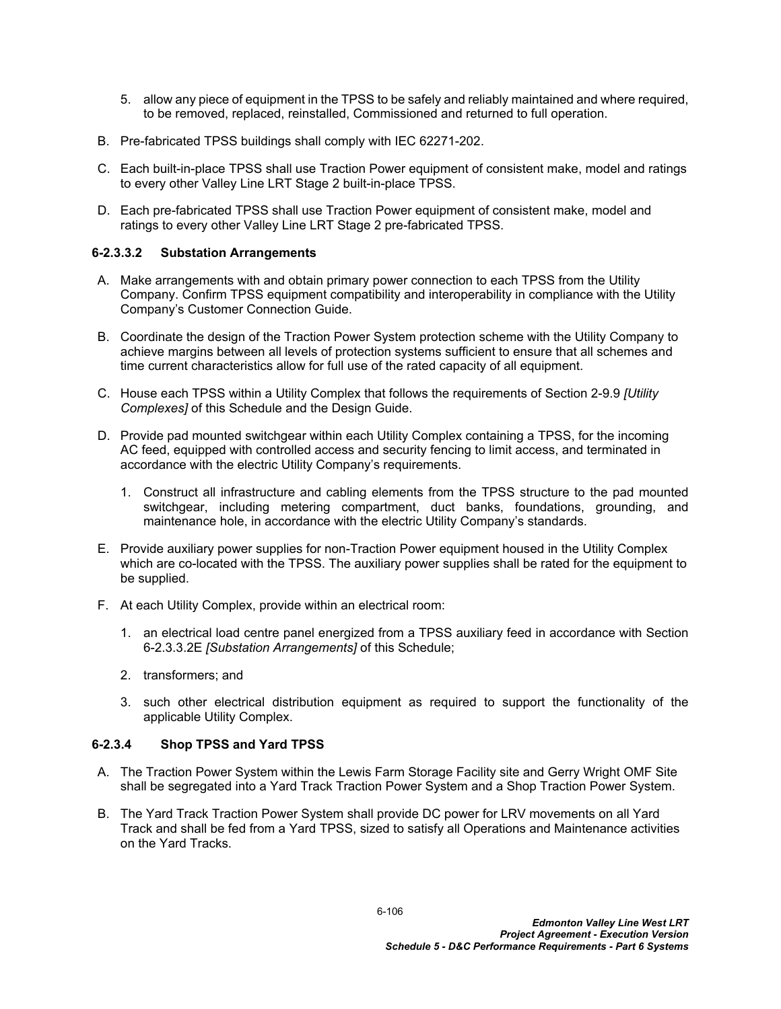- 5. allow any piece of equipment in the TPSS to be safely and reliably maintained and where required, to be removed, replaced, reinstalled, Commissioned and returned to full operation.
- B. Pre-fabricated TPSS buildings shall comply with IEC 62271-202.
- C. Each built-in-place TPSS shall use Traction Power equipment of consistent make, model and ratings to every other Valley Line LRT Stage 2 built-in-place TPSS.
- D. Each pre-fabricated TPSS shall use Traction Power equipment of consistent make, model and ratings to every other Valley Line LRT Stage 2 pre-fabricated TPSS.

# <span id="page-108-0"></span>**6-2.3.3.2 Substation Arrangements**

- A. Make arrangements with and obtain primary power connection to each TPSS from the Utility Company. Confirm TPSS equipment compatibility and interoperability in compliance with the Utility Company's Customer Connection Guide.
- B. Coordinate the design of the Traction Power System protection scheme with the Utility Company to achieve margins between all levels of protection systems sufficient to ensure that all schemes and time current characteristics allow for full use of the rated capacity of all equipment.
- C. House each TPSS within a Utility Complex that follows the requirements of Section 2-9.9 *[Utility Complexes]* of this Schedule and the Design Guide.
- D. Provide pad mounted switchgear within each Utility Complex containing a TPSS, for the incoming AC feed, equipped with controlled access and security fencing to limit access, and terminated in accordance with the electric Utility Company's requirements.
	- 1. Construct all infrastructure and cabling elements from the TPSS structure to the pad mounted switchgear, including metering compartment, duct banks, foundations, grounding, and maintenance hole, in accordance with the electric Utility Company's standards.
- <span id="page-108-1"></span>E. Provide auxiliary power supplies for non-Traction Power equipment housed in the Utility Complex which are co-located with the TPSS. The auxiliary power supplies shall be rated for the equipment to be supplied.
- F. At each Utility Complex, provide within an electrical room:
	- 1. an electrical load centre panel energized from a TPSS auxiliary feed in accordance with Section [6-2.3.3.2](#page-108-0)[E](#page-108-1) *[Substation Arrangements]* of this Schedule;
	- 2. transformers; and
	- 3. such other electrical distribution equipment as required to support the functionality of the applicable Utility Complex.

# **6-2.3.4 Shop TPSS and Yard TPSS**

- A. The Traction Power System within the Lewis Farm Storage Facility site and Gerry Wright OMF Site shall be segregated into a Yard Track Traction Power System and a Shop Traction Power System.
- B. The Yard Track Traction Power System shall provide DC power for LRV movements on all Yard Track and shall be fed from a Yard TPSS, sized to satisfy all Operations and Maintenance activities on the Yard Tracks.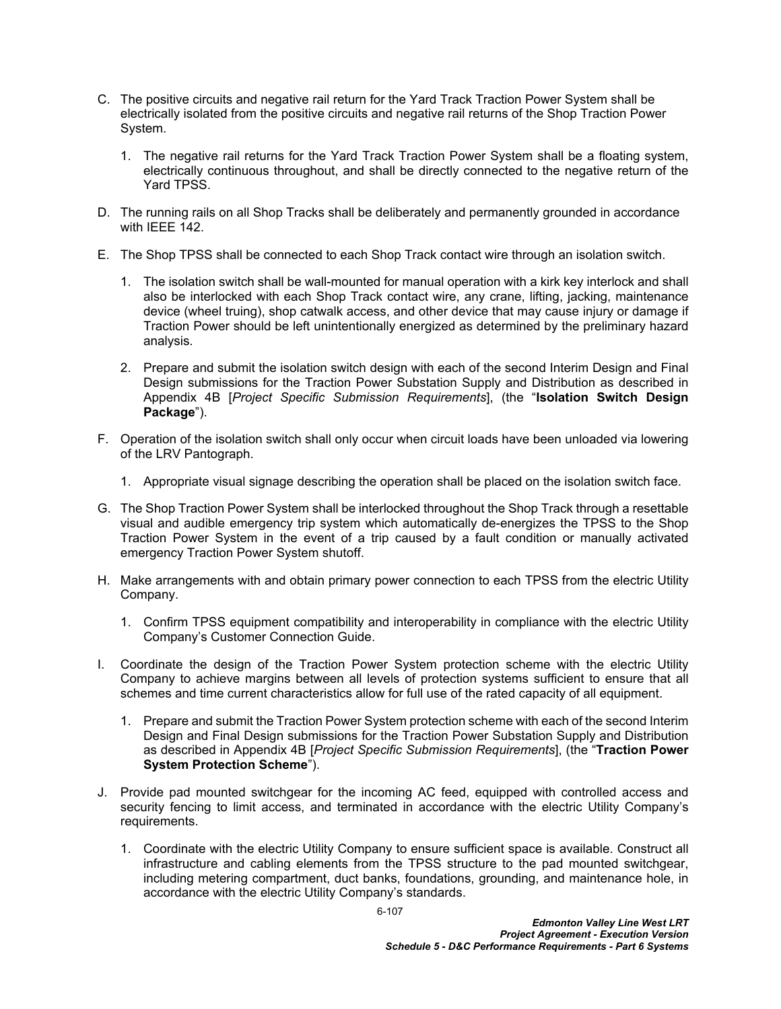- C. The positive circuits and negative rail return for the Yard Track Traction Power System shall be electrically isolated from the positive circuits and negative rail returns of the Shop Traction Power System.
	- 1. The negative rail returns for the Yard Track Traction Power System shall be a floating system, electrically continuous throughout, and shall be directly connected to the negative return of the Yard TPSS.
- D. The running rails on all Shop Tracks shall be deliberately and permanently grounded in accordance with IEEE 142.
- E. The Shop TPSS shall be connected to each Shop Track contact wire through an isolation switch.
	- 1. The isolation switch shall be wall-mounted for manual operation with a kirk key interlock and shall also be interlocked with each Shop Track contact wire, any crane, lifting, jacking, maintenance device (wheel truing), shop catwalk access, and other device that may cause injury or damage if Traction Power should be left unintentionally energized as determined by the preliminary hazard analysis.
	- 2. Prepare and submit the isolation switch design with each of the second Interim Design and Final Design submissions for the Traction Power Substation Supply and Distribution as described in Appendix 4B [*Project Specific Submission Requirements*], (the "**Isolation Switch Design Package**").
- F. Operation of the isolation switch shall only occur when circuit loads have been unloaded via lowering of the LRV Pantograph.
	- 1. Appropriate visual signage describing the operation shall be placed on the isolation switch face.
- G. The Shop Traction Power System shall be interlocked throughout the Shop Track through a resettable visual and audible emergency trip system which automatically de-energizes the TPSS to the Shop Traction Power System in the event of a trip caused by a fault condition or manually activated emergency Traction Power System shutoff.
- H. Make arrangements with and obtain primary power connection to each TPSS from the electric Utility Company.
	- 1. Confirm TPSS equipment compatibility and interoperability in compliance with the electric Utility Company's Customer Connection Guide.
- I. Coordinate the design of the Traction Power System protection scheme with the electric Utility Company to achieve margins between all levels of protection systems sufficient to ensure that all schemes and time current characteristics allow for full use of the rated capacity of all equipment.
	- 1. Prepare and submit the Traction Power System protection scheme with each of the second Interim Design and Final Design submissions for the Traction Power Substation Supply and Distribution as described in Appendix 4B [*Project Specific Submission Requirements*], (the "**Traction Power System Protection Scheme**").
- J. Provide pad mounted switchgear for the incoming AC feed, equipped with controlled access and security fencing to limit access, and terminated in accordance with the electric Utility Company's requirements.
	- 1. Coordinate with the electric Utility Company to ensure sufficient space is available. Construct all infrastructure and cabling elements from the TPSS structure to the pad mounted switchgear, including metering compartment, duct banks, foundations, grounding, and maintenance hole, in accordance with the electric Utility Company's standards.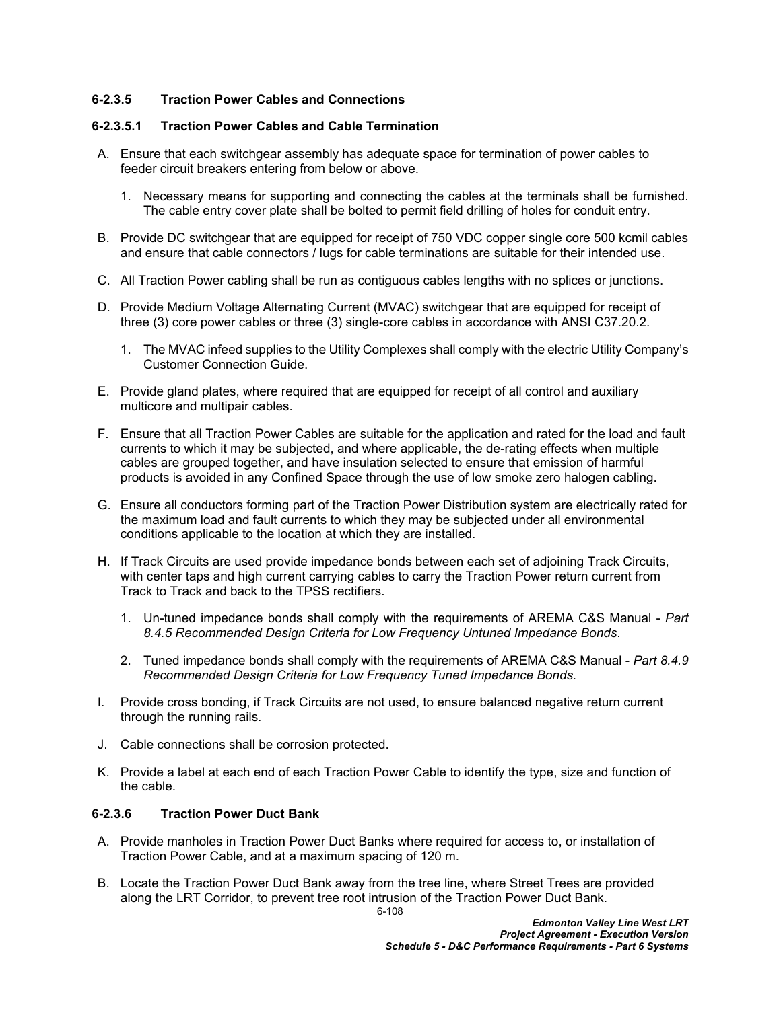# **6-2.3.5 Traction Power Cables and Connections**

# **6-2.3.5.1 Traction Power Cables and Cable Termination**

- A. Ensure that each switchgear assembly has adequate space for termination of power cables to feeder circuit breakers entering from below or above.
	- 1. Necessary means for supporting and connecting the cables at the terminals shall be furnished. The cable entry cover plate shall be bolted to permit field drilling of holes for conduit entry.
- B. Provide DC switchgear that are equipped for receipt of 750 VDC copper single core 500 kcmil cables and ensure that cable connectors / lugs for cable terminations are suitable for their intended use.
- C. All Traction Power cabling shall be run as contiguous cables lengths with no splices or junctions.
- D. Provide Medium Voltage Alternating Current (MVAC) switchgear that are equipped for receipt of three (3) core power cables or three (3) single-core cables in accordance with ANSI C37.20.2.
	- 1. The MVAC infeed supplies to the Utility Complexes shall comply with the electric Utility Company's Customer Connection Guide.
- E. Provide gland plates, where required that are equipped for receipt of all control and auxiliary multicore and multipair cables.
- F. Ensure that all Traction Power Cables are suitable for the application and rated for the load and fault currents to which it may be subjected, and where applicable, the de-rating effects when multiple cables are grouped together, and have insulation selected to ensure that emission of harmful products is avoided in any Confined Space through the use of low smoke zero halogen cabling.
- G. Ensure all conductors forming part of the Traction Power Distribution system are electrically rated for the maximum load and fault currents to which they may be subjected under all environmental conditions applicable to the location at which they are installed.
- H. If Track Circuits are used provide impedance bonds between each set of adjoining Track Circuits, with center taps and high current carrying cables to carry the Traction Power return current from Track to Track and back to the TPSS rectifiers.
	- 1. Un-tuned impedance bonds shall comply with the requirements of AREMA C&S Manual *Part 8.4.5 Recommended Design Criteria for Low Frequency Untuned Impedance Bonds*.
	- 2. Tuned impedance bonds shall comply with the requirements of AREMA C&S Manual *Part 8.4.9 Recommended Design Criteria for Low Frequency Tuned Impedance Bonds.*
- I. Provide cross bonding, if Track Circuits are not used, to ensure balanced negative return current through the running rails.
- J. Cable connections shall be corrosion protected.
- K. Provide a label at each end of each Traction Power Cable to identify the type, size and function of the cable.

# **6-2.3.6 Traction Power Duct Bank**

- A. Provide manholes in Traction Power Duct Banks where required for access to, or installation of Traction Power Cable, and at a maximum spacing of 120 m.
- B. Locate the Traction Power Duct Bank away from the tree line, where Street Trees are provided along the LRT Corridor, to prevent tree root intrusion of the Traction Power Duct Bank.

6-108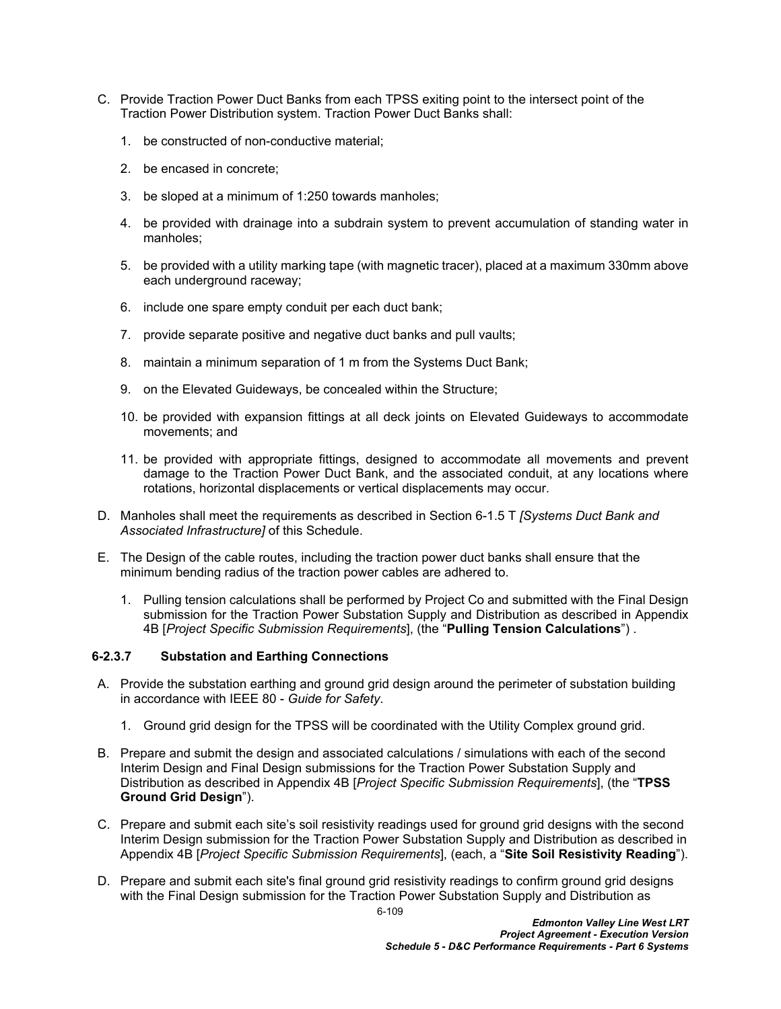- C. Provide Traction Power Duct Banks from each TPSS exiting point to the intersect point of the Traction Power Distribution system. Traction Power Duct Banks shall:
	- 1. be constructed of non-conductive material;
	- 2. be encased in concrete;
	- 3. be sloped at a minimum of 1:250 towards manholes;
	- 4. be provided with drainage into a subdrain system to prevent accumulation of standing water in manholes;
	- 5. be provided with a utility marking tape (with magnetic tracer), placed at a maximum 330mm above each underground raceway;
	- 6. include one spare empty conduit per each duct bank;
	- 7. provide separate positive and negative duct banks and pull vaults;
	- 8. maintain a minimum separation of 1 m from the Systems Duct Bank;
	- 9. on the Elevated Guideways, be concealed within the Structure;
	- 10. be provided with expansion fittings at all deck joints on Elevated Guideways to accommodate movements; and
	- 11. be provided with appropriate fittings, designed to accommodate all movements and prevent damage to the Traction Power Duct Bank, and the associated conduit, at any locations where rotations, horizontal displacements or vertical displacements may occur.
- D. Manholes shall meet the requirements as described in Section 6-1.5 T *[Systems Duct Bank and Associated Infrastructure]* of this Schedule.
- E. The Design of the cable routes, including the traction power duct banks shall ensure that the minimum bending radius of the traction power cables are adhered to.
	- 1. Pulling tension calculations shall be performed by Project Co and submitted with the Final Design submission for the Traction Power Substation Supply and Distribution as described in Appendix 4B [*Project Specific Submission Requirements*], (the "**Pulling Tension Calculations**") .

#### **6-2.3.7 Substation and Earthing Connections**

- A. Provide the substation earthing and ground grid design around the perimeter of substation building in accordance with IEEE 80 - *Guide for Safety*.
	- 1. Ground grid design for the TPSS will be coordinated with the Utility Complex ground grid.
- B. Prepare and submit the design and associated calculations / simulations with each of the second Interim Design and Final Design submissions for the Traction Power Substation Supply and Distribution as described in Appendix 4B [*Project Specific Submission Requirements*], (the "**TPSS Ground Grid Design**").
- C. Prepare and submit each site's soil resistivity readings used for ground grid designs with the second Interim Design submission for the Traction Power Substation Supply and Distribution as described in Appendix 4B [*Project Specific Submission Requirements*], (each, a "**Site Soil Resistivity Reading**").
- D. Prepare and submit each site's final ground grid resistivity readings to confirm ground grid designs with the Final Design submission for the Traction Power Substation Supply and Distribution as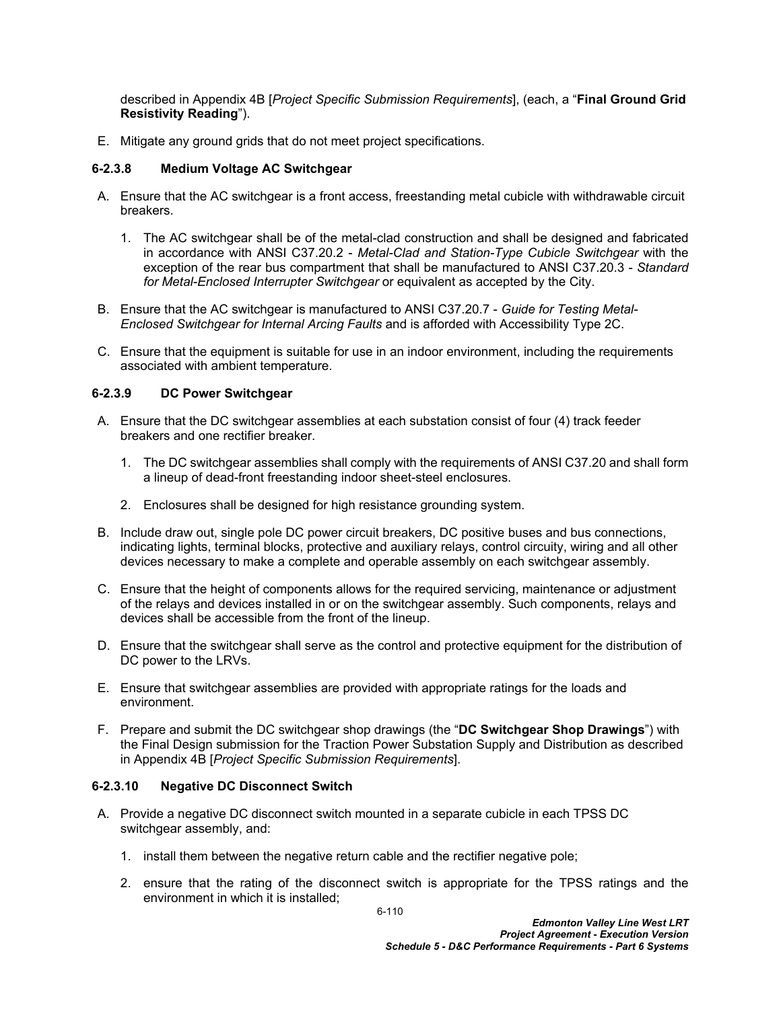described in Appendix 4B [*Project Specific Submission Requirements*], (each, a "**Final Ground Grid Resistivity Reading**").

E. Mitigate any ground grids that do not meet project specifications.

# **6-2.3.8 Medium Voltage AC Switchgear**

- A. Ensure that the AC switchgear is a front access, freestanding metal cubicle with withdrawable circuit breakers.
	- 1. The AC switchgear shall be of the metal-clad construction and shall be designed and fabricated in accordance with ANSI C37.20.2 - *Metal-Clad and Station-Type Cubicle Switchgear* with the exception of the rear bus compartment that shall be manufactured to ANSI C37.20.3 - *Standard for Metal-Enclosed Interrupter Switchgear* or equivalent as accepted by the City.
- B. Ensure that the AC switchgear is manufactured to ANSI C37.20.7 *Guide for Testing Metal-Enclosed Switchgear for Internal Arcing Faults* and is afforded with Accessibility Type 2C.
- C. Ensure that the equipment is suitable for use in an indoor environment, including the requirements associated with ambient temperature.

# **6-2.3.9 DC Power Switchgear**

- A. Ensure that the DC switchgear assemblies at each substation consist of four (4) track feeder breakers and one rectifier breaker.
	- 1. The DC switchgear assemblies shall comply with the requirements of ANSI C37.20 and shall form a lineup of dead-front freestanding indoor sheet-steel enclosures.
	- 2. Enclosures shall be designed for high resistance grounding system.
- B. Include draw out, single pole DC power circuit breakers, DC positive buses and bus connections, indicating lights, terminal blocks, protective and auxiliary relays, control circuity, wiring and all other devices necessary to make a complete and operable assembly on each switchgear assembly.
- C. Ensure that the height of components allows for the required servicing, maintenance or adjustment of the relays and devices installed in or on the switchgear assembly. Such components, relays and devices shall be accessible from the front of the lineup.
- D. Ensure that the switchgear shall serve as the control and protective equipment for the distribution of DC power to the LRVs.
- E. Ensure that switchgear assemblies are provided with appropriate ratings for the loads and environment.
- F. Prepare and submit the DC switchgear shop drawings (the "**DC Switchgear Shop Drawings**") with the Final Design submission for the Traction Power Substation Supply and Distribution as described in Appendix 4B [*Project Specific Submission Requirements*].

# **6-2.3.10 Negative DC Disconnect Switch**

- A. Provide a negative DC disconnect switch mounted in a separate cubicle in each TPSS DC switchgear assembly, and:
	- 1. install them between the negative return cable and the rectifier negative pole;
	- 2. ensure that the rating of the disconnect switch is appropriate for the TPSS ratings and the environment in which it is installed;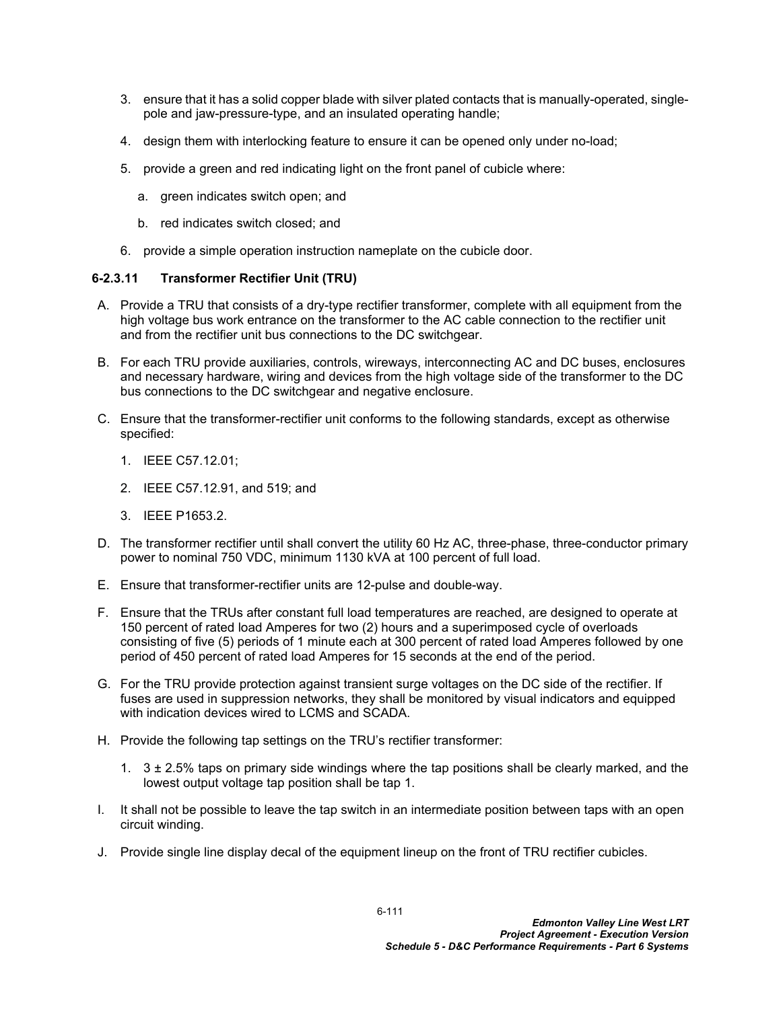- 3. ensure that it has a solid copper blade with silver plated contacts that is manually-operated, singlepole and jaw-pressure-type, and an insulated operating handle;
- 4. design them with interlocking feature to ensure it can be opened only under no-load;
- 5. provide a green and red indicating light on the front panel of cubicle where:
	- a. green indicates switch open; and
	- b. red indicates switch closed; and
- 6. provide a simple operation instruction nameplate on the cubicle door.

# **6-2.3.11 Transformer Rectifier Unit (TRU)**

- A. Provide a TRU that consists of a dry-type rectifier transformer, complete with all equipment from the high voltage bus work entrance on the transformer to the AC cable connection to the rectifier unit and from the rectifier unit bus connections to the DC switchgear.
- B. For each TRU provide auxiliaries, controls, wireways, interconnecting AC and DC buses, enclosures and necessary hardware, wiring and devices from the high voltage side of the transformer to the DC bus connections to the DC switchgear and negative enclosure.
- C. Ensure that the transformer-rectifier unit conforms to the following standards, except as otherwise specified:
	- 1. IEEE C57.12.01;
	- 2. IEEE C57.12.91, and 519; and
	- 3. IEEE P1653.2.
- D. The transformer rectifier until shall convert the utility 60 Hz AC, three-phase, three-conductor primary power to nominal 750 VDC, minimum 1130 kVA at 100 percent of full load.
- E. Ensure that transformer-rectifier units are 12-pulse and double-way.
- F. Ensure that the TRUs after constant full load temperatures are reached, are designed to operate at 150 percent of rated load Amperes for two (2) hours and a superimposed cycle of overloads consisting of five (5) periods of 1 minute each at 300 percent of rated load Amperes followed by one period of 450 percent of rated load Amperes for 15 seconds at the end of the period.
- G. For the TRU provide protection against transient surge voltages on the DC side of the rectifier. If fuses are used in suppression networks, they shall be monitored by visual indicators and equipped with indication devices wired to LCMS and SCADA.
- H. Provide the following tap settings on the TRU's rectifier transformer:
	- 1.  $3 \pm 2.5\%$  taps on primary side windings where the tap positions shall be clearly marked, and the lowest output voltage tap position shall be tap 1.
- I. It shall not be possible to leave the tap switch in an intermediate position between taps with an open circuit winding.
- J. Provide single line display decal of the equipment lineup on the front of TRU rectifier cubicles.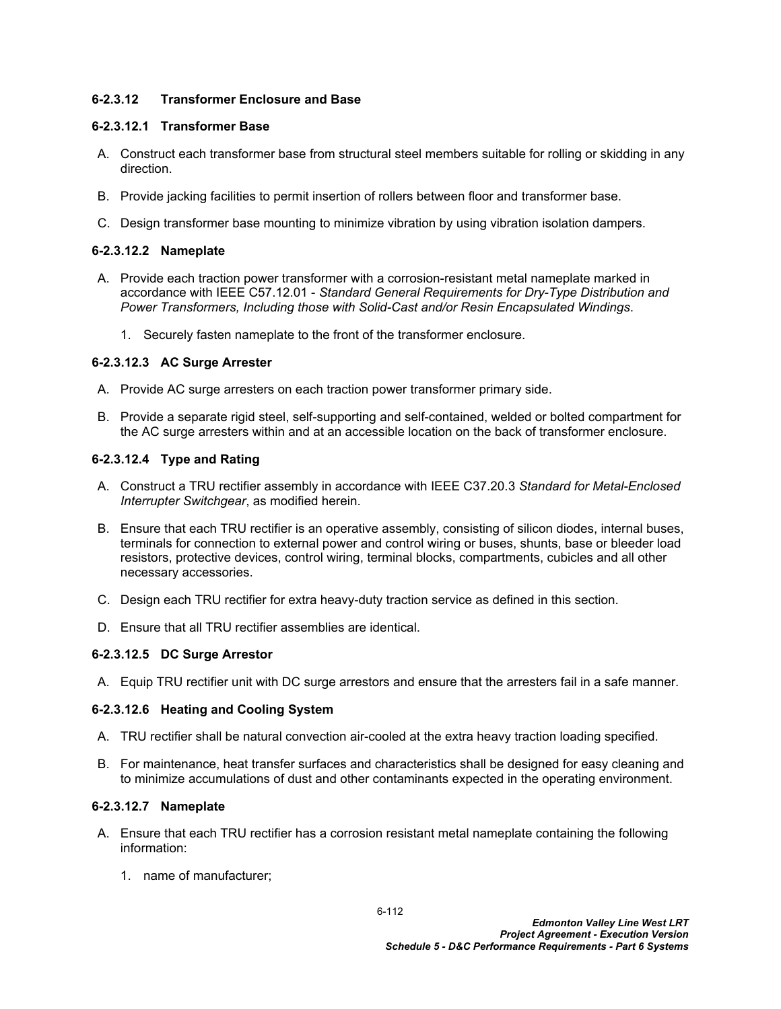# **6-2.3.12 Transformer Enclosure and Base**

## **6-2.3.12.1 Transformer Base**

- A. Construct each transformer base from structural steel members suitable for rolling or skidding in any direction.
- B. Provide jacking facilities to permit insertion of rollers between floor and transformer base.
- C. Design transformer base mounting to minimize vibration by using vibration isolation dampers.

#### **6-2.3.12.2 Nameplate**

- A. Provide each traction power transformer with a corrosion-resistant metal nameplate marked in accordance with IEEE C57.12.01 - *Standard General Requirements for Dry-Type Distribution and Power Transformers, Including those with Solid-Cast and/or Resin Encapsulated Windings*.
	- 1. Securely fasten nameplate to the front of the transformer enclosure.

#### **6-2.3.12.3 AC Surge Arrester**

- A. Provide AC surge arresters on each traction power transformer primary side.
- B. Provide a separate rigid steel, self-supporting and self-contained, welded or bolted compartment for the AC surge arresters within and at an accessible location on the back of transformer enclosure.

#### **6-2.3.12.4 Type and Rating**

- A. Construct a TRU rectifier assembly in accordance with IEEE C37.20.3 *Standard for Metal-Enclosed Interrupter Switchgear*, as modified herein.
- B. Ensure that each TRU rectifier is an operative assembly, consisting of silicon diodes, internal buses, terminals for connection to external power and control wiring or buses, shunts, base or bleeder load resistors, protective devices, control wiring, terminal blocks, compartments, cubicles and all other necessary accessories.
- C. Design each TRU rectifier for extra heavy-duty traction service as defined in this section.
- D. Ensure that all TRU rectifier assemblies are identical.

#### **6-2.3.12.5 DC Surge Arrestor**

A. Equip TRU rectifier unit with DC surge arrestors and ensure that the arresters fail in a safe manner.

#### **6-2.3.12.6 Heating and Cooling System**

- A. TRU rectifier shall be natural convection air-cooled at the extra heavy traction loading specified.
- B. For maintenance, heat transfer surfaces and characteristics shall be designed for easy cleaning and to minimize accumulations of dust and other contaminants expected in the operating environment.

### **6-2.3.12.7 Nameplate**

- A. Ensure that each TRU rectifier has a corrosion resistant metal nameplate containing the following information:
	- 1. name of manufacturer;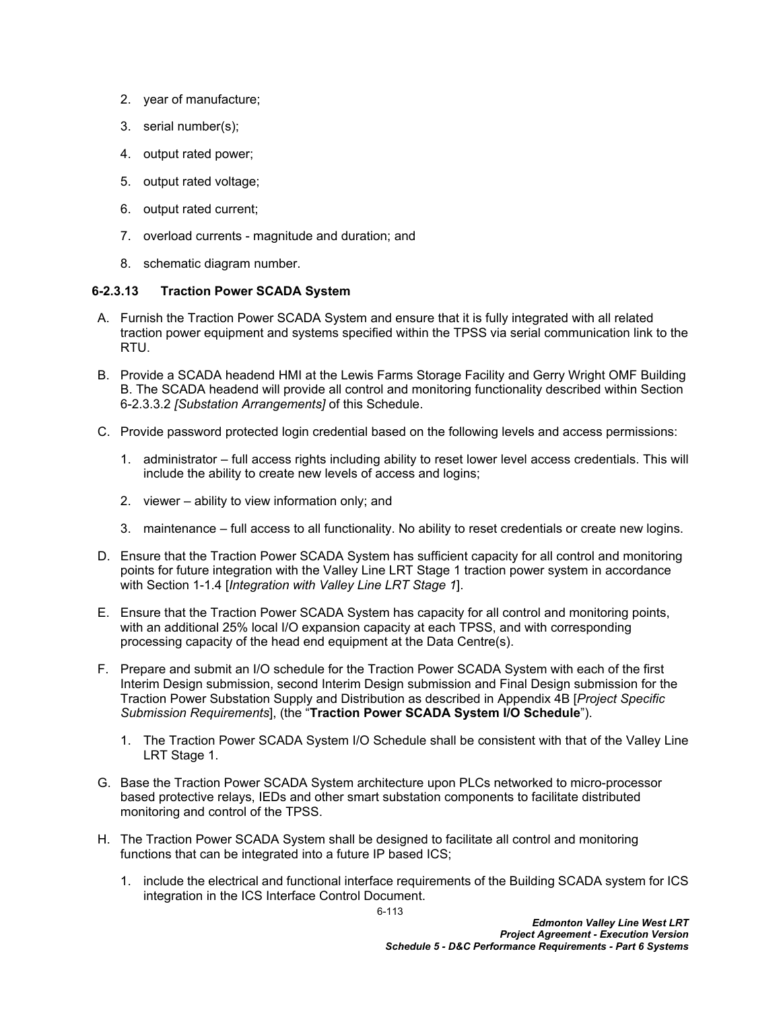- 2. year of manufacture;
- 3. serial number(s);
- 4. output rated power;
- 5. output rated voltage;
- 6. output rated current;
- 7. overload currents magnitude and duration; and
- 8. schematic diagram number.

# **6-2.3.13 Traction Power SCADA System**

- A. Furnish the Traction Power SCADA System and ensure that it is fully integrated with all related traction power equipment and systems specified within the TPSS via serial communication link to the RTU.
- B. Provide a SCADA headend HMI at the Lewis Farms Storage Facility and Gerry Wright OMF Building B. The SCADA headend will provide all control and monitoring functionality described within Section [6-2.3.3.2](#page-108-0) *[Substation Arrangements]* of this Schedule.
- C. Provide password protected login credential based on the following levels and access permissions:
	- 1. administrator full access rights including ability to reset lower level access credentials. This will include the ability to create new levels of access and logins;
	- 2. viewer ability to view information only; and
	- 3. maintenance full access to all functionality. No ability to reset credentials or create new logins.
- D. Ensure that the Traction Power SCADA System has sufficient capacity for all control and monitoring points for future integration with the Valley Line LRT Stage 1 traction power system in accordance with Section 1-1.4 [*Integration with Valley Line LRT Stage 1*].
- E. Ensure that the Traction Power SCADA System has capacity for all control and monitoring points, with an additional 25% local I/O expansion capacity at each TPSS, and with corresponding processing capacity of the head end equipment at the Data Centre(s).
- F. Prepare and submit an I/O schedule for the Traction Power SCADA System with each of the first Interim Design submission, second Interim Design submission and Final Design submission for the Traction Power Substation Supply and Distribution as described in Appendix 4B [*Project Specific Submission Requirements*], (the "**Traction Power SCADA System I/O Schedule**").
	- 1. The Traction Power SCADA System I/O Schedule shall be consistent with that of the Valley Line LRT Stage 1.
- G. Base the Traction Power SCADA System architecture upon PLCs networked to micro-processor based protective relays, IEDs and other smart substation components to facilitate distributed monitoring and control of the TPSS.
- H. The Traction Power SCADA System shall be designed to facilitate all control and monitoring functions that can be integrated into a future IP based ICS;
	- 1. include the electrical and functional interface requirements of the Building SCADA system for ICS integration in the ICS Interface Control Document.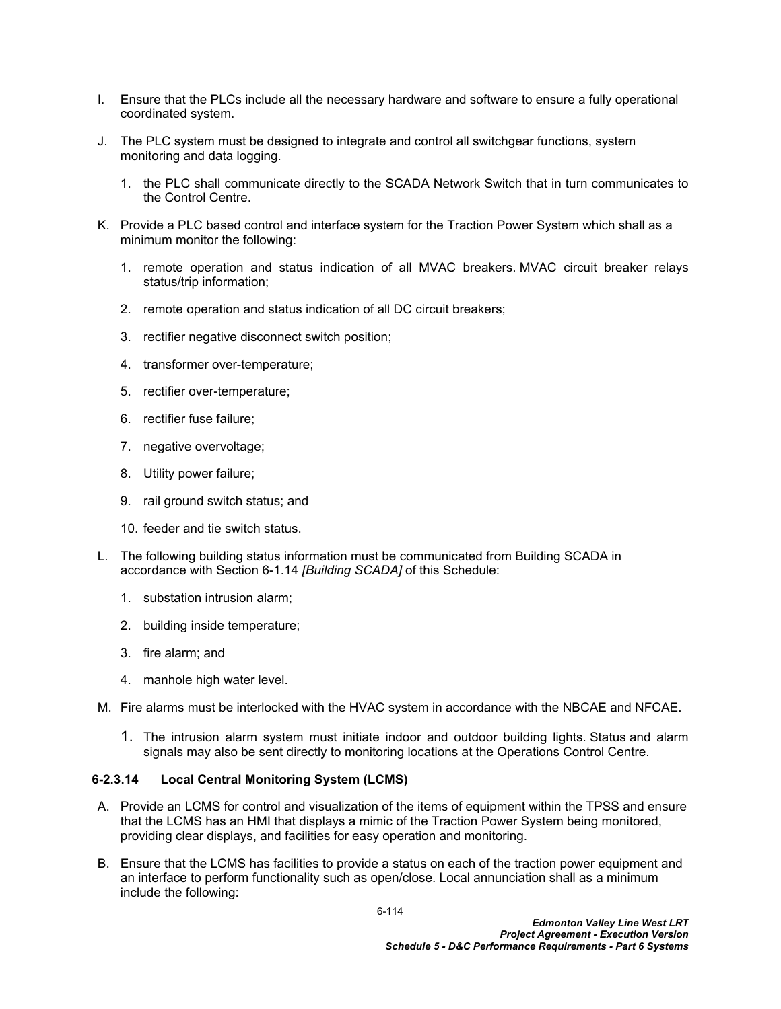- I. Ensure that the PLCs include all the necessary hardware and software to ensure a fully operational coordinated system.
- J. The PLC system must be designed to integrate and control all switchgear functions, system monitoring and data logging.
	- 1. the PLC shall communicate directly to the SCADA Network Switch that in turn communicates to the Control Centre.
- K. Provide a PLC based control and interface system for the Traction Power System which shall as a minimum monitor the following:
	- 1. remote operation and status indication of all MVAC breakers. MVAC circuit breaker relays status/trip information;
	- 2. remote operation and status indication of all DC circuit breakers;
	- 3. rectifier negative disconnect switch position;
	- 4. transformer over-temperature;
	- 5. rectifier over-temperature;
	- 6. rectifier fuse failure;
	- 7. negative overvoltage;
	- 8. Utility power failure;
	- 9. rail ground switch status; and
	- 10. feeder and tie switch status.
- L. The following building status information must be communicated from Building SCADA in accordance with Section 6-1.14 *[Building SCADA]* of this Schedule:
	- 1. substation intrusion alarm;
	- 2. building inside temperature;
	- 3. fire alarm; and
	- 4. manhole high water level.
- M. Fire alarms must be interlocked with the HVAC system in accordance with the NBCAE and NFCAE.
	- 1. The intrusion alarm system must initiate indoor and outdoor building lights. Status and alarm signals may also be sent directly to monitoring locations at the Operations Control Centre.

# **6-2.3.14 Local Central Monitoring System (LCMS)**

- A. Provide an LCMS for control and visualization of the items of equipment within the TPSS and ensure that the LCMS has an HMI that displays a mimic of the Traction Power System being monitored, providing clear displays, and facilities for easy operation and monitoring.
- B. Ensure that the LCMS has facilities to provide a status on each of the traction power equipment and an interface to perform functionality such as open/close. Local annunciation shall as a minimum include the following: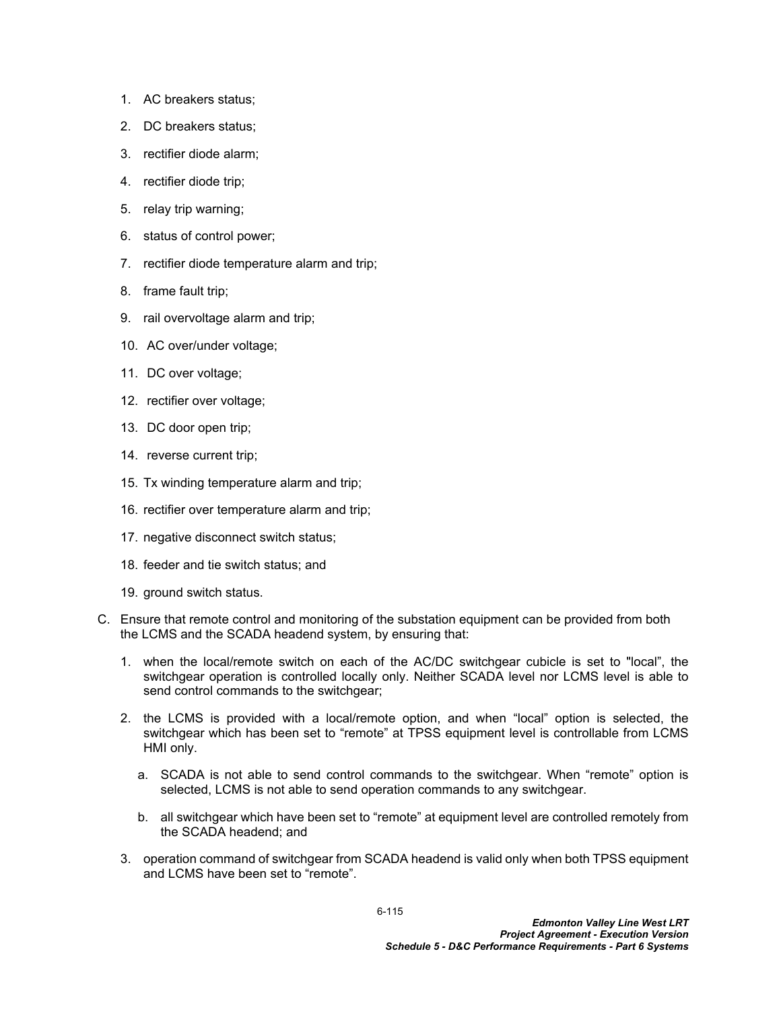- 1. AC breakers status;
- 2. DC breakers status;
- 3. rectifier diode alarm;
- 4. rectifier diode trip;
- 5. relay trip warning;
- 6. status of control power;
- 7. rectifier diode temperature alarm and trip;
- 8. frame fault trip;
- 9. rail overvoltage alarm and trip;
- 10. AC over/under voltage;
- 11. DC over voltage;
- 12. rectifier over voltage;
- 13. DC door open trip;
- 14. reverse current trip;
- 15. Tx winding temperature alarm and trip;
- 16. rectifier over temperature alarm and trip;
- 17. negative disconnect switch status;
- 18. feeder and tie switch status; and
- 19. ground switch status.
- C. Ensure that remote control and monitoring of the substation equipment can be provided from both the LCMS and the SCADA headend system, by ensuring that:
	- 1. when the local/remote switch on each of the AC/DC switchgear cubicle is set to "local", the switchgear operation is controlled locally only. Neither SCADA level nor LCMS level is able to send control commands to the switchgear;
	- 2. the LCMS is provided with a local/remote option, and when "local" option is selected, the switchgear which has been set to "remote" at TPSS equipment level is controllable from LCMS HMI only.
		- a. SCADA is not able to send control commands to the switchgear. When "remote" option is selected, LCMS is not able to send operation commands to any switchgear.
		- b. all switchgear which have been set to "remote" at equipment level are controlled remotely from the SCADA headend; and
	- 3. operation command of switchgear from SCADA headend is valid only when both TPSS equipment and LCMS have been set to "remote".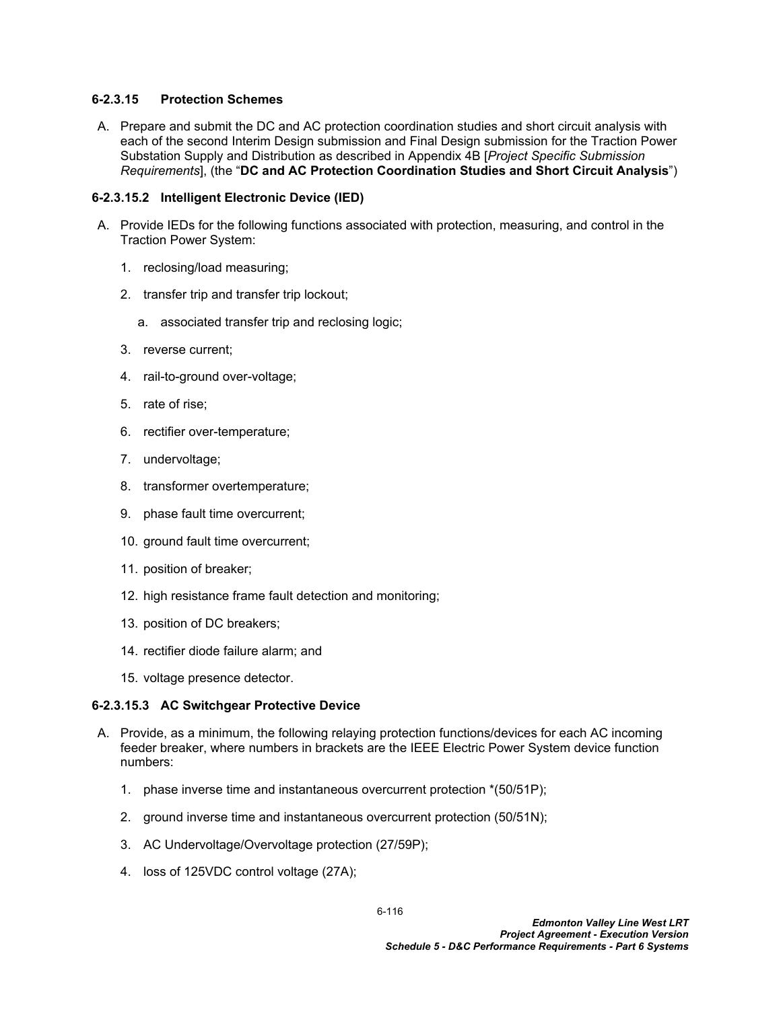#### **6-2.3.15 Protection Schemes**

A. Prepare and submit the DC and AC protection coordination studies and short circuit analysis with each of the second Interim Design submission and Final Design submission for the Traction Power Substation Supply and Distribution as described in Appendix 4B [*Project Specific Submission Requirements*], (the "**DC and AC Protection Coordination Studies and Short Circuit Analysis**")

# **6-2.3.15.2 Intelligent Electronic Device (IED)**

- A. Provide IEDs for the following functions associated with protection, measuring, and control in the Traction Power System:
	- 1. reclosing/load measuring;
	- 2. transfer trip and transfer trip lockout;
		- a. associated transfer trip and reclosing logic;
	- 3. reverse current;
	- 4. rail-to-ground over-voltage;
	- 5. rate of rise;
	- 6. rectifier over-temperature;
	- 7. undervoltage;
	- 8. transformer overtemperature;
	- 9. phase fault time overcurrent;
	- 10. ground fault time overcurrent;
	- 11. position of breaker;
	- 12. high resistance frame fault detection and monitoring;
	- 13. position of DC breakers;
	- 14. rectifier diode failure alarm; and
	- 15. voltage presence detector.

# **6-2.3.15.3 AC Switchgear Protective Device**

- A. Provide, as a minimum, the following relaying protection functions/devices for each AC incoming feeder breaker, where numbers in brackets are the IEEE Electric Power System device function numbers:
	- 1. phase inverse time and instantaneous overcurrent protection \*(50/51P);
	- 2. ground inverse time and instantaneous overcurrent protection (50/51N);
	- 3. AC Undervoltage/Overvoltage protection (27/59P);
	- 4. loss of 125VDC control voltage (27A);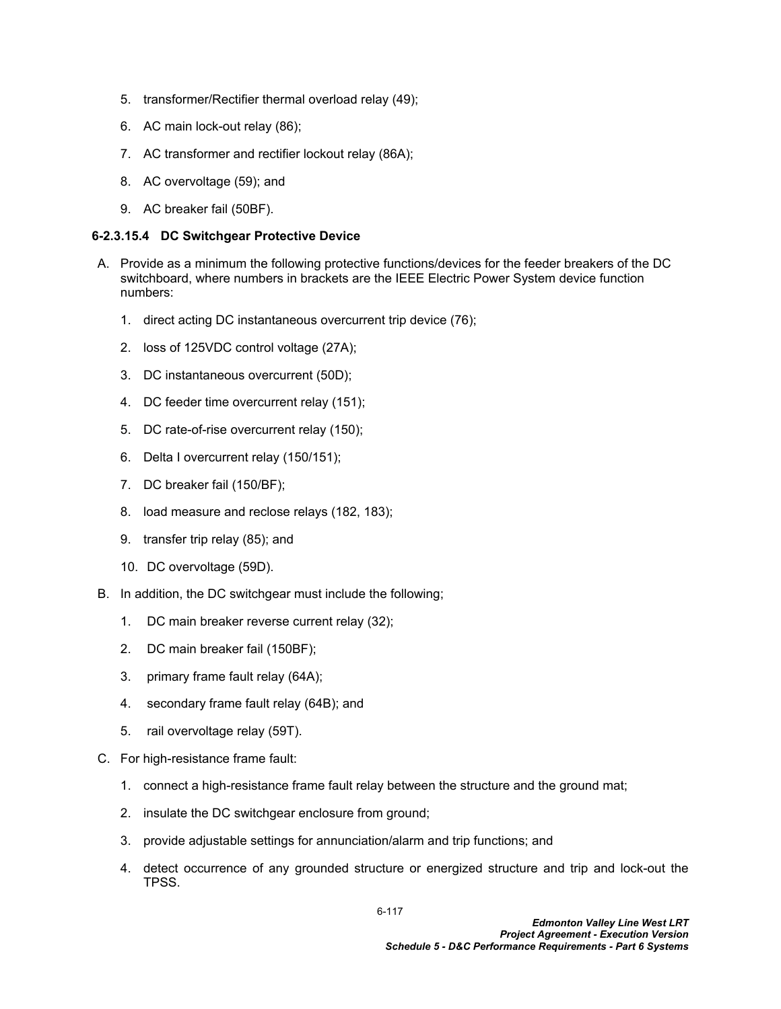- 5. transformer/Rectifier thermal overload relay (49);
- 6. AC main lock-out relay (86);
- 7. AC transformer and rectifier lockout relay (86A);
- 8. AC overvoltage (59); and
- 9. AC breaker fail (50BF).

### **6-2.3.15.4 DC Switchgear Protective Device**

- A. Provide as a minimum the following protective functions/devices for the feeder breakers of the DC switchboard, where numbers in brackets are the IEEE Electric Power System device function numbers:
	- 1. direct acting DC instantaneous overcurrent trip device (76);
	- 2. loss of 125VDC control voltage (27A);
	- 3. DC instantaneous overcurrent (50D);
	- 4. DC feeder time overcurrent relay (151);
	- 5. DC rate-of-rise overcurrent relay (150);
	- 6. Delta I overcurrent relay (150/151);
	- 7. DC breaker fail (150/BF);
	- 8. load measure and reclose relays (182, 183);
	- 9. transfer trip relay (85); and
	- 10. DC overvoltage (59D).
- B. In addition, the DC switchgear must include the following;
	- 1. DC main breaker reverse current relay (32);
	- 2. DC main breaker fail (150BF);
	- 3. primary frame fault relay (64A);
	- 4. secondary frame fault relay (64B); and
	- 5. rail overvoltage relay (59T).
- C. For high-resistance frame fault:
	- 1. connect a high-resistance frame fault relay between the structure and the ground mat;
	- 2. insulate the DC switchgear enclosure from ground;
	- 3. provide adjustable settings for annunciation/alarm and trip functions; and
	- 4. detect occurrence of any grounded structure or energized structure and trip and lock-out the TPSS.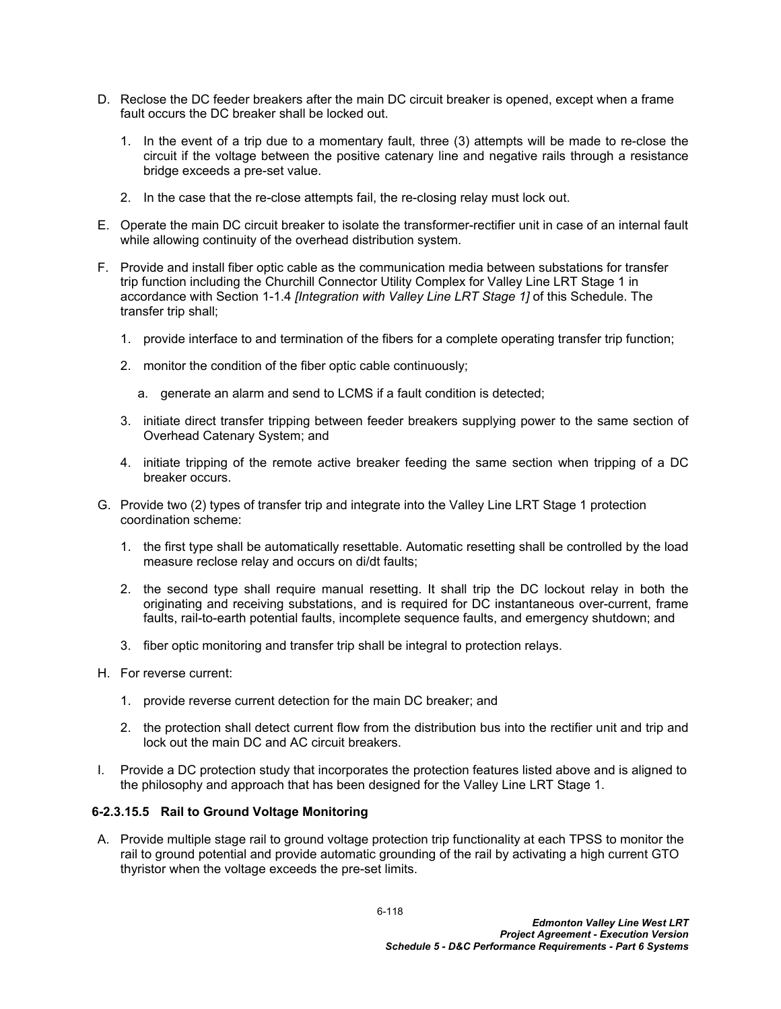- D. Reclose the DC feeder breakers after the main DC circuit breaker is opened, except when a frame fault occurs the DC breaker shall be locked out.
	- 1. In the event of a trip due to a momentary fault, three (3) attempts will be made to re-close the circuit if the voltage between the positive catenary line and negative rails through a resistance bridge exceeds a pre-set value.
	- 2. In the case that the re-close attempts fail, the re-closing relay must lock out.
- E. Operate the main DC circuit breaker to isolate the transformer-rectifier unit in case of an internal fault while allowing continuity of the overhead distribution system.
- F. Provide and install fiber optic cable as the communication media between substations for transfer trip function including the Churchill Connector Utility Complex for Valley Line LRT Stage 1 in accordance with Section 1-1.4 *[Integration with Valley Line LRT Stage 1]* of this Schedule. The transfer trip shall;
	- 1. provide interface to and termination of the fibers for a complete operating transfer trip function;
	- 2. monitor the condition of the fiber optic cable continuously;
		- a. generate an alarm and send to LCMS if a fault condition is detected;
	- 3. initiate direct transfer tripping between feeder breakers supplying power to the same section of Overhead Catenary System; and
	- 4. initiate tripping of the remote active breaker feeding the same section when tripping of a DC breaker occurs.
- G. Provide two (2) types of transfer trip and integrate into the Valley Line LRT Stage 1 protection coordination scheme:
	- 1. the first type shall be automatically resettable. Automatic resetting shall be controlled by the load measure reclose relay and occurs on di/dt faults;
	- 2. the second type shall require manual resetting. It shall trip the DC lockout relay in both the originating and receiving substations, and is required for DC instantaneous over-current, frame faults, rail-to-earth potential faults, incomplete sequence faults, and emergency shutdown; and
	- 3. fiber optic monitoring and transfer trip shall be integral to protection relays.
- H. For reverse current:
	- 1. provide reverse current detection for the main DC breaker; and
	- 2. the protection shall detect current flow from the distribution bus into the rectifier unit and trip and lock out the main DC and AC circuit breakers.
- I. Provide a DC protection study that incorporates the protection features listed above and is aligned to the philosophy and approach that has been designed for the Valley Line LRT Stage 1.

#### **6-2.3.15.5 Rail to Ground Voltage Monitoring**

A. Provide multiple stage rail to ground voltage protection trip functionality at each TPSS to monitor the rail to ground potential and provide automatic grounding of the rail by activating a high current GTO thyristor when the voltage exceeds the pre-set limits.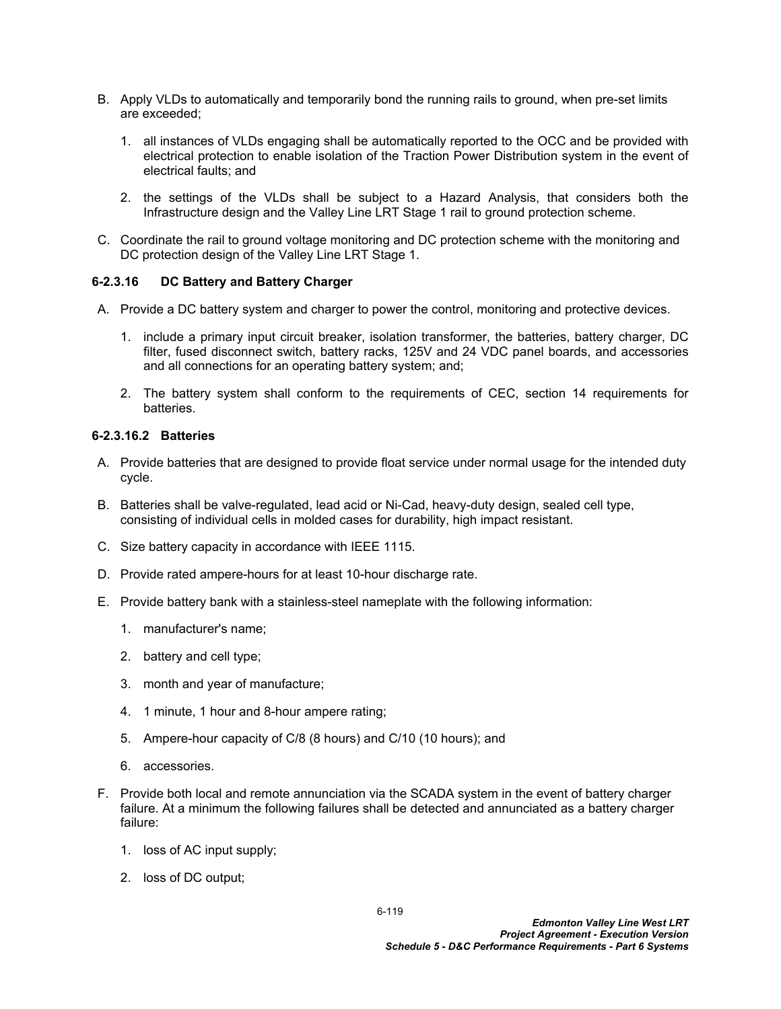- B. Apply VLDs to automatically and temporarily bond the running rails to ground, when pre-set limits are exceeded;
	- 1. all instances of VLDs engaging shall be automatically reported to the OCC and be provided with electrical protection to enable isolation of the Traction Power Distribution system in the event of electrical faults; and
	- 2. the settings of the VLDs shall be subject to a Hazard Analysis, that considers both the Infrastructure design and the Valley Line LRT Stage 1 rail to ground protection scheme.
- C. Coordinate the rail to ground voltage monitoring and DC protection scheme with the monitoring and DC protection design of the Valley Line LRT Stage 1.

#### **6-2.3.16 DC Battery and Battery Charger**

- A. Provide a DC battery system and charger to power the control, monitoring and protective devices.
	- 1. include a primary input circuit breaker, isolation transformer, the batteries, battery charger, DC filter, fused disconnect switch, battery racks, 125V and 24 VDC panel boards, and accessories and all connections for an operating battery system; and;
	- 2. The battery system shall conform to the requirements of CEC, section 14 requirements for batteries.

# **6-2.3.16.2 Batteries**

- A. Provide batteries that are designed to provide float service under normal usage for the intended duty cycle.
- B. Batteries shall be valve-regulated, lead acid or Ni-Cad, heavy-duty design, sealed cell type, consisting of individual cells in molded cases for durability, high impact resistant.
- C. Size battery capacity in accordance with IEEE 1115.
- D. Provide rated ampere-hours for at least 10-hour discharge rate.
- E. Provide battery bank with a stainless-steel nameplate with the following information:
	- 1. manufacturer's name;
	- 2. battery and cell type;
	- 3. month and year of manufacture;
	- 4. 1 minute, 1 hour and 8-hour ampere rating;
	- 5. Ampere-hour capacity of C/8 (8 hours) and C/10 (10 hours); and
	- 6. accessories.
- F. Provide both local and remote annunciation via the SCADA system in the event of battery charger failure. At a minimum the following failures shall be detected and annunciated as a battery charger failure:
	- 1. loss of AC input supply;
	- 2. loss of DC output;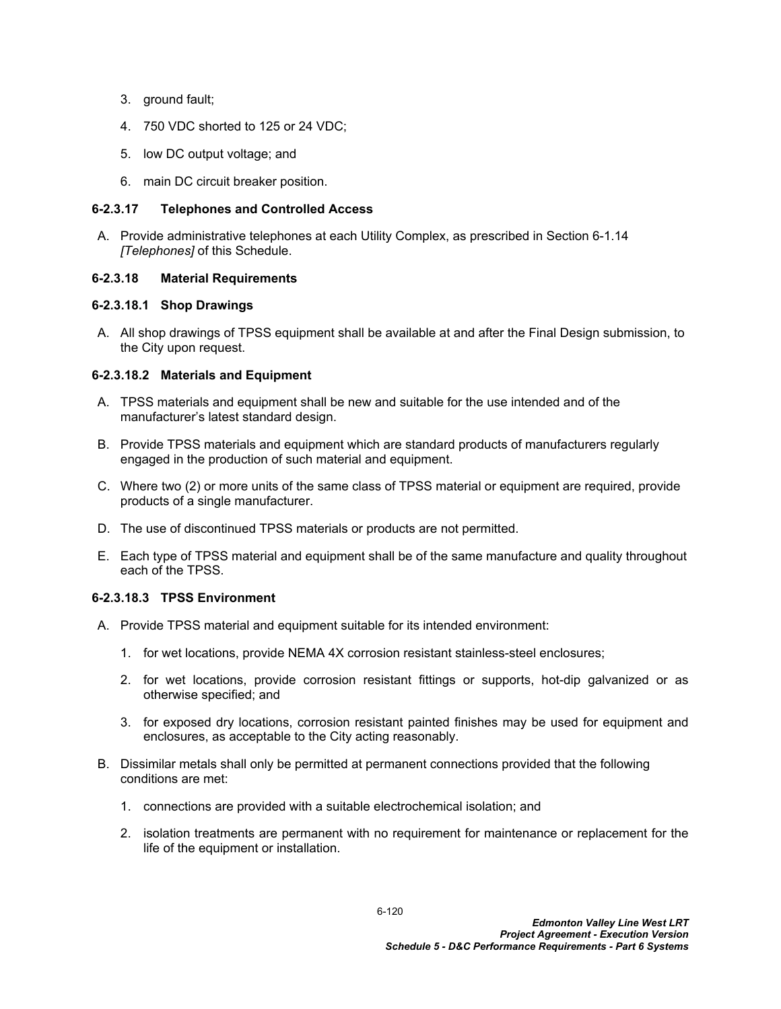- 3. ground fault;
- 4. 750 VDC shorted to 125 or 24 VDC;
- 5. low DC output voltage; and
- 6. main DC circuit breaker position.

### **6-2.3.17 Telephones and Controlled Access**

A. Provide administrative telephones at each Utility Complex, as prescribed in Section 6-1.14 *[Telephones]* of this Schedule.

# **6-2.3.18 Material Requirements**

# **6-2.3.18.1 Shop Drawings**

A. All shop drawings of TPSS equipment shall be available at and after the Final Design submission, to the City upon request.

# **6-2.3.18.2 Materials and Equipment**

- A. TPSS materials and equipment shall be new and suitable for the use intended and of the manufacturer's latest standard design.
- B. Provide TPSS materials and equipment which are standard products of manufacturers regularly engaged in the production of such material and equipment.
- C. Where two (2) or more units of the same class of TPSS material or equipment are required, provide products of a single manufacturer.
- D. The use of discontinued TPSS materials or products are not permitted.
- E. Each type of TPSS material and equipment shall be of the same manufacture and quality throughout each of the TPSS.

# **6-2.3.18.3 TPSS Environment**

- A. Provide TPSS material and equipment suitable for its intended environment:
	- 1. for wet locations, provide NEMA 4X corrosion resistant stainless-steel enclosures;
	- 2. for wet locations, provide corrosion resistant fittings or supports, hot-dip galvanized or as otherwise specified; and
	- 3. for exposed dry locations, corrosion resistant painted finishes may be used for equipment and enclosures, as acceptable to the City acting reasonably.
- B. Dissimilar metals shall only be permitted at permanent connections provided that the following conditions are met:
	- 1. connections are provided with a suitable electrochemical isolation; and
	- 2. isolation treatments are permanent with no requirement for maintenance or replacement for the life of the equipment or installation.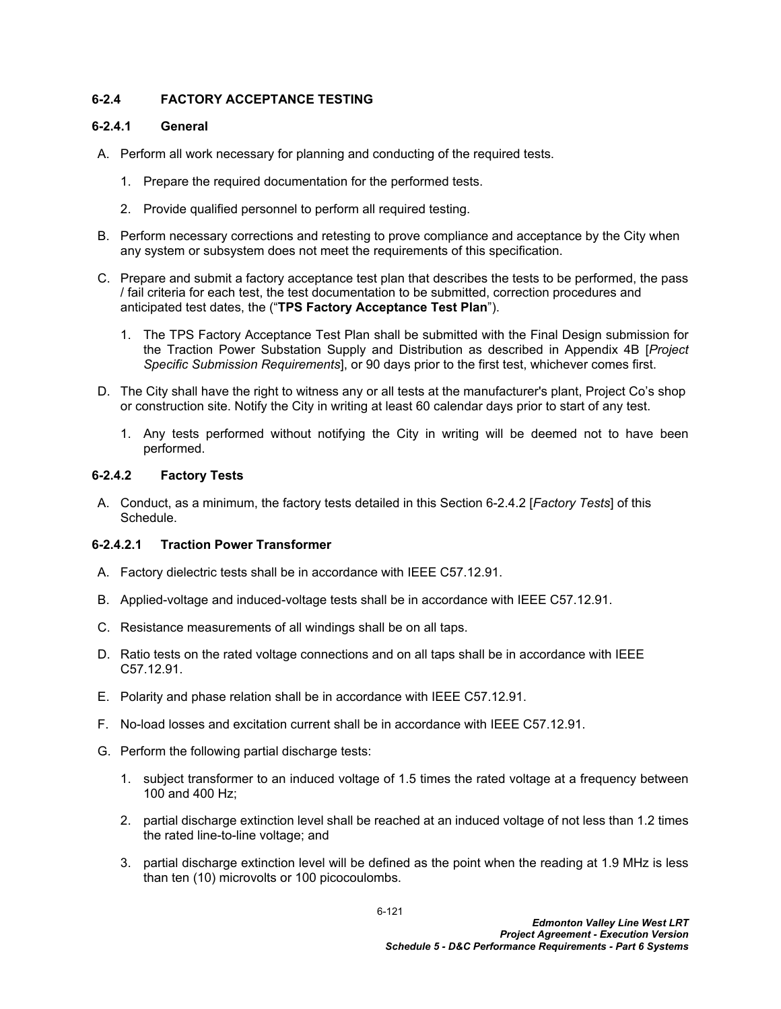# **6-2.4 FACTORY ACCEPTANCE TESTING**

#### **6-2.4.1 General**

- A. Perform all work necessary for planning and conducting of the required tests.
	- 1. Prepare the required documentation for the performed tests.
	- 2. Provide qualified personnel to perform all required testing.
- B. Perform necessary corrections and retesting to prove compliance and acceptance by the City when any system or subsystem does not meet the requirements of this specification.
- C. Prepare and submit a factory acceptance test plan that describes the tests to be performed, the pass / fail criteria for each test, the test documentation to be submitted, correction procedures and anticipated test dates, the ("**TPS Factory Acceptance Test Plan**").
	- 1. The TPS Factory Acceptance Test Plan shall be submitted with the Final Design submission for the Traction Power Substation Supply and Distribution as described in Appendix 4B [*Project Specific Submission Requirements*], or 90 days prior to the first test, whichever comes first.
- D. The City shall have the right to witness any or all tests at the manufacturer's plant, Project Co's shop or construction site. Notify the City in writing at least 60 calendar days prior to start of any test.
	- 1. Any tests performed without notifying the City in writing will be deemed not to have been performed.

#### **6-2.4.2 Factory Tests**

A. Conduct, as a minimum, the factory tests detailed in this Section 6-2.4.2 [*Factory Tests*] of this Schedule.

#### **6-2.4.2.1 Traction Power Transformer**

- A. Factory dielectric tests shall be in accordance with IEEE C57.12.91.
- B. Applied-voltage and induced-voltage tests shall be in accordance with IEEE C57.12.91.
- C. Resistance measurements of all windings shall be on all taps.
- D. Ratio tests on the rated voltage connections and on all taps shall be in accordance with IEEE C57.12.91.
- E. Polarity and phase relation shall be in accordance with IEEE C57.12.91.
- F. No-load losses and excitation current shall be in accordance with IEEE C57.12.91.
- G. Perform the following partial discharge tests:
	- 1. subject transformer to an induced voltage of 1.5 times the rated voltage at a frequency between 100 and 400 Hz;
	- 2. partial discharge extinction level shall be reached at an induced voltage of not less than 1.2 times the rated line-to-line voltage; and
	- 3. partial discharge extinction level will be defined as the point when the reading at 1.9 MHz is less than ten (10) microvolts or 100 picocoulombs.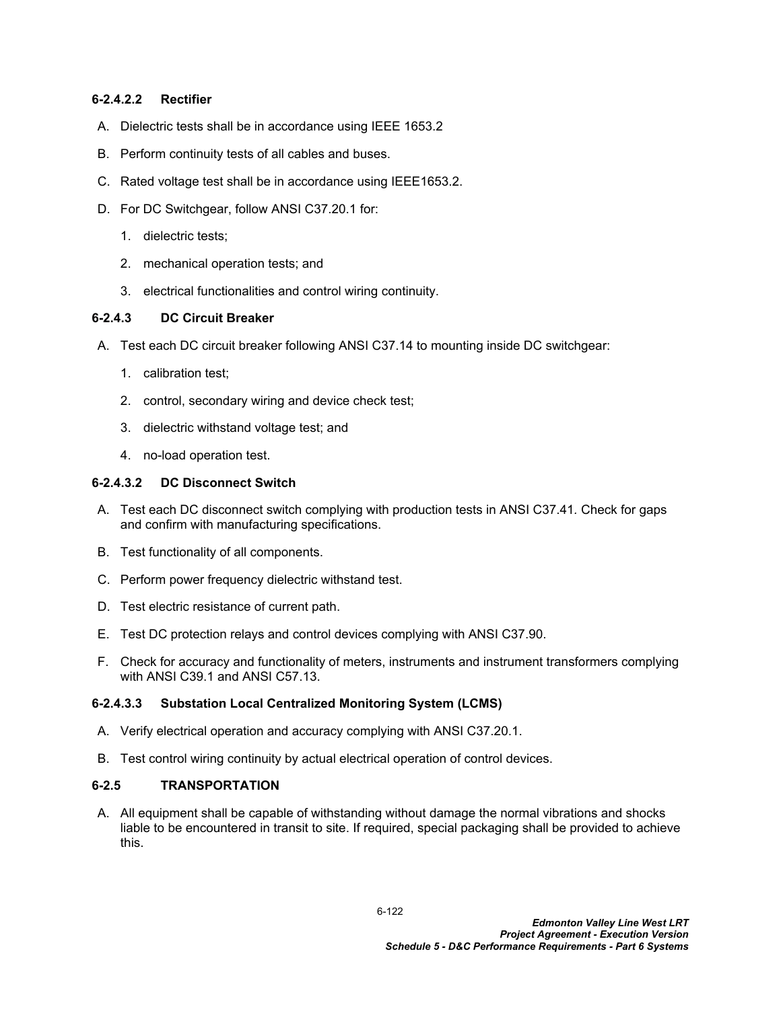# **6-2.4.2.2 Rectifier**

- A. Dielectric tests shall be in accordance using IEEE 1653.2
- B. Perform continuity tests of all cables and buses.
- C. Rated voltage test shall be in accordance using IEEE1653.2.
- D. For DC Switchgear, follow ANSI C37.20.1 for:
	- 1. dielectric tests;
	- 2. mechanical operation tests; and
	- 3. electrical functionalities and control wiring continuity.

# **6-2.4.3 DC Circuit Breaker**

- A. Test each DC circuit breaker following ANSI C37.14 to mounting inside DC switchgear:
	- 1. calibration test;
	- 2. control, secondary wiring and device check test;
	- 3. dielectric withstand voltage test; and
	- 4. no-load operation test.

# **6-2.4.3.2 DC Disconnect Switch**

- A. Test each DC disconnect switch complying with production tests in ANSI C37.41*.* Check for gaps and confirm with manufacturing specifications.
- B. Test functionality of all components.
- C. Perform power frequency dielectric withstand test.
- D. Test electric resistance of current path.
- E. Test DC protection relays and control devices complying with ANSI C37.90.
- F. Check for accuracy and functionality of meters, instruments and instrument transformers complying with ANSI C39.1 and ANSI C57.13.

# **6-2.4.3.3 Substation Local Centralized Monitoring System (LCMS)**

- A. Verify electrical operation and accuracy complying with ANSI C37.20.1.
- B. Test control wiring continuity by actual electrical operation of control devices.

# **6-2.5 TRANSPORTATION**

A. All equipment shall be capable of withstanding without damage the normal vibrations and shocks liable to be encountered in transit to site. If required, special packaging shall be provided to achieve this.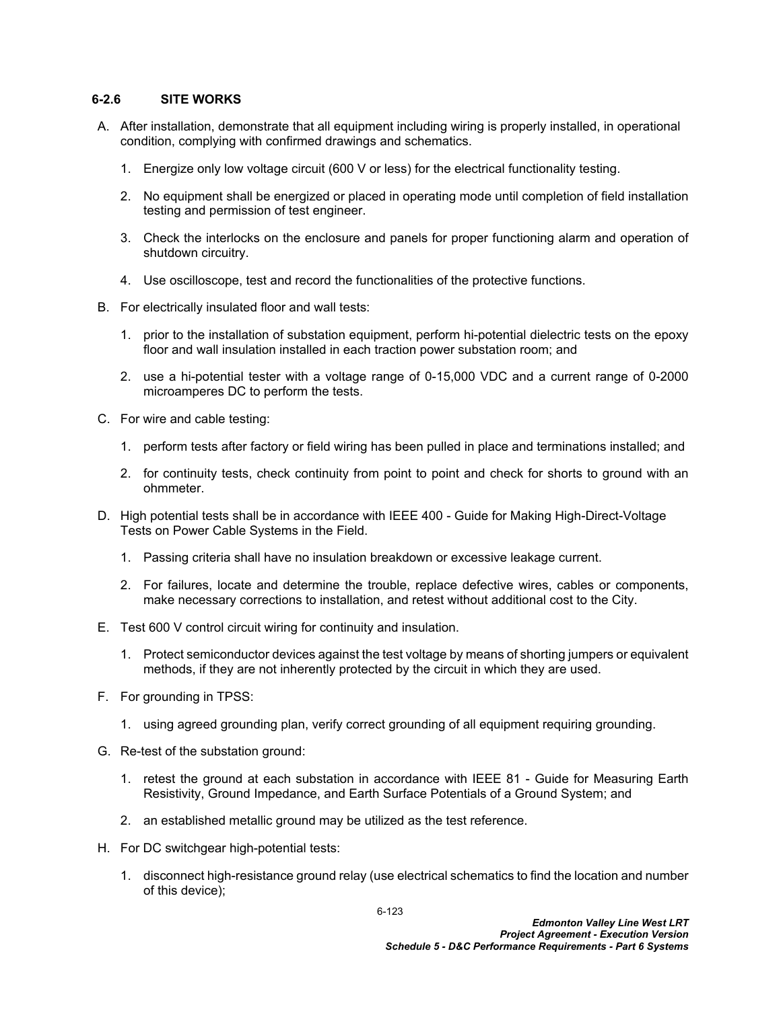#### **6-2.6 SITE WORKS**

- A. After installation, demonstrate that all equipment including wiring is properly installed, in operational condition, complying with confirmed drawings and schematics.
	- 1. Energize only low voltage circuit (600 V or less) for the electrical functionality testing.
	- 2. No equipment shall be energized or placed in operating mode until completion of field installation testing and permission of test engineer.
	- 3. Check the interlocks on the enclosure and panels for proper functioning alarm and operation of shutdown circuitry.
	- 4. Use oscilloscope, test and record the functionalities of the protective functions.
- B. For electrically insulated floor and wall tests:
	- 1. prior to the installation of substation equipment, perform hi-potential dielectric tests on the epoxy floor and wall insulation installed in each traction power substation room; and
	- 2. use a hi-potential tester with a voltage range of 0-15,000 VDC and a current range of 0-2000 microamperes DC to perform the tests.
- C. For wire and cable testing:
	- 1. perform tests after factory or field wiring has been pulled in place and terminations installed; and
	- 2. for continuity tests, check continuity from point to point and check for shorts to ground with an ohmmeter.
- D. High potential tests shall be in accordance with IEEE 400 Guide for Making High-Direct-Voltage Tests on Power Cable Systems in the Field.
	- 1. Passing criteria shall have no insulation breakdown or excessive leakage current.
	- 2. For failures, locate and determine the trouble, replace defective wires, cables or components, make necessary corrections to installation, and retest without additional cost to the City.
- E. Test 600 V control circuit wiring for continuity and insulation.
	- 1. Protect semiconductor devices against the test voltage by means of shorting jumpers or equivalent methods, if they are not inherently protected by the circuit in which they are used.
- F. For grounding in TPSS:
	- 1. using agreed grounding plan, verify correct grounding of all equipment requiring grounding.
- G. Re-test of the substation ground:
	- 1. retest the ground at each substation in accordance with IEEE 81 Guide for Measuring Earth Resistivity, Ground Impedance, and Earth Surface Potentials of a Ground System; and
	- 2. an established metallic ground may be utilized as the test reference.
- H. For DC switchgear high-potential tests:
	- 1. disconnect high-resistance ground relay (use electrical schematics to find the location and number of this device);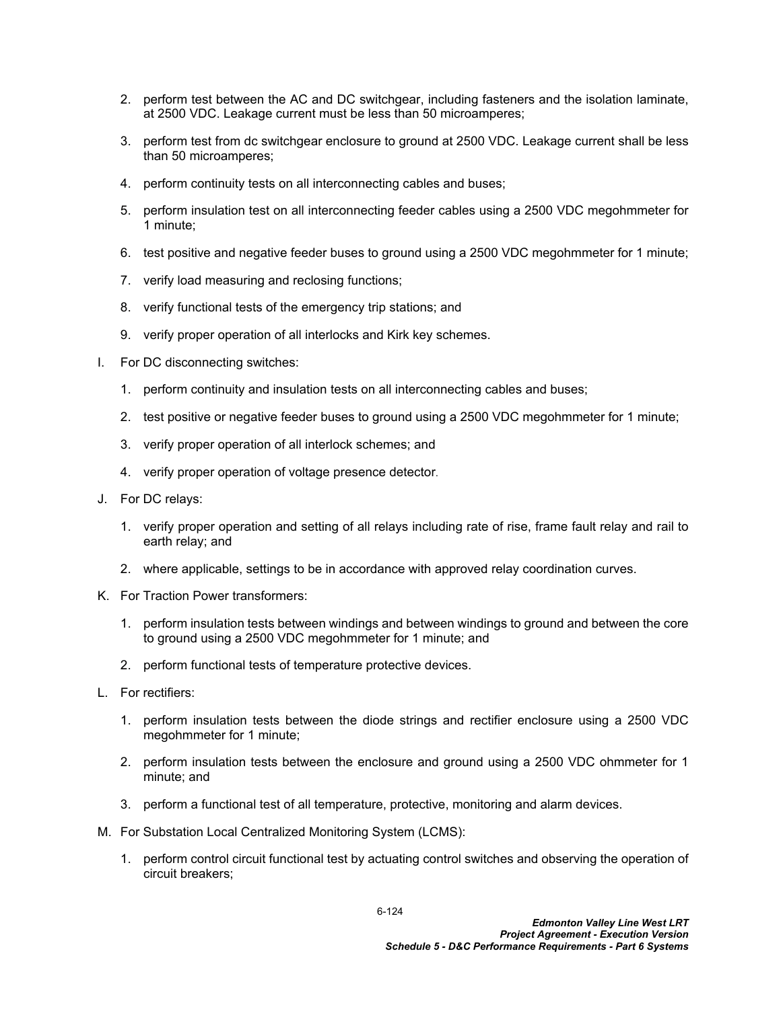- 2. perform test between the AC and DC switchgear, including fasteners and the isolation laminate, at 2500 VDC. Leakage current must be less than 50 microamperes;
- 3. perform test from dc switchgear enclosure to ground at 2500 VDC. Leakage current shall be less than 50 microamperes;
- 4. perform continuity tests on all interconnecting cables and buses;
- 5. perform insulation test on all interconnecting feeder cables using a 2500 VDC megohmmeter for 1 minute;
- 6. test positive and negative feeder buses to ground using a 2500 VDC megohmmeter for 1 minute;
- 7. verify load measuring and reclosing functions;
- 8. verify functional tests of the emergency trip stations; and
- 9. verify proper operation of all interlocks and Kirk key schemes.
- I. For DC disconnecting switches:
	- 1. perform continuity and insulation tests on all interconnecting cables and buses;
	- 2. test positive or negative feeder buses to ground using a 2500 VDC megohmmeter for 1 minute;
	- 3. verify proper operation of all interlock schemes; and
	- 4. verify proper operation of voltage presence detector.
- J. For DC relays:
	- 1. verify proper operation and setting of all relays including rate of rise, frame fault relay and rail to earth relay; and
	- 2. where applicable, settings to be in accordance with approved relay coordination curves.
- K. For Traction Power transformers:
	- 1. perform insulation tests between windings and between windings to ground and between the core to ground using a 2500 VDC megohmmeter for 1 minute; and
	- 2. perform functional tests of temperature protective devices.
- L. For rectifiers:
	- 1. perform insulation tests between the diode strings and rectifier enclosure using a 2500 VDC megohmmeter for 1 minute;
	- 2. perform insulation tests between the enclosure and ground using a 2500 VDC ohmmeter for 1 minute; and
	- 3. perform a functional test of all temperature, protective, monitoring and alarm devices.
- M. For Substation Local Centralized Monitoring System (LCMS):
	- 1. perform control circuit functional test by actuating control switches and observing the operation of circuit breakers;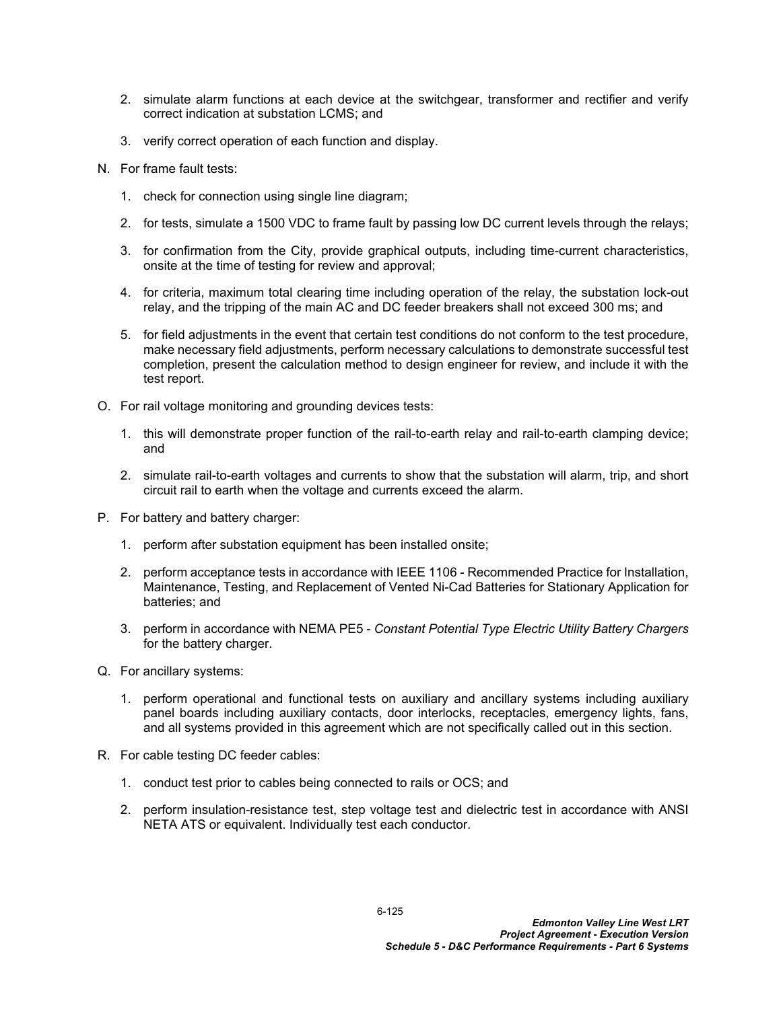- 2. simulate alarm functions at each device at the switchgear, transformer and rectifier and verify correct indication at substation LCMS; and
- 3. verify correct operation of each function and display.
- N. For frame fault tests:
	- 1. check for connection using single line diagram;
	- 2. for tests, simulate a 1500 VDC to frame fault by passing low DC current levels through the relays;
	- 3. for confirmation from the City, provide graphical outputs, including time-current characteristics, onsite at the time of testing for review and approval;
	- 4. for criteria, maximum total clearing time including operation of the relay, the substation lock-out relay, and the tripping of the main AC and DC feeder breakers shall not exceed 300 ms; and
	- 5. for field adjustments in the event that certain test conditions do not conform to the test procedure, make necessary field adjustments, perform necessary calculations to demonstrate successful test completion, present the calculation method to design engineer for review, and include it with the test report.
- O. For rail voltage monitoring and grounding devices tests:
	- 1. this will demonstrate proper function of the rail-to-earth relay and rail-to-earth clamping device; and
	- 2. simulate rail-to-earth voltages and currents to show that the substation will alarm, trip, and short circuit rail to earth when the voltage and currents exceed the alarm.
- P. For battery and battery charger:
	- 1. perform after substation equipment has been installed onsite;
	- 2. perform acceptance tests in accordance with IEEE 1106 Recommended Practice for Installation, Maintenance, Testing, and Replacement of Vented Ni-Cad Batteries for Stationary Application for batteries; and
	- 3. perform in accordance with NEMA PE5 *Constant Potential Type Electric Utility Battery Chargers* for the battery charger.
- Q. For ancillary systems:
	- 1. perform operational and functional tests on auxiliary and ancillary systems including auxiliary panel boards including auxiliary contacts, door interlocks, receptacles, emergency lights, fans, and all systems provided in this agreement which are not specifically called out in this section.
- R. For cable testing DC feeder cables:
	- 1. conduct test prior to cables being connected to rails or OCS; and
	- 2. perform insulation-resistance test, step voltage test and dielectric test in accordance with ANSI NETA ATS or equivalent. Individually test each conductor.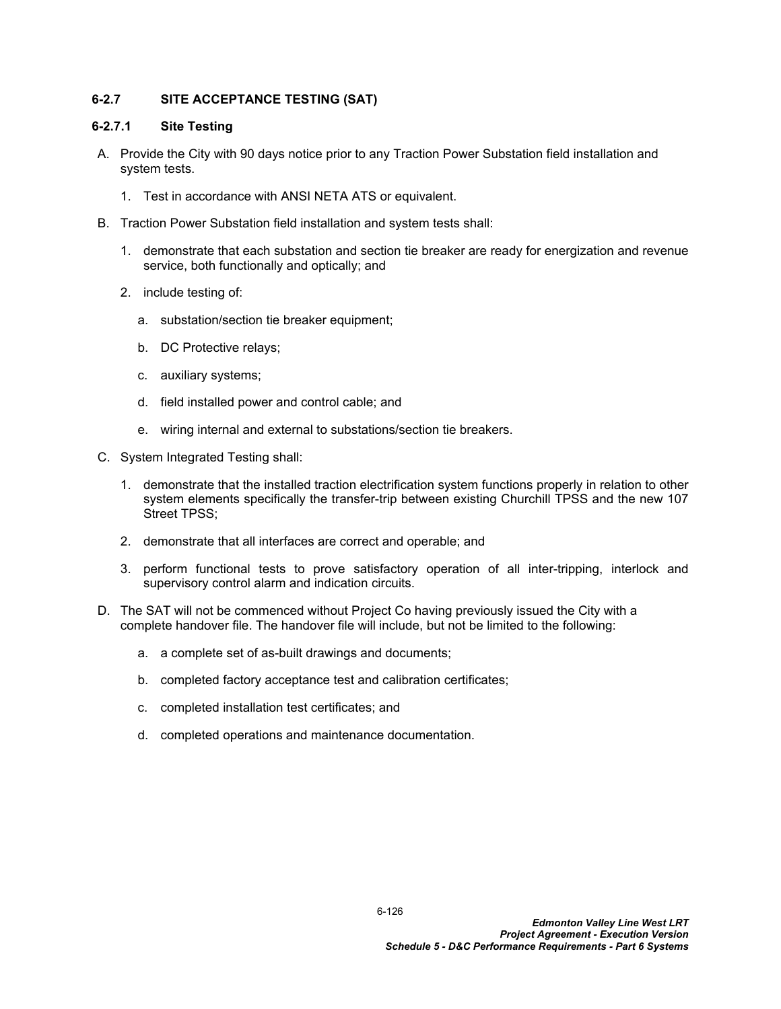# **6-2.7 SITE ACCEPTANCE TESTING (SAT)**

## **6-2.7.1 Site Testing**

- A. Provide the City with 90 days notice prior to any Traction Power Substation field installation and system tests.
	- 1. Test in accordance with ANSI NETA ATS or equivalent.
- B. Traction Power Substation field installation and system tests shall:
	- 1. demonstrate that each substation and section tie breaker are ready for energization and revenue service, both functionally and optically; and
	- 2. include testing of:
		- a. substation/section tie breaker equipment;
		- b. DC Protective relays;
		- c. auxiliary systems;
		- d. field installed power and control cable; and
		- e. wiring internal and external to substations/section tie breakers.
- C. System Integrated Testing shall:
	- 1. demonstrate that the installed traction electrification system functions properly in relation to other system elements specifically the transfer-trip between existing Churchill TPSS and the new 107 Street TPSS;
	- 2. demonstrate that all interfaces are correct and operable; and
	- 3. perform functional tests to prove satisfactory operation of all inter-tripping, interlock and supervisory control alarm and indication circuits.
- D. The SAT will not be commenced without Project Co having previously issued the City with a complete handover file. The handover file will include, but not be limited to the following:
	- a. a complete set of as-built drawings and documents;
	- b. completed factory acceptance test and calibration certificates;
	- c. completed installation test certificates; and
	- d. completed operations and maintenance documentation.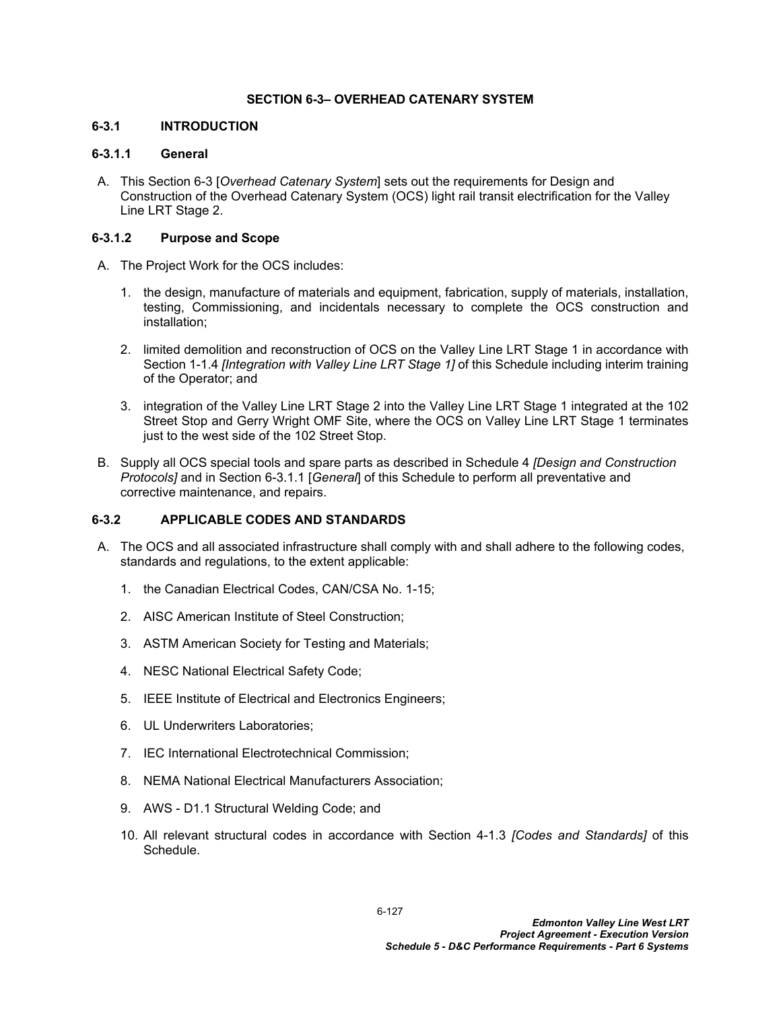# **SECTION 6-3– OVERHEAD CATENARY SYSTEM**

## **6-3.1 INTRODUCTION**

# **6-3.1.1 General**

A. This Section 6-3 [*Overhead Catenary System*] sets out the requirements for Design and Construction of the Overhead Catenary System (OCS) light rail transit electrification for the Valley Line LRT Stage 2.

# **6-3.1.2 Purpose and Scope**

- A. The Project Work for the OCS includes:
	- 1. the design, manufacture of materials and equipment, fabrication, supply of materials, installation, testing, Commissioning, and incidentals necessary to complete the OCS construction and installation;
	- 2. limited demolition and reconstruction of OCS on the Valley Line LRT Stage 1 in accordance with Section 1-1.4 *[Integration with Valley Line LRT Stage 1]* of this Schedule including interim training of the Operator; and
	- 3. integration of the Valley Line LRT Stage 2 into the Valley Line LRT Stage 1 integrated at the 102 Street Stop and Gerry Wright OMF Site, where the OCS on Valley Line LRT Stage 1 terminates just to the west side of the 102 Street Stop.
- B. Supply all OCS special tools and spare parts as described in Schedule 4 *[Design and Construction Protocols]* and in Section 6-3.1.1 [*General*] of this Schedule to perform all preventative and corrective maintenance, and repairs.

# **6-3.2 APPLICABLE CODES AND STANDARDS**

- A. The OCS and all associated infrastructure shall comply with and shall adhere to the following codes, standards and regulations, to the extent applicable:
	- 1. the Canadian Electrical Codes, CAN/CSA No. 1-15;
	- 2. AISC American Institute of Steel Construction;
	- 3. ASTM American Society for Testing and Materials;
	- 4. NESC National Electrical Safety Code;
	- 5. IEEE Institute of Electrical and Electronics Engineers;
	- 6. UL Underwriters Laboratories;
	- 7. IEC International Electrotechnical Commission;
	- 8. NEMA National Electrical Manufacturers Association;
	- 9. AWS D1.1 Structural Welding Code; and
	- 10. All relevant structural codes in accordance with Section 4-1.3 *[Codes and Standards]* of this Schedule.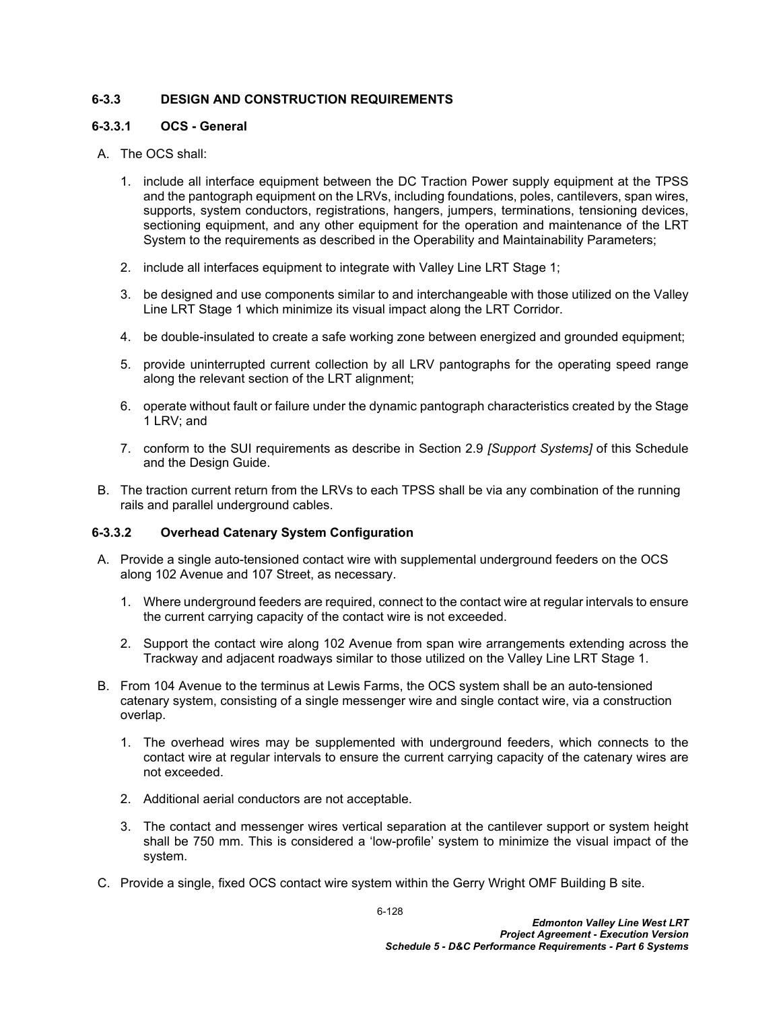# **6-3.3 DESIGN AND CONSTRUCTION REQUIREMENTS**

# **6-3.3.1 OCS - General**

# A. The OCS shall:

- 1. include all interface equipment between the DC Traction Power supply equipment at the TPSS and the pantograph equipment on the LRVs, including foundations, poles, cantilevers, span wires, supports, system conductors, registrations, hangers, jumpers, terminations, tensioning devices, sectioning equipment, and any other equipment for the operation and maintenance of the LRT System to the requirements as described in the Operability and Maintainability Parameters;
- 2. include all interfaces equipment to integrate with Valley Line LRT Stage 1;
- 3. be designed and use components similar to and interchangeable with those utilized on the Valley Line LRT Stage 1 which minimize its visual impact along the LRT Corridor.
- 4. be double-insulated to create a safe working zone between energized and grounded equipment;
- 5. provide uninterrupted current collection by all LRV pantographs for the operating speed range along the relevant section of the LRT alignment;
- 6. operate without fault or failure under the dynamic pantograph characteristics created by the Stage 1 LRV; and
- 7. conform to the SUI requirements as describe in Section 2.9 *[Support Systems]* of this Schedule and the Design Guide.
- B. The traction current return from the LRVs to each TPSS shall be via any combination of the running rails and parallel underground cables.

# **6-3.3.2 Overhead Catenary System Configuration**

- A. Provide a single auto-tensioned contact wire with supplemental underground feeders on the OCS along 102 Avenue and 107 Street, as necessary.
	- 1. Where underground feeders are required, connect to the contact wire at regular intervals to ensure the current carrying capacity of the contact wire is not exceeded.
	- 2. Support the contact wire along 102 Avenue from span wire arrangements extending across the Trackway and adjacent roadways similar to those utilized on the Valley Line LRT Stage 1.
- B. From 104 Avenue to the terminus at Lewis Farms, the OCS system shall be an auto-tensioned catenary system, consisting of a single messenger wire and single contact wire, via a construction overlap.
	- 1. The overhead wires may be supplemented with underground feeders, which connects to the contact wire at regular intervals to ensure the current carrying capacity of the catenary wires are not exceeded.
	- 2. Additional aerial conductors are not acceptable.
	- 3. The contact and messenger wires vertical separation at the cantilever support or system height shall be 750 mm. This is considered a 'low-profile' system to minimize the visual impact of the system.
- C. Provide a single, fixed OCS contact wire system within the Gerry Wright OMF Building B site.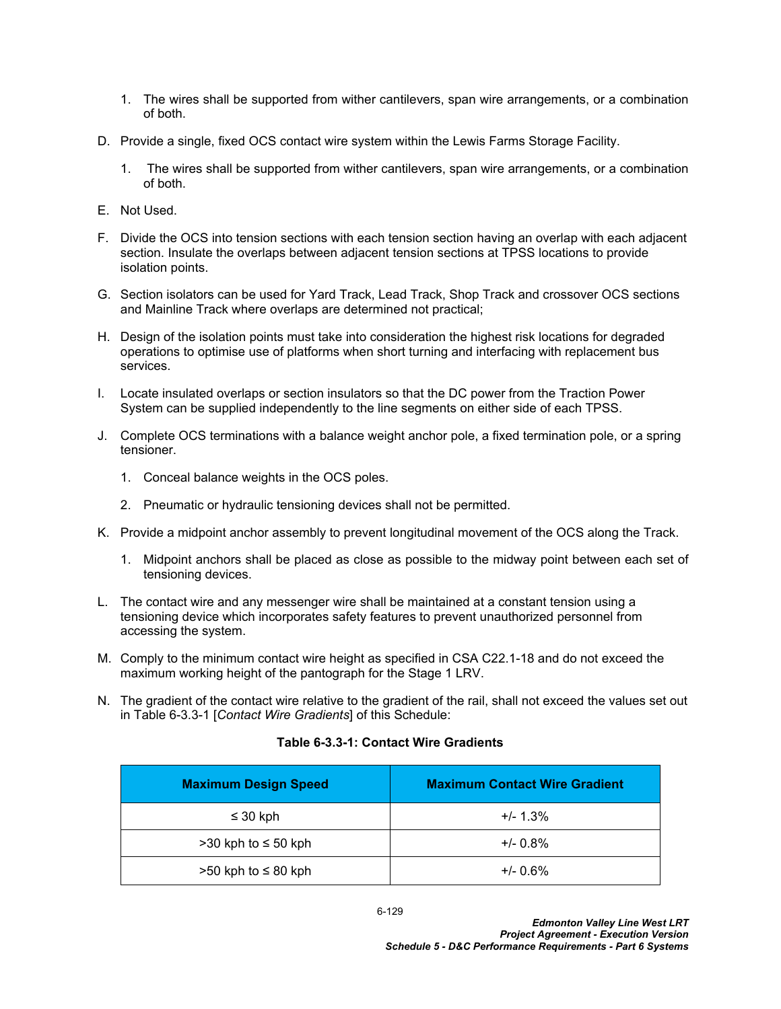- 1. The wires shall be supported from wither cantilevers, span wire arrangements, or a combination of both.
- D. Provide a single, fixed OCS contact wire system within the Lewis Farms Storage Facility.
	- 1. The wires shall be supported from wither cantilevers, span wire arrangements, or a combination of both.
- E. Not Used.
- F. Divide the OCS into tension sections with each tension section having an overlap with each adjacent section. Insulate the overlaps between adjacent tension sections at TPSS locations to provide isolation points.
- G. Section isolators can be used for Yard Track, Lead Track, Shop Track and crossover OCS sections and Mainline Track where overlaps are determined not practical;
- H. Design of the isolation points must take into consideration the highest risk locations for degraded operations to optimise use of platforms when short turning and interfacing with replacement bus services.
- I. Locate insulated overlaps or section insulators so that the DC power from the Traction Power System can be supplied independently to the line segments on either side of each TPSS.
- J. Complete OCS terminations with a balance weight anchor pole, a fixed termination pole, or a spring tensioner.
	- 1. Conceal balance weights in the OCS poles.
	- 2. Pneumatic or hydraulic tensioning devices shall not be permitted.
- K. Provide a midpoint anchor assembly to prevent longitudinal movement of the OCS along the Track.
	- 1. Midpoint anchors shall be placed as close as possible to the midway point between each set of tensioning devices.
- L. The contact wire and any messenger wire shall be maintained at a constant tension using a tensioning device which incorporates safety features to prevent unauthorized personnel from accessing the system.
- M. Comply to the minimum contact wire height as specified in CSA C22.1-18 and do not exceed the maximum working height of the pantograph for the Stage 1 LRV.
- N. The gradient of the contact wire relative to the gradient of the rail, shall not exceed the values set out in Table 6-3.3-1 [*Contact Wire Gradients*] of this Schedule:

| <b>Maximum Design Speed</b> | <b>Maximum Contact Wire Gradient</b> |
|-----------------------------|--------------------------------------|
| $\leq 30$ kph               | $+/- 1.3%$                           |
| $>30$ kph to $\leq 50$ kph  | $+/- 0.8\%$                          |
| $>50$ kph to $\leq 80$ kph  | $+/- 0.6%$                           |

# **Table 6-3.3-1: Contact Wire Gradients**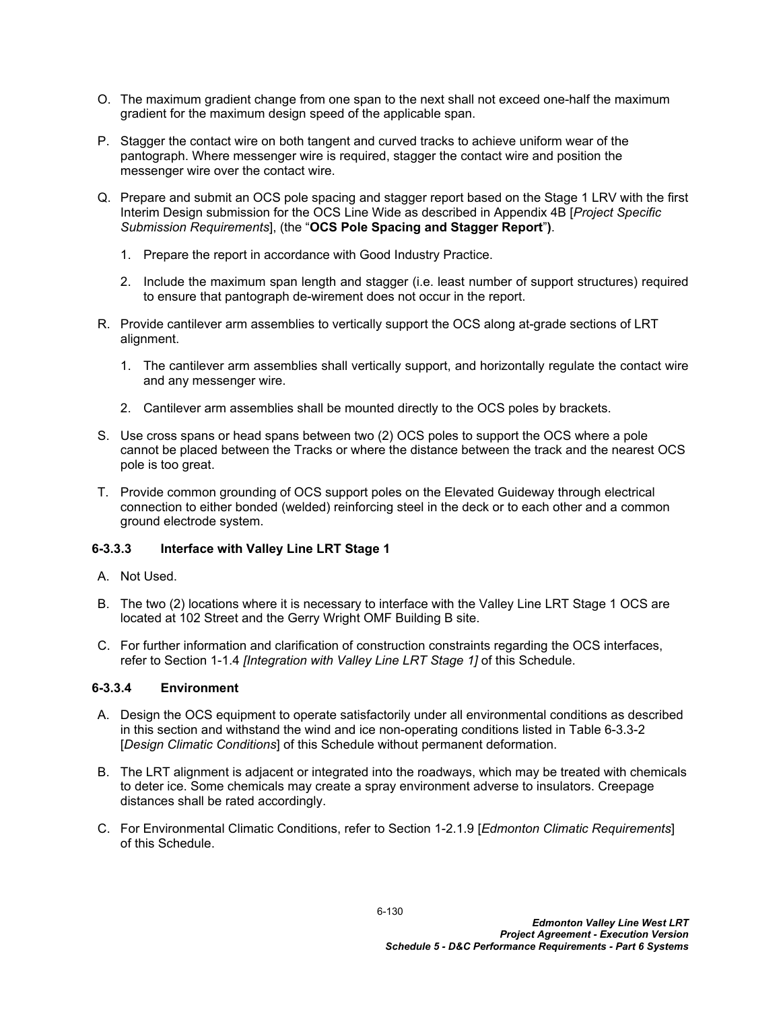- O. The maximum gradient change from one span to the next shall not exceed one-half the maximum gradient for the maximum design speed of the applicable span.
- P. Stagger the contact wire on both tangent and curved tracks to achieve uniform wear of the pantograph. Where messenger wire is required, stagger the contact wire and position the messenger wire over the contact wire.
- Q. Prepare and submit an OCS pole spacing and stagger report based on the Stage 1 LRV with the first Interim Design submission for the OCS Line Wide as described in Appendix 4B [*Project Specific Submission Requirements*], (the "**OCS Pole Spacing and Stagger Report**"**)**.
	- 1. Prepare the report in accordance with Good Industry Practice.
	- 2. Include the maximum span length and stagger (i.e. least number of support structures) required to ensure that pantograph de-wirement does not occur in the report.
- R. Provide cantilever arm assemblies to vertically support the OCS along at-grade sections of LRT alignment.
	- 1. The cantilever arm assemblies shall vertically support, and horizontally regulate the contact wire and any messenger wire.
	- 2. Cantilever arm assemblies shall be mounted directly to the OCS poles by brackets.
- S. Use cross spans or head spans between two (2) OCS poles to support the OCS where a pole cannot be placed between the Tracks or where the distance between the track and the nearest OCS pole is too great.
- T. Provide common grounding of OCS support poles on the Elevated Guideway through electrical connection to either bonded (welded) reinforcing steel in the deck or to each other and a common ground electrode system.

# **6-3.3.3 Interface with Valley Line LRT Stage 1**

- A. Not Used.
- B. The two (2) locations where it is necessary to interface with the Valley Line LRT Stage 1 OCS are located at 102 Street and the Gerry Wright OMF Building B site.
- C. For further information and clarification of construction constraints regarding the OCS interfaces, refer to Section 1-1.4 *[Integration with Valley Line LRT Stage 1]* of this Schedule.

#### **6-3.3.4 Environment**

- A. Design the OCS equipment to operate satisfactorily under all environmental conditions as described in this section and withstand the wind and ice non-operating conditions listed in [Table 6-3.3-2](#page-133-0) [*Design Climatic Conditions*] of this Schedule without permanent deformation.
- B. The LRT alignment is adjacent or integrated into the roadways, which may be treated with chemicals to deter ice. Some chemicals may create a spray environment adverse to insulators. Creepage distances shall be rated accordingly.
- C. For Environmental Climatic Conditions, refer to Section 1-2.1.9 [*Edmonton Climatic Requirements*] of this Schedule.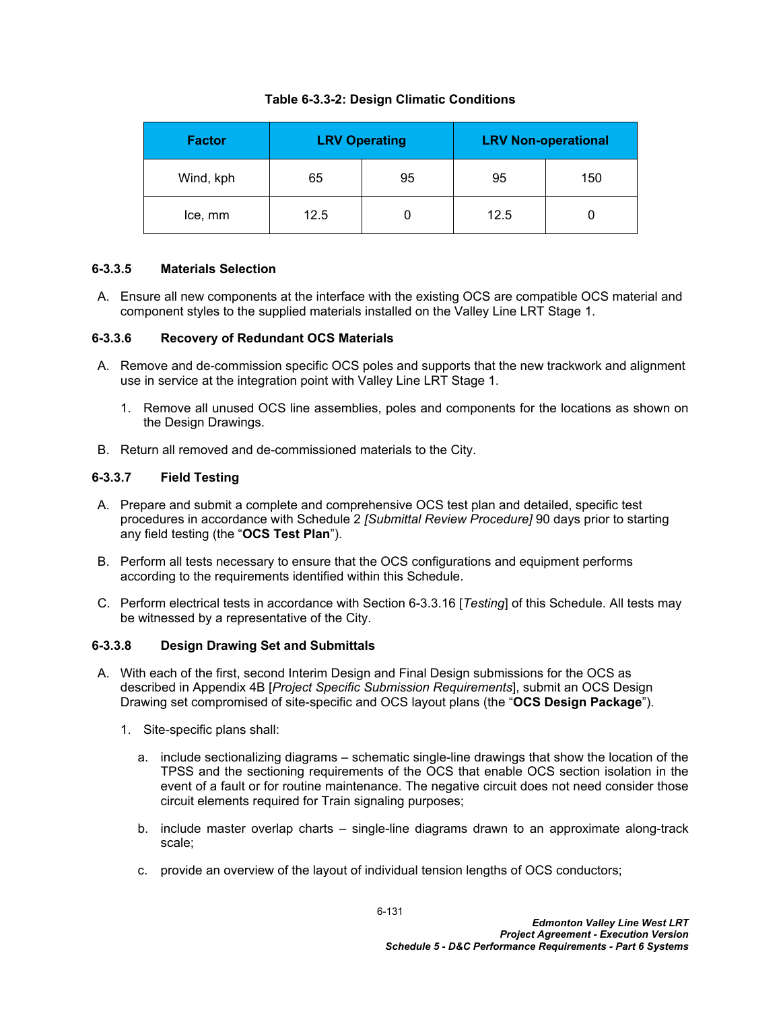# <span id="page-133-0"></span>**Table 6-3.3-2: Design Climatic Conditions**

| <b>Factor</b> | <b>LRV Operating</b> |    | <b>LRV Non-operational</b> |     |
|---------------|----------------------|----|----------------------------|-----|
| Wind, kph     | 65                   | 95 | 95                         | 150 |
| Ice, mm       | 12.5                 |    | 12.5                       | U   |

# **6-3.3.5 Materials Selection**

A. Ensure all new components at the interface with the existing OCS are compatible OCS material and component styles to the supplied materials installed on the Valley Line LRT Stage 1.

#### **6-3.3.6 Recovery of Redundant OCS Materials**

- A. Remove and de-commission specific OCS poles and supports that the new trackwork and alignment use in service at the integration point with Valley Line LRT Stage 1.
	- 1. Remove all unused OCS line assemblies, poles and components for the locations as shown on the Design Drawings.
- B. Return all removed and de-commissioned materials to the City.

# **6-3.3.7 Field Testing**

- A. Prepare and submit a complete and comprehensive OCS test plan and detailed, specific test procedures in accordance with Schedule 2 *[Submittal Review Procedure]* 90 days prior to starting any field testing (the "**OCS Test Plan**").
- B. Perform all tests necessary to ensure that the OCS configurations and equipment performs according to the requirements identified within this Schedule.
- C. Perform electrical tests in accordance with Section [6-3.3.16](#page-147-0) [*[Testing](#page-147-0)*] of this Schedule. All tests may be witnessed by a representative of the City.

# **6-3.3.8 Design Drawing Set and Submittals**

- A. With each of the first, second Interim Design and Final Design submissions for the OCS as described in Appendix 4B [*Project Specific Submission Requirements*], submit an OCS Design Drawing set compromised of site-specific and OCS layout plans (the "**OCS Design Package**").
	- 1. Site-specific plans shall:
		- a. include sectionalizing diagrams schematic single-line drawings that show the location of the TPSS and the sectioning requirements of the OCS that enable OCS section isolation in the event of a fault or for routine maintenance. The negative circuit does not need consider those circuit elements required for Train signaling purposes;
		- b. include master overlap charts single-line diagrams drawn to an approximate along-track scale;
		- c. provide an overview of the layout of individual tension lengths of OCS conductors;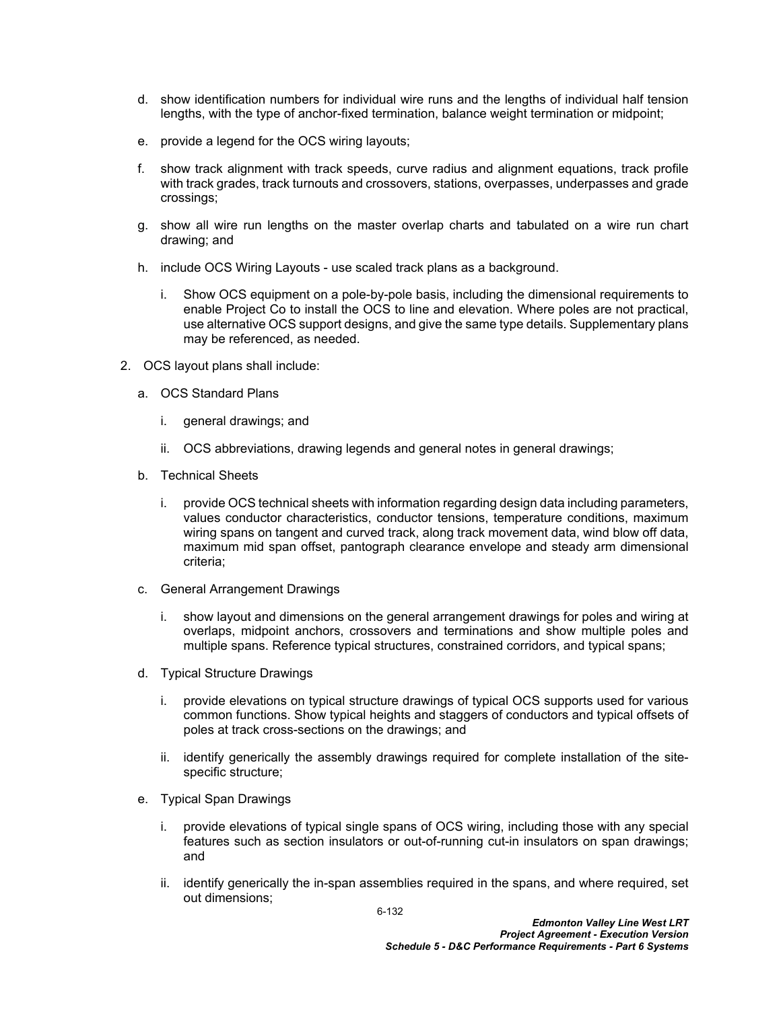- d. show identification numbers for individual wire runs and the lengths of individual half tension lengths, with the type of anchor-fixed termination, balance weight termination or midpoint;
- e. provide a legend for the OCS wiring layouts;
- f. show track alignment with track speeds, curve radius and alignment equations, track profile with track grades, track turnouts and crossovers, stations, overpasses, underpasses and grade crossings;
- g. show all wire run lengths on the master overlap charts and tabulated on a wire run chart drawing; and
- h. include OCS Wiring Layouts use scaled track plans as a background.
	- i. Show OCS equipment on a pole-by-pole basis, including the dimensional requirements to enable Project Co to install the OCS to line and elevation. Where poles are not practical, use alternative OCS support designs, and give the same type details. Supplementary plans may be referenced, as needed.
- 2. OCS layout plans shall include:
	- a. OCS Standard Plans
		- i. general drawings; and
		- ii. OCS abbreviations, drawing legends and general notes in general drawings;
	- b. Technical Sheets
		- i. provide OCS technical sheets with information regarding design data including parameters, values conductor characteristics, conductor tensions, temperature conditions, maximum wiring spans on tangent and curved track, along track movement data, wind blow off data, maximum mid span offset, pantograph clearance envelope and steady arm dimensional criteria;
	- c. General Arrangement Drawings
		- i. show layout and dimensions on the general arrangement drawings for poles and wiring at overlaps, midpoint anchors, crossovers and terminations and show multiple poles and multiple spans. Reference typical structures, constrained corridors, and typical spans;
	- d. Typical Structure Drawings
		- i. provide elevations on typical structure drawings of typical OCS supports used for various common functions. Show typical heights and staggers of conductors and typical offsets of poles at track cross-sections on the drawings; and
		- ii. identify generically the assembly drawings required for complete installation of the sitespecific structure;
	- e. Typical Span Drawings
		- i. provide elevations of typical single spans of OCS wiring, including those with any special features such as section insulators or out-of-running cut-in insulators on span drawings; and
		- ii. identify generically the in-span assemblies required in the spans, and where required, set out dimensions;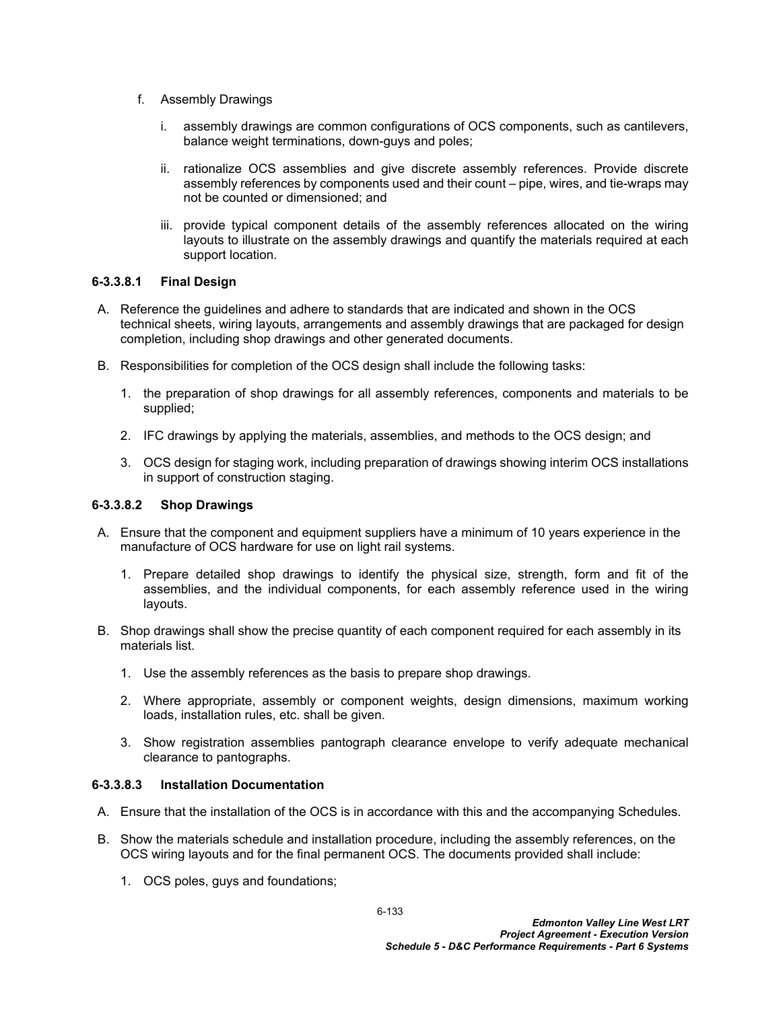- f. Assembly Drawings
	- i. assembly drawings are common configurations of OCS components, such as cantilevers, balance weight terminations, down-guys and poles;
	- ii. rationalize OCS assemblies and give discrete assembly references. Provide discrete assembly references by components used and their count – pipe, wires, and tie-wraps may not be counted or dimensioned; and
	- iii. provide typical component details of the assembly references allocated on the wiring layouts to illustrate on the assembly drawings and quantify the materials required at each support location.

# **6-3.3.8.1 Final Design**

- A. Reference the guidelines and adhere to standards that are indicated and shown in the OCS technical sheets, wiring layouts, arrangements and assembly drawings that are packaged for design completion, including shop drawings and other generated documents.
- B. Responsibilities for completion of the OCS design shall include the following tasks:
	- 1. the preparation of shop drawings for all assembly references, components and materials to be supplied;
	- 2. IFC drawings by applying the materials, assemblies, and methods to the OCS design; and
	- 3. OCS design for staging work, including preparation of drawings showing interim OCS installations in support of construction staging.

### **6-3.3.8.2 Shop Drawings**

- A. Ensure that the component and equipment suppliers have a minimum of 10 years experience in the manufacture of OCS hardware for use on light rail systems.
	- 1. Prepare detailed shop drawings to identify the physical size, strength, form and fit of the assemblies, and the individual components, for each assembly reference used in the wiring layouts.
- B. Shop drawings shall show the precise quantity of each component required for each assembly in its materials list.
	- 1. Use the assembly references as the basis to prepare shop drawings.
	- 2. Where appropriate, assembly or component weights, design dimensions, maximum working loads, installation rules, etc. shall be given.
	- 3. Show registration assemblies pantograph clearance envelope to verify adequate mechanical clearance to pantographs.

# **6-3.3.8.3 Installation Documentation**

- A. Ensure that the installation of the OCS is in accordance with this and the accompanying Schedules.
- B. Show the materials schedule and installation procedure, including the assembly references, on the OCS wiring layouts and for the final permanent OCS. The documents provided shall include:
	- 1. OCS poles, guys and foundations;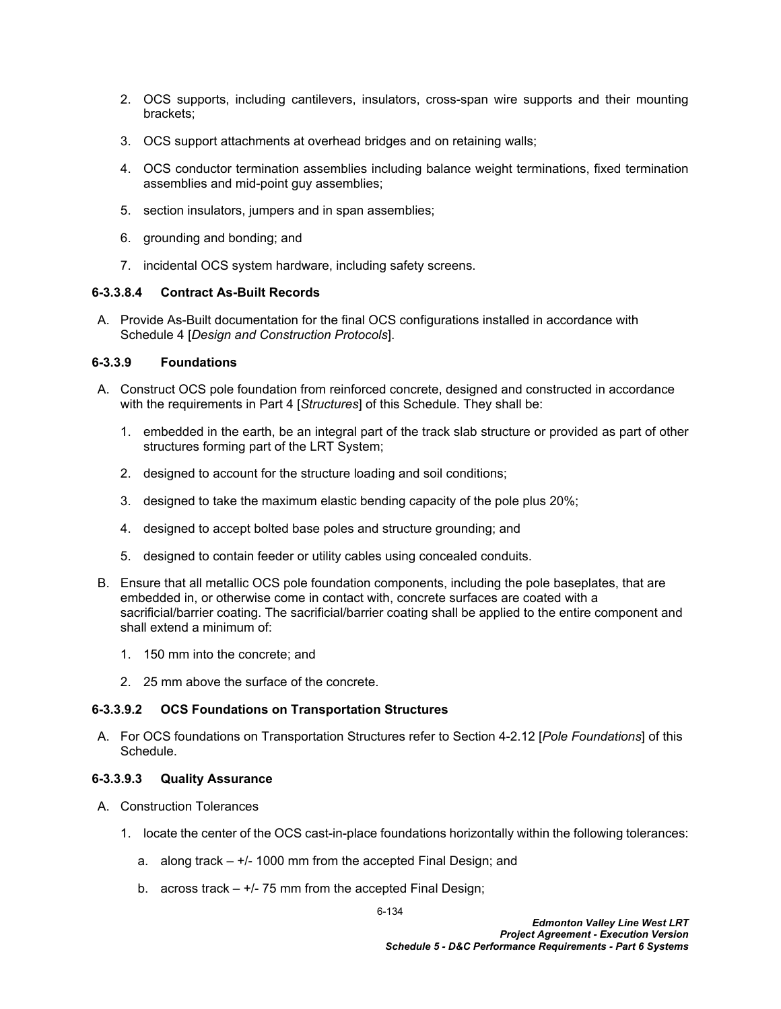- 2. OCS supports, including cantilevers, insulators, cross-span wire supports and their mounting brackets;
- 3. OCS support attachments at overhead bridges and on retaining walls;
- 4. OCS conductor termination assemblies including balance weight terminations, fixed termination assemblies and mid-point guy assemblies;
- 5. section insulators, jumpers and in span assemblies;
- 6. grounding and bonding; and
- 7. incidental OCS system hardware, including safety screens.

# **6-3.3.8.4 Contract As-Built Records**

A. Provide As-Built documentation for the final OCS configurations installed in accordance with Schedule 4 [*Design and Construction Protocols*].

# **6-3.3.9 Foundations**

- A. Construct OCS pole foundation from reinforced concrete, designed and constructed in accordance with the requirements in Part 4 [*Structures*] of this Schedule. They shall be:
	- 1. embedded in the earth, be an integral part of the track slab structure or provided as part of other structures forming part of the LRT System;
	- 2. designed to account for the structure loading and soil conditions;
	- 3. designed to take the maximum elastic bending capacity of the pole plus 20%;
	- 4. designed to accept bolted base poles and structure grounding; and
	- 5. designed to contain feeder or utility cables using concealed conduits.
- B. Ensure that all metallic OCS pole foundation components, including the pole baseplates, that are embedded in, or otherwise come in contact with, concrete surfaces are coated with a sacrificial/barrier coating. The sacrificial/barrier coating shall be applied to the entire component and shall extend a minimum of:
	- 1. 150 mm into the concrete; and
	- 2. 25 mm above the surface of the concrete.

#### **6-3.3.9.2 OCS Foundations on Transportation Structures**

A. For OCS foundations on Transportation Structures refer to Section 4-2.12 [*Pole Foundations*] of this Schedule.

# **6-3.3.9.3 Quality Assurance**

- A. Construction Tolerances
	- 1. locate the center of the OCS cast-in-place foundations horizontally within the following tolerances:
		- a. along track  $-$  +/- 1000 mm from the accepted Final Design; and
		- b. across track  $-$  +/- 75 mm from the accepted Final Design;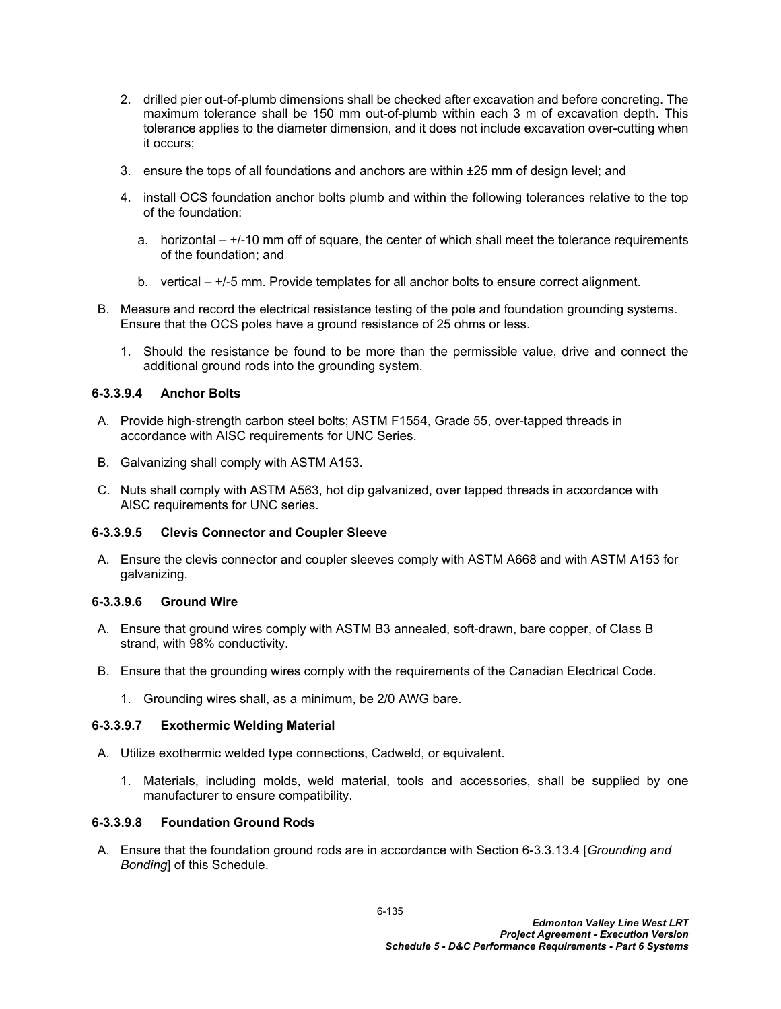- 2. drilled pier out-of-plumb dimensions shall be checked after excavation and before concreting. The maximum tolerance shall be 150 mm out-of-plumb within each 3 m of excavation depth. This tolerance applies to the diameter dimension, and it does not include excavation over-cutting when it occurs;
- 3. ensure the tops of all foundations and anchors are within ±25 mm of design level; and
- 4. install OCS foundation anchor bolts plumb and within the following tolerances relative to the top of the foundation:
	- a. horizontal +/-10 mm off of square, the center of which shall meet the tolerance requirements of the foundation; and
	- b. vertical +/-5 mm. Provide templates for all anchor bolts to ensure correct alignment.
- B. Measure and record the electrical resistance testing of the pole and foundation grounding systems. Ensure that the OCS poles have a ground resistance of 25 ohms or less.
	- 1. Should the resistance be found to be more than the permissible value, drive and connect the additional ground rods into the grounding system.

# **6-3.3.9.4 Anchor Bolts**

- A. Provide high-strength carbon steel bolts; ASTM F1554, Grade 55, over-tapped threads in accordance with AISC requirements for UNC Series.
- B. Galvanizing shall comply with ASTM A153.
- C. Nuts shall comply with ASTM A563, hot dip galvanized, over tapped threads in accordance with AISC requirements for UNC series.

# **6-3.3.9.5 Clevis Connector and Coupler Sleeve**

A. Ensure the clevis connector and coupler sleeves comply with ASTM A668 and with ASTM A153 for galvanizing.

#### **6-3.3.9.6 Ground Wire**

- A. Ensure that ground wires comply with ASTM B3 annealed, soft-drawn, bare copper, of Class B strand, with 98% conductivity.
- B. Ensure that the grounding wires comply with the requirements of the Canadian Electrical Code.
	- 1. Grounding wires shall, as a minimum, be 2/0 AWG bare.

# **6-3.3.9.7 Exothermic Welding Material**

- A. Utilize exothermic welded type connections, Cadweld, or equivalent.
	- 1. Materials, including molds, weld material, tools and accessories, shall be supplied by one manufacturer to ensure compatibility.

# **6-3.3.9.8 Foundation Ground Rods**

A. Ensure that the foundation ground rods are in accordance with Section [6-3.3.13.4](#page-147-1) [*[Grounding and](#page-147-1)  [Bonding](#page-147-1)*] of this Schedule.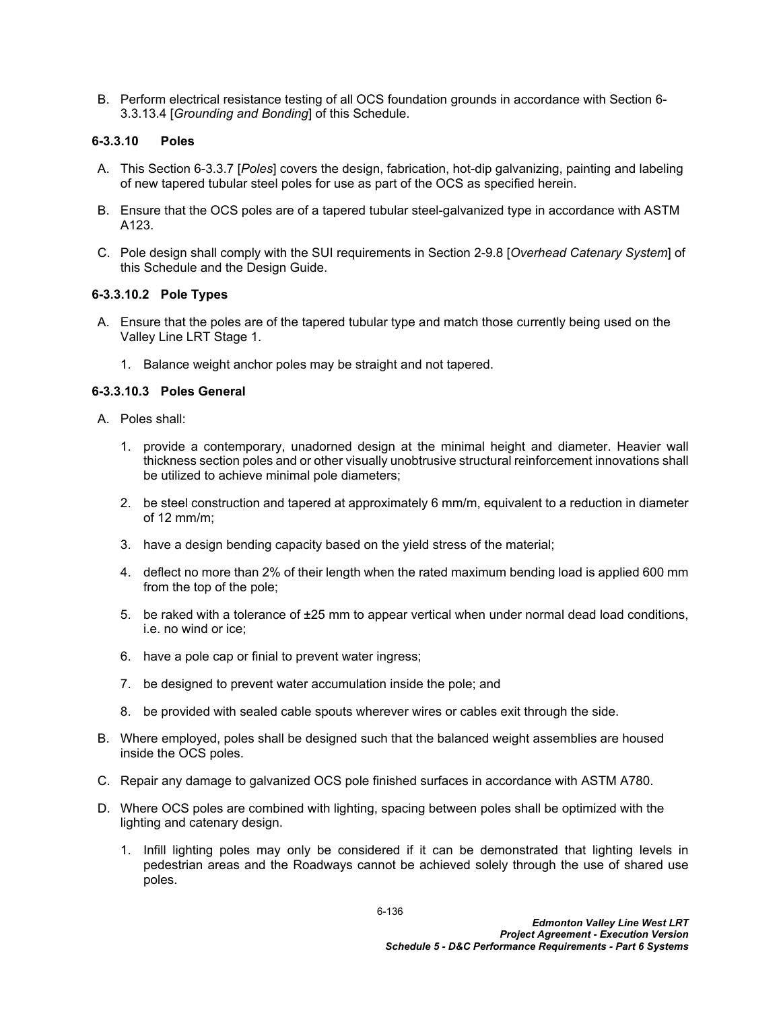B. Perform electrical resistance testing of all OCS foundation grounds in accordance with Section [6-](#page-147-1) [3.3.13.4](#page-147-1) [*[Grounding and Bonding](#page-147-1)*] of this Schedule.

# **6-3.3.10 Poles**

- A. This Section 6-3.3.7 [*Poles*] covers the design, fabrication, hot-dip galvanizing, painting and labeling of new tapered tubular steel poles for use as part of the OCS as specified herein.
- B. Ensure that the OCS poles are of a tapered tubular steel-galvanized type in accordance with ASTM A123.
- C. Pole design shall comply with the SUI requirements in Section 2-9.8 [*Overhead Catenary System*] of this Schedule and the Design Guide.

# **6-3.3.10.2 Pole Types**

- A. Ensure that the poles are of the tapered tubular type and match those currently being used on the Valley Line LRT Stage 1.
	- 1. Balance weight anchor poles may be straight and not tapered.

# **6-3.3.10.3 Poles General**

- A. Poles shall:
	- 1. provide a contemporary, unadorned design at the minimal height and diameter. Heavier wall thickness section poles and or other visually unobtrusive structural reinforcement innovations shall be utilized to achieve minimal pole diameters;
	- 2. be steel construction and tapered at approximately 6 mm/m, equivalent to a reduction in diameter of 12 mm/m;
	- 3. have a design bending capacity based on the yield stress of the material;
	- 4. deflect no more than 2% of their length when the rated maximum bending load is applied 600 mm from the top of the pole;
	- 5. be raked with a tolerance of ±25 mm to appear vertical when under normal dead load conditions, i.e. no wind or ice;
	- 6. have a pole cap or finial to prevent water ingress;
	- 7. be designed to prevent water accumulation inside the pole; and
	- 8. be provided with sealed cable spouts wherever wires or cables exit through the side.
- B. Where employed, poles shall be designed such that the balanced weight assemblies are housed inside the OCS poles.
- C. Repair any damage to galvanized OCS pole finished surfaces in accordance with ASTM A780.
- D. Where OCS poles are combined with lighting, spacing between poles shall be optimized with the lighting and catenary design.
	- 1. Infill lighting poles may only be considered if it can be demonstrated that lighting levels in pedestrian areas and the Roadways cannot be achieved solely through the use of shared use poles.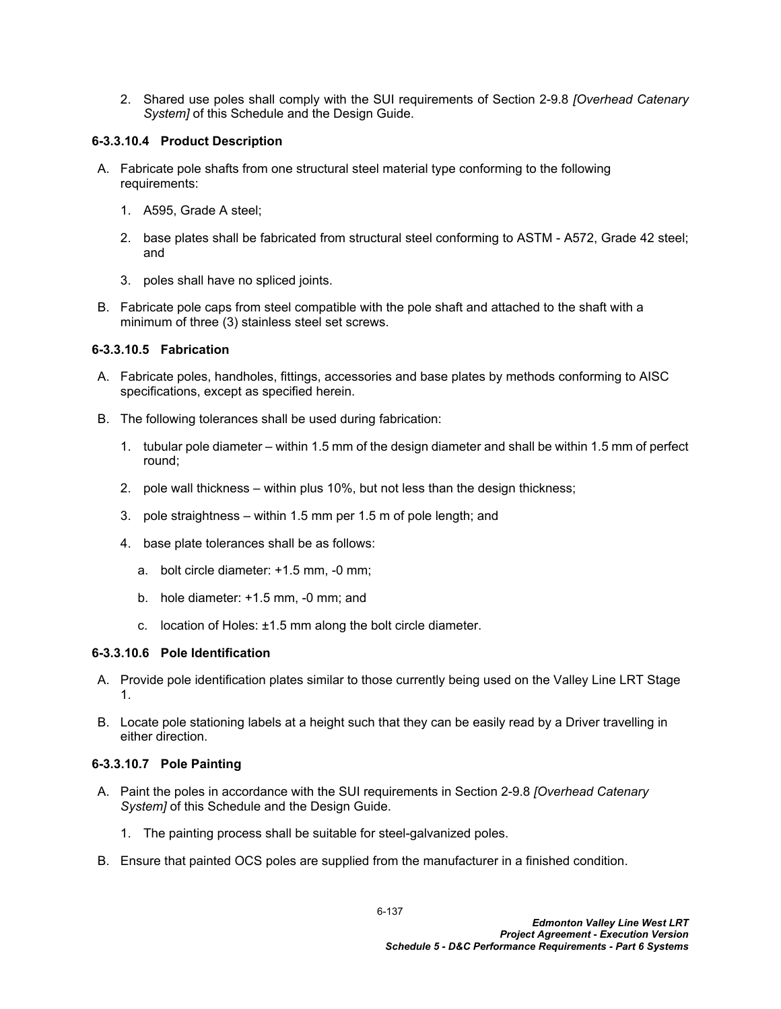2. Shared use poles shall comply with the SUI requirements of Section 2-9.8 *[Overhead Catenary System]* of this Schedule and the Design Guide.

### **6-3.3.10.4 Product Description**

- A. Fabricate pole shafts from one structural steel material type conforming to the following requirements:
	- 1. A595, Grade A steel;
	- 2. base plates shall be fabricated from structural steel conforming to ASTM A572, Grade 42 steel; and
	- 3. poles shall have no spliced joints.
- B. Fabricate pole caps from steel compatible with the pole shaft and attached to the shaft with a minimum of three (3) stainless steel set screws.

# **6-3.3.10.5 Fabrication**

- A. Fabricate poles, handholes, fittings, accessories and base plates by methods conforming to AISC specifications, except as specified herein.
- B. The following tolerances shall be used during fabrication:
	- 1. tubular pole diameter within 1.5 mm of the design diameter and shall be within 1.5 mm of perfect round;
	- 2. pole wall thickness within plus 10%, but not less than the design thickness;
	- 3. pole straightness within 1.5 mm per 1.5 m of pole length; and
	- 4. base plate tolerances shall be as follows:
		- a. bolt circle diameter: +1.5 mm, -0 mm;
		- b. hole diameter: +1.5 mm, -0 mm; and
		- c. location of Holes: ±1.5 mm along the bolt circle diameter.

#### **6-3.3.10.6 Pole Identification**

- A. Provide pole identification plates similar to those currently being used on the Valley Line LRT Stage 1.
- B. Locate pole stationing labels at a height such that they can be easily read by a Driver travelling in either direction.

# **6-3.3.10.7 Pole Painting**

- A. Paint the poles in accordance with the SUI requirements in Section 2-9.8 *[Overhead Catenary System]* of this Schedule and the Design Guide.
	- 1. The painting process shall be suitable for steel-galvanized poles.
- B. Ensure that painted OCS poles are supplied from the manufacturer in a finished condition.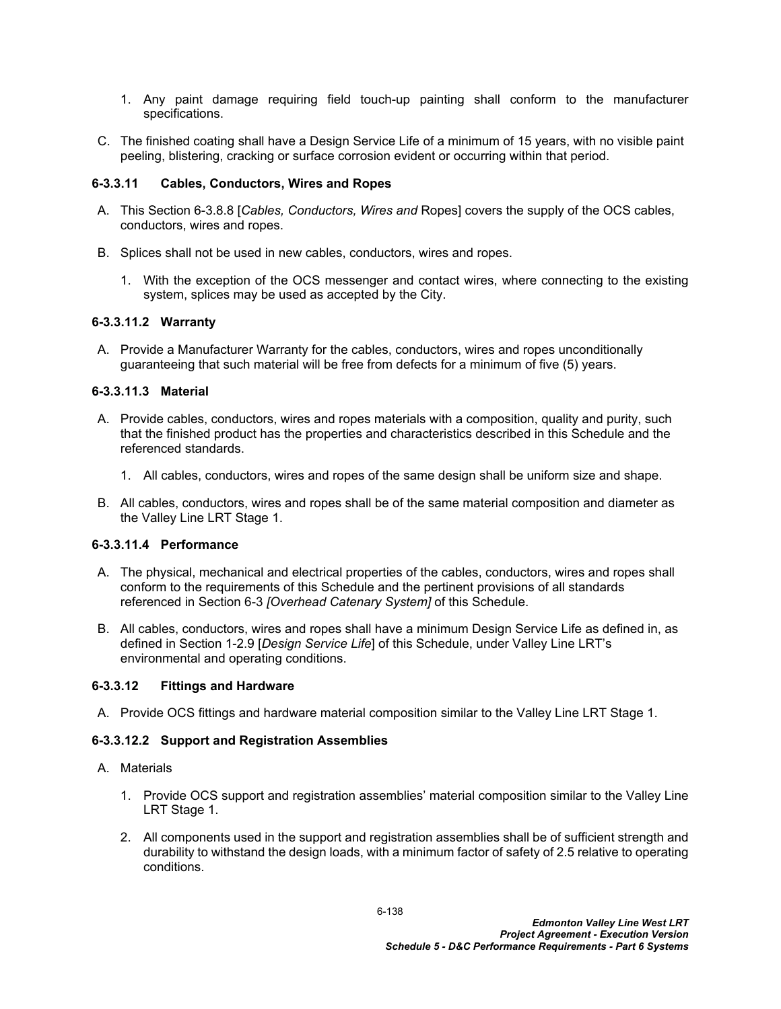- 1. Any paint damage requiring field touch-up painting shall conform to the manufacturer specifications.
- C. The finished coating shall have a Design Service Life of a minimum of 15 years, with no visible paint peeling, blistering, cracking or surface corrosion evident or occurring within that period.

# **6-3.3.11 Cables, Conductors, Wires and Ropes**

- A. This Section 6-3.8.8 [*Cables, Conductors, Wires and* Ropes] covers the supply of the OCS cables, conductors, wires and ropes.
- B. Splices shall not be used in new cables, conductors, wires and ropes.
	- 1. With the exception of the OCS messenger and contact wires, where connecting to the existing system, splices may be used as accepted by the City.

# **6-3.3.11.2 Warranty**

A. Provide a Manufacturer Warranty for the cables, conductors, wires and ropes unconditionally guaranteeing that such material will be free from defects for a minimum of five (5) years.

# **6-3.3.11.3 Material**

- A. Provide cables, conductors, wires and ropes materials with a composition, quality and purity, such that the finished product has the properties and characteristics described in this Schedule and the referenced standards.
	- 1. All cables, conductors, wires and ropes of the same design shall be uniform size and shape.
- B. All cables, conductors, wires and ropes shall be of the same material composition and diameter as the Valley Line LRT Stage 1.

#### **6-3.3.11.4 Performance**

- A. The physical, mechanical and electrical properties of the cables, conductors, wires and ropes shall conform to the requirements of this Schedule and the pertinent provisions of all standards referenced in Section 6-3 *[Overhead Catenary System]* of this Schedule.
- B. All cables, conductors, wires and ropes shall have a minimum Design Service Life as defined in, as defined in Section 1-2.9 [*Design Service Life*] of this Schedule, under Valley Line LRT's environmental and operating conditions.

#### **6-3.3.12 Fittings and Hardware**

A. Provide OCS fittings and hardware material composition similar to the Valley Line LRT Stage 1.

# **6-3.3.12.2 Support and Registration Assemblies**

#### A. Materials

- 1. Provide OCS support and registration assemblies' material composition similar to the Valley Line LRT Stage 1.
- 2. All components used in the support and registration assemblies shall be of sufficient strength and durability to withstand the design loads, with a minimum factor of safety of 2.5 relative to operating conditions.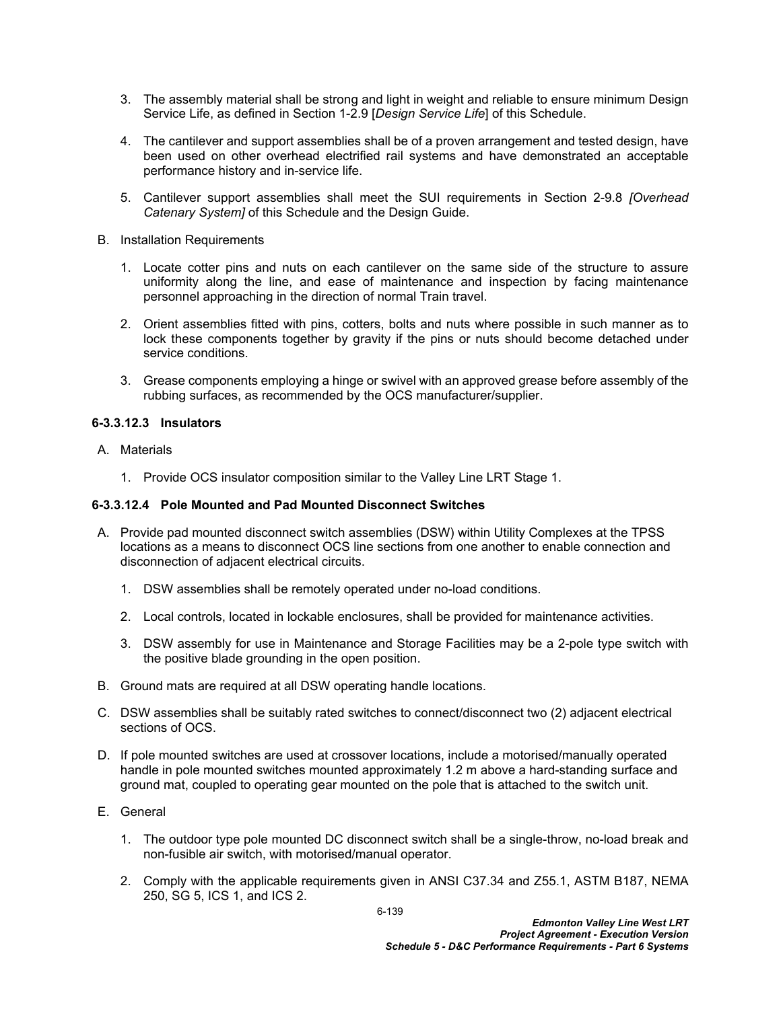- 3. The assembly material shall be strong and light in weight and reliable to ensure minimum Design Service Life, as defined in Section 1-2.9 [*Design Service Life*] of this Schedule.
- 4. The cantilever and support assemblies shall be of a proven arrangement and tested design, have been used on other overhead electrified rail systems and have demonstrated an acceptable performance history and in-service life.
- 5. Cantilever support assemblies shall meet the SUI requirements in Section 2-9.8 *[Overhead Catenary System]* of this Schedule and the Design Guide.
- B. Installation Requirements
	- 1. Locate cotter pins and nuts on each cantilever on the same side of the structure to assure uniformity along the line, and ease of maintenance and inspection by facing maintenance personnel approaching in the direction of normal Train travel.
	- 2. Orient assemblies fitted with pins, cotters, bolts and nuts where possible in such manner as to lock these components together by gravity if the pins or nuts should become detached under service conditions.
	- 3. Grease components employing a hinge or swivel with an approved grease before assembly of the rubbing surfaces, as recommended by the OCS manufacturer/supplier.

# **6-3.3.12.3 Insulators**

- A. Materials
	- 1. Provide OCS insulator composition similar to the Valley Line LRT Stage 1.

# **6-3.3.12.4 Pole Mounted and Pad Mounted Disconnect Switches**

- A. Provide pad mounted disconnect switch assemblies (DSW) within Utility Complexes at the TPSS locations as a means to disconnect OCS line sections from one another to enable connection and disconnection of adjacent electrical circuits.
	- 1. DSW assemblies shall be remotely operated under no-load conditions.
	- 2. Local controls, located in lockable enclosures, shall be provided for maintenance activities.
	- 3. DSW assembly for use in Maintenance and Storage Facilities may be a 2-pole type switch with the positive blade grounding in the open position.
- B. Ground mats are required at all DSW operating handle locations.
- C. DSW assemblies shall be suitably rated switches to connect/disconnect two (2) adjacent electrical sections of OCS.
- D. If pole mounted switches are used at crossover locations, include a motorised/manually operated handle in pole mounted switches mounted approximately 1.2 m above a hard-standing surface and ground mat, coupled to operating gear mounted on the pole that is attached to the switch unit.
- E. General
	- 1. The outdoor type pole mounted DC disconnect switch shall be a single-throw, no-load break and non-fusible air switch, with motorised/manual operator.
	- 2. Comply with the applicable requirements given in ANSI C37.34 and Z55.1, ASTM B187, NEMA 250, SG 5, ICS 1, and ICS 2.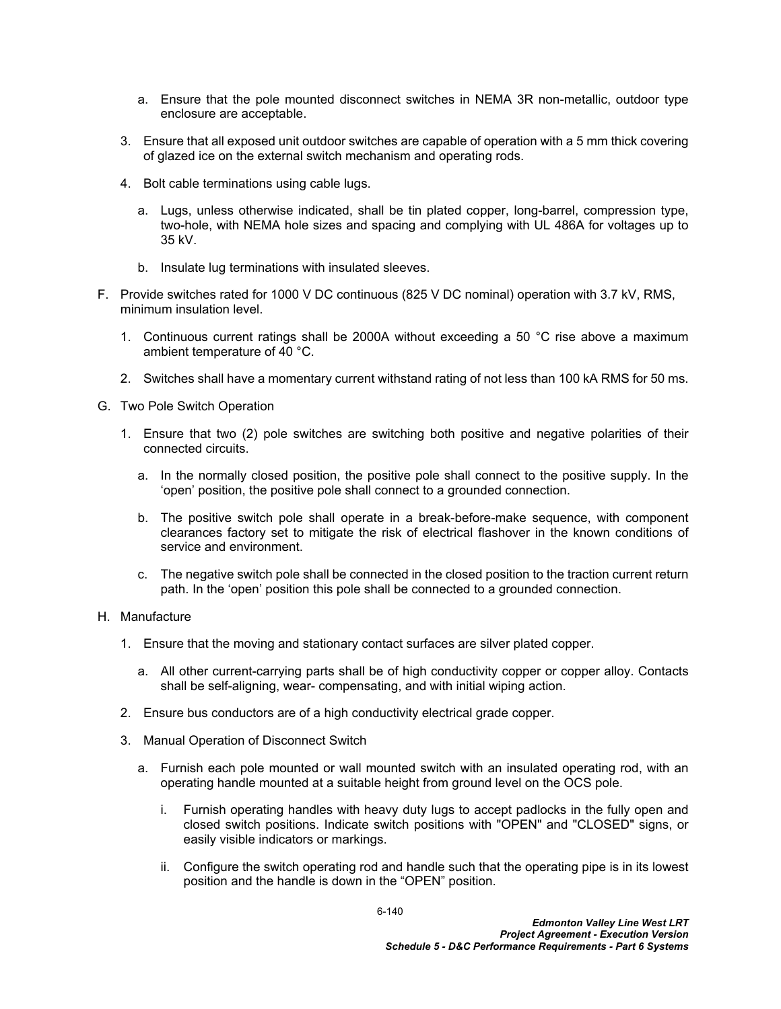- a. Ensure that the pole mounted disconnect switches in NEMA 3R non-metallic, outdoor type enclosure are acceptable.
- 3. Ensure that all exposed unit outdoor switches are capable of operation with a 5 mm thick covering of glazed ice on the external switch mechanism and operating rods.
- 4. Bolt cable terminations using cable lugs.
	- a. Lugs, unless otherwise indicated, shall be tin plated copper, long-barrel, compression type, two-hole, with NEMA hole sizes and spacing and complying with UL 486A for voltages up to 35 kV.
	- b. Insulate lug terminations with insulated sleeves.
- F. Provide switches rated for 1000 V DC continuous (825 V DC nominal) operation with 3.7 kV, RMS, minimum insulation level.
	- 1. Continuous current ratings shall be 2000A without exceeding a 50 °C rise above a maximum ambient temperature of 40 °C.
	- 2. Switches shall have a momentary current withstand rating of not less than 100 kA RMS for 50 ms.
- G. Two Pole Switch Operation
	- 1. Ensure that two (2) pole switches are switching both positive and negative polarities of their connected circuits.
		- a. In the normally closed position, the positive pole shall connect to the positive supply. In the 'open' position, the positive pole shall connect to a grounded connection.
		- b. The positive switch pole shall operate in a break-before-make sequence, with component clearances factory set to mitigate the risk of electrical flashover in the known conditions of service and environment.
		- c. The negative switch pole shall be connected in the closed position to the traction current return path. In the 'open' position this pole shall be connected to a grounded connection.

### H. Manufacture

- 1. Ensure that the moving and stationary contact surfaces are silver plated copper.
	- a. All other current-carrying parts shall be of high conductivity copper or copper alloy. Contacts shall be self-aligning, wear- compensating, and with initial wiping action.
- 2. Ensure bus conductors are of a high conductivity electrical grade copper.
- 3. Manual Operation of Disconnect Switch
	- a. Furnish each pole mounted or wall mounted switch with an insulated operating rod, with an operating handle mounted at a suitable height from ground level on the OCS pole.
		- i. Furnish operating handles with heavy duty lugs to accept padlocks in the fully open and closed switch positions. Indicate switch positions with "OPEN" and "CLOSED" signs, or easily visible indicators or markings.
		- ii. Configure the switch operating rod and handle such that the operating pipe is in its lowest position and the handle is down in the "OPEN" position.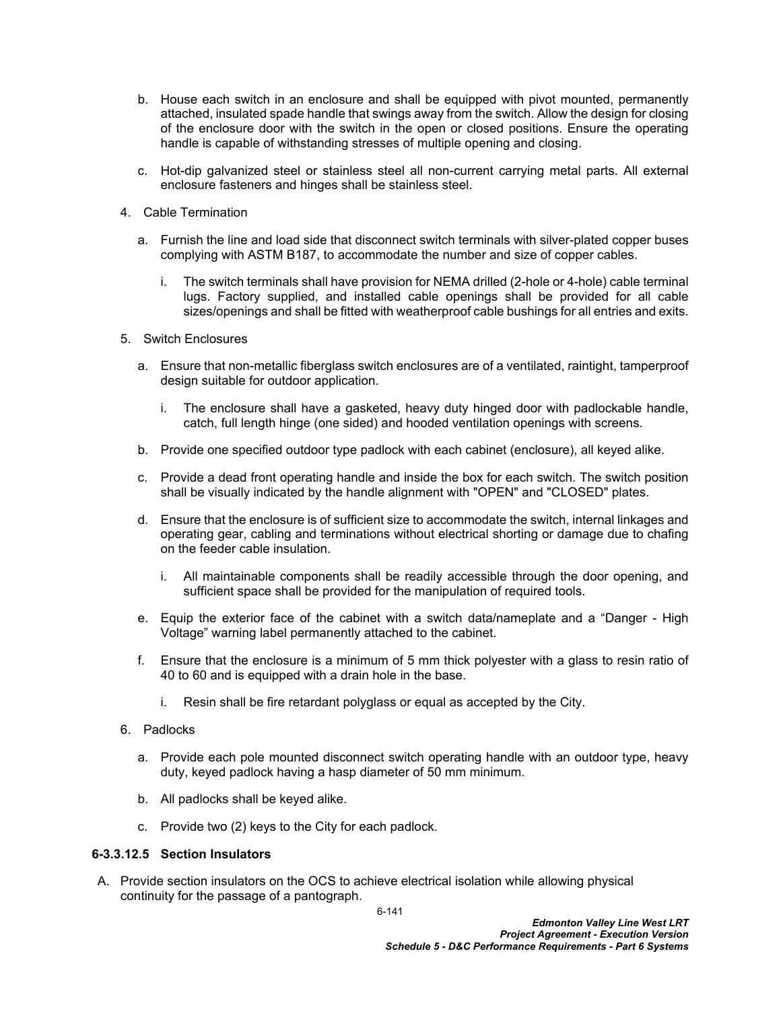- b. House each switch in an enclosure and shall be equipped with pivot mounted, permanently attached, insulated spade handle that swings away from the switch. Allow the design for closing of the enclosure door with the switch in the open or closed positions. Ensure the operating handle is capable of withstanding stresses of multiple opening and closing.
- c. Hot-dip galvanized steel or stainless steel all non-current carrying metal parts. All external enclosure fasteners and hinges shall be stainless steel.
- 4. Cable Termination
	- a. Furnish the line and load side that disconnect switch terminals with silver-plated copper buses complying with ASTM B187, to accommodate the number and size of copper cables.
		- i. The switch terminals shall have provision for NEMA drilled (2-hole or 4-hole) cable terminal lugs. Factory supplied, and installed cable openings shall be provided for all cable sizes/openings and shall be fitted with weatherproof cable bushings for all entries and exits.
- 5. Switch Enclosures
	- a. Ensure that non-metallic fiberglass switch enclosures are of a ventilated, raintight, tamperproof design suitable for outdoor application.
		- i. The enclosure shall have a gasketed, heavy duty hinged door with padlockable handle, catch, full length hinge (one sided) and hooded ventilation openings with screens.
	- b. Provide one specified outdoor type padlock with each cabinet (enclosure), all keyed alike.
	- c. Provide a dead front operating handle and inside the box for each switch. The switch position shall be visually indicated by the handle alignment with "OPEN" and "CLOSED" plates.
	- d. Ensure that the enclosure is of sufficient size to accommodate the switch, internal linkages and operating gear, cabling and terminations without electrical shorting or damage due to chafing on the feeder cable insulation.
		- i. All maintainable components shall be readily accessible through the door opening, and sufficient space shall be provided for the manipulation of required tools.
	- e. Equip the exterior face of the cabinet with a switch data/nameplate and a "Danger High Voltage" warning label permanently attached to the cabinet.
	- f. Ensure that the enclosure is a minimum of 5 mm thick polyester with a glass to resin ratio of 40 to 60 and is equipped with a drain hole in the base.
		- i. Resin shall be fire retardant polyglass or equal as accepted by the City.
- 6. Padlocks
	- a. Provide each pole mounted disconnect switch operating handle with an outdoor type, heavy duty, keyed padlock having a hasp diameter of 50 mm minimum.
	- b. All padlocks shall be keyed alike.
	- c. Provide two (2) keys to the City for each padlock.

# **6-3.3.12.5 Section Insulators**

A. Provide section insulators on the OCS to achieve electrical isolation while allowing physical continuity for the passage of a pantograph.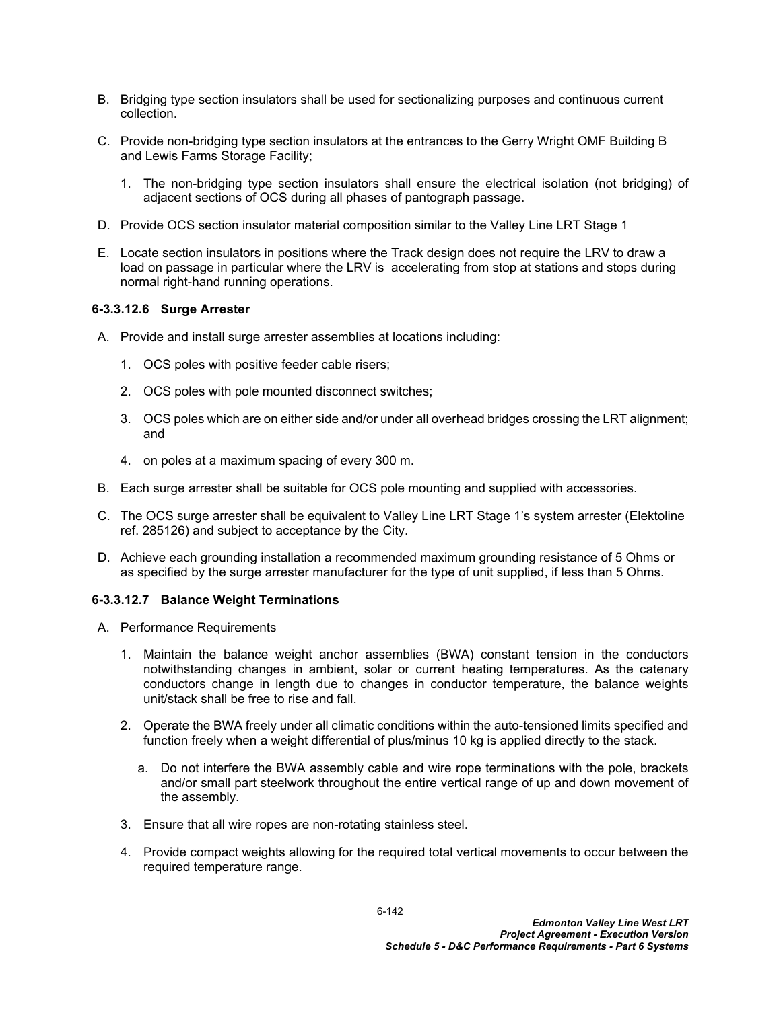- B. Bridging type section insulators shall be used for sectionalizing purposes and continuous current collection.
- C. Provide non-bridging type section insulators at the entrances to the Gerry Wright OMF Building B and Lewis Farms Storage Facility;
	- 1. The non-bridging type section insulators shall ensure the electrical isolation (not bridging) of adjacent sections of OCS during all phases of pantograph passage.
- D. Provide OCS section insulator material composition similar to the Valley Line LRT Stage 1
- E. Locate section insulators in positions where the Track design does not require the LRV to draw a load on passage in particular where the LRV is accelerating from stop at stations and stops during normal right-hand running operations.

#### **6-3.3.12.6 Surge Arrester**

- A. Provide and install surge arrester assemblies at locations including:
	- 1. OCS poles with positive feeder cable risers;
	- 2. OCS poles with pole mounted disconnect switches;
	- 3. OCS poles which are on either side and/or under all overhead bridges crossing the LRT alignment; and
	- 4. on poles at a maximum spacing of every 300 m.
- B. Each surge arrester shall be suitable for OCS pole mounting and supplied with accessories.
- C. The OCS surge arrester shall be equivalent to Valley Line LRT Stage 1's system arrester (Elektoline ref. 285126) and subject to acceptance by the City.
- D. Achieve each grounding installation a recommended maximum grounding resistance of 5 Ohms or as specified by the surge arrester manufacturer for the type of unit supplied, if less than 5 Ohms.

#### **6-3.3.12.7 Balance Weight Terminations**

- A. Performance Requirements
	- 1. Maintain the balance weight anchor assemblies (BWA) constant tension in the conductors notwithstanding changes in ambient, solar or current heating temperatures. As the catenary conductors change in length due to changes in conductor temperature, the balance weights unit/stack shall be free to rise and fall.
	- 2. Operate the BWA freely under all climatic conditions within the auto-tensioned limits specified and function freely when a weight differential of plus/minus 10 kg is applied directly to the stack.
		- a. Do not interfere the BWA assembly cable and wire rope terminations with the pole, brackets and/or small part steelwork throughout the entire vertical range of up and down movement of the assembly.
	- 3. Ensure that all wire ropes are non-rotating stainless steel.
	- 4. Provide compact weights allowing for the required total vertical movements to occur between the required temperature range.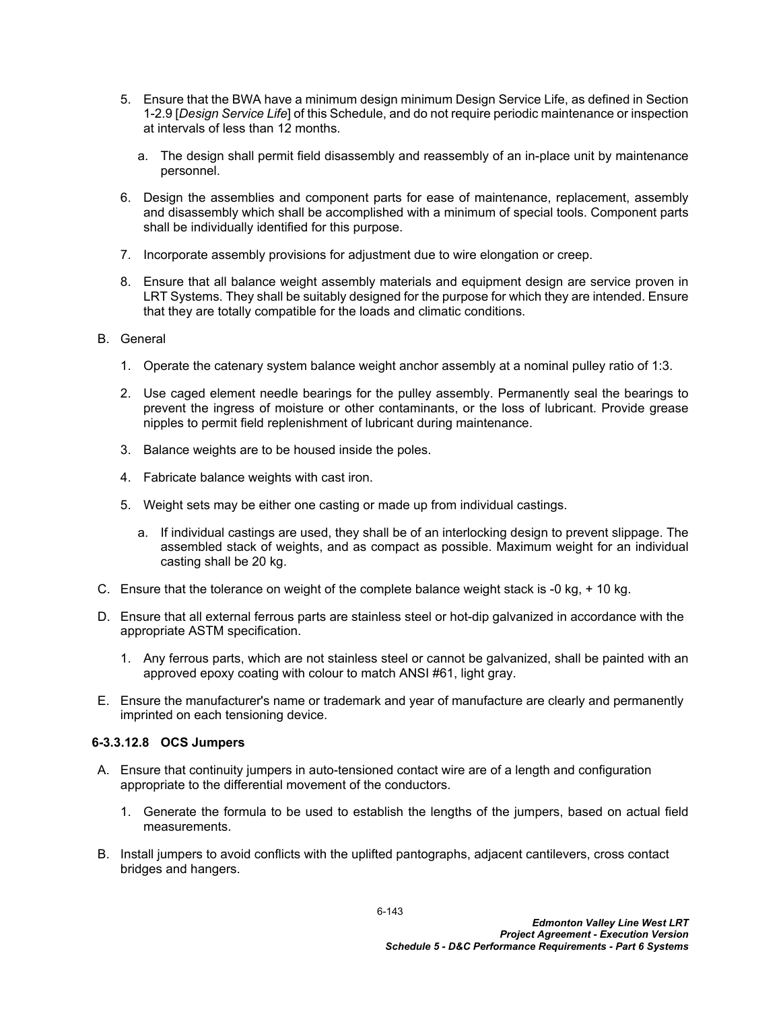- 5. Ensure that the BWA have a minimum design minimum Design Service Life, as defined in Section 1-2.9 [*Design Service Life*] of this Schedule, and do not require periodic maintenance or inspection at intervals of less than 12 months.
	- a. The design shall permit field disassembly and reassembly of an in-place unit by maintenance personnel.
- 6. Design the assemblies and component parts for ease of maintenance, replacement, assembly and disassembly which shall be accomplished with a minimum of special tools. Component parts shall be individually identified for this purpose.
- 7. Incorporate assembly provisions for adjustment due to wire elongation or creep.
- 8. Ensure that all balance weight assembly materials and equipment design are service proven in LRT Systems. They shall be suitably designed for the purpose for which they are intended. Ensure that they are totally compatible for the loads and climatic conditions.
- B. General
	- 1. Operate the catenary system balance weight anchor assembly at a nominal pulley ratio of 1:3.
	- 2. Use caged element needle bearings for the pulley assembly. Permanently seal the bearings to prevent the ingress of moisture or other contaminants, or the loss of lubricant. Provide grease nipples to permit field replenishment of lubricant during maintenance.
	- 3. Balance weights are to be housed inside the poles.
	- 4. Fabricate balance weights with cast iron.
	- 5. Weight sets may be either one casting or made up from individual castings.
		- a. If individual castings are used, they shall be of an interlocking design to prevent slippage. The assembled stack of weights, and as compact as possible. Maximum weight for an individual casting shall be 20 kg.
- C. Ensure that the tolerance on weight of the complete balance weight stack is -0 kg, + 10 kg.
- D. Ensure that all external ferrous parts are stainless steel or hot-dip galvanized in accordance with the appropriate ASTM specification.
	- 1. Any ferrous parts, which are not stainless steel or cannot be galvanized, shall be painted with an approved epoxy coating with colour to match ANSI #61, light gray.
- E. Ensure the manufacturer's name or trademark and year of manufacture are clearly and permanently imprinted on each tensioning device.

# **6-3.3.12.8 OCS Jumpers**

- A. Ensure that continuity jumpers in auto-tensioned contact wire are of a length and configuration appropriate to the differential movement of the conductors.
	- 1. Generate the formula to be used to establish the lengths of the jumpers, based on actual field measurements.
- B. Install jumpers to avoid conflicts with the uplifted pantographs, adjacent cantilevers, cross contact bridges and hangers.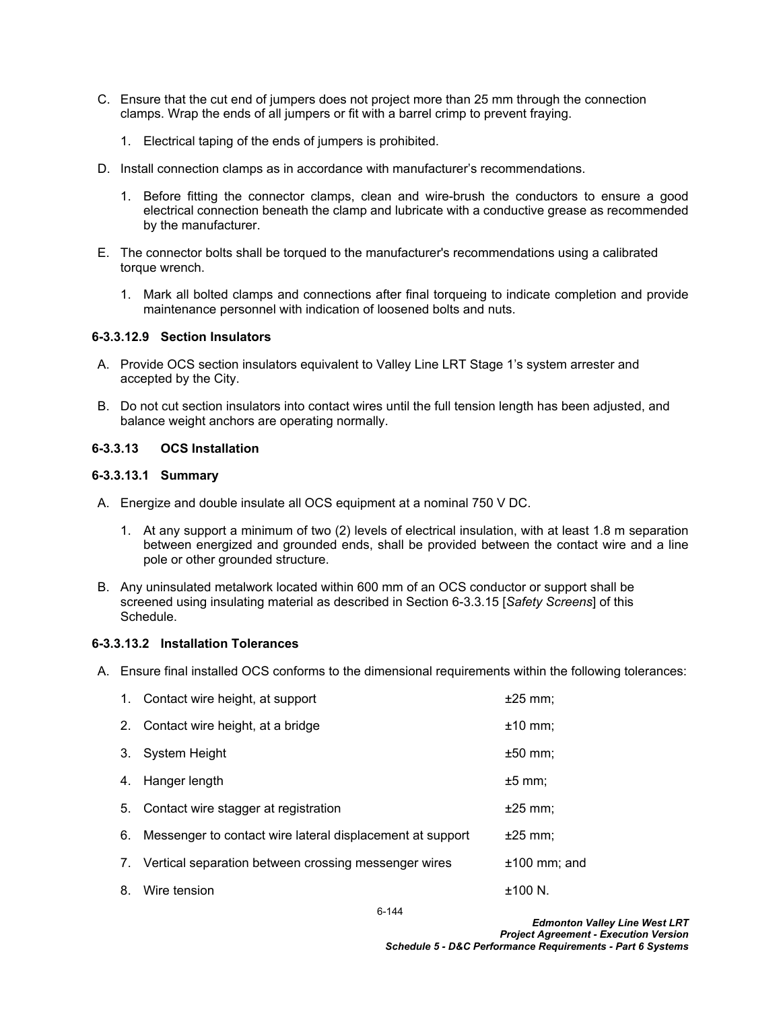- C. Ensure that the cut end of jumpers does not project more than 25 mm through the connection clamps. Wrap the ends of all jumpers or fit with a barrel crimp to prevent fraying.
	- 1. Electrical taping of the ends of jumpers is prohibited.
- D. Install connection clamps as in accordance with manufacturer's recommendations.
	- 1. Before fitting the connector clamps, clean and wire-brush the conductors to ensure a good electrical connection beneath the clamp and lubricate with a conductive grease as recommended by the manufacturer.
- E. The connector bolts shall be torqued to the manufacturer's recommendations using a calibrated torque wrench.
	- 1. Mark all bolted clamps and connections after final torqueing to indicate completion and provide maintenance personnel with indication of loosened bolts and nuts.

#### **6-3.3.12.9 Section Insulators**

- A. Provide OCS section insulators equivalent to Valley Line LRT Stage 1's system arrester and accepted by the City.
- B. Do not cut section insulators into contact wires until the full tension length has been adjusted, and balance weight anchors are operating normally.

## **6-3.3.13 OCS Installation**

#### **6-3.3.13.1 Summary**

- A. Energize and double insulate all OCS equipment at a nominal 750 V DC.
	- 1. At any support a minimum of two (2) levels of electrical insulation, with at least 1.8 m separation between energized and grounded ends, shall be provided between the contact wire and a line pole or other grounded structure.
- B. Any uninsulated metalwork located within 600 mm of an OCS conductor or support shall be screened using insulating material as described in Section [6-3.3.15](#page-147-0) [*[Safety Screens](#page-147-0)*] of this Schedule.

#### **6-3.3.13.2 Installation Tolerances**

A. Ensure final installed OCS conforms to the dimensional requirements within the following tolerances:

|    | 1. Contact wire height, at support                        | $±25$ mm:      |
|----|-----------------------------------------------------------|----------------|
|    | 2. Contact wire height, at a bridge                       | $±10$ mm;      |
| 3. | System Height                                             | $±50$ mm;      |
|    | 4. Hanger length                                          | $±5$ mm;       |
|    | 5. Contact wire stagger at registration                   | $±25$ mm:      |
| 6. | Messenger to contact wire lateral displacement at support | $±25$ mm;      |
|    | 7. Vertical separation between crossing messenger wires   | $±100$ mm; and |
| 8. | Wire tension                                              | $±100 N$ .     |

6-144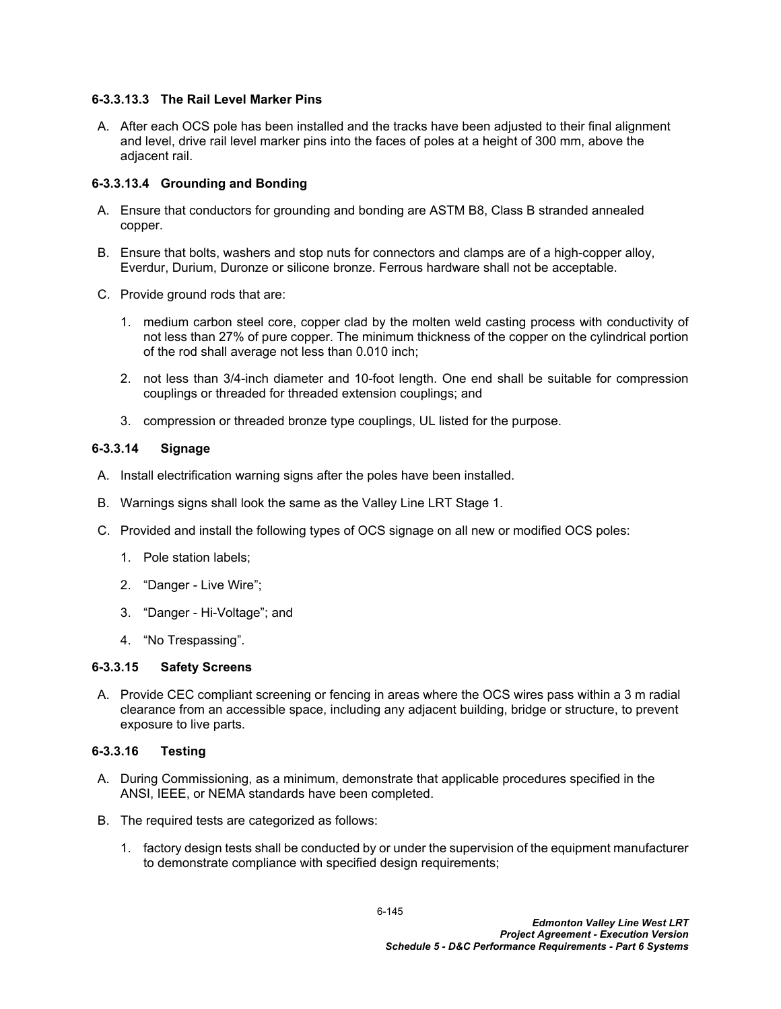## **6-3.3.13.3 The Rail Level Marker Pins**

A. After each OCS pole has been installed and the tracks have been adjusted to their final alignment and level, drive rail level marker pins into the faces of poles at a height of 300 mm, above the adjacent rail.

## **6-3.3.13.4 Grounding and Bonding**

- A. Ensure that conductors for grounding and bonding are ASTM B8, Class B stranded annealed copper.
- B. Ensure that bolts, washers and stop nuts for connectors and clamps are of a high-copper alloy, Everdur, Durium, Duronze or silicone bronze. Ferrous hardware shall not be acceptable.
- C. Provide ground rods that are:
	- 1. medium carbon steel core, copper clad by the molten weld casting process with conductivity of not less than 27% of pure copper. The minimum thickness of the copper on the cylindrical portion of the rod shall average not less than 0.010 inch;
	- 2. not less than 3/4-inch diameter and 10-foot length. One end shall be suitable for compression couplings or threaded for threaded extension couplings; and
	- 3. compression or threaded bronze type couplings, UL listed for the purpose.

# **6-3.3.14 Signage**

- A. Install electrification warning signs after the poles have been installed.
- B. Warnings signs shall look the same as the Valley Line LRT Stage 1.
- C. Provided and install the following types of OCS signage on all new or modified OCS poles:
	- 1. Pole station labels;
	- 2. "Danger Live Wire";
	- 3. "Danger Hi-Voltage"; and
	- 4. "No Trespassing".

# <span id="page-147-0"></span>**6-3.3.15 Safety Screens**

A. Provide CEC compliant screening or fencing in areas where the OCS wires pass within a 3 m radial clearance from an accessible space, including any adjacent building, bridge or structure, to prevent exposure to live parts.

## **6-3.3.16 Testing**

- A. During Commissioning, as a minimum, demonstrate that applicable procedures specified in the ANSI, IEEE, or NEMA standards have been completed.
- B. The required tests are categorized as follows:
	- 1. factory design tests shall be conducted by or under the supervision of the equipment manufacturer to demonstrate compliance with specified design requirements;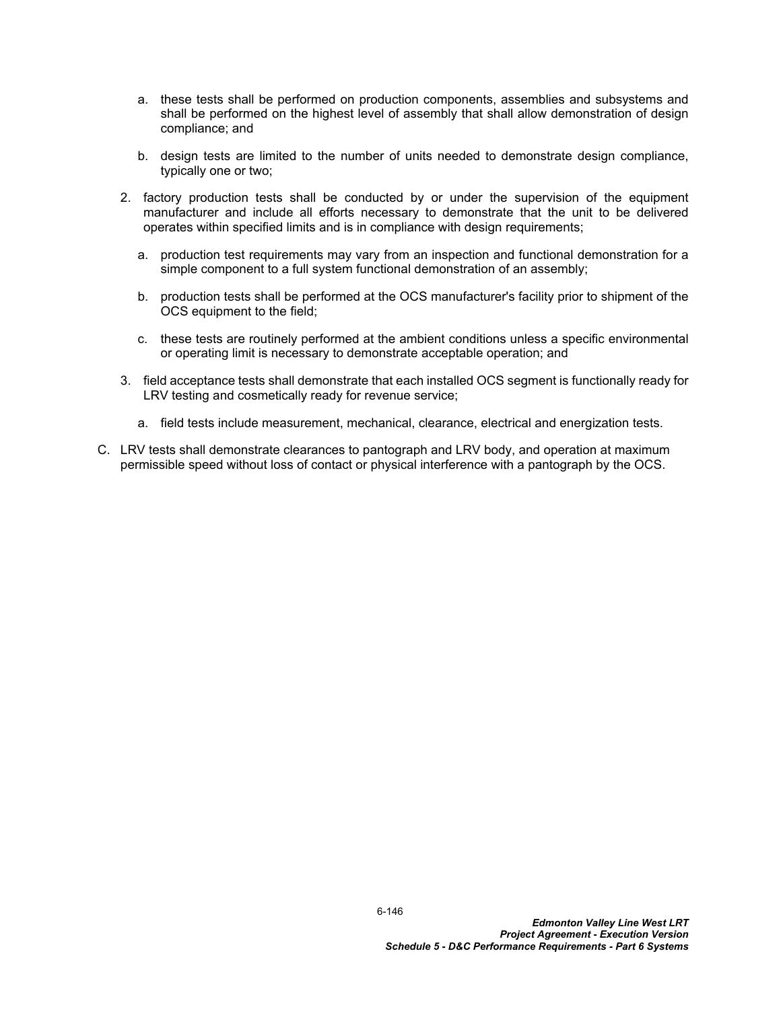- a. these tests shall be performed on production components, assemblies and subsystems and shall be performed on the highest level of assembly that shall allow demonstration of design compliance; and
- b. design tests are limited to the number of units needed to demonstrate design compliance, typically one or two;
- 2. factory production tests shall be conducted by or under the supervision of the equipment manufacturer and include all efforts necessary to demonstrate that the unit to be delivered operates within specified limits and is in compliance with design requirements;
	- a. production test requirements may vary from an inspection and functional demonstration for a simple component to a full system functional demonstration of an assembly;
	- b. production tests shall be performed at the OCS manufacturer's facility prior to shipment of the OCS equipment to the field;
	- c. these tests are routinely performed at the ambient conditions unless a specific environmental or operating limit is necessary to demonstrate acceptable operation; and
- 3. field acceptance tests shall demonstrate that each installed OCS segment is functionally ready for LRV testing and cosmetically ready for revenue service;
	- a. field tests include measurement, mechanical, clearance, electrical and energization tests.
- C. LRV tests shall demonstrate clearances to pantograph and LRV body, and operation at maximum permissible speed without loss of contact or physical interference with a pantograph by the OCS.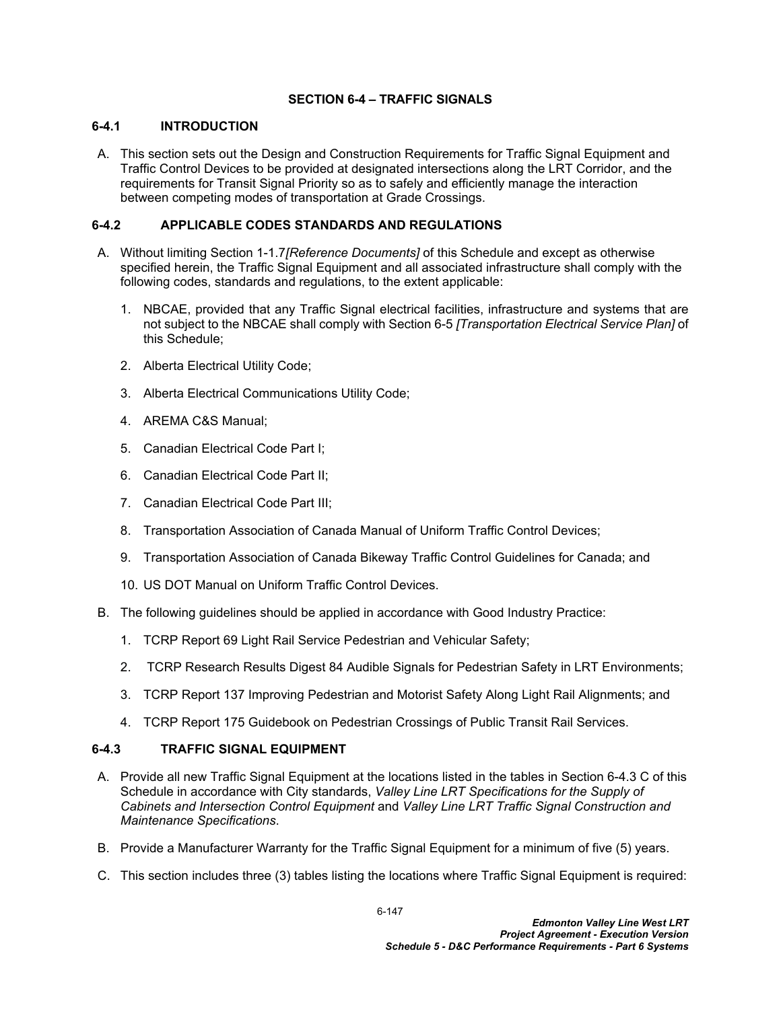## **SECTION 6-4 – TRAFFIC SIGNALS**

## **6-4.1 INTRODUCTION**

A. This section sets out the Design and Construction Requirements for Traffic Signal Equipment and Traffic Control Devices to be provided at designated intersections along the LRT Corridor, and the requirements for Transit Signal Priority so as to safely and efficiently manage the interaction between competing modes of transportation at Grade Crossings.

# **6-4.2 APPLICABLE CODES STANDARDS AND REGULATIONS**

- A. Without limiting Section 1-1.7*[Reference Documents]* of this Schedule and except as otherwise specified herein, the Traffic Signal Equipment and all associated infrastructure shall comply with the following codes, standards and regulations, to the extent applicable:
	- 1. NBCAE, provided that any Traffic Signal electrical facilities, infrastructure and systems that are not subject to the NBCAE shall comply with [Section 6-5](#page-168-0) *[Transportation Electrical Service Plan]* of this Schedule;
	- 2. Alberta Electrical Utility Code;
	- 3. Alberta Electrical Communications Utility Code;
	- 4. AREMA C&S Manual;
	- 5. Canadian Electrical Code Part I;
	- 6. Canadian Electrical Code Part II;
	- 7. Canadian Electrical Code Part III;
	- 8. Transportation Association of Canada Manual of Uniform Traffic Control Devices;
	- 9. Transportation Association of Canada Bikeway Traffic Control Guidelines for Canada; and
	- 10. US DOT Manual on Uniform Traffic Control Devices.
- B. The following guidelines should be applied in accordance with Good Industry Practice:
	- 1. TCRP Report 69 Light Rail Service Pedestrian and Vehicular Safety;
	- 2. TCRP Research Results Digest 84 Audible Signals for Pedestrian Safety in LRT Environments;
	- 3. TCRP Report 137 Improving Pedestrian and Motorist Safety Along Light Rail Alignments; and
	- 4. TCRP Report 175 Guidebook on Pedestrian Crossings of Public Transit Rail Services.

#### <span id="page-149-0"></span>**6-4.3 TRAFFIC SIGNAL EQUIPMENT**

- A. Provide all new Traffic Signal Equipment at the locations listed in the tables in Section 6-4.3 C of this Schedule in accordance with City standards, *Valley Line LRT Specifications for the Supply of Cabinets and Intersection Control Equipment* and *Valley Line LRT Traffic Signal Construction and Maintenance Specifications*.
- B. Provide a Manufacturer Warranty for the Traffic Signal Equipment for a minimum of five (5) years.
- C. This section includes three (3) tables listing the locations where Traffic Signal Equipment is required: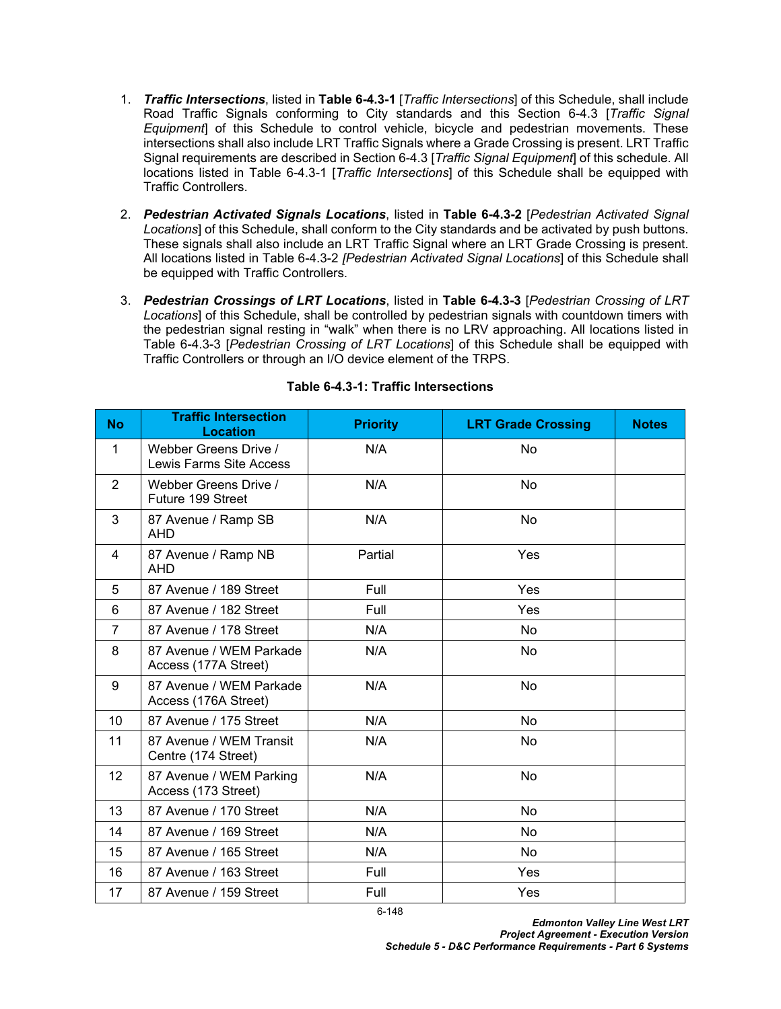- 1. *Traffic Intersections*, listed in **[Table 6-4.3-1](#page-150-0)** [*Traffic Intersections*] of this Schedule, shall include Road Traffic Signals conforming to City standards and this Section 6-4.3 [*Traffic Signal Equipment*] of this Schedule to control vehicle, bicycle and pedestrian movements. These intersections shall also include LRT Traffic Signals where a Grade Crossing is present. LRT Traffic Signal requirements are described in Section 6-4.3 [*Traffic Signal Equipment*] of this schedule. All locations listed in Table 6-4.3-1 [*Traffic Intersections*] of this Schedule shall be equipped with Traffic Controllers.
- 2. *Pedestrian Activated Signals Locations*, listed in **[Table 6-4.3-2](#page-152-0)** [*Pedestrian Activated Signal Locations*] of this Schedule, shall conform to the City standards and be activated by push buttons. These signals shall also include an LRT Traffic Signal where an LRT Grade Crossing is present. All locations listed in Table 6-4.3-2 *[Pedestrian Activated Signal Locations*] of this Schedule shall be equipped with Traffic Controllers.
- 3. *Pedestrian Crossings of LRT Locations*, listed in **[Table 6-4.3-3](#page-153-0)** [*Pedestrian Crossing of LRT Locations*] of this Schedule, shall be controlled by pedestrian signals with countdown timers with the pedestrian signal resting in "walk" when there is no LRV approaching. All locations listed in Table 6-4.3-3 [*Pedestrian Crossing of LRT Locations*] of this Schedule shall be equipped with Traffic Controllers or through an I/O device element of the TRPS.

| <b>No</b>      | <b>Traffic Intersection</b><br><b>Location</b>   | <b>Priority</b> | <b>LRT Grade Crossing</b> | <b>Notes</b> |
|----------------|--------------------------------------------------|-----------------|---------------------------|--------------|
| $\mathbf 1$    | Webber Greens Drive /<br>Lewis Farms Site Access | N/A             | <b>No</b>                 |              |
| $\overline{2}$ | Webber Greens Drive /<br>Future 199 Street       | N/A             | <b>No</b>                 |              |
| 3              | 87 Avenue / Ramp SB<br>AHD                       | N/A             | <b>No</b>                 |              |
| 4              | 87 Avenue / Ramp NB<br><b>AHD</b>                | Partial         | Yes                       |              |
| 5              | 87 Avenue / 189 Street                           | Full            | Yes                       |              |
| 6              | 87 Avenue / 182 Street                           | Full            | Yes                       |              |
| $\overline{7}$ | 87 Avenue / 178 Street                           | N/A             | <b>No</b>                 |              |
| 8              | 87 Avenue / WEM Parkade<br>Access (177A Street)  | N/A             | <b>No</b>                 |              |
| 9              | 87 Avenue / WEM Parkade<br>Access (176A Street)  | N/A             | <b>No</b>                 |              |
| 10             | 87 Avenue / 175 Street                           | N/A             | <b>No</b>                 |              |
| 11             | 87 Avenue / WEM Transit<br>Centre (174 Street)   | N/A             | <b>No</b>                 |              |
| 12             | 87 Avenue / WEM Parking<br>Access (173 Street)   | N/A             | <b>No</b>                 |              |
| 13             | 87 Avenue / 170 Street                           | N/A             | <b>No</b>                 |              |
| 14             | 87 Avenue / 169 Street                           | N/A             | <b>No</b>                 |              |
| 15             | 87 Avenue / 165 Street                           | N/A             | No.                       |              |
| 16             | 87 Avenue / 163 Street                           | Full            | Yes                       |              |
| 17             | 87 Avenue / 159 Street                           | Full            | Yes                       |              |

# <span id="page-150-0"></span>**Table 6-4.3-1: Traffic Intersections**

6-148

*Edmonton Valley Line West LRT Project Agreement - Execution Version Schedule 5 - D&C Performance Requirements - Part 6 Systems*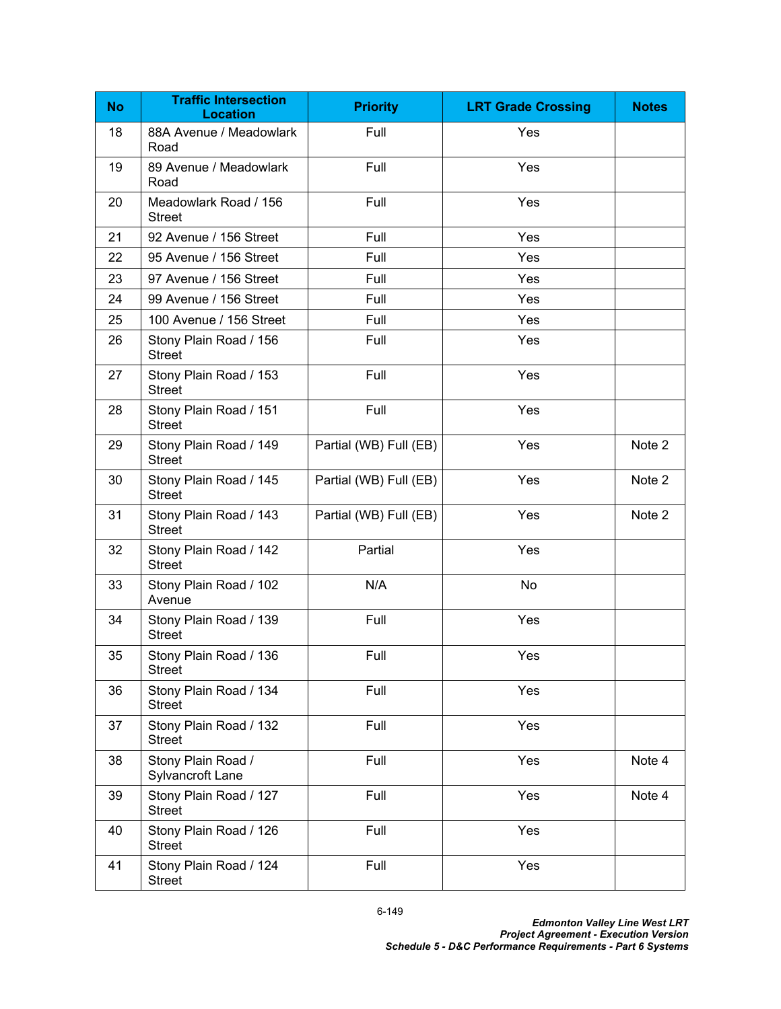| <b>No</b> | <b>Traffic Intersection</b>                | <b>Priority</b>        | <b>LRT Grade Crossing</b> | <b>Notes</b> |
|-----------|--------------------------------------------|------------------------|---------------------------|--------------|
| 18        | <b>Location</b><br>88A Avenue / Meadowlark | Full                   | Yes                       |              |
|           | Road                                       |                        |                           |              |
| 19        | 89 Avenue / Meadowlark<br>Road             | Full                   | Yes                       |              |
| 20        | Meadowlark Road / 156<br><b>Street</b>     | Full                   | Yes                       |              |
| 21        | 92 Avenue / 156 Street                     | Full                   | Yes                       |              |
| 22        | 95 Avenue / 156 Street                     | Full                   | Yes                       |              |
| 23        | 97 Avenue / 156 Street                     | Full                   | Yes                       |              |
| 24        | 99 Avenue / 156 Street                     | Full                   | Yes                       |              |
| 25        | 100 Avenue / 156 Street                    | Full                   | Yes                       |              |
| 26        | Stony Plain Road / 156<br><b>Street</b>    | Full                   | Yes                       |              |
| 27        | Stony Plain Road / 153<br><b>Street</b>    | Full                   | Yes                       |              |
| 28        | Stony Plain Road / 151<br><b>Street</b>    | Full                   | Yes                       |              |
| 29        | Stony Plain Road / 149<br><b>Street</b>    | Partial (WB) Full (EB) | Yes                       | Note 2       |
| 30        | Stony Plain Road / 145<br><b>Street</b>    | Partial (WB) Full (EB) | Yes                       | Note 2       |
| 31        | Stony Plain Road / 143<br><b>Street</b>    | Partial (WB) Full (EB) | Yes                       | Note 2       |
| 32        | Stony Plain Road / 142<br><b>Street</b>    | Partial                | Yes                       |              |
| 33        | Stony Plain Road / 102<br>Avenue           | N/A                    | No                        |              |
| 34        | Stony Plain Road / 139<br><b>Street</b>    | Full                   | Yes                       |              |
| 35        | Stony Plain Road / 136<br><b>Street</b>    | Full                   | Yes                       |              |
| 36        | Stony Plain Road / 134<br><b>Street</b>    | Full                   | Yes                       |              |
| 37        | Stony Plain Road / 132<br><b>Street</b>    | Full                   | Yes                       |              |
| 38        | Stony Plain Road /<br>Sylvancroft Lane     | Full                   | Yes                       | Note 4       |
| 39        | Stony Plain Road / 127<br><b>Street</b>    | Full                   | Yes                       | Note 4       |
| 40        | Stony Plain Road / 126<br><b>Street</b>    | Full                   | Yes                       |              |
| 41        | Stony Plain Road / 124<br><b>Street</b>    | Full                   | Yes                       |              |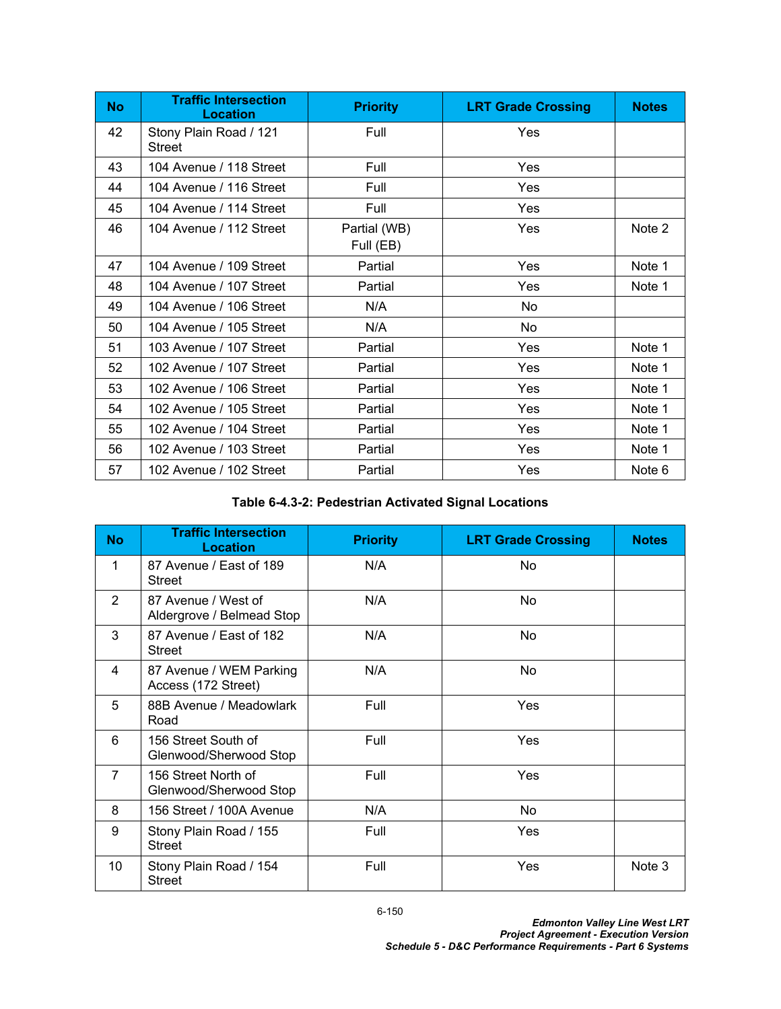| <b>No</b> | <b>Traffic Intersection</b><br>Location | <b>Priority</b>           | <b>LRT Grade Crossing</b> | <b>Notes</b> |
|-----------|-----------------------------------------|---------------------------|---------------------------|--------------|
| 42        | Stony Plain Road / 121<br><b>Street</b> | Full                      | Yes                       |              |
| 43        | 104 Avenue / 118 Street                 | Full                      | Yes                       |              |
| 44        | 104 Avenue / 116 Street                 | Full                      | Yes                       |              |
| 45        | 104 Avenue / 114 Street                 | Full                      | Yes                       |              |
| 46        | 104 Avenue / 112 Street                 | Partial (WB)<br>Full (EB) | Yes                       | Note 2       |
| 47        | 104 Avenue / 109 Street                 | Partial                   | Yes                       | Note 1       |
| 48        | 104 Avenue / 107 Street                 | Partial                   | Yes                       | Note 1       |
| 49        | 104 Avenue / 106 Street                 | N/A                       | No                        |              |
| 50        | 104 Avenue / 105 Street                 | N/A                       | No                        |              |
| 51        | 103 Avenue / 107 Street                 | Partial                   | Yes                       | Note 1       |
| 52        | 102 Avenue / 107 Street                 | Partial                   | Yes                       | Note 1       |
| 53        | 102 Avenue / 106 Street                 | Partial                   | Yes                       | Note 1       |
| 54        | 102 Avenue / 105 Street                 | Partial                   | Yes                       | Note 1       |
| 55        | 102 Avenue / 104 Street                 | Partial                   | Yes                       | Note 1       |
| 56        | 102 Avenue / 103 Street                 | Partial                   | <b>Yes</b>                | Note 1       |
| 57        | 102 Avenue / 102 Street                 | Partial                   | Yes                       | Note 6       |

<span id="page-152-0"></span>**Table 6-4.3-2: Pedestrian Activated Signal Locations**

| <b>No</b> | <b>Traffic Intersection</b><br>Location          | <b>Priority</b> | <b>LRT Grade Crossing</b> | <b>Notes</b> |
|-----------|--------------------------------------------------|-----------------|---------------------------|--------------|
| 1         | 87 Avenue / East of 189<br>Street                | N/A             | No                        |              |
| 2         | 87 Avenue / West of<br>Aldergrove / Belmead Stop | N/A             | No                        |              |
| 3         | 87 Avenue / East of 182<br><b>Street</b>         | N/A             | <b>No</b>                 |              |
| 4         | 87 Avenue / WEM Parking<br>Access (172 Street)   | N/A             | <b>No</b>                 |              |
| 5         | 88B Avenue / Meadowlark<br>Road                  | Full            | Yes                       |              |
| 6         | 156 Street South of<br>Glenwood/Sherwood Stop    | Full            | Yes                       |              |
| 7         | 156 Street North of<br>Glenwood/Sherwood Stop    | Full            | Yes                       |              |
| 8         | 156 Street / 100A Avenue                         | N/A             | No                        |              |
| 9         | Stony Plain Road / 155<br><b>Street</b>          | Full            | Yes                       |              |
| 10        | Stony Plain Road / 154<br><b>Street</b>          | Full            | Yes                       | Note 3       |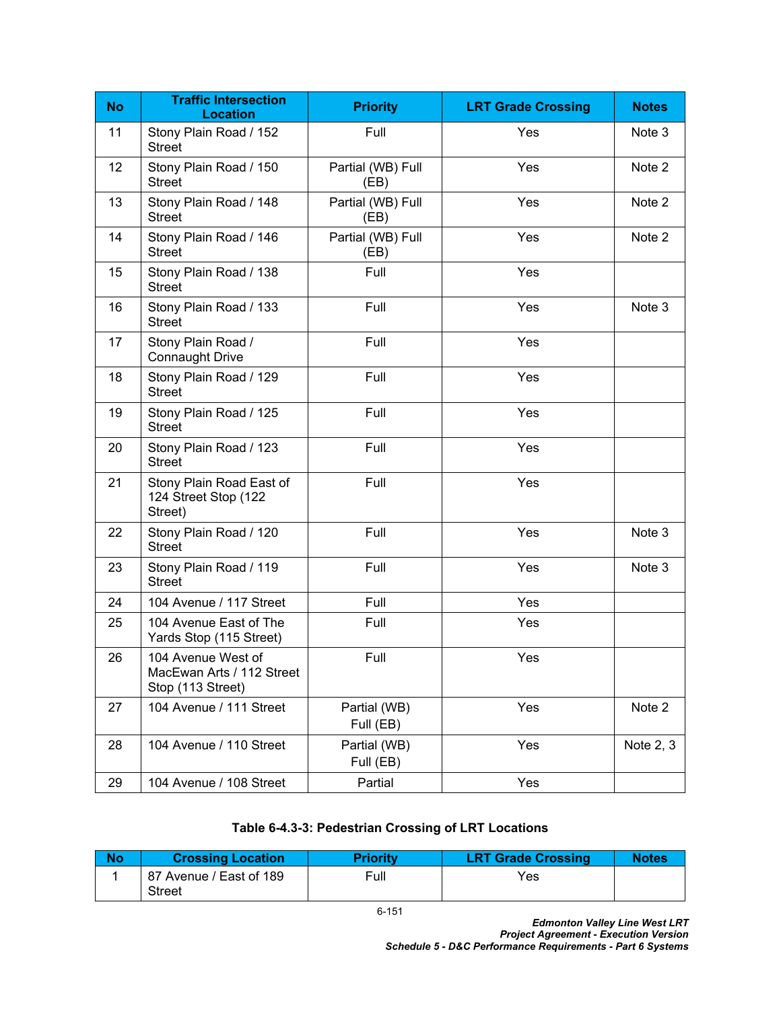| <b>No</b> | <b>Traffic Intersection</b><br><b>Location</b>                       | <b>Priority</b>           | <b>LRT Grade Crossing</b> | <b>Notes</b> |
|-----------|----------------------------------------------------------------------|---------------------------|---------------------------|--------------|
| 11        | Stony Plain Road / 152<br><b>Street</b>                              | Full                      | Yes                       | Note 3       |
| 12        | Stony Plain Road / 150<br><b>Street</b>                              | Partial (WB) Full<br>(EB) | Yes                       | Note 2       |
| 13        | Stony Plain Road / 148<br><b>Street</b>                              | Partial (WB) Full<br>(EB) | Yes                       | Note 2       |
| 14        | Stony Plain Road / 146<br><b>Street</b>                              | Partial (WB) Full<br>(EB) | Yes                       | Note 2       |
| 15        | Stony Plain Road / 138<br><b>Street</b>                              | Full                      | Yes                       |              |
| 16        | Stony Plain Road / 133<br><b>Street</b>                              | Full                      | Yes                       | Note 3       |
| 17        | Stony Plain Road /<br><b>Connaught Drive</b>                         | Full                      | Yes                       |              |
| 18        | Stony Plain Road / 129<br><b>Street</b>                              | Full                      | Yes                       |              |
| 19        | Stony Plain Road / 125<br><b>Street</b>                              | Full                      | Yes                       |              |
| 20        | Stony Plain Road / 123<br><b>Street</b>                              | Full                      | Yes                       |              |
| 21        | Stony Plain Road East of<br>124 Street Stop (122<br>Street)          | Full                      | Yes                       |              |
| 22        | Stony Plain Road / 120<br><b>Street</b>                              | Full                      | Yes                       | Note 3       |
| 23        | Stony Plain Road / 119<br><b>Street</b>                              | Full                      | Yes                       | Note 3       |
| 24        | 104 Avenue / 117 Street                                              | Full                      | Yes                       |              |
| 25        | 104 Avenue East of The<br>Yards Stop (115 Street)                    | Full                      | Yes                       |              |
| 26        | 104 Avenue West of<br>MacEwan Arts / 112 Street<br>Stop (113 Street) | Full                      | Yes                       |              |
| 27        | 104 Avenue / 111 Street                                              | Partial (WB)<br>Full (EB) | Yes                       | Note 2       |
| 28        | 104 Avenue / 110 Street                                              | Partial (WB)<br>Full (EB) | Yes                       | Note 2, 3    |
| 29        | 104 Avenue / 108 Street                                              | Partial                   | Yes                       |              |

# <span id="page-153-0"></span>**Table 6-4.3-3: Pedestrian Crossing of LRT Locations**

| ∣ No | <b>Crossing Location</b>                 | <b>Priority</b> | <b>LRT Grade Crossing</b> | Notes |
|------|------------------------------------------|-----------------|---------------------------|-------|
|      | 87 Avenue / East of 189<br><b>Street</b> | Full            | Yes                       |       |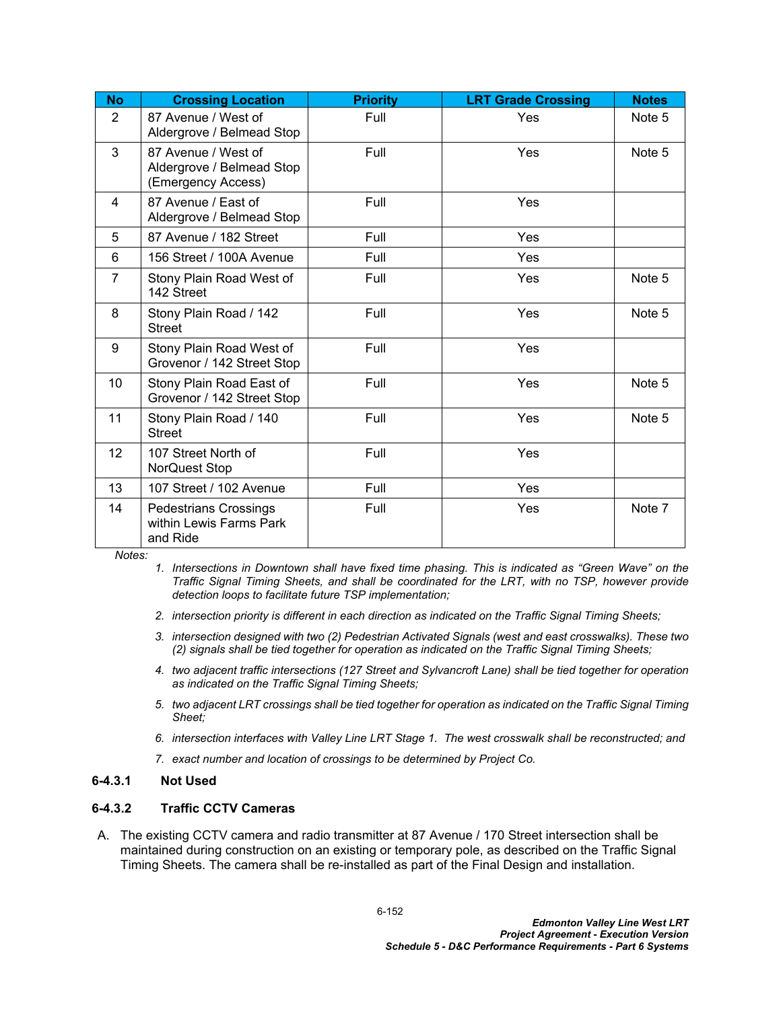| <b>No</b>      | <b>Crossing Location</b>                                               | <b>Priority</b> | <b>LRT Grade Crossing</b> | <b>Notes</b> |
|----------------|------------------------------------------------------------------------|-----------------|---------------------------|--------------|
| $\overline{2}$ | 87 Avenue / West of<br>Aldergrove / Belmead Stop                       | Full            | Yes                       | Note 5       |
| 3              | 87 Avenue / West of<br>Aldergrove / Belmead Stop<br>(Emergency Access) | Full            | Yes                       | Note 5       |
| 4              | 87 Avenue / East of<br>Aldergrove / Belmead Stop                       | Full            | <b>Yes</b>                |              |
| 5              | 87 Avenue / 182 Street                                                 | Full            | Yes                       |              |
| 6              | 156 Street / 100A Avenue                                               | Full            | <b>Yes</b>                |              |
| $\overline{7}$ | Stony Plain Road West of<br>142 Street                                 | Full            | Yes                       | Note 5       |
| 8              | Stony Plain Road / 142<br><b>Street</b>                                | Full            | <b>Yes</b>                | Note 5       |
| 9              | Stony Plain Road West of<br>Grovenor / 142 Street Stop                 | Full            | Yes                       |              |
| 10             | Stony Plain Road East of<br>Grovenor / 142 Street Stop                 | Full            | Yes                       | Note 5       |
| 11             | Stony Plain Road / 140<br><b>Street</b>                                | Full            | <b>Yes</b>                | Note 5       |
| 12             | 107 Street North of<br>NorQuest Stop                                   | Full            | Yes                       |              |
| 13             | 107 Street / 102 Avenue                                                | Full            | Yes                       |              |
| 14             | <b>Pedestrians Crossings</b><br>within Lewis Farms Park<br>and Ride    | Full            | Yes                       | Note 7       |

*Notes:*

- *1. Intersections in Downtown shall have fixed time phasing. This is indicated as "Green Wave" on the Traffic Signal Timing Sheets, and shall be coordinated for the LRT, with no TSP, however provide detection loops to facilitate future TSP implementation;*
- *2. intersection priority is different in each direction as indicated on the Traffic Signal Timing Sheets;*
- *3. intersection designed with two (2) Pedestrian Activated Signals (west and east crosswalks). These two (2) signals shall be tied together for operation as indicated on the Traffic Signal Timing Sheets;*
- *4. two adjacent traffic intersections (127 Street and Sylvancroft Lane) shall be tied together for operation as indicated on the Traffic Signal Timing Sheets;*
- *5. two adjacent LRT crossings shall be tied together for operation as indicated on the Traffic Signal Timing Sheet;*
- *6. intersection interfaces with Valley Line LRT Stage 1. The west crosswalk shall be reconstructed; and*
- *7. exact number and location of crossings to be determined by Project Co.*

#### **6-4.3.1 Not Used**

#### **6-4.3.2 Traffic CCTV Cameras**

A. The existing CCTV camera and radio transmitter at 87 Avenue / 170 Street intersection shall be maintained during construction on an existing or temporary pole, as described on the Traffic Signal Timing Sheets. The camera shall be re-installed as part of the Final Design and installation.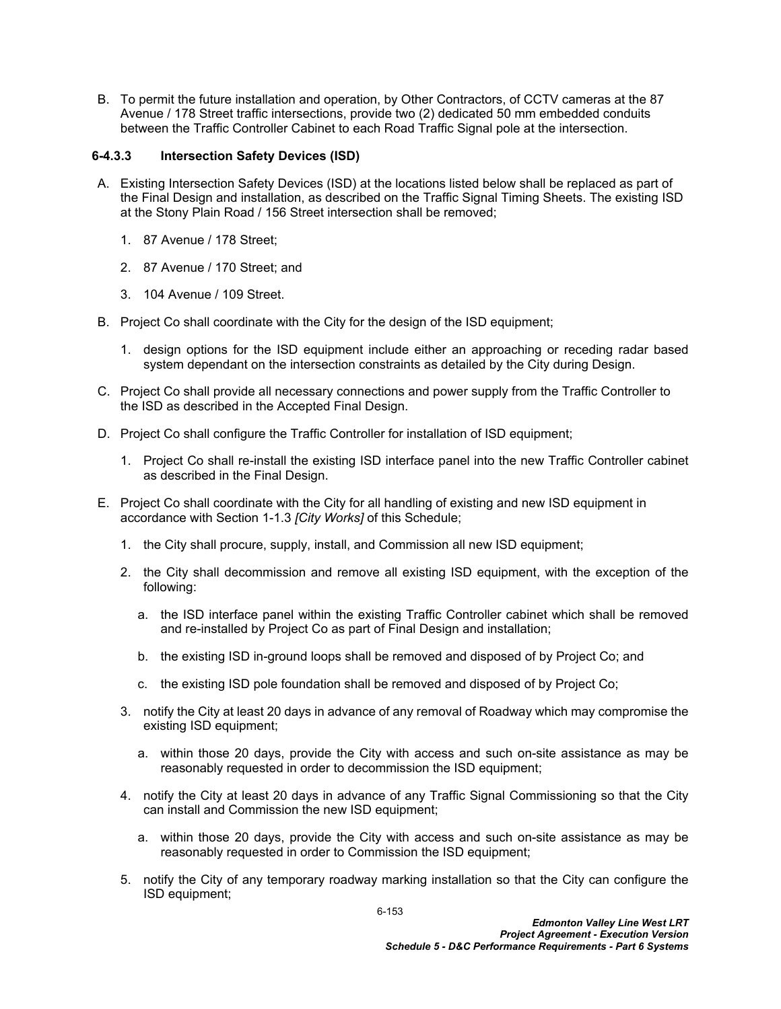B. To permit the future installation and operation, by Other Contractors, of CCTV cameras at the 87 Avenue / 178 Street traffic intersections, provide two (2) dedicated 50 mm embedded conduits between the Traffic Controller Cabinet to each Road Traffic Signal pole at the intersection.

## **6-4.3.3 Intersection Safety Devices (ISD)**

- A. Existing Intersection Safety Devices (ISD) at the locations listed below shall be replaced as part of the Final Design and installation, as described on the Traffic Signal Timing Sheets. The existing ISD at the Stony Plain Road / 156 Street intersection shall be removed;
	- 1. 87 Avenue / 178 Street;
	- 2. 87 Avenue / 170 Street; and
	- 3. 104 Avenue / 109 Street.
- B. Project Co shall coordinate with the City for the design of the ISD equipment;
	- 1. design options for the ISD equipment include either an approaching or receding radar based system dependant on the intersection constraints as detailed by the City during Design.
- C. Project Co shall provide all necessary connections and power supply from the Traffic Controller to the ISD as described in the Accepted Final Design.
- D. Project Co shall configure the Traffic Controller for installation of ISD equipment;
	- 1. Project Co shall re-install the existing ISD interface panel into the new Traffic Controller cabinet as described in the Final Design.
- E. Project Co shall coordinate with the City for all handling of existing and new ISD equipment in accordance with Section 1-1.3 *[City Works]* of this Schedule;
	- 1. the City shall procure, supply, install, and Commission all new ISD equipment;
	- 2. the City shall decommission and remove all existing ISD equipment, with the exception of the following:
		- a. the ISD interface panel within the existing Traffic Controller cabinet which shall be removed and re-installed by Project Co as part of Final Design and installation;
		- b. the existing ISD in-ground loops shall be removed and disposed of by Project Co; and
		- c. the existing ISD pole foundation shall be removed and disposed of by Project Co;
	- 3. notify the City at least 20 days in advance of any removal of Roadway which may compromise the existing ISD equipment;
		- a. within those 20 days, provide the City with access and such on-site assistance as may be reasonably requested in order to decommission the ISD equipment;
	- 4. notify the City at least 20 days in advance of any Traffic Signal Commissioning so that the City can install and Commission the new ISD equipment;
		- a. within those 20 days, provide the City with access and such on-site assistance as may be reasonably requested in order to Commission the ISD equipment;
	- 5. notify the City of any temporary roadway marking installation so that the City can configure the ISD equipment;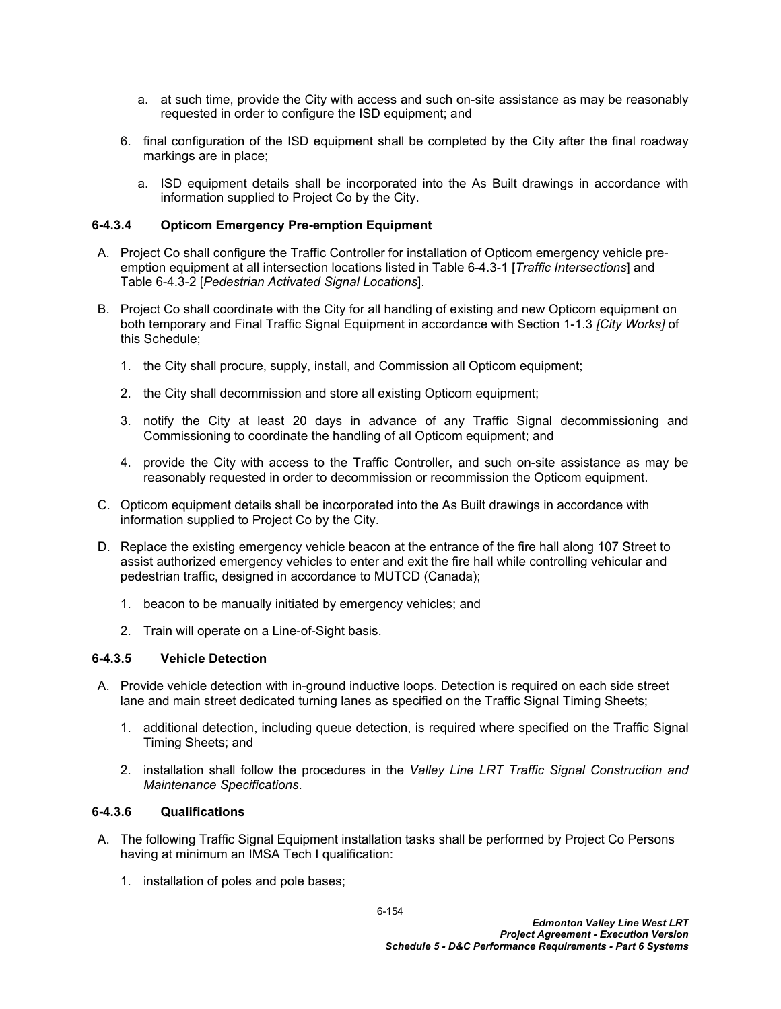- a. at such time, provide the City with access and such on-site assistance as may be reasonably requested in order to configure the ISD equipment; and
- 6. final configuration of the ISD equipment shall be completed by the City after the final roadway markings are in place;
	- a. ISD equipment details shall be incorporated into the As Built drawings in accordance with information supplied to Project Co by the City.

# **6-4.3.4 Opticom Emergency Pre-emption Equipment**

- A. Project Co shall configure the Traffic Controller for installation of Opticom emergency vehicle preemption equipment at all intersection locations listed in Table 6-4.3-1 [*Traffic Intersections*] and Table 6-4.3-2 [*Pedestrian Activated Signal Locations*].
- B. Project Co shall coordinate with the City for all handling of existing and new Opticom equipment on both temporary and Final Traffic Signal Equipment in accordance with Section 1-1.3 *[City Works]* of this Schedule;
	- 1. the City shall procure, supply, install, and Commission all Opticom equipment;
	- 2. the City shall decommission and store all existing Opticom equipment;
	- 3. notify the City at least 20 days in advance of any Traffic Signal decommissioning and Commissioning to coordinate the handling of all Opticom equipment; and
	- 4. provide the City with access to the Traffic Controller, and such on-site assistance as may be reasonably requested in order to decommission or recommission the Opticom equipment.
- C. Opticom equipment details shall be incorporated into the As Built drawings in accordance with information supplied to Project Co by the City.
- D. Replace the existing emergency vehicle beacon at the entrance of the fire hall along 107 Street to assist authorized emergency vehicles to enter and exit the fire hall while controlling vehicular and pedestrian traffic, designed in accordance to MUTCD (Canada);
	- 1. beacon to be manually initiated by emergency vehicles; and
	- 2. Train will operate on a Line-of-Sight basis.

# **6-4.3.5 Vehicle Detection**

- A. Provide vehicle detection with in-ground inductive loops. Detection is required on each side street lane and main street dedicated turning lanes as specified on the Traffic Signal Timing Sheets;
	- 1. additional detection, including queue detection, is required where specified on the Traffic Signal Timing Sheets; and
	- 2. installation shall follow the procedures in the *Valley Line LRT Traffic Signal Construction and Maintenance Specifications*.

## **6-4.3.6 Qualifications**

- A. The following Traffic Signal Equipment installation tasks shall be performed by Project Co Persons having at minimum an IMSA Tech I qualification:
	- 1. installation of poles and pole bases;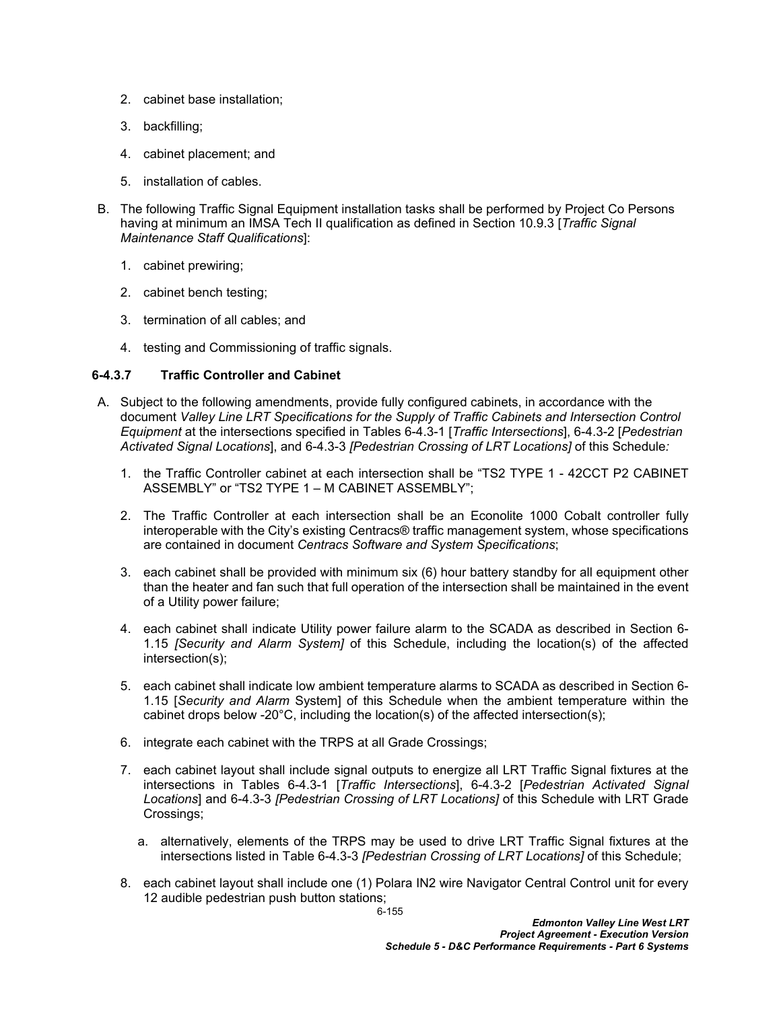- 2. cabinet base installation;
- 3. backfilling;
- 4. cabinet placement; and
- 5. installation of cables.
- B. The following Traffic Signal Equipment installation tasks shall be performed by Project Co Persons having at minimum an IMSA Tech II qualification as defined in Section 10.9.3 [*Traffic Signal Maintenance Staff Qualifications*]:
	- 1. cabinet prewiring;
	- 2. cabinet bench testing;
	- 3. termination of all cables; and
	- 4. testing and Commissioning of traffic signals.

## **6-4.3.7 Traffic Controller and Cabinet**

- A. Subject to the following amendments, provide fully configured cabinets, in accordance with the document *Valley Line LRT Specifications for the Supply of Traffic Cabinets and Intersection Control Equipment* at the intersections specified in Tables [6-4.3](#page-149-0)-1 [*Traffic Intersections*], 6-4.3-2 [*Pedestrian Activated Signal Locations*], and 6-4.3-3 *[Pedestrian Crossing of LRT Locations]* of this Schedule*:*
	- 1. the Traffic Controller cabinet at each intersection shall be "TS2 TYPE 1 42CCT P2 CABINET ASSEMBLY" or "TS2 TYPE 1 – M CABINET ASSEMBLY";
	- 2. The Traffic Controller at each intersection shall be an Econolite 1000 Cobalt controller fully interoperable with the City's existing Centracs® traffic management system, whose specifications are contained in document *Centracs Software and System Specifications*;
	- 3. each cabinet shall be provided with minimum six (6) hour battery standby for all equipment other than the heater and fan such that full operation of the intersection shall be maintained in the event of a Utility power failure;
	- 4. each cabinet shall indicate Utility power failure alarm to the SCADA as described in Section 6- 1.15 *[Security and Alarm System]* of this Schedule, including the location(s) of the affected intersection(s);
	- 5. each cabinet shall indicate low ambient temperature alarms to SCADA as described in Section 6- 1.15 [*Security and Alarm* System] of this Schedule when the ambient temperature within the cabinet drops below -20°C, including the location(s) of the affected intersection(s);
	- 6. integrate each cabinet with the TRPS at all Grade Crossings;
	- 7. each cabinet layout shall include signal outputs to energize all LRT Traffic Signal fixtures at the intersections in Tables [6-4.3-](#page-149-0)1 [*Traffic Intersections*], 6-4.3-2 [*Pedestrian Activated Signal Locations*] and 6-4.3-3 *[Pedestrian Crossing of LRT Locations]* of this Schedule with LRT Grade Crossings;
		- a. alternatively, elements of the TRPS may be used to drive LRT Traffic Signal fixtures at the intersections listed in Table 6-4.3-3 *[Pedestrian Crossing of LRT Locations]* of this Schedule;
	- 8. each cabinet layout shall include one (1) Polara IN2 wire Navigator Central Control unit for every 12 audible pedestrian push button stations;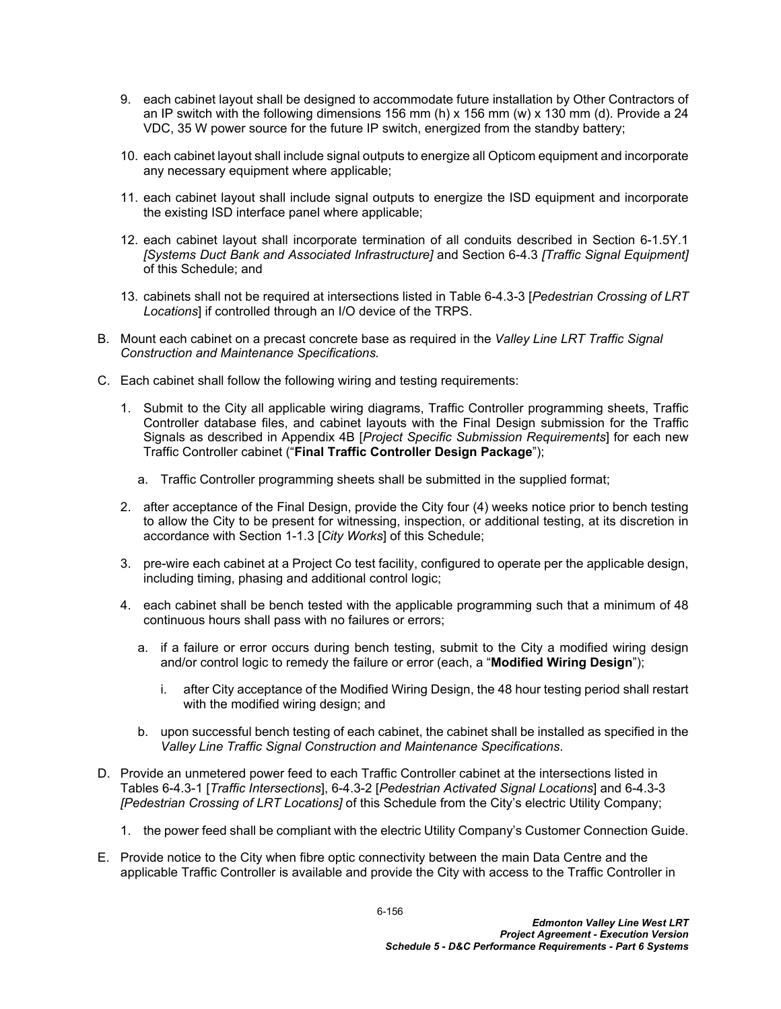- 9. each cabinet layout shall be designed to accommodate future installation by Other Contractors of an IP switch with the following dimensions 156 mm (h) x 156 mm (w) x 130 mm (d). Provide a 24 VDC, 35 W power source for the future IP switch, energized from the standby battery;
- 10. each cabinet layout shall include signal outputs to energize all Opticom equipment and incorporate any necessary equipment where applicable;
- 11. each cabinet layout shall include signal outputs to energize the ISD equipment and incorporate the existing ISD interface panel where applicable;
- 12. each cabinet layout shall incorporate termination of all conduits described in Section [6-1.5Y.1](#page-16-0)  *[Systems Duct Bank and Associated Infrastructure]* and Section 6-4.3 *[Traffic Signal Equipment]* of this Schedule; and
- 13. cabinets shall not be required at intersections listed in Table 6-4.3-3 [*Pedestrian Crossing of LRT Locations*] if controlled through an I/O device of the TRPS.
- B. Mount each cabinet on a precast concrete base as required in the *Valley Line LRT Traffic Signal Construction and Maintenance Specifications.*
- C. Each cabinet shall follow the following wiring and testing requirements:
	- 1. Submit to the City all applicable wiring diagrams, Traffic Controller programming sheets, Traffic Controller database files, and cabinet layouts with the Final Design submission for the Traffic Signals as described in Appendix 4B [*Project Specific Submission Requirements*] for each new Traffic Controller cabinet ("**Final Traffic Controller Design Package**");
		- a. Traffic Controller programming sheets shall be submitted in the supplied format;
	- 2. after acceptance of the Final Design, provide the City four (4) weeks notice prior to bench testing to allow the City to be present for witnessing, inspection, or additional testing, at its discretion in accordance with Section 1-1.3 [*City Works*] of this Schedule;
	- 3. pre-wire each cabinet at a Project Co test facility, configured to operate per the applicable design, including timing, phasing and additional control logic;
	- 4. each cabinet shall be bench tested with the applicable programming such that a minimum of 48 continuous hours shall pass with no failures or errors;
		- a. if a failure or error occurs during bench testing, submit to the City a modified wiring design and/or control logic to remedy the failure or error (each, a "**Modified Wiring Design**");
			- i. after City acceptance of the Modified Wiring Design, the 48 hour testing period shall restart with the modified wiring design; and
		- b. upon successful bench testing of each cabinet, the cabinet shall be installed as specified in the *Valley Line Traffic Signal Construction and Maintenance Specifications*.
- D. Provide an unmetered power feed to each Traffic Controller cabinet at the intersections listed in Tables [6-4.3](#page-149-0)-1 [*Traffic Intersections*], 6-4.3-2 [*Pedestrian Activated Signal Locations*] and 6-4.3-3 *[Pedestrian Crossing of LRT Locations]* of this Schedule from the City's electric Utility Company;
	- 1. the power feed shall be compliant with the electric Utility Company's Customer Connection Guide.
- E. Provide notice to the City when fibre optic connectivity between the main Data Centre and the applicable Traffic Controller is available and provide the City with access to the Traffic Controller in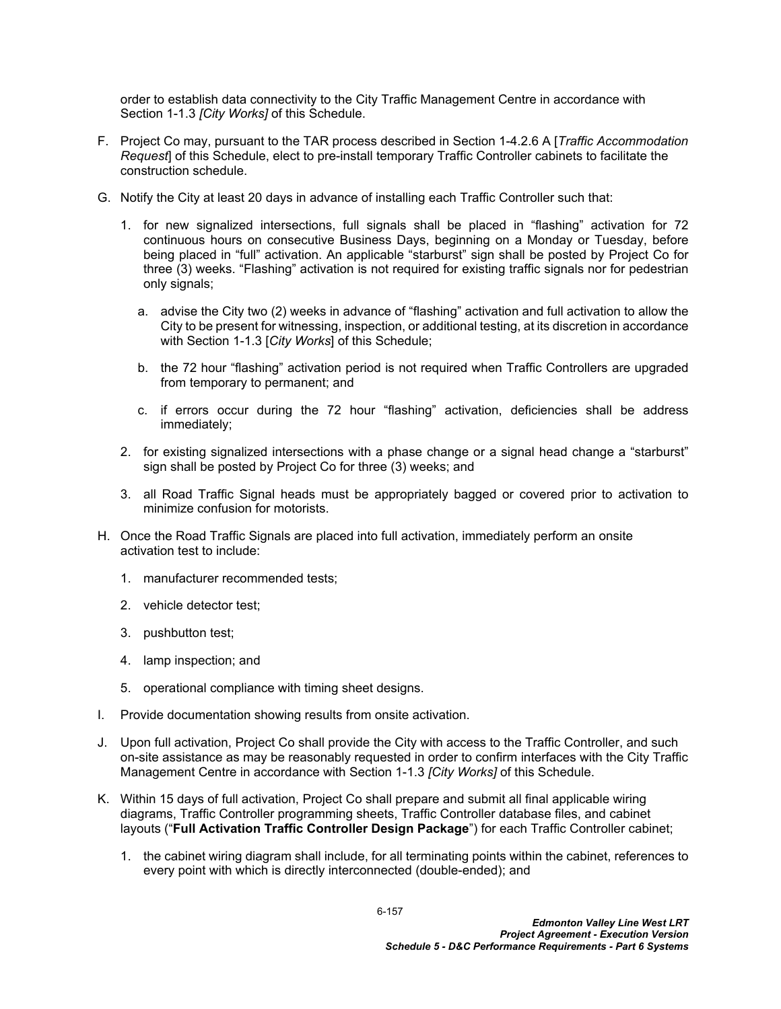order to establish data connectivity to the City Traffic Management Centre in accordance with Section 1-1.3 *[City Works]* of this Schedule.

- F. Project Co may, pursuant to the TAR process described in Section 1-4.2.6 A [*Traffic Accommodation Request*] of this Schedule, elect to pre-install temporary Traffic Controller cabinets to facilitate the construction schedule.
- G. Notify the City at least 20 days in advance of installing each Traffic Controller such that:
	- 1. for new signalized intersections, full signals shall be placed in "flashing" activation for 72 continuous hours on consecutive Business Days, beginning on a Monday or Tuesday, before being placed in "full" activation. An applicable "starburst" sign shall be posted by Project Co for three (3) weeks. "Flashing" activation is not required for existing traffic signals nor for pedestrian only signals;
		- a. advise the City two (2) weeks in advance of "flashing" activation and full activation to allow the City to be present for witnessing, inspection, or additional testing, at its discretion in accordance with Section 1-1.3 [*City Works*] of this Schedule;
		- b. the 72 hour "flashing" activation period is not required when Traffic Controllers are upgraded from temporary to permanent; and
		- c. if errors occur during the 72 hour "flashing" activation, deficiencies shall be address immediately;
	- 2. for existing signalized intersections with a phase change or a signal head change a "starburst" sign shall be posted by Project Co for three (3) weeks; and
	- 3. all Road Traffic Signal heads must be appropriately bagged or covered prior to activation to minimize confusion for motorists.
- H. Once the Road Traffic Signals are placed into full activation, immediately perform an onsite activation test to include:
	- 1. manufacturer recommended tests;
	- 2. vehicle detector test;
	- 3. pushbutton test;
	- 4. lamp inspection; and
	- 5. operational compliance with timing sheet designs.
- I. Provide documentation showing results from onsite activation.
- J. Upon full activation, Project Co shall provide the City with access to the Traffic Controller, and such on-site assistance as may be reasonably requested in order to confirm interfaces with the City Traffic Management Centre in accordance with Section 1-1.3 *[City Works]* of this Schedule.
- K. Within 15 days of full activation, Project Co shall prepare and submit all final applicable wiring diagrams, Traffic Controller programming sheets, Traffic Controller database files, and cabinet layouts ("**Full Activation Traffic Controller Design Package**") for each Traffic Controller cabinet;
	- 1. the cabinet wiring diagram shall include, for all terminating points within the cabinet, references to every point with which is directly interconnected (double-ended); and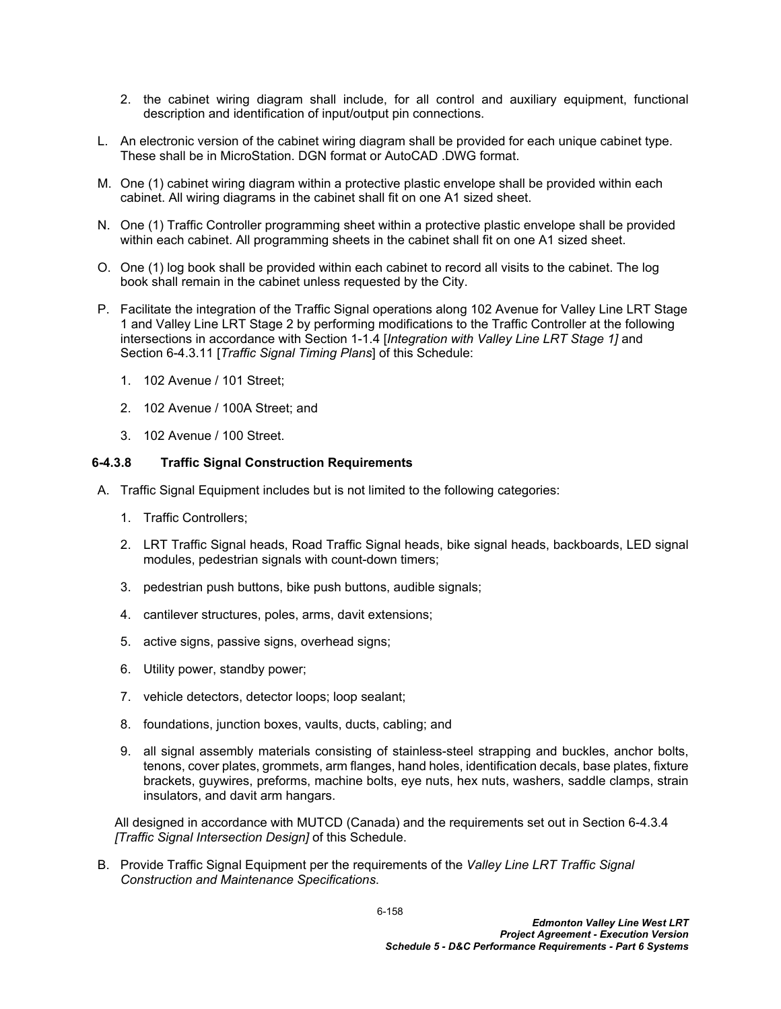- 2. the cabinet wiring diagram shall include, for all control and auxiliary equipment, functional description and identification of input/output pin connections.
- L. An electronic version of the cabinet wiring diagram shall be provided for each unique cabinet type. These shall be in MicroStation. DGN format or AutoCAD .DWG format.
- M. One (1) cabinet wiring diagram within a protective plastic envelope shall be provided within each cabinet. All wiring diagrams in the cabinet shall fit on one A1 sized sheet.
- N. One (1) Traffic Controller programming sheet within a protective plastic envelope shall be provided within each cabinet. All programming sheets in the cabinet shall fit on one A1 sized sheet.
- O. One (1) log book shall be provided within each cabinet to record all visits to the cabinet. The log book shall remain in the cabinet unless requested by the City.
- P. Facilitate the integration of the Traffic Signal operations along 102 Avenue for Valley Line LRT Stage 1 and Valley Line LRT Stage 2 by performing modifications to the Traffic Controller at the following intersections in accordance with Section 1-1.4 [*Integration with Valley Line LRT Stage 1]* and Section 6-4.3.11 [*Traffic Signal Timing Plans*] of this Schedule:
	- 1. 102 Avenue / 101 Street;
	- 2. 102 Avenue / 100A Street; and
	- 3. 102 Avenue / 100 Street.

## **6-4.3.8 Traffic Signal Construction Requirements**

- A. Traffic Signal Equipment includes but is not limited to the following categories:
	- 1. Traffic Controllers;
	- 2. LRT Traffic Signal heads, Road Traffic Signal heads, bike signal heads, backboards, LED signal modules, pedestrian signals with count-down timers;
	- 3. pedestrian push buttons, bike push buttons, audible signals;
	- 4. cantilever structures, poles, arms, davit extensions;
	- 5. active signs, passive signs, overhead signs;
	- 6. Utility power, standby power;
	- 7. vehicle detectors, detector loops; loop sealant;
	- 8. foundations, junction boxes, vaults, ducts, cabling; and
	- 9. all signal assembly materials consisting of stainless-steel strapping and buckles, anchor bolts, tenons, cover plates, grommets, arm flanges, hand holes, identification decals, base plates, fixture brackets, guywires, preforms, machine bolts, eye nuts, hex nuts, washers, saddle clamps, strain insulators, and davit arm hangars.

All designed in accordance with MUTCD (Canada) and the requirements set out in Section 6-4.3.4 *[Traffic Signal Intersection Design]* of this Schedule.

B. Provide Traffic Signal Equipment per the requirements of the *Valley Line LRT Traffic Signal Construction and Maintenance Specifications*.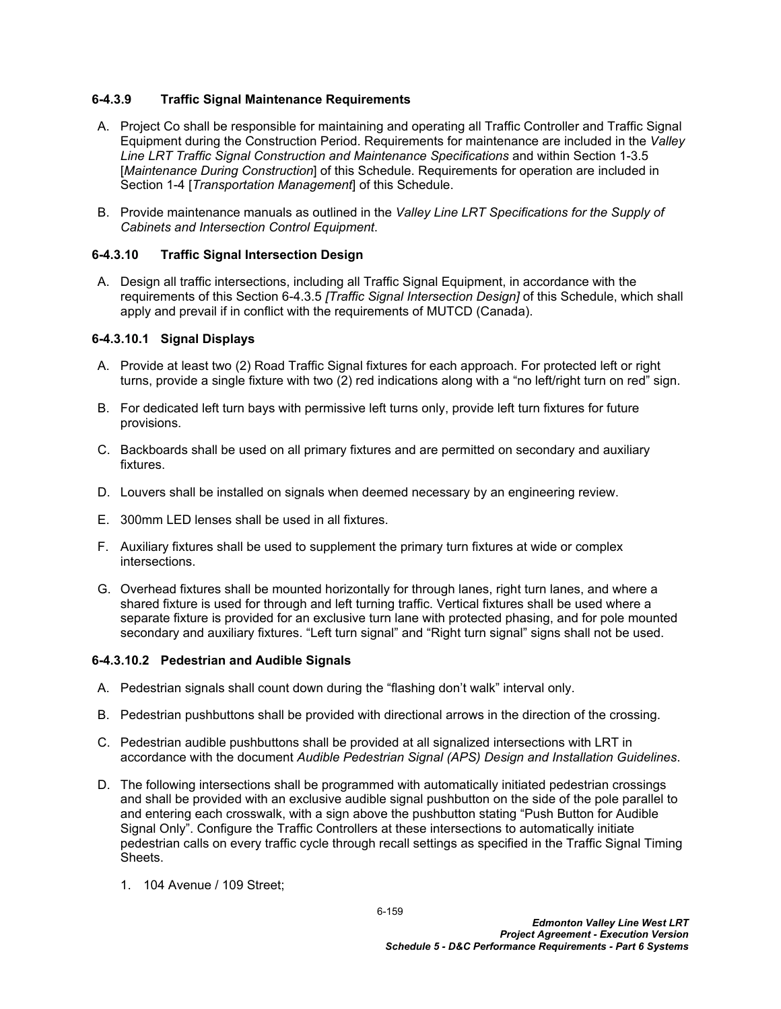## **6-4.3.9 Traffic Signal Maintenance Requirements**

- A. Project Co shall be responsible for maintaining and operating all Traffic Controller and Traffic Signal Equipment during the Construction Period. Requirements for maintenance are included in the *Valley Line LRT Traffic Signal Construction and Maintenance Specifications* and within Section 1-3.5 [*Maintenance During Construction*] of this Schedule. Requirements for operation are included in Section 1-4 [*Transportation Management*] of this Schedule.
- B. Provide maintenance manuals as outlined in the *Valley Line LRT Specifications for the Supply of Cabinets and Intersection Control Equipment*.

#### **6-4.3.10 Traffic Signal Intersection Design**

A. Design all traffic intersections, including all Traffic Signal Equipment, in accordance with the requirements of this Section 6-4.3.5 *[Traffic Signal Intersection Design]* of this Schedule, which shall apply and prevail if in conflict with the requirements of MUTCD (Canada).

#### **6-4.3.10.1 Signal Displays**

- A. Provide at least two (2) Road Traffic Signal fixtures for each approach. For protected left or right turns, provide a single fixture with two (2) red indications along with a "no left/right turn on red" sign.
- B. For dedicated left turn bays with permissive left turns only, provide left turn fixtures for future provisions.
- C. Backboards shall be used on all primary fixtures and are permitted on secondary and auxiliary fixtures.
- D. Louvers shall be installed on signals when deemed necessary by an engineering review.
- E. 300mm LED lenses shall be used in all fixtures.
- F. Auxiliary fixtures shall be used to supplement the primary turn fixtures at wide or complex intersections.
- G. Overhead fixtures shall be mounted horizontally for through lanes, right turn lanes, and where a shared fixture is used for through and left turning traffic. Vertical fixtures shall be used where a separate fixture is provided for an exclusive turn lane with protected phasing, and for pole mounted secondary and auxiliary fixtures. "Left turn signal" and "Right turn signal" signs shall not be used.

#### **6-4.3.10.2 Pedestrian and Audible Signals**

- A. Pedestrian signals shall count down during the "flashing don't walk" interval only.
- B. Pedestrian pushbuttons shall be provided with directional arrows in the direction of the crossing.
- C. Pedestrian audible pushbuttons shall be provided at all signalized intersections with LRT in accordance with the document *Audible Pedestrian Signal (APS) Design and Installation Guidelines*.
- D. The following intersections shall be programmed with automatically initiated pedestrian crossings and shall be provided with an exclusive audible signal pushbutton on the side of the pole parallel to and entering each crosswalk, with a sign above the pushbutton stating "Push Button for Audible Signal Only". Configure the Traffic Controllers at these intersections to automatically initiate pedestrian calls on every traffic cycle through recall settings as specified in the Traffic Signal Timing Sheets.
	- 1. 104 Avenue / 109 Street;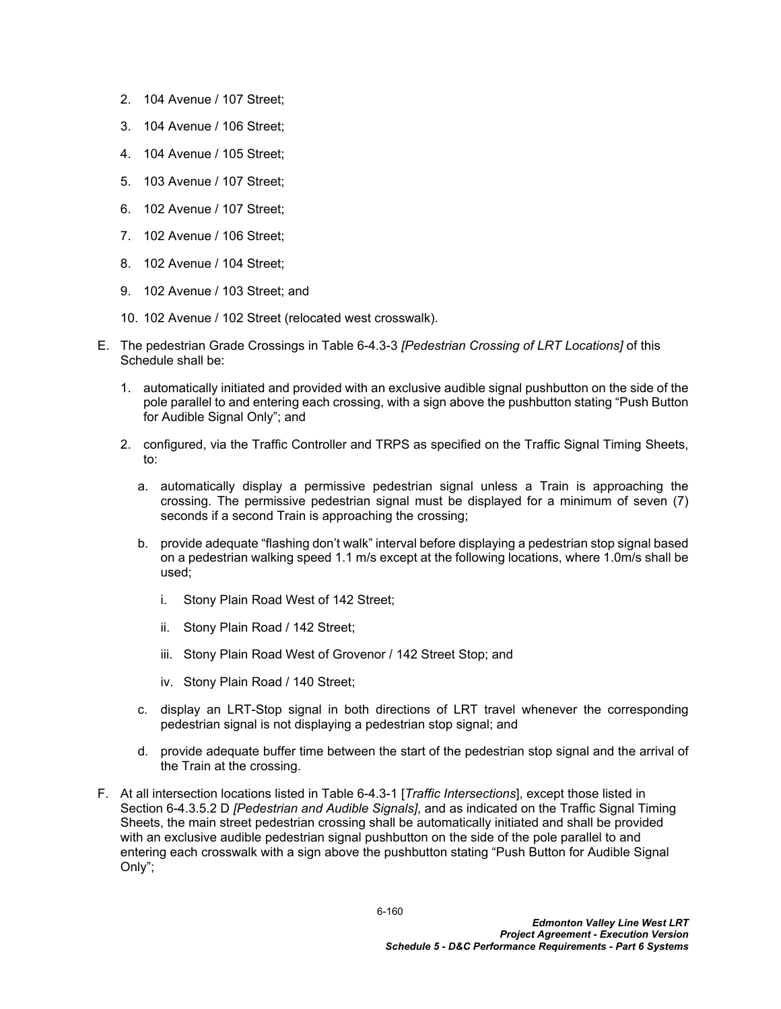- 2. 104 Avenue / 107 Street;
- 3. 104 Avenue / 106 Street;
- 4. 104 Avenue / 105 Street;
- 5. 103 Avenue / 107 Street;
- 6. 102 Avenue / 107 Street;
- 7. 102 Avenue / 106 Street;
- 8. 102 Avenue / 104 Street;
- 9. 102 Avenue / 103 Street; and
- 10. 102 Avenue / 102 Street (relocated west crosswalk).
- E. The pedestrian Grade Crossings in Table 6-4.3-3 *[Pedestrian Crossing of LRT Locations]* of this Schedule shall be:
	- 1. automatically initiated and provided with an exclusive audible signal pushbutton on the side of the pole parallel to and entering each crossing, with a sign above the pushbutton stating "Push Button for Audible Signal Only"; and
	- 2. configured, via the Traffic Controller and TRPS as specified on the Traffic Signal Timing Sheets, to:
		- a. automatically display a permissive pedestrian signal unless a Train is approaching the crossing. The permissive pedestrian signal must be displayed for a minimum of seven (7) seconds if a second Train is approaching the crossing;
		- b. provide adequate "flashing don't walk" interval before displaying a pedestrian stop signal based on a pedestrian walking speed 1.1 m/s except at the following locations, where 1.0m/s shall be used;
			- i. Stony Plain Road West of 142 Street;
			- ii. Stony Plain Road / 142 Street;
			- iii. Stony Plain Road West of Grovenor / 142 Street Stop; and
			- iv. Stony Plain Road / 140 Street;
		- c. display an LRT-Stop signal in both directions of LRT travel whenever the corresponding pedestrian signal is not displaying a pedestrian stop signal; and
		- d. provide adequate buffer time between the start of the pedestrian stop signal and the arrival of the Train at the crossing.
- F. At all intersection locations listed in Table [6-4.3-](#page-149-0)1 [*Traffic Intersections*], except those listed in Section 6-4.3.5.2 D *[Pedestrian and Audible Signals]*, and as indicated on the Traffic Signal Timing Sheets, the main street pedestrian crossing shall be automatically initiated and shall be provided with an exclusive audible pedestrian signal pushbutton on the side of the pole parallel to and entering each crosswalk with a sign above the pushbutton stating "Push Button for Audible Signal Only";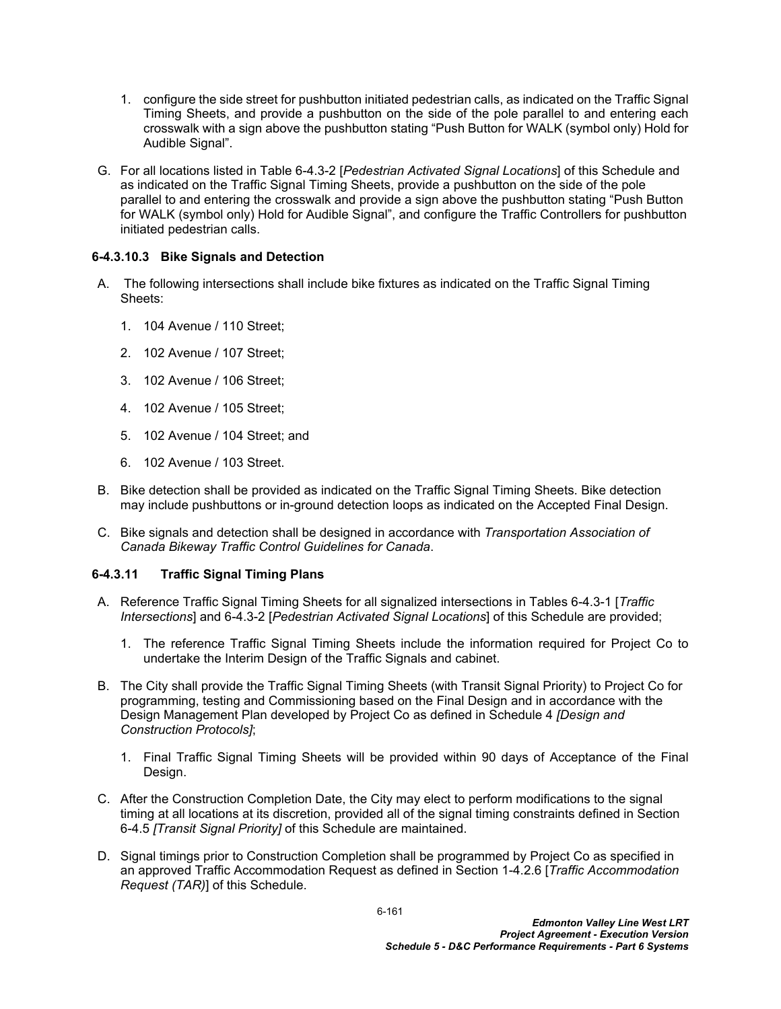- 1. configure the side street for pushbutton initiated pedestrian calls, as indicated on the Traffic Signal Timing Sheets, and provide a pushbutton on the side of the pole parallel to and entering each crosswalk with a sign above the pushbutton stating "Push Button for WALK (symbol only) Hold for Audible Signal".
- G. For all locations listed in Table 6-4.3-2 [*Pedestrian Activated Signal Locations*] of this Schedule and as indicated on the Traffic Signal Timing Sheets, provide a pushbutton on the side of the pole parallel to and entering the crosswalk and provide a sign above the pushbutton stating "Push Button for WALK (symbol only) Hold for Audible Signal", and configure the Traffic Controllers for pushbutton initiated pedestrian calls.

## **6-4.3.10.3 Bike Signals and Detection**

- A. The following intersections shall include bike fixtures as indicated on the Traffic Signal Timing Sheets:
	- 1. 104 Avenue / 110 Street;
	- 2. 102 Avenue / 107 Street;
	- 3. 102 Avenue / 106 Street;
	- 4. 102 Avenue / 105 Street;
	- 5. 102 Avenue / 104 Street; and
	- 6. 102 Avenue / 103 Street.
- B. Bike detection shall be provided as indicated on the Traffic Signal Timing Sheets. Bike detection may include pushbuttons or in-ground detection loops as indicated on the Accepted Final Design.
- C. Bike signals and detection shall be designed in accordance with *Transportation Association of Canada Bikeway Traffic Control Guidelines for Canada*.

# **6-4.3.11 Traffic Signal Timing Plans**

- A. Reference Traffic Signal Timing Sheets for all signalized intersections in Tables [6-4.3-](#page-149-0)1 [*Traffic Intersections*] and 6-4.3-2 [*Pedestrian Activated Signal Locations*] of this Schedule are provided;
	- 1. The reference Traffic Signal Timing Sheets include the information required for Project Co to undertake the Interim Design of the Traffic Signals and cabinet.
- B. The City shall provide the Traffic Signal Timing Sheets (with Transit Signal Priority) to Project Co for programming, testing and Commissioning based on the Final Design and in accordance with the Design Management Plan developed by Project Co as defined in Schedule 4 *[Design and Construction Protocols]*;
	- 1. Final Traffic Signal Timing Sheets will be provided within 90 days of Acceptance of the Final Design.
- C. After the Construction Completion Date, the City may elect to perform modifications to the signal timing at all locations at its discretion, provided all of the signal timing constraints defined in Section 6-4.5 *[Transit Signal Priority]* of this Schedule are maintained.
- D. Signal timings prior to Construction Completion shall be programmed by Project Co as specified in an approved Traffic Accommodation Request as defined in Section 1-4.2.6 [*Traffic Accommodation Request (TAR)*] of this Schedule.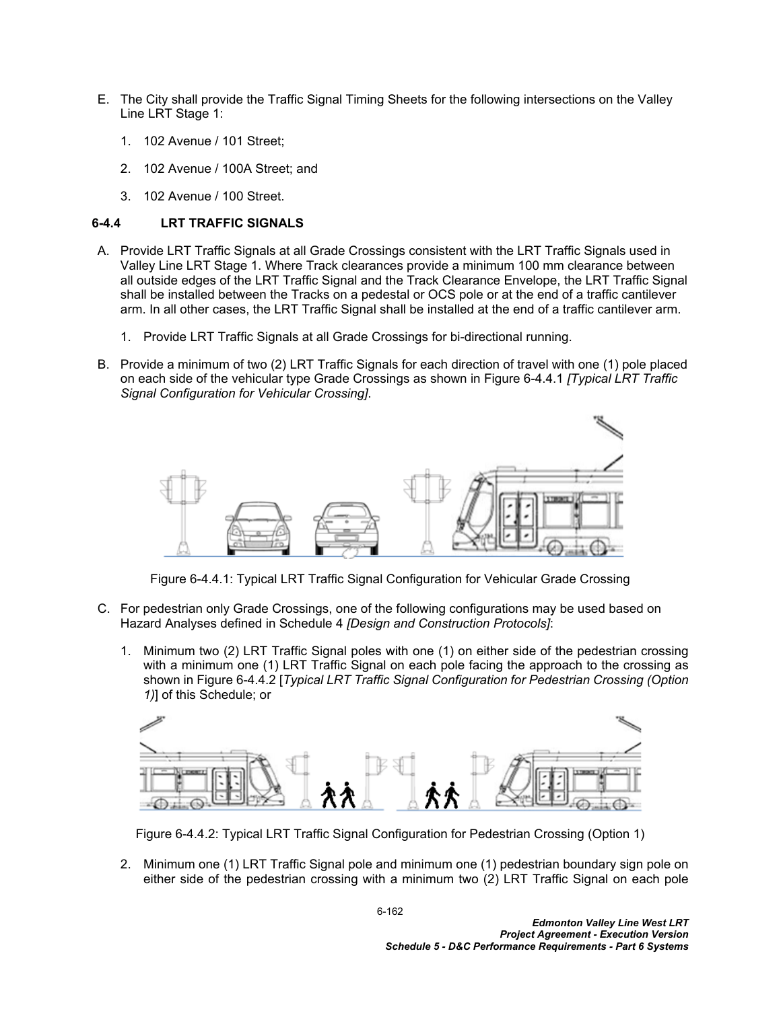- E. The City shall provide the Traffic Signal Timing Sheets for the following intersections on the Valley Line LRT Stage 1:
	- 1. 102 Avenue / 101 Street;
	- 2. 102 Avenue / 100A Street; and
	- 3. 102 Avenue / 100 Street.

# **6-4.4 LRT TRAFFIC SIGNALS**

- A. Provide LRT Traffic Signals at all Grade Crossings consistent with the LRT Traffic Signals used in Valley Line LRT Stage 1. Where Track clearances provide a minimum 100 mm clearance between all outside edges of the LRT Traffic Signal and the Track Clearance Envelope, the LRT Traffic Signal shall be installed between the Tracks on a pedestal or OCS pole or at the end of a traffic cantilever arm. In all other cases, the LRT Traffic Signal shall be installed at the end of a traffic cantilever arm.
	- 1. Provide LRT Traffic Signals at all Grade Crossings for bi-directional running.
- B. Provide a minimum of two (2) LRT Traffic Signals for each direction of travel with one (1) pole placed on each side of the vehicular type Grade Crossings as shown in Figure 6-4.4.1 *[Typical LRT Traffic Signal Configuration for Vehicular Crossing]*.



Figure 6-4.4.1: Typical LRT Traffic Signal Configuration for Vehicular Grade Crossing

- C. For pedestrian only Grade Crossings, one of the following configurations may be used based on Hazard Analyses defined in Schedule 4 *[Design and Construction Protocols]*:
	- 1. Minimum two (2) LRT Traffic Signal poles with one (1) on either side of the pedestrian crossing with a minimum one (1) LRT Traffic Signal on each pole facing the approach to the crossing as shown in Figure 6-4.4.2 [*Typical LRT Traffic Signal Configuration for Pedestrian Crossing (Option 1)*] of this Schedule; or



Figure 6-4.4.2: Typical LRT Traffic Signal Configuration for Pedestrian Crossing (Option 1)

2. Minimum one (1) LRT Traffic Signal pole and minimum one (1) pedestrian boundary sign pole on either side of the pedestrian crossing with a minimum two (2) LRT Traffic Signal on each pole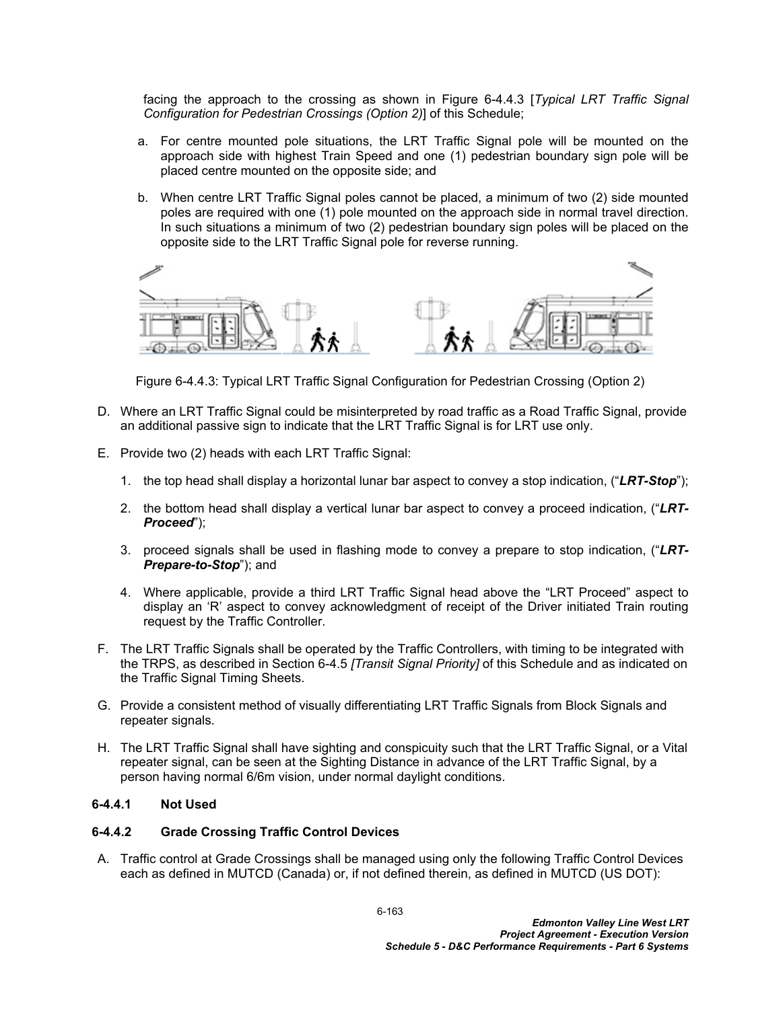facing the approach to the crossing as shown in Figure 6-4.4.3 [*Typical LRT Traffic Signal Configuration for Pedestrian Crossings (Option 2)*] of this Schedule;

- a. For centre mounted pole situations, the LRT Traffic Signal pole will be mounted on the approach side with highest Train Speed and one (1) pedestrian boundary sign pole will be placed centre mounted on the opposite side; and
- b. When centre LRT Traffic Signal poles cannot be placed, a minimum of two (2) side mounted poles are required with one (1) pole mounted on the approach side in normal travel direction. In such situations a minimum of two (2) pedestrian boundary sign poles will be placed on the opposite side to the LRT Traffic Signal pole for reverse running.



Figure 6-4.4.3: Typical LRT Traffic Signal Configuration for Pedestrian Crossing (Option 2)

- D. Where an LRT Traffic Signal could be misinterpreted by road traffic as a Road Traffic Signal, provide an additional passive sign to indicate that the LRT Traffic Signal is for LRT use only.
- E. Provide two (2) heads with each LRT Traffic Signal:
	- 1. the top head shall display a horizontal lunar bar aspect to convey a stop indication, ("*LRT-Stop*");
	- 2. the bottom head shall display a vertical lunar bar aspect to convey a proceed indication, ("*LRT-Proceed*");
	- 3. proceed signals shall be used in flashing mode to convey a prepare to stop indication, ("*LRT-Prepare-to-Stop*"); and
	- 4. Where applicable, provide a third LRT Traffic Signal head above the "LRT Proceed" aspect to display an 'R' aspect to convey acknowledgment of receipt of the Driver initiated Train routing request by the Traffic Controller.
- F. The LRT Traffic Signals shall be operated by the Traffic Controllers, with timing to be integrated with the TRPS, as described in Section 6-4.5 *[Transit Signal Priority]* of this Schedule and as indicated on the Traffic Signal Timing Sheets.
- G. Provide a consistent method of visually differentiating LRT Traffic Signals from Block Signals and repeater signals.
- H. The LRT Traffic Signal shall have sighting and conspicuity such that the LRT Traffic Signal, or a Vital repeater signal, can be seen at the Sighting Distance in advance of the LRT Traffic Signal, by a person having normal 6/6m vision, under normal daylight conditions.

#### **6-4.4.1 Not Used**

#### **6-4.4.2 Grade Crossing Traffic Control Devices**

A. Traffic control at Grade Crossings shall be managed using only the following Traffic Control Devices each as defined in MUTCD (Canada) or, if not defined therein, as defined in MUTCD (US DOT):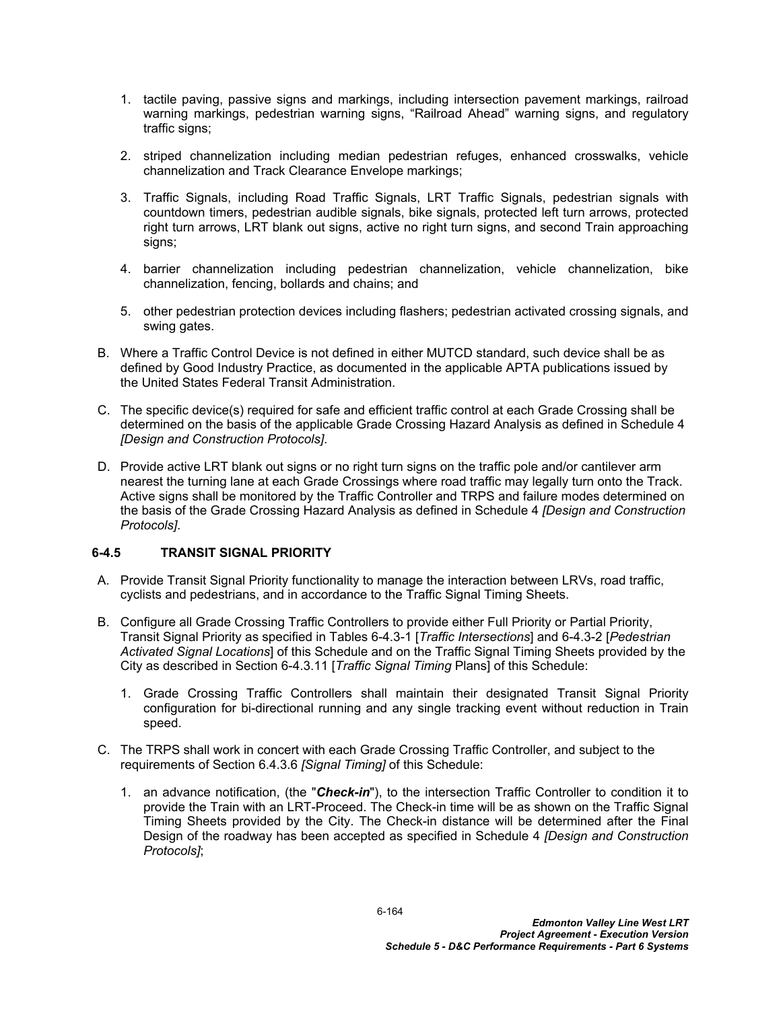- 1. tactile paving, passive signs and markings, including intersection pavement markings, railroad warning markings, pedestrian warning signs, "Railroad Ahead" warning signs, and regulatory traffic signs;
- 2. striped channelization including median pedestrian refuges, enhanced crosswalks, vehicle channelization and Track Clearance Envelope markings;
- 3. Traffic Signals, including Road Traffic Signals, LRT Traffic Signals, pedestrian signals with countdown timers, pedestrian audible signals, bike signals, protected left turn arrows, protected right turn arrows, LRT blank out signs, active no right turn signs, and second Train approaching signs;
- 4. barrier channelization including pedestrian channelization, vehicle channelization, bike channelization, fencing, bollards and chains; and
- 5. other pedestrian protection devices including flashers; pedestrian activated crossing signals, and swing gates.
- B. Where a Traffic Control Device is not defined in either MUTCD standard, such device shall be as defined by Good Industry Practice, as documented in the applicable APTA publications issued by the United States Federal Transit Administration.
- C. The specific device(s) required for safe and efficient traffic control at each Grade Crossing shall be determined on the basis of the applicable Grade Crossing Hazard Analysis as defined in Schedule 4 *[Design and Construction Protocols]*.
- D. Provide active LRT blank out signs or no right turn signs on the traffic pole and/or cantilever arm nearest the turning lane at each Grade Crossings where road traffic may legally turn onto the Track. Active signs shall be monitored by the Traffic Controller and TRPS and failure modes determined on the basis of the Grade Crossing Hazard Analysis as defined in Schedule 4 *[Design and Construction Protocols]*.

# **6-4.5 TRANSIT SIGNAL PRIORITY**

- A. Provide Transit Signal Priority functionality to manage the interaction between LRVs, road traffic, cyclists and pedestrians, and in accordance to the Traffic Signal Timing Sheets.
- B. Configure all Grade Crossing Traffic Controllers to provide either Full Priority or Partial Priority, Transit Signal Priority as specified in Tables [6-4.3](#page-149-0)-1 [*Traffic Intersections*] and 6-4.3-2 [*Pedestrian Activated Signal Locations*] of this Schedule and on the Traffic Signal Timing Sheets provided by the City as described in Section 6-4.3.11 [*Traffic Signal Timing* Plans] of this Schedule:
	- 1. Grade Crossing Traffic Controllers shall maintain their designated Transit Signal Priority configuration for bi-directional running and any single tracking event without reduction in Train speed.
- C. The TRPS shall work in concert with each Grade Crossing Traffic Controller, and subject to the requirements of Section 6.4.3.6 *[Signal Timing]* of this Schedule:
	- 1. an advance notification, (the "*Check-in*"), to the intersection Traffic Controller to condition it to provide the Train with an LRT-Proceed. The Check-in time will be as shown on the Traffic Signal Timing Sheets provided by the City. The Check-in distance will be determined after the Final Design of the roadway has been accepted as specified in Schedule 4 *[Design and Construction Protocols]*;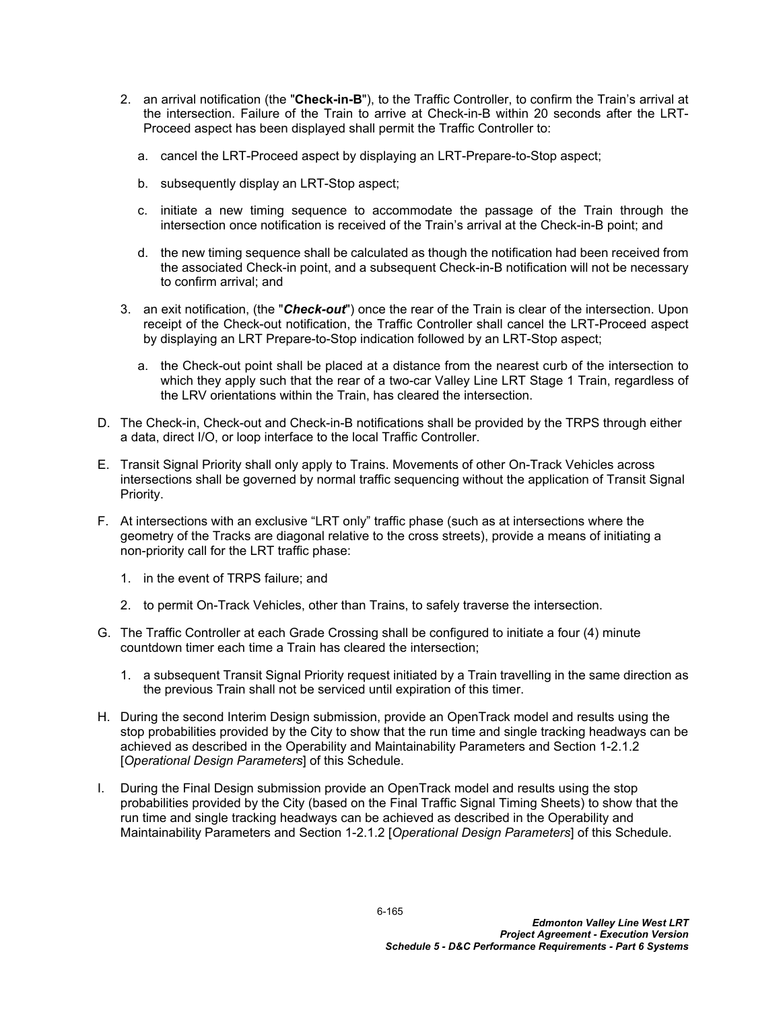- 2. an arrival notification (the "**Check-in-B**"), to the Traffic Controller, to confirm the Train's arrival at the intersection. Failure of the Train to arrive at Check-in-B within 20 seconds after the LRT-Proceed aspect has been displayed shall permit the Traffic Controller to:
	- a. cancel the LRT-Proceed aspect by displaying an LRT-Prepare-to-Stop aspect;
	- b. subsequently display an LRT-Stop aspect;
	- c. initiate a new timing sequence to accommodate the passage of the Train through the intersection once notification is received of the Train's arrival at the Check-in-B point; and
	- d. the new timing sequence shall be calculated as though the notification had been received from the associated Check-in point, and a subsequent Check-in-B notification will not be necessary to confirm arrival; and
- 3. an exit notification, (the "*Check-out*") once the rear of the Train is clear of the intersection. Upon receipt of the Check-out notification, the Traffic Controller shall cancel the LRT-Proceed aspect by displaying an LRT Prepare-to-Stop indication followed by an LRT-Stop aspect;
	- a. the Check-out point shall be placed at a distance from the nearest curb of the intersection to which they apply such that the rear of a two-car Valley Line LRT Stage 1 Train, regardless of the LRV orientations within the Train, has cleared the intersection.
- D. The Check-in, Check-out and Check-in-B notifications shall be provided by the TRPS through either a data, direct I/O, or loop interface to the local Traffic Controller.
- E. Transit Signal Priority shall only apply to Trains. Movements of other On-Track Vehicles across intersections shall be governed by normal traffic sequencing without the application of Transit Signal Priority.
- F. At intersections with an exclusive "LRT only" traffic phase (such as at intersections where the geometry of the Tracks are diagonal relative to the cross streets), provide a means of initiating a non-priority call for the LRT traffic phase:
	- 1. in the event of TRPS failure; and
	- 2. to permit On-Track Vehicles, other than Trains, to safely traverse the intersection.
- G. The Traffic Controller at each Grade Crossing shall be configured to initiate a four (4) minute countdown timer each time a Train has cleared the intersection;
	- 1. a subsequent Transit Signal Priority request initiated by a Train travelling in the same direction as the previous Train shall not be serviced until expiration of this timer.
- H. During the second Interim Design submission, provide an OpenTrack model and results using the stop probabilities provided by the City to show that the run time and single tracking headways can be achieved as described in the Operability and Maintainability Parameters and Section 1-2.1.2 [*Operational Design Parameters*] of this Schedule.
- I. During the Final Design submission provide an OpenTrack model and results using the stop probabilities provided by the City (based on the Final Traffic Signal Timing Sheets) to show that the run time and single tracking headways can be achieved as described in the Operability and Maintainability Parameters and Section 1-2.1.2 [*Operational Design Parameters*] of this Schedule.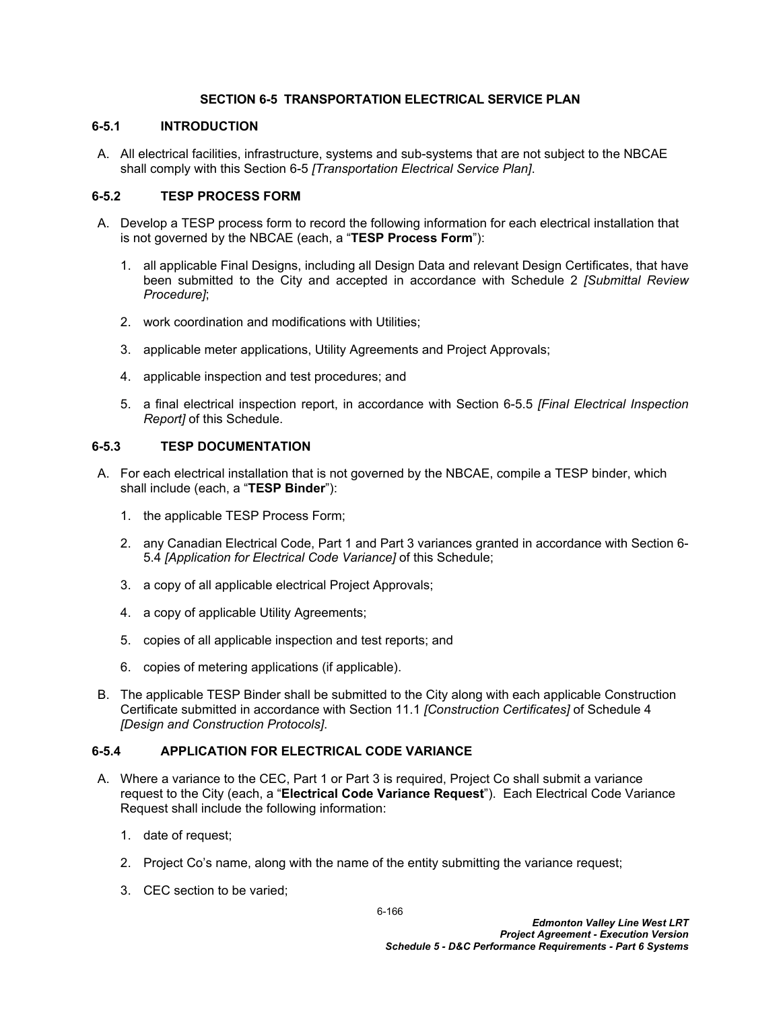## <span id="page-168-0"></span>**SECTION 6-5 TRANSPORTATION ELECTRICAL SERVICE PLAN**

## **6-5.1 INTRODUCTION**

A. All electrical facilities, infrastructure, systems and sub-systems that are not subject to the NBCAE shall comply with this [Section 6-5](#page-168-0) *[Transportation Electrical Service Plan]*.

# **6-5.2 TESP PROCESS FORM**

- A. Develop a TESP process form to record the following information for each electrical installation that is not governed by the NBCAE (each, a "**TESP Process Form**"):
	- 1. all applicable Final Designs, including all Design Data and relevant Design Certificates, that have been submitted to the City and accepted in accordance with Schedule 2 *[Submittal Review Procedure]*;
	- 2. work coordination and modifications with Utilities;
	- 3. applicable meter applications, Utility Agreements and Project Approvals;
	- 4. applicable inspection and test procedures; and
	- 5. a final electrical inspection report, in accordance with Section [6-5.5](#page-169-0) *[Final Electrical Inspection Report]* of this Schedule.

## **6-5.3 TESP DOCUMENTATION**

- A. For each electrical installation that is not governed by the NBCAE, compile a TESP binder, which shall include (each, a "**TESP Binder**"):
	- 1. the applicable TESP Process Form;
	- 2. any Canadian Electrical Code, Part 1 and Part 3 variances granted in accordance with Section [6-](#page-168-1) [5.4](#page-168-1) *[Application for Electrical Code Variance]* of this Schedule;
	- 3. a copy of all applicable electrical Project Approvals;
	- 4. a copy of applicable Utility Agreements;
	- 5. copies of all applicable inspection and test reports; and
	- 6. copies of metering applications (if applicable).
- B. The applicable TESP Binder shall be submitted to the City along with each applicable Construction Certificate submitted in accordance with Section 11.1 *[Construction Certificates]* of Schedule 4 *[Design and Construction Protocols]*.

# <span id="page-168-1"></span>**6-5.4 APPLICATION FOR ELECTRICAL CODE VARIANCE**

- A. Where a variance to the CEC, Part 1 or Part 3 is required, Project Co shall submit a variance request to the City (each, a "**Electrical Code Variance Request**"). Each Electrical Code Variance Request shall include the following information:
	- 1. date of request;
	- 2. Project Co's name, along with the name of the entity submitting the variance request;
	- 3. CEC section to be varied;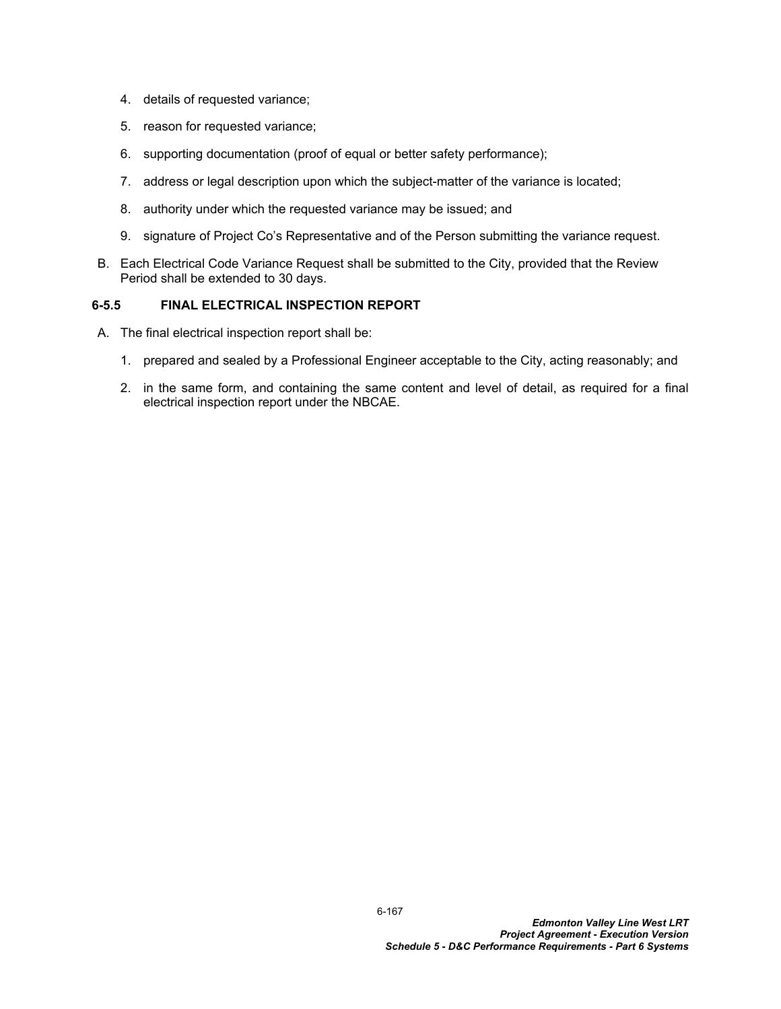- 4. details of requested variance;
- 5. reason for requested variance;
- 6. supporting documentation (proof of equal or better safety performance);
- 7. address or legal description upon which the subject-matter of the variance is located;
- 8. authority under which the requested variance may be issued; and
- 9. signature of Project Co's Representative and of the Person submitting the variance request.
- B. Each Electrical Code Variance Request shall be submitted to the City, provided that the Review Period shall be extended to 30 days.

# <span id="page-169-0"></span>**6-5.5 FINAL ELECTRICAL INSPECTION REPORT**

- A. The final electrical inspection report shall be:
	- 1. prepared and sealed by a Professional Engineer acceptable to the City, acting reasonably; and
	- 2. in the same form, and containing the same content and level of detail, as required for a final electrical inspection report under the NBCAE.